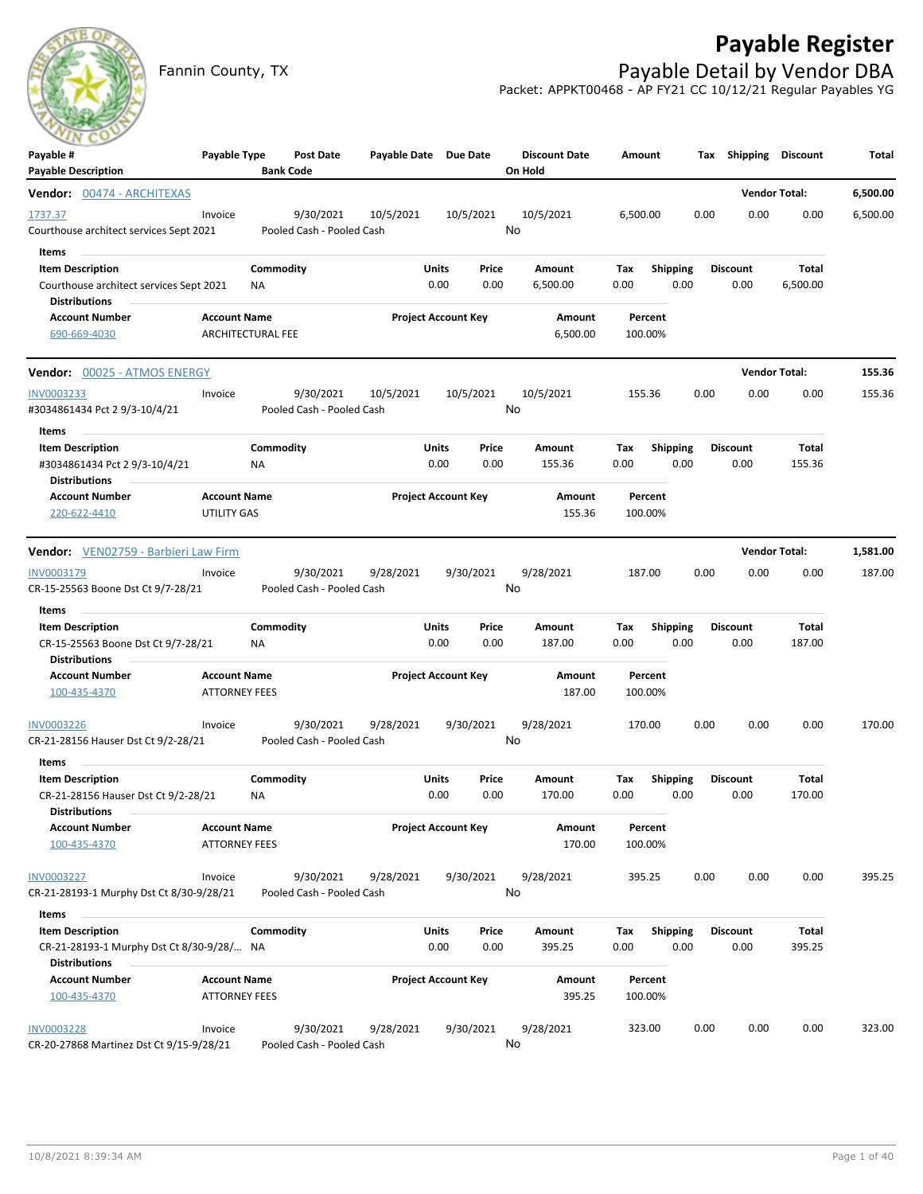# **Payable Register**

Fannin County, TX **Payable Detail by Vendor DBA** Packet: APPKT00468 - AP FY21 CC 10/12/21 Regular Payables YG

| ___<br>Payable #<br><b>Payable Description</b>                                                      | Payable Type                                | <b>Bank Code</b> | Post Date                              |           | Payable Date Due Date      |               | <b>Discount Date</b><br>On Hold | Amount             |                         |      | Tax Shipping Discount   |                        | Total    |
|-----------------------------------------------------------------------------------------------------|---------------------------------------------|------------------|----------------------------------------|-----------|----------------------------|---------------|---------------------------------|--------------------|-------------------------|------|-------------------------|------------------------|----------|
| Vendor: 00474 - ARCHITEXAS                                                                          |                                             |                  |                                        |           |                            |               |                                 |                    |                         |      | <b>Vendor Total:</b>    |                        | 6,500.00 |
| 1737.37<br>Courthouse architect services Sept 2021                                                  | Invoice                                     |                  | 9/30/2021<br>Pooled Cash - Pooled Cash | 10/5/2021 | 10/5/2021                  | No            | 10/5/2021                       | 6,500.00           |                         | 0.00 | 0.00                    | 0.00                   | 6,500.00 |
| Items<br><b>Item Description</b><br>Courthouse architect services Sept 2021<br><b>Distributions</b> |                                             | Commodity<br>ΝA  |                                        |           | Units<br>0.00              | Price<br>0.00 | Amount<br>6,500.00              | Tax<br>0.00        | <b>Shipping</b><br>0.00 |      | <b>Discount</b><br>0.00 | Total<br>6,500.00      |          |
| <b>Account Number</b><br>690-669-4030                                                               | <b>Account Name</b><br>ARCHITECTURAL FEE    |                  |                                        |           | <b>Project Account Key</b> |               | Amount<br>6,500.00              | Percent<br>100.00% |                         |      |                         |                        |          |
| <b>Vendor:</b> 00025 - ATMOS ENERGY                                                                 |                                             |                  |                                        |           |                            |               |                                 |                    |                         |      | <b>Vendor Total:</b>    |                        | 155.36   |
| INV0003233<br>#3034861434 Pct 2 9/3-10/4/21                                                         | Invoice                                     |                  | 9/30/2021<br>Pooled Cash - Pooled Cash | 10/5/2021 | 10/5/2021                  | No            | 10/5/2021                       | 155.36             |                         | 0.00 | 0.00                    | 0.00                   | 155.36   |
| Items<br><b>Item Description</b><br>#3034861434 Pct 2 9/3-10/4/21<br><b>Distributions</b>           |                                             | Commodity<br>ΝA  |                                        |           | Units<br>0.00              | Price<br>0.00 | Amount<br>155.36                | Тах<br>0.00        | <b>Shipping</b><br>0.00 |      | <b>Discount</b><br>0.00 | <b>Total</b><br>155.36 |          |
| <b>Account Number</b><br>220-622-4410                                                               | <b>Account Name</b><br>UTILITY GAS          |                  |                                        |           | <b>Project Account Key</b> |               | Amount<br>155.36                | Percent<br>100.00% |                         |      |                         |                        |          |
| Vendor: VEN02759 - Barbieri Law Firm                                                                |                                             |                  |                                        |           |                            |               |                                 |                    |                         |      | <b>Vendor Total:</b>    |                        | 1,581.00 |
| INV0003179<br>CR-15-25563 Boone Dst Ct 9/7-28/21                                                    | Invoice                                     |                  | 9/30/2021<br>Pooled Cash - Pooled Cash | 9/28/2021 | 9/30/2021                  | No            | 9/28/2021                       | 187.00             |                         | 0.00 | 0.00                    | 0.00                   | 187.00   |
| Items<br>$\sim$                                                                                     |                                             |                  |                                        |           |                            |               |                                 |                    |                         |      |                         |                        |          |
| <b>Item Description</b><br>CR-15-25563 Boone Dst Ct 9/7-28/21<br><b>Distributions</b>               |                                             | Commodity<br>ΝA  |                                        |           | Units<br>0.00              | Price<br>0.00 | Amount<br>187.00                | Тах<br>0.00        | Shipping<br>0.00        |      | <b>Discount</b><br>0.00 | Total<br>187.00        |          |
| <b>Account Number</b><br>100-435-4370                                                               | <b>Account Name</b><br><b>ATTORNEY FEES</b> |                  |                                        |           | <b>Project Account Key</b> |               | Amount<br>187.00                | Percent<br>100.00% |                         |      |                         |                        |          |
| <b>INV0003226</b><br>CR-21-28156 Hauser Dst Ct 9/2-28/21                                            | Invoice                                     |                  | 9/30/2021<br>Pooled Cash - Pooled Cash | 9/28/2021 | 9/30/2021                  | No            | 9/28/2021                       | 170.00             |                         | 0.00 | 0.00                    | 0.00                   | 170.00   |
| Items                                                                                               |                                             |                  |                                        |           |                            |               |                                 |                    |                         |      |                         |                        |          |
| <b>Item Description</b><br>CR-21-28156 Hauser Dst Ct 9/2-28/21<br><b>Distributions</b>              |                                             | Commodity<br>ΝA  |                                        |           | Units<br>0.00              | Price<br>0.00 | Amount<br>170.00                | Tax<br>0.00        | <b>Shipping</b><br>0.00 |      | <b>Discount</b><br>0.00 | Total<br>170.00        |          |
| <b>Account Number</b><br>100-435-4370                                                               | <b>Account Name</b><br><b>ATTORNEY FEES</b> |                  |                                        |           | <b>Project Account Key</b> |               | Amount<br>170.00                | Percent<br>100.00% |                         |      |                         |                        |          |
| INV0003227<br>CR-21-28193-1 Murphy Dst Ct 8/30-9/28/21                                              | Invoice                                     |                  | 9/30/2021<br>Pooled Cash - Pooled Cash | 9/28/2021 | 9/30/2021                  | No            | 9/28/2021                       | 395.25             |                         | 0.00 | 0.00                    | 0.00                   | 395.25   |
| Items                                                                                               |                                             |                  |                                        |           |                            |               |                                 |                    |                         |      |                         |                        |          |
| <b>Item Description</b><br>CR-21-28193-1 Murphy Dst Ct 8/30-9/28/ NA<br><b>Distributions</b>        |                                             | Commodity        |                                        |           | Units<br>0.00              | Price<br>0.00 | Amount<br>395.25                | Tax<br>0.00        | <b>Shipping</b><br>0.00 |      | <b>Discount</b><br>0.00 | Total<br>395.25        |          |
| <b>Account Number</b><br>100-435-4370                                                               | <b>Account Name</b><br><b>ATTORNEY FEES</b> |                  |                                        |           | <b>Project Account Key</b> |               | Amount<br>395.25                | Percent<br>100.00% |                         |      |                         |                        |          |
| <b>INV0003228</b><br>CR-20-27868 Martinez Dst Ct 9/15-9/28/21                                       | Invoice                                     |                  | 9/30/2021<br>Pooled Cash - Pooled Cash | 9/28/2021 | 9/30/2021                  | No            | 9/28/2021                       | 323.00             |                         | 0.00 | 0.00                    | 0.00                   | 323.00   |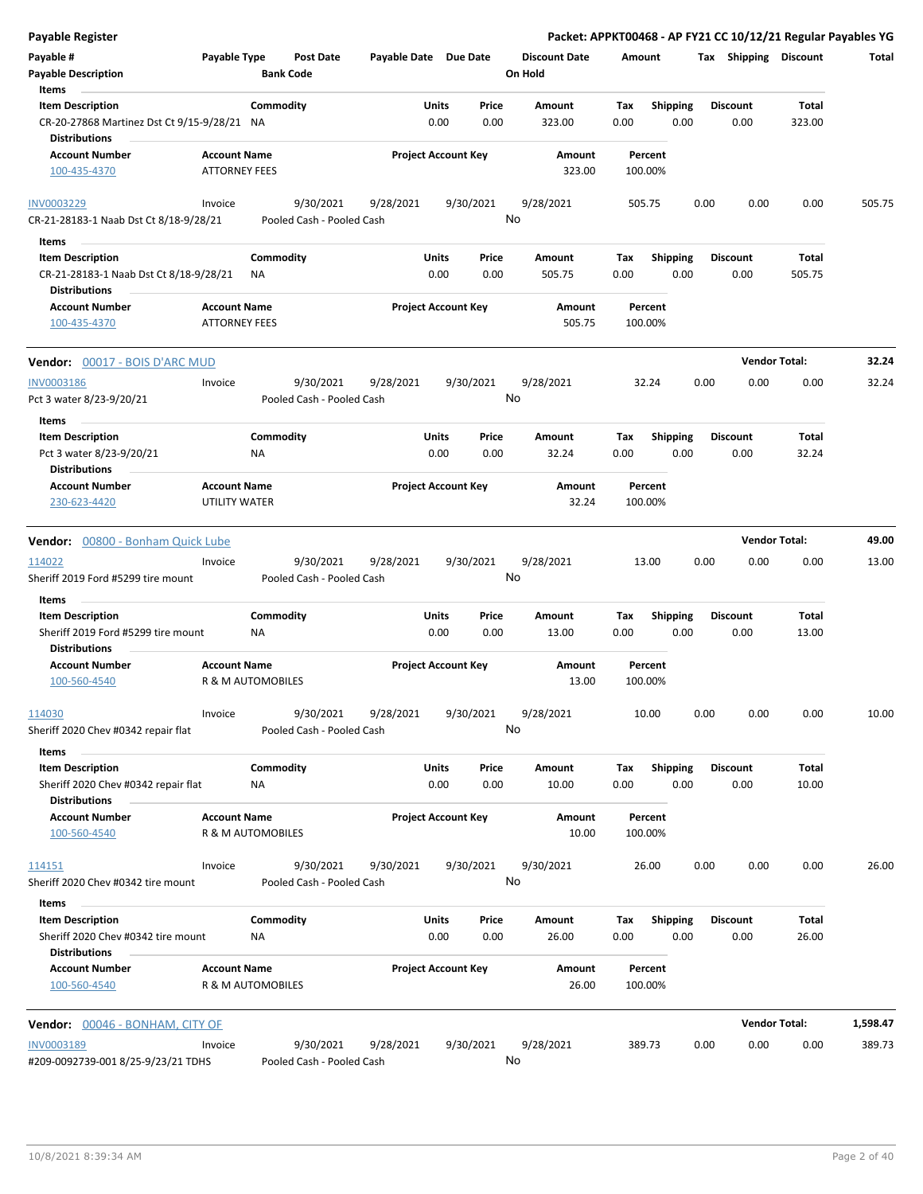| <b>Payable Register</b>                                                               |                                             |                                        |                       |                                |                                 | Packet: APPKT00468 - AP FY21 CC 10/12/21 Regular Payables YG |                         |                      |          |
|---------------------------------------------------------------------------------------|---------------------------------------------|----------------------------------------|-----------------------|--------------------------------|---------------------------------|--------------------------------------------------------------|-------------------------|----------------------|----------|
| Payable #<br><b>Payable Description</b>                                               | Payable Type                                | <b>Post Date</b><br><b>Bank Code</b>   | Payable Date Due Date |                                | <b>Discount Date</b><br>On Hold | Amount                                                       | Tax Shipping Discount   |                      | Total    |
| Items<br><b>Item Description</b>                                                      |                                             | Commodity                              |                       | Units<br>Price                 | Amount                          | <b>Shipping</b><br>Tax                                       | <b>Discount</b>         | Total                |          |
| CR-20-27868 Martinez Dst Ct 9/15-9/28/21 NA<br><b>Distributions</b>                   |                                             |                                        |                       | 0.00<br>0.00                   | 323.00                          | 0.00<br>0.00                                                 | 0.00                    | 323.00               |          |
| <b>Account Number</b><br>100-435-4370                                                 | <b>Account Name</b><br><b>ATTORNEY FEES</b> |                                        |                       | <b>Project Account Key</b>     | Amount<br>323.00                | Percent<br>100.00%                                           |                         |                      |          |
| <b>INV0003229</b>                                                                     | Invoice                                     | 9/30/2021                              | 9/28/2021             | 9/30/2021                      | 9/28/2021                       | 505.75                                                       | 0.00<br>0.00            | 0.00                 | 505.75   |
| CR-21-28183-1 Naab Dst Ct 8/18-9/28/21                                                |                                             | Pooled Cash - Pooled Cash              |                       |                                | No                              |                                                              |                         |                      |          |
| Items<br><b>Item Description</b>                                                      |                                             | Commodity                              |                       | Units<br>Price                 | Amount                          | <b>Shipping</b><br>Тах                                       | <b>Discount</b>         | Total                |          |
| CR-21-28183-1 Naab Dst Ct 8/18-9/28/21<br><b>Distributions</b>                        |                                             | <b>NA</b>                              |                       | 0.00<br>0.00                   | 505.75                          | 0.00<br>0.00                                                 | 0.00                    | 505.75               |          |
| <b>Account Number</b><br>100-435-4370                                                 | <b>Account Name</b><br><b>ATTORNEY FEES</b> |                                        |                       | <b>Project Account Key</b>     | Amount<br>505.75                | Percent<br>100.00%                                           |                         |                      |          |
| Vendor: 00017 - BOIS D'ARC MUD                                                        |                                             |                                        |                       |                                |                                 |                                                              |                         | <b>Vendor Total:</b> | 32.24    |
| <b>INV0003186</b>                                                                     | Invoice                                     | 9/30/2021                              | 9/28/2021             | 9/30/2021                      | 9/28/2021                       | 32.24                                                        | 0.00<br>0.00            | 0.00                 | 32.24    |
| Pct 3 water 8/23-9/20/21                                                              |                                             | Pooled Cash - Pooled Cash              |                       |                                | No                              |                                                              |                         |                      |          |
| Items                                                                                 |                                             |                                        |                       |                                |                                 |                                                              |                         |                      |          |
| <b>Item Description</b>                                                               |                                             | Commodity                              |                       | Units<br>Price                 | Amount                          | <b>Shipping</b><br>Тах                                       | <b>Discount</b>         | Total                |          |
| Pct 3 water 8/23-9/20/21<br><b>Distributions</b>                                      |                                             | ΝA                                     |                       | 0.00<br>0.00                   | 32.24                           | 0.00<br>0.00                                                 | 0.00                    | 32.24                |          |
| <b>Account Number</b><br>230-623-4420                                                 | <b>Account Name</b><br>UTILITY WATER        |                                        |                       | <b>Project Account Key</b>     | Amount<br>32.24                 | Percent<br>100.00%                                           |                         |                      |          |
| Vendor: 00800 - Bonham Quick Lube                                                     |                                             |                                        |                       |                                |                                 |                                                              |                         | <b>Vendor Total:</b> | 49.00    |
| 114022                                                                                | Invoice                                     | 9/30/2021                              | 9/28/2021             | 9/30/2021                      | 9/28/2021                       | 13.00                                                        | 0.00<br>0.00            | 0.00                 | 13.00    |
| Sheriff 2019 Ford #5299 tire mount                                                    |                                             | Pooled Cash - Pooled Cash              |                       |                                | No                              |                                                              |                         |                      |          |
| Items                                                                                 |                                             |                                        |                       |                                |                                 |                                                              |                         |                      |          |
| <b>Item Description</b><br>Sheriff 2019 Ford #5299 tire mount                         |                                             | Commodity<br>NA                        |                       | Units<br>Price<br>0.00<br>0.00 | Amount<br>13.00                 | <b>Shipping</b><br>Тах<br>0.00<br>0.00                       | <b>Discount</b><br>0.00 | Total<br>13.00       |          |
| <b>Distributions</b><br><b>Account Number</b><br>100-560-4540                         | <b>Account Name</b>                         | R & M AUTOMOBILES                      |                       | <b>Project Account Key</b>     | Amount<br>13.00                 | Percent<br>100.00%                                           |                         |                      |          |
| 114030                                                                                | Invoice                                     | 9/30/2021                              | 9/28/2021             | 9/30/2021                      | 9/28/2021                       | 10.00                                                        | 0.00<br>0.00            | 0.00                 | 10.00    |
| Sheriff 2020 Chev #0342 repair flat<br>Items                                          |                                             | Pooled Cash - Pooled Cash              |                       |                                | No                              |                                                              |                         |                      |          |
| <b>Item Description</b><br>Sheriff 2020 Chev #0342 repair flat                        |                                             | Commodity<br>ΝA                        |                       | Units<br>Price<br>0.00<br>0.00 | Amount<br>10.00                 | <b>Shipping</b><br>Tax<br>0.00<br>0.00                       | <b>Discount</b><br>0.00 | Total<br>10.00       |          |
| <b>Distributions</b><br><b>Account Number</b><br>100-560-4540                         | <b>Account Name</b>                         | R & M AUTOMOBILES                      |                       | <b>Project Account Key</b>     | Amount<br>10.00                 | Percent<br>100.00%                                           |                         |                      |          |
| 114151                                                                                | Invoice                                     | 9/30/2021                              | 9/30/2021             | 9/30/2021                      | 9/30/2021                       | 26.00                                                        | 0.00<br>0.00            | 0.00                 | 26.00    |
| Sheriff 2020 Chev #0342 tire mount<br>Items                                           |                                             | Pooled Cash - Pooled Cash              |                       |                                | No                              |                                                              |                         |                      |          |
| <b>Item Description</b><br>Sheriff 2020 Chev #0342 tire mount<br><b>Distributions</b> |                                             | Commodity<br>ΝA                        |                       | Units<br>Price<br>0.00<br>0.00 | Amount<br>26.00                 | Tax<br><b>Shipping</b><br>0.00<br>0.00                       | <b>Discount</b><br>0.00 | Total<br>26.00       |          |
| <b>Account Number</b><br>100-560-4540                                                 | <b>Account Name</b>                         | R & M AUTOMOBILES                      |                       | <b>Project Account Key</b>     | Amount<br>26.00                 | Percent<br>100.00%                                           |                         |                      |          |
| Vendor: 00046 - BONHAM, CITY OF                                                       |                                             |                                        |                       |                                |                                 |                                                              |                         | <b>Vendor Total:</b> | 1,598.47 |
| INV0003189<br>#209-0092739-001 8/25-9/23/21 TDHS                                      | Invoice                                     | 9/30/2021<br>Pooled Cash - Pooled Cash | 9/28/2021             | 9/30/2021                      | 9/28/2021<br>No                 | 389.73                                                       | 0.00<br>0.00            | 0.00                 | 389.73   |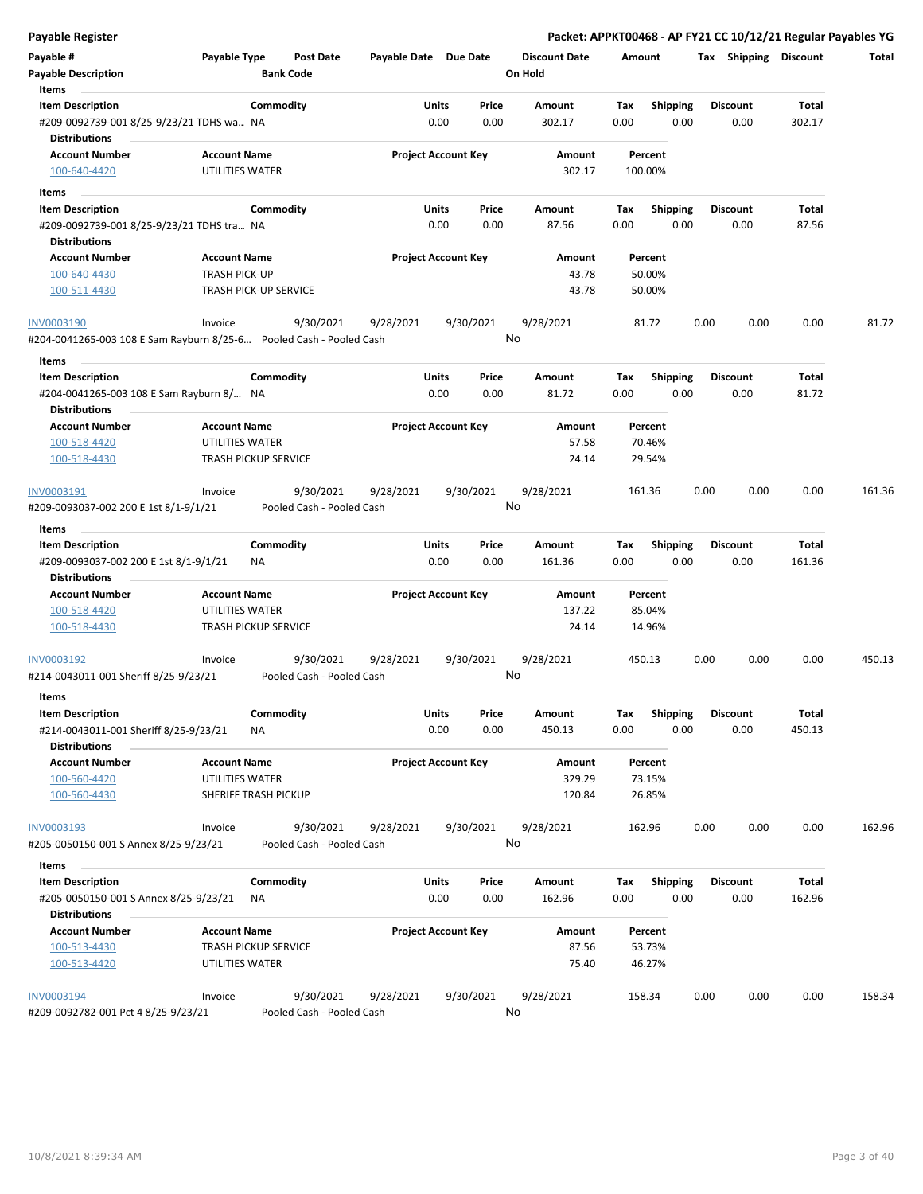| <b>Payable Register</b>                                             |                             |                           |                       |                            |       |                      |         |                 |      |                       | Packet: APPKT00468 - AP FY21 CC 10/12/21 Regular Payables YG |        |
|---------------------------------------------------------------------|-----------------------------|---------------------------|-----------------------|----------------------------|-------|----------------------|---------|-----------------|------|-----------------------|--------------------------------------------------------------|--------|
| Payable #                                                           | Payable Type                | Post Date                 | Payable Date Due Date |                            |       | <b>Discount Date</b> | Amount  |                 |      | Tax Shipping Discount |                                                              | Total  |
| <b>Payable Description</b>                                          |                             | <b>Bank Code</b>          |                       |                            |       | On Hold              |         |                 |      |                       |                                                              |        |
| Items                                                               |                             |                           |                       |                            |       |                      |         |                 |      |                       |                                                              |        |
| <b>Item Description</b>                                             | Commodity                   |                           |                       | Units                      | Price | <b>Amount</b>        | Tax     | <b>Shipping</b> |      | <b>Discount</b>       | Total                                                        |        |
| #209-0092739-001 8/25-9/23/21 TDHS wa NA                            |                             |                           |                       | 0.00                       | 0.00  | 302.17               | 0.00    | 0.00            |      | 0.00                  | 302.17                                                       |        |
| <b>Distributions</b>                                                |                             |                           |                       |                            |       |                      |         |                 |      |                       |                                                              |        |
| <b>Account Number</b>                                               | <b>Account Name</b>         |                           |                       | <b>Project Account Key</b> |       | Amount               | Percent |                 |      |                       |                                                              |        |
| 100-640-4420                                                        | UTILITIES WATER             |                           |                       |                            |       | 302.17               | 100.00% |                 |      |                       |                                                              |        |
| Items                                                               |                             |                           |                       |                            |       |                      |         |                 |      |                       |                                                              |        |
| <b>Item Description</b>                                             | Commodity                   |                           |                       | Units                      | Price | Amount               | Tax     | <b>Shipping</b> |      | <b>Discount</b>       | Total                                                        |        |
| #209-0092739-001 8/25-9/23/21 TDHS tra NA                           |                             |                           |                       | 0.00                       | 0.00  | 87.56                | 0.00    | 0.00            |      | 0.00                  | 87.56                                                        |        |
| <b>Distributions</b>                                                |                             |                           |                       |                            |       |                      |         |                 |      |                       |                                                              |        |
| <b>Account Number</b>                                               | <b>Account Name</b>         |                           |                       | <b>Project Account Key</b> |       | Amount               | Percent |                 |      |                       |                                                              |        |
| 100-640-4430                                                        | <b>TRASH PICK-UP</b>        |                           |                       |                            |       | 43.78                | 50.00%  |                 |      |                       |                                                              |        |
| 100-511-4430                                                        | TRASH PICK-UP SERVICE       |                           |                       |                            |       | 43.78                | 50.00%  |                 |      |                       |                                                              |        |
|                                                                     |                             |                           |                       |                            |       |                      |         |                 |      |                       |                                                              |        |
| INV0003190                                                          | Invoice                     | 9/30/2021                 | 9/28/2021             | 9/30/2021                  |       | 9/28/2021            | 81.72   |                 | 0.00 | 0.00                  | 0.00                                                         | 81.72  |
| #204-0041265-003 108 E Sam Rayburn 8/25-6 Pooled Cash - Pooled Cash |                             |                           |                       |                            |       | No                   |         |                 |      |                       |                                                              |        |
| Items                                                               |                             |                           |                       |                            |       |                      |         |                 |      |                       |                                                              |        |
| <b>Item Description</b>                                             | Commodity                   |                           |                       | <b>Units</b>               | Price | Amount               | Tax     | <b>Shipping</b> |      | <b>Discount</b>       | Total                                                        |        |
| #204-0041265-003 108 E Sam Rayburn 8/ NA                            |                             |                           |                       | 0.00                       | 0.00  | 81.72                | 0.00    | 0.00            |      | 0.00                  | 81.72                                                        |        |
| <b>Distributions</b>                                                |                             |                           |                       |                            |       |                      |         |                 |      |                       |                                                              |        |
| <b>Account Number</b>                                               | <b>Account Name</b>         |                           |                       | <b>Project Account Key</b> |       | Amount               | Percent |                 |      |                       |                                                              |        |
| 100-518-4420                                                        | UTILITIES WATER             |                           |                       |                            |       | 57.58                | 70.46%  |                 |      |                       |                                                              |        |
| 100-518-4430                                                        | <b>TRASH PICKUP SERVICE</b> |                           |                       |                            |       | 24.14                | 29.54%  |                 |      |                       |                                                              |        |
|                                                                     |                             |                           |                       |                            |       |                      |         |                 |      |                       |                                                              |        |
| INV0003191                                                          | Invoice                     | 9/30/2021                 | 9/28/2021             | 9/30/2021                  |       | 9/28/2021            | 161.36  |                 | 0.00 | 0.00                  | 0.00                                                         | 161.36 |
| #209-0093037-002 200 E 1st 8/1-9/1/21                               |                             | Pooled Cash - Pooled Cash |                       |                            |       | No                   |         |                 |      |                       |                                                              |        |
| Items                                                               |                             |                           |                       |                            |       |                      |         |                 |      |                       |                                                              |        |
| <b>Item Description</b>                                             | Commodity                   |                           |                       | <b>Units</b>               | Price | Amount               | Tax     | <b>Shipping</b> |      | <b>Discount</b>       | Total                                                        |        |
| #209-0093037-002 200 E 1st 8/1-9/1/21                               | NA                          |                           |                       | 0.00                       | 0.00  | 161.36               | 0.00    | 0.00            |      | 0.00                  | 161.36                                                       |        |
| <b>Distributions</b>                                                |                             |                           |                       |                            |       |                      |         |                 |      |                       |                                                              |        |
| <b>Account Number</b>                                               | <b>Account Name</b>         |                           |                       | <b>Project Account Key</b> |       | Amount               | Percent |                 |      |                       |                                                              |        |
| 100-518-4420                                                        | UTILITIES WATER             |                           |                       |                            |       | 137.22               | 85.04%  |                 |      |                       |                                                              |        |
| 100-518-4430                                                        | <b>TRASH PICKUP SERVICE</b> |                           |                       |                            |       | 24.14                | 14.96%  |                 |      |                       |                                                              |        |
| INV0003192                                                          | Invoice                     | 9/30/2021                 | 9/28/2021             | 9/30/2021                  |       | 9/28/2021            | 450.13  |                 | 0.00 | 0.00                  | 0.00                                                         | 450.13 |
| #214-0043011-001 Sheriff 8/25-9/23/21                               |                             | Pooled Cash - Pooled Cash |                       |                            |       | No                   |         |                 |      |                       |                                                              |        |
| Items                                                               |                             |                           |                       |                            |       |                      |         |                 |      |                       |                                                              |        |
| <b>Item Description</b>                                             | Commodity                   |                           |                       | Units                      | Price | Amount               | Tax     | <b>Shipping</b> |      | <b>Discount</b>       | Total                                                        |        |
| #214-0043011-001 Sheriff 8/25-9/23/21                               | <b>NA</b>                   |                           |                       | 0.00                       | 0.00  | 450.13               | 0.00    | 0.00            |      | 0.00                  | 450.13                                                       |        |
| <b>Distributions</b>                                                |                             |                           |                       |                            |       |                      |         |                 |      |                       |                                                              |        |
| <b>Account Number</b>                                               | <b>Account Name</b>         |                           |                       | <b>Project Account Key</b> |       | Amount               | Percent |                 |      |                       |                                                              |        |
| 100-560-4420                                                        | UTILITIES WATER             |                           |                       |                            |       | 329.29               | 73.15%  |                 |      |                       |                                                              |        |
| 100-560-4430                                                        | SHERIFF TRASH PICKUP        |                           |                       |                            |       | 120.84               | 26.85%  |                 |      |                       |                                                              |        |
| <b>INV0003193</b>                                                   | Invoice                     | 9/30/2021                 | 9/28/2021             | 9/30/2021                  |       | 9/28/2021            | 162.96  |                 | 0.00 | 0.00                  | 0.00                                                         | 162.96 |
| #205-0050150-001 S Annex 8/25-9/23/21                               |                             | Pooled Cash - Pooled Cash |                       |                            | No    |                      |         |                 |      |                       |                                                              |        |
| Items                                                               |                             |                           |                       |                            |       |                      |         |                 |      |                       |                                                              |        |
| <b>Item Description</b>                                             | Commodity                   |                           |                       | Units                      | Price | Amount               | Tax     | Shipping        |      | <b>Discount</b>       | Total                                                        |        |
| #205-0050150-001 S Annex 8/25-9/23/21                               | ΝA                          |                           |                       | 0.00                       | 0.00  | 162.96               | 0.00    | 0.00            |      | 0.00                  | 162.96                                                       |        |
| <b>Distributions</b>                                                |                             |                           |                       |                            |       |                      |         |                 |      |                       |                                                              |        |
| <b>Account Number</b>                                               | <b>Account Name</b>         |                           |                       | <b>Project Account Key</b> |       | Amount               | Percent |                 |      |                       |                                                              |        |
| 100-513-4430                                                        | <b>TRASH PICKUP SERVICE</b> |                           |                       |                            |       | 87.56                | 53.73%  |                 |      |                       |                                                              |        |
| 100-513-4420                                                        | UTILITIES WATER             |                           |                       |                            |       | 75.40                | 46.27%  |                 |      |                       |                                                              |        |
|                                                                     |                             |                           |                       |                            |       |                      |         |                 |      |                       |                                                              |        |
| INV0003194                                                          | Invoice                     | 9/30/2021                 | 9/28/2021             | 9/30/2021                  |       | 9/28/2021            | 158.34  |                 | 0.00 | 0.00                  | 0.00                                                         | 158.34 |
| #209-0092782-001 Pct 4 8/25-9/23/21                                 |                             | Pooled Cash - Pooled Cash |                       |                            |       | No                   |         |                 |      |                       |                                                              |        |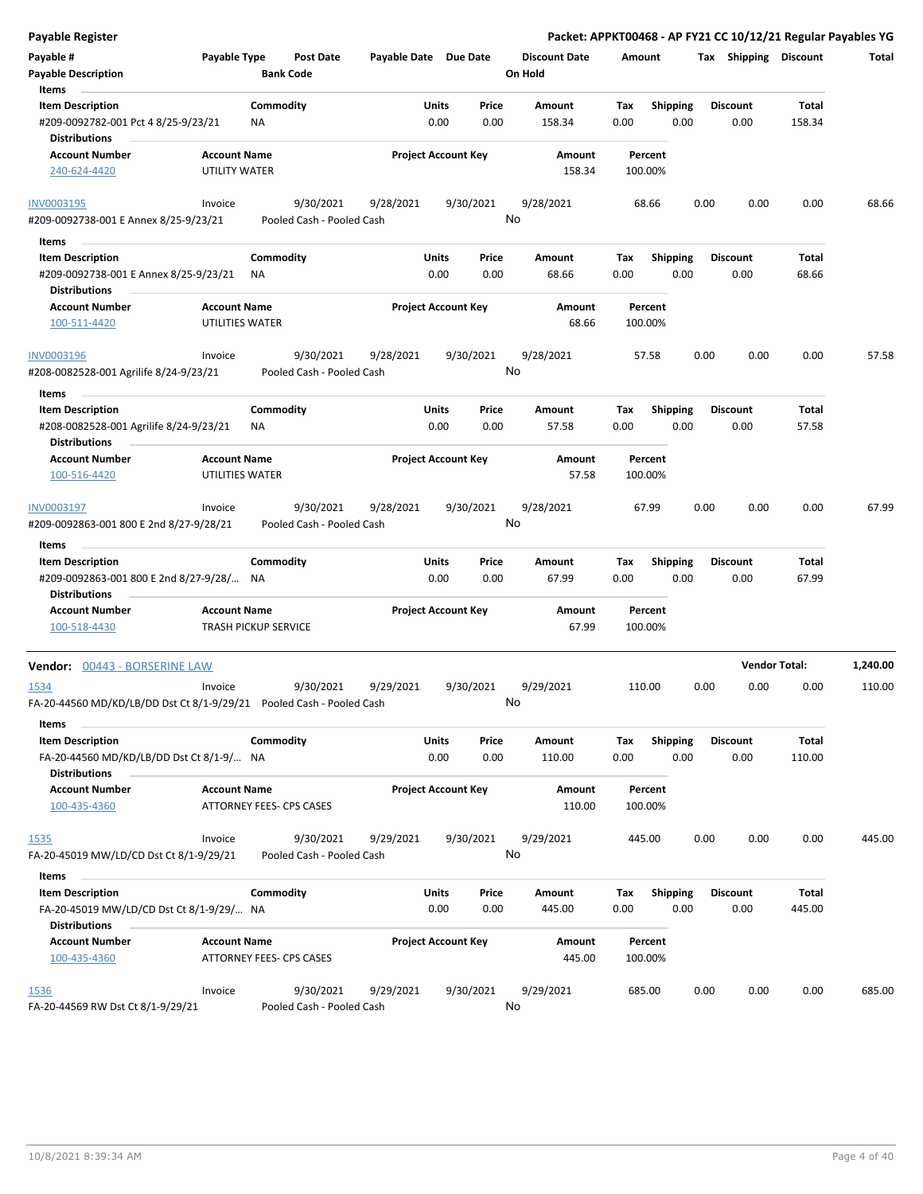| <b>Payable Register</b>                                                      |                                        |                                      |                           |                       |                            |               |                                 |                    |                  |      |                         |                | Packet: APPKT00468 - AP FY21 CC 10/12/21 Regular Payables YG |
|------------------------------------------------------------------------------|----------------------------------------|--------------------------------------|---------------------------|-----------------------|----------------------------|---------------|---------------------------------|--------------------|------------------|------|-------------------------|----------------|--------------------------------------------------------------|
| Payable #<br><b>Payable Description</b>                                      | Payable Type                           | <b>Post Date</b><br><b>Bank Code</b> |                           | Payable Date Due Date |                            |               | <b>Discount Date</b><br>On Hold | Amount             |                  |      | Tax Shipping Discount   |                | Total                                                        |
| Items<br><b>Item Description</b>                                             |                                        | Commodity                            |                           |                       | Units                      | Price         | Amount                          | Tax                | Shipping         |      | <b>Discount</b>         | Total          |                                                              |
| #209-0092782-001 Pct 4 8/25-9/23/21<br><b>Distributions</b>                  |                                        | ΝA                                   |                           |                       | 0.00                       | 0.00          | 158.34                          | 0.00               | 0.00             |      | 0.00                    | 158.34         |                                                              |
| <b>Account Number</b>                                                        | <b>Account Name</b>                    |                                      |                           |                       | <b>Project Account Key</b> |               | Amount                          | Percent            |                  |      |                         |                |                                                              |
| 240-624-4420                                                                 | UTILITY WATER                          |                                      |                           |                       |                            |               | 158.34                          | 100.00%            |                  |      |                         |                |                                                              |
| <b>INV0003195</b>                                                            | Invoice                                | 9/30/2021                            |                           | 9/28/2021             |                            | 9/30/2021     | 9/28/2021                       | 68.66              |                  | 0.00 | 0.00                    | 0.00           | 68.66                                                        |
| #209-0092738-001 E Annex 8/25-9/23/21                                        |                                        |                                      | Pooled Cash - Pooled Cash |                       |                            |               | No                              |                    |                  |      |                         |                |                                                              |
| Items                                                                        |                                        |                                      |                           |                       |                            |               |                                 |                    |                  |      |                         |                |                                                              |
| <b>Item Description</b><br>#209-0092738-001 E Annex 8/25-9/23/21             |                                        | Commodity<br>ΝA                      |                           |                       | Units<br>0.00              | Price<br>0.00 | Amount<br>68.66                 | Tax<br>0.00        | Shipping<br>0.00 |      | <b>Discount</b><br>0.00 | Total<br>68.66 |                                                              |
| <b>Distributions</b>                                                         |                                        |                                      |                           |                       |                            |               |                                 |                    |                  |      |                         |                |                                                              |
| <b>Account Number</b><br>100-511-4420                                        | <b>Account Name</b><br>UTILITIES WATER |                                      |                           |                       | <b>Project Account Key</b> |               | Amount<br>68.66                 | Percent<br>100.00% |                  |      |                         |                |                                                              |
| <b>INV0003196</b><br>#208-0082528-001 Agrilife 8/24-9/23/21                  | Invoice                                | 9/30/2021                            | Pooled Cash - Pooled Cash | 9/28/2021             |                            | 9/30/2021     | 9/28/2021<br>No                 | 57.58              |                  | 0.00 | 0.00                    | 0.00           | 57.58                                                        |
| Items                                                                        |                                        |                                      |                           |                       |                            |               |                                 |                    |                  |      |                         |                |                                                              |
| <b>Item Description</b>                                                      |                                        | Commodity                            |                           |                       | Units                      | Price         | Amount                          | Tax                | <b>Shipping</b>  |      | <b>Discount</b>         | Total          |                                                              |
| #208-0082528-001 Agrilife 8/24-9/23/21<br><b>Distributions</b>               |                                        | ΝA                                   |                           |                       | 0.00                       | 0.00          | 57.58                           | 0.00               | 0.00             |      | 0.00                    | 57.58          |                                                              |
| <b>Account Number</b>                                                        | <b>Account Name</b>                    |                                      |                           |                       | <b>Project Account Key</b> |               | Amount                          | Percent            |                  |      |                         |                |                                                              |
| 100-516-4420                                                                 | UTILITIES WATER                        |                                      |                           |                       |                            |               | 57.58                           | 100.00%            |                  |      |                         |                |                                                              |
| INV0003197                                                                   | Invoice                                | 9/30/2021                            |                           | 9/28/2021             |                            | 9/30/2021     | 9/28/2021                       | 67.99              |                  | 0.00 | 0.00                    | 0.00           | 67.99                                                        |
| #209-0092863-001 800 E 2nd 8/27-9/28/21                                      |                                        |                                      | Pooled Cash - Pooled Cash |                       |                            |               | No                              |                    |                  |      |                         |                |                                                              |
| Items                                                                        |                                        |                                      |                           |                       |                            |               |                                 |                    |                  |      |                         |                |                                                              |
| <b>Item Description</b>                                                      |                                        | Commodity                            |                           |                       | Units                      | Price         | Amount                          | Tax                | <b>Shipping</b>  |      | <b>Discount</b>         | Total          |                                                              |
| #209-0092863-001 800 E 2nd 8/27-9/28/ NA<br><b>Distributions</b>             |                                        |                                      |                           |                       | 0.00                       | 0.00          | 67.99                           | 0.00               | 0.00             |      | 0.00                    | 67.99          |                                                              |
| <b>Account Number</b><br>100-518-4430                                        | <b>Account Name</b>                    | <b>TRASH PICKUP SERVICE</b>          |                           |                       | <b>Project Account Key</b> |               | Amount<br>67.99                 | Percent<br>100.00% |                  |      |                         |                |                                                              |
| Vendor: 00443 - BORSERINE LAW                                                |                                        |                                      |                           |                       |                            |               |                                 |                    |                  |      | <b>Vendor Total:</b>    |                | 1,240.00                                                     |
| 1534<br>FA-20-44560 MD/KD/LB/DD Dst Ct 8/1-9/29/21 Pooled Cash - Pooled Cash | Invoice                                | 9/30/2021                            |                           | 9/29/2021             |                            | 9/30/2021     | 9/29/2021<br>No                 | 110.00             |                  | 0.00 | 0.00                    | 0.00           | 110.00                                                       |
| Items<br><b>Item Description</b>                                             |                                        | Commodity                            |                           |                       | Units                      | Price         | Amount                          | Tax                | <b>Shipping</b>  |      | Discount                | Total          |                                                              |
| FA-20-44560 MD/KD/LB/DD Dst Ct 8/1-9/ NA<br><b>Distributions</b>             |                                        |                                      |                           |                       | 0.00                       | 0.00          | 110.00                          | 0.00               | 0.00             |      | 0.00                    | 110.00         |                                                              |
| <b>Account Number</b>                                                        | <b>Account Name</b>                    |                                      |                           |                       | <b>Project Account Key</b> |               | Amount                          | Percent            |                  |      |                         |                |                                                              |
| 100-435-4360                                                                 |                                        | ATTORNEY FEES- CPS CASES             |                           |                       |                            |               | 110.00                          | 100.00%            |                  |      |                         |                |                                                              |
| 1535                                                                         | Invoice                                | 9/30/2021                            |                           | 9/29/2021             |                            | 9/30/2021     | 9/29/2021                       | 445.00             |                  | 0.00 | 0.00                    | 0.00           | 445.00                                                       |
| FA-20-45019 MW/LD/CD Dst Ct 8/1-9/29/21                                      |                                        |                                      | Pooled Cash - Pooled Cash |                       |                            |               | No                              |                    |                  |      |                         |                |                                                              |
| Items                                                                        |                                        |                                      |                           |                       |                            |               |                                 |                    |                  |      |                         |                |                                                              |
| <b>Item Description</b>                                                      |                                        | Commodity                            |                           |                       | Units                      | Price         | Amount                          | Tax                | <b>Shipping</b>  |      | <b>Discount</b>         | Total          |                                                              |
| FA-20-45019 MW/LD/CD Dst Ct 8/1-9/29/ NA<br><b>Distributions</b>             |                                        |                                      |                           |                       | 0.00                       | 0.00          | 445.00                          | 0.00               | 0.00             |      | 0.00                    | 445.00         |                                                              |
| <b>Account Number</b><br>100-435-4360                                        | <b>Account Name</b>                    | ATTORNEY FEES- CPS CASES             |                           |                       | <b>Project Account Key</b> |               | Amount<br>445.00                | Percent<br>100.00% |                  |      |                         |                |                                                              |
| 1536<br>FA-20-44569 RW Dst Ct 8/1-9/29/21                                    | Invoice                                | 9/30/2021                            | Pooled Cash - Pooled Cash | 9/29/2021             |                            | 9/30/2021     | 9/29/2021<br>No                 | 685.00             |                  | 0.00 | 0.00                    | 0.00           | 685.00                                                       |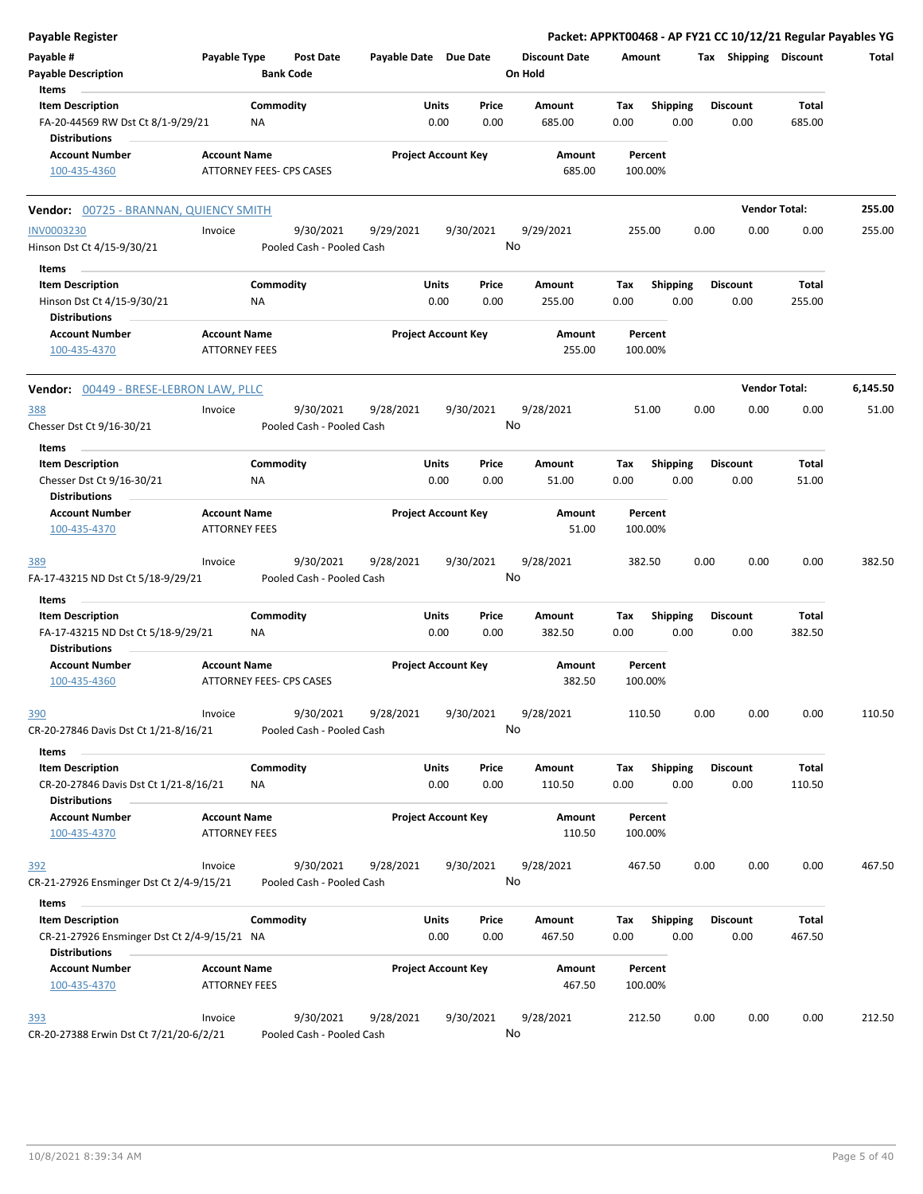| <b>Payable Register</b>                                                               |                                             |                                        |                       |                                |                                 |                    |                         |      |                         | Packet: APPKT00468 - AP FY21 CC 10/12/21 Regular Payables YG |          |
|---------------------------------------------------------------------------------------|---------------------------------------------|----------------------------------------|-----------------------|--------------------------------|---------------------------------|--------------------|-------------------------|------|-------------------------|--------------------------------------------------------------|----------|
| Payable #<br><b>Payable Description</b>                                               | Payable Type                                | <b>Post Date</b><br><b>Bank Code</b>   | Payable Date Due Date |                                | <b>Discount Date</b><br>On Hold | Amount             |                         |      |                         | Tax Shipping Discount                                        | Total    |
| Items                                                                                 |                                             |                                        |                       |                                |                                 |                    |                         |      |                         |                                                              |          |
| <b>Item Description</b><br>FA-20-44569 RW Dst Ct 8/1-9/29/21<br><b>Distributions</b>  |                                             | Commodity<br>NA                        |                       | Units<br>Price<br>0.00<br>0.00 | Amount<br>685.00                | Tax<br>0.00        | <b>Shipping</b><br>0.00 |      | <b>Discount</b><br>0.00 | <b>Total</b><br>685.00                                       |          |
| <b>Account Number</b>                                                                 | <b>Account Name</b>                         |                                        |                       | <b>Project Account Key</b>     | Amount                          | Percent            |                         |      |                         |                                                              |          |
| 100-435-4360                                                                          |                                             | ATTORNEY FEES- CPS CASES               |                       |                                | 685.00                          | 100.00%            |                         |      |                         |                                                              |          |
| Vendor: 00725 - BRANNAN, QUIENCY SMITH                                                |                                             |                                        |                       |                                |                                 |                    |                         |      |                         | <b>Vendor Total:</b>                                         | 255.00   |
| <b>INV0003230</b>                                                                     | Invoice                                     | 9/30/2021                              | 9/29/2021             | 9/30/2021                      | 9/29/2021                       | 255.00             |                         | 0.00 | 0.00                    | 0.00                                                         | 255.00   |
| Hinson Dst Ct 4/15-9/30/21                                                            |                                             | Pooled Cash - Pooled Cash              |                       |                                | No                              |                    |                         |      |                         |                                                              |          |
| Items                                                                                 |                                             |                                        |                       |                                |                                 |                    |                         |      |                         |                                                              |          |
| <b>Item Description</b><br>Hinson Dst Ct 4/15-9/30/21<br><b>Distributions</b>         |                                             | Commodity<br>ΝA                        |                       | Units<br>Price<br>0.00<br>0.00 | Amount<br>255.00                | Tax<br>0.00        | <b>Shipping</b><br>0.00 |      | <b>Discount</b><br>0.00 | <b>Total</b><br>255.00                                       |          |
| <b>Account Number</b><br>100-435-4370                                                 | <b>Account Name</b><br><b>ATTORNEY FEES</b> |                                        |                       | <b>Project Account Key</b>     | Amount<br>255.00                | Percent<br>100.00% |                         |      |                         |                                                              |          |
|                                                                                       |                                             |                                        |                       |                                |                                 |                    |                         |      |                         |                                                              |          |
| Vendor: 00449 - BRESE-LEBRON LAW, PLLC                                                |                                             |                                        |                       |                                |                                 |                    |                         |      |                         | <b>Vendor Total:</b>                                         | 6,145.50 |
| 388<br>Chesser Dst Ct 9/16-30/21                                                      | Invoice                                     | 9/30/2021<br>Pooled Cash - Pooled Cash | 9/28/2021             | 9/30/2021                      | 9/28/2021<br>No                 | 51.00              |                         | 0.00 | 0.00                    | 0.00                                                         | 51.00    |
| Items                                                                                 |                                             |                                        |                       |                                |                                 |                    |                         |      |                         |                                                              |          |
| <b>Item Description</b>                                                               |                                             | Commodity                              |                       | Units<br>Price                 | Amount                          | Tax                | <b>Shipping</b>         |      | <b>Discount</b>         | <b>Total</b>                                                 |          |
| Chesser Dst Ct 9/16-30/21<br><b>Distributions</b>                                     |                                             | ΝA                                     |                       | 0.00<br>0.00                   | 51.00                           | 0.00               | 0.00                    |      | 0.00                    | 51.00                                                        |          |
| <b>Account Number</b><br>100-435-4370                                                 | <b>Account Name</b><br><b>ATTORNEY FEES</b> |                                        |                       | <b>Project Account Key</b>     | Amount<br>51.00                 | Percent<br>100.00% |                         |      |                         |                                                              |          |
| 389                                                                                   | Invoice                                     | 9/30/2021                              | 9/28/2021             | 9/30/2021                      | 9/28/2021                       | 382.50             |                         | 0.00 | 0.00                    | 0.00                                                         | 382.50   |
| FA-17-43215 ND Dst Ct 5/18-9/29/21                                                    |                                             | Pooled Cash - Pooled Cash              |                       |                                | No                              |                    |                         |      |                         |                                                              |          |
| Items                                                                                 |                                             | Commodity                              |                       |                                |                                 |                    |                         |      |                         |                                                              |          |
| <b>Item Description</b><br>FA-17-43215 ND Dst Ct 5/18-9/29/21<br><b>Distributions</b> |                                             | NA                                     |                       | Units<br>Price<br>0.00<br>0.00 | Amount<br>382.50                | Tax<br>0.00        | Shipping<br>0.00        |      | <b>Discount</b><br>0.00 | <b>Total</b><br>382.50                                       |          |
| <b>Account Number</b><br>100-435-4360                                                 | <b>Account Name</b>                         | ATTORNEY FEES- CPS CASES               |                       | <b>Project Account Key</b>     | Amount<br>382.50                | Percent<br>100.00% |                         |      |                         |                                                              |          |
|                                                                                       |                                             |                                        |                       |                                |                                 |                    |                         |      |                         |                                                              |          |
| <u>390</u><br>CR-20-27846 Davis Dst Ct 1/21-8/16/21                                   | Invoice                                     | 9/30/2021<br>Pooled Cash - Pooled Cash | 9/28/2021             | 9/30/2021                      | 9/28/2021<br>No                 | 110.50             |                         | 0.00 | 0.00                    | 0.00                                                         | 110.50   |
| Items                                                                                 |                                             |                                        |                       |                                |                                 |                    |                         |      |                         |                                                              |          |
| <b>Item Description</b><br>CR-20-27846 Davis Dst Ct 1/21-8/16/21                      |                                             | Commodity<br>ΝA                        |                       | Units<br>Price<br>0.00<br>0.00 | Amount<br>110.50                | Tax<br>0.00        | <b>Shipping</b><br>0.00 |      | <b>Discount</b><br>0.00 | Total<br>110.50                                              |          |
| <b>Distributions</b>                                                                  |                                             |                                        |                       |                                |                                 |                    |                         |      |                         |                                                              |          |
| <b>Account Number</b><br>100-435-4370                                                 | <b>Account Name</b><br><b>ATTORNEY FEES</b> |                                        |                       | <b>Project Account Key</b>     | Amount<br>110.50                | Percent<br>100.00% |                         |      |                         |                                                              |          |
| 392                                                                                   | Invoice                                     | 9/30/2021                              | 9/28/2021             | 9/30/2021                      | 9/28/2021                       | 467.50             |                         | 0.00 | 0.00                    | 0.00                                                         | 467.50   |
| CR-21-27926 Ensminger Dst Ct 2/4-9/15/21                                              |                                             | Pooled Cash - Pooled Cash              |                       |                                | No                              |                    |                         |      |                         |                                                              |          |
| Items                                                                                 |                                             |                                        |                       |                                |                                 |                    |                         |      |                         |                                                              |          |
| <b>Item Description</b><br>CR-21-27926 Ensminger Dst Ct 2/4-9/15/21 NA                |                                             | Commodity                              |                       | Units<br>Price<br>0.00<br>0.00 | Amount<br>467.50                | Tax<br>0.00        | <b>Shipping</b><br>0.00 |      | <b>Discount</b><br>0.00 | Total<br>467.50                                              |          |
| <b>Distributions</b>                                                                  |                                             |                                        |                       |                                |                                 |                    |                         |      |                         |                                                              |          |
| <b>Account Number</b><br>100-435-4370                                                 | <b>Account Name</b><br><b>ATTORNEY FEES</b> |                                        |                       | <b>Project Account Key</b>     | Amount<br>467.50                | Percent<br>100.00% |                         |      |                         |                                                              |          |
| <u>393</u>                                                                            | Invoice                                     | 9/30/2021                              | 9/28/2021             | 9/30/2021                      | 9/28/2021                       | 212.50             |                         | 0.00 | 0.00                    | 0.00                                                         | 212.50   |
| CR-20-27388 Erwin Dst Ct 7/21/20-6/2/21                                               |                                             | Pooled Cash - Pooled Cash              |                       |                                | No                              |                    |                         |      |                         |                                                              |          |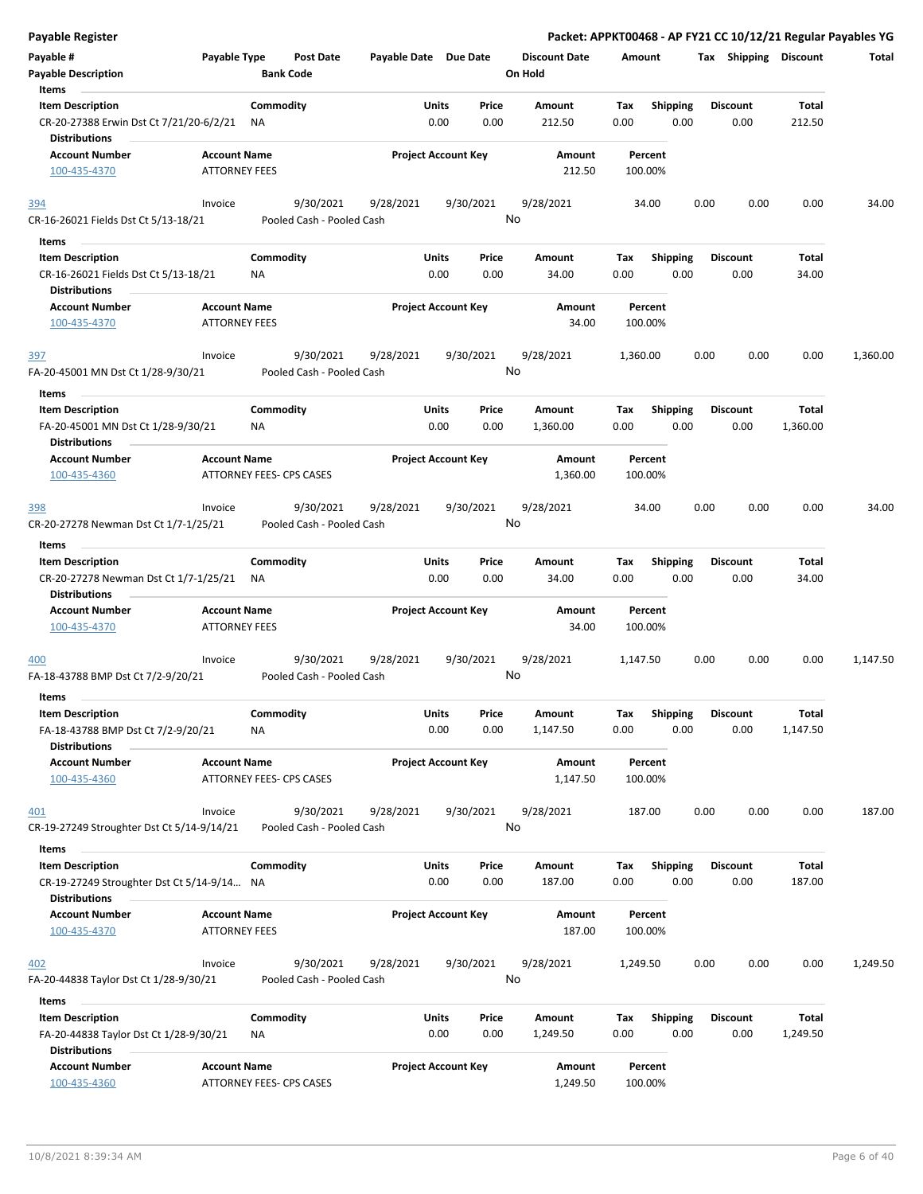| <b>Payable Register</b>                                                               |                      |                          |                                        |                       |               |                            |                      |             |                    |      | Packet: APPKT00468 - AP FY21 CC 10/12/21 Regular Payables YG |                   |          |
|---------------------------------------------------------------------------------------|----------------------|--------------------------|----------------------------------------|-----------------------|---------------|----------------------------|----------------------|-------------|--------------------|------|--------------------------------------------------------------|-------------------|----------|
| Payable #                                                                             | Payable Type         |                          | Post Date                              | Payable Date Due Date |               |                            | <b>Discount Date</b> | Amount      |                    |      | Tax Shipping Discount                                        |                   | Total    |
| <b>Payable Description</b>                                                            |                      | <b>Bank Code</b>         |                                        |                       |               |                            | On Hold              |             |                    |      |                                                              |                   |          |
| Items                                                                                 |                      |                          |                                        |                       |               |                            |                      |             |                    |      |                                                              |                   |          |
| <b>Item Description</b>                                                               |                      | Commodity                |                                        |                       | Units         | Price                      | Amount               | Tax         | Shipping           |      | <b>Discount</b>                                              | Total             |          |
| CR-20-27388 Erwin Dst Ct 7/21/20-6/2/21<br><b>Distributions</b>                       |                      | NA                       |                                        |                       | 0.00          | 0.00                       | 212.50               | 0.00        |                    | 0.00 | 0.00                                                         | 212.50            |          |
| <b>Account Number</b>                                                                 | <b>Account Name</b>  |                          |                                        |                       |               | <b>Project Account Key</b> | Amount               |             | Percent            |      |                                                              |                   |          |
| 100-435-4370                                                                          | <b>ATTORNEY FEES</b> |                          |                                        |                       |               |                            | 212.50               |             | 100.00%            |      |                                                              |                   |          |
| 394                                                                                   | Invoice              |                          | 9/30/2021                              | 9/28/2021             |               | 9/30/2021                  | 9/28/2021            |             | 34.00              | 0.00 | 0.00                                                         | 0.00              | 34.00    |
| CR-16-26021 Fields Dst Ct 5/13-18/21                                                  |                      |                          | Pooled Cash - Pooled Cash              |                       |               |                            | No                   |             |                    |      |                                                              |                   |          |
| Items                                                                                 |                      |                          |                                        |                       |               |                            |                      |             |                    |      |                                                              |                   |          |
| <b>Item Description</b>                                                               |                      | Commodity                |                                        |                       | Units         | Price                      | Amount               | Tax         | <b>Shipping</b>    |      | <b>Discount</b>                                              | Total             |          |
| CR-16-26021 Fields Dst Ct 5/13-18/21<br><b>Distributions</b>                          |                      | ΝA                       |                                        |                       | 0.00          | 0.00                       | 34.00                | 0.00        |                    | 0.00 | 0.00                                                         | 34.00             |          |
| <b>Account Number</b>                                                                 | <b>Account Name</b>  |                          |                                        |                       |               | <b>Project Account Key</b> | Amount               |             | Percent            |      |                                                              |                   |          |
| 100-435-4370                                                                          | <b>ATTORNEY FEES</b> |                          |                                        |                       |               |                            | 34.00                |             | 100.00%            |      |                                                              |                   |          |
| 397                                                                                   | Invoice              |                          | 9/30/2021                              | 9/28/2021             |               | 9/30/2021                  | 9/28/2021            | 1,360.00    |                    | 0.00 | 0.00                                                         | 0.00              | 1,360.00 |
| FA-20-45001 MN Dst Ct 1/28-9/30/21                                                    |                      |                          | Pooled Cash - Pooled Cash              |                       |               |                            | No                   |             |                    |      |                                                              |                   |          |
| Items                                                                                 |                      |                          |                                        |                       |               |                            |                      |             |                    |      |                                                              |                   |          |
| <b>Item Description</b><br>FA-20-45001 MN Dst Ct 1/28-9/30/21<br><b>Distributions</b> |                      | Commodity<br>ΝA          |                                        |                       | Units<br>0.00 | Price<br>0.00              | Amount<br>1,360.00   | Tax<br>0.00 | <b>Shipping</b>    | 0.00 | <b>Discount</b><br>0.00                                      | Total<br>1,360.00 |          |
| <b>Account Number</b>                                                                 | <b>Account Name</b>  |                          |                                        |                       |               | <b>Project Account Key</b> | Amount               |             | Percent            |      |                                                              |                   |          |
| 100-435-4360                                                                          |                      | ATTORNEY FEES- CPS CASES |                                        |                       |               |                            | 1,360.00             |             | 100.00%            |      |                                                              |                   |          |
| 398                                                                                   | Invoice              |                          | 9/30/2021                              | 9/28/2021             |               | 9/30/2021                  | 9/28/2021            |             | 34.00              | 0.00 | 0.00                                                         | 0.00              | 34.00    |
| CR-20-27278 Newman Dst Ct 1/7-1/25/21                                                 |                      |                          | Pooled Cash - Pooled Cash              |                       |               |                            | No                   |             |                    |      |                                                              |                   |          |
| Items                                                                                 |                      |                          |                                        |                       |               |                            |                      |             |                    |      |                                                              |                   |          |
| <b>Item Description</b>                                                               |                      | Commodity                |                                        |                       | Units         | Price                      | Amount               | Tax         | <b>Shipping</b>    |      | <b>Discount</b>                                              | Total             |          |
| CR-20-27278 Newman Dst Ct 1/7-1/25/21<br><b>Distributions</b>                         |                      | <b>NA</b>                |                                        |                       | 0.00          | 0.00                       | 34.00                | 0.00        |                    | 0.00 | 0.00                                                         | 34.00             |          |
| <b>Account Number</b>                                                                 | <b>Account Name</b>  |                          |                                        |                       |               | <b>Project Account Key</b> | Amount               |             | Percent            |      |                                                              |                   |          |
| 100-435-4370                                                                          | <b>ATTORNEY FEES</b> |                          |                                        |                       |               |                            | 34.00                |             | 100.00%            |      |                                                              |                   |          |
| 400                                                                                   | Invoice              |                          | 9/30/2021                              | 9/28/2021             |               | 9/30/2021                  | 9/28/2021            | 1,147.50    |                    | 0.00 | 0.00                                                         | 0.00              | 1,147.50 |
| FA-18-43788 BMP Dst Ct 7/2-9/20/21                                                    |                      |                          | Pooled Cash - Pooled Cash              |                       |               |                            | No                   |             |                    |      |                                                              |                   |          |
| Items                                                                                 |                      |                          |                                        |                       |               |                            |                      |             |                    |      |                                                              |                   |          |
| <b>Item Description</b>                                                               |                      | Commodity                |                                        |                       | Units         | Price                      | Amount               | Tax         | Shipping           |      | <b>Discount</b>                                              | Total             |          |
| FA-18-43788 BMP Dst Ct 7/2-9/20/21<br><b>Distributions</b>                            |                      | <b>NA</b>                |                                        |                       | 0.00          | 0.00                       | 1,147.50             | 0.00        |                    | 0.00 | 0.00                                                         | 1,147.50          |          |
| Account Number<br>100-435-4360                                                        | <b>Account Name</b>  | ATTORNEY FEES- CPS CASES |                                        |                       |               | <b>Project Account Key</b> | Amount<br>1,147.50   |             | Percent<br>100.00% |      |                                                              |                   |          |
| 401                                                                                   | Invoice              |                          | 9/30/2021                              | 9/28/2021             |               | 9/30/2021                  | 9/28/2021            |             | 187.00             | 0.00 | 0.00                                                         | 0.00              | 187.00   |
| CR-19-27249 Stroughter Dst Ct 5/14-9/14/21                                            |                      |                          | Pooled Cash - Pooled Cash              |                       |               |                            | No                   |             |                    |      |                                                              |                   |          |
| Items                                                                                 |                      |                          |                                        |                       |               |                            |                      |             |                    |      |                                                              |                   |          |
| <b>Item Description</b>                                                               |                      | Commodity                |                                        |                       | Units         | Price                      | Amount               | Tax         | Shipping           |      | <b>Discount</b>                                              | Total             |          |
| CR-19-27249 Stroughter Dst Ct 5/14-9/14 NA<br><b>Distributions</b>                    |                      |                          |                                        |                       | 0.00          | 0.00                       | 187.00               | 0.00        |                    | 0.00 | 0.00                                                         | 187.00            |          |
| <b>Account Number</b>                                                                 | <b>Account Name</b>  |                          |                                        |                       |               | <b>Project Account Key</b> | Amount               |             | Percent            |      |                                                              |                   |          |
| 100-435-4370                                                                          | <b>ATTORNEY FEES</b> |                          |                                        |                       |               |                            | 187.00               |             | 100.00%            |      |                                                              |                   |          |
| 402<br>FA-20-44838 Taylor Dst Ct 1/28-9/30/21                                         | Invoice              |                          | 9/30/2021<br>Pooled Cash - Pooled Cash | 9/28/2021             |               | 9/30/2021                  | 9/28/2021<br>No      | 1,249.50    |                    | 0.00 | 0.00                                                         | 0.00              | 1,249.50 |
| Items                                                                                 |                      |                          |                                        |                       |               |                            |                      |             |                    |      |                                                              |                   |          |
| <b>Item Description</b>                                                               |                      | Commodity                |                                        |                       | Units         | Price                      | Amount               | Tax         | <b>Shipping</b>    |      | <b>Discount</b>                                              | <b>Total</b>      |          |
| FA-20-44838 Taylor Dst Ct 1/28-9/30/21<br><b>Distributions</b>                        |                      | ΝA                       |                                        |                       | 0.00          | 0.00                       | 1,249.50             | 0.00        |                    | 0.00 | 0.00                                                         | 1,249.50          |          |
| <b>Account Number</b><br>100-435-4360                                                 | <b>Account Name</b>  | ATTORNEY FEES- CPS CASES |                                        |                       |               | <b>Project Account Key</b> | Amount<br>1,249.50   |             | Percent<br>100.00% |      |                                                              |                   |          |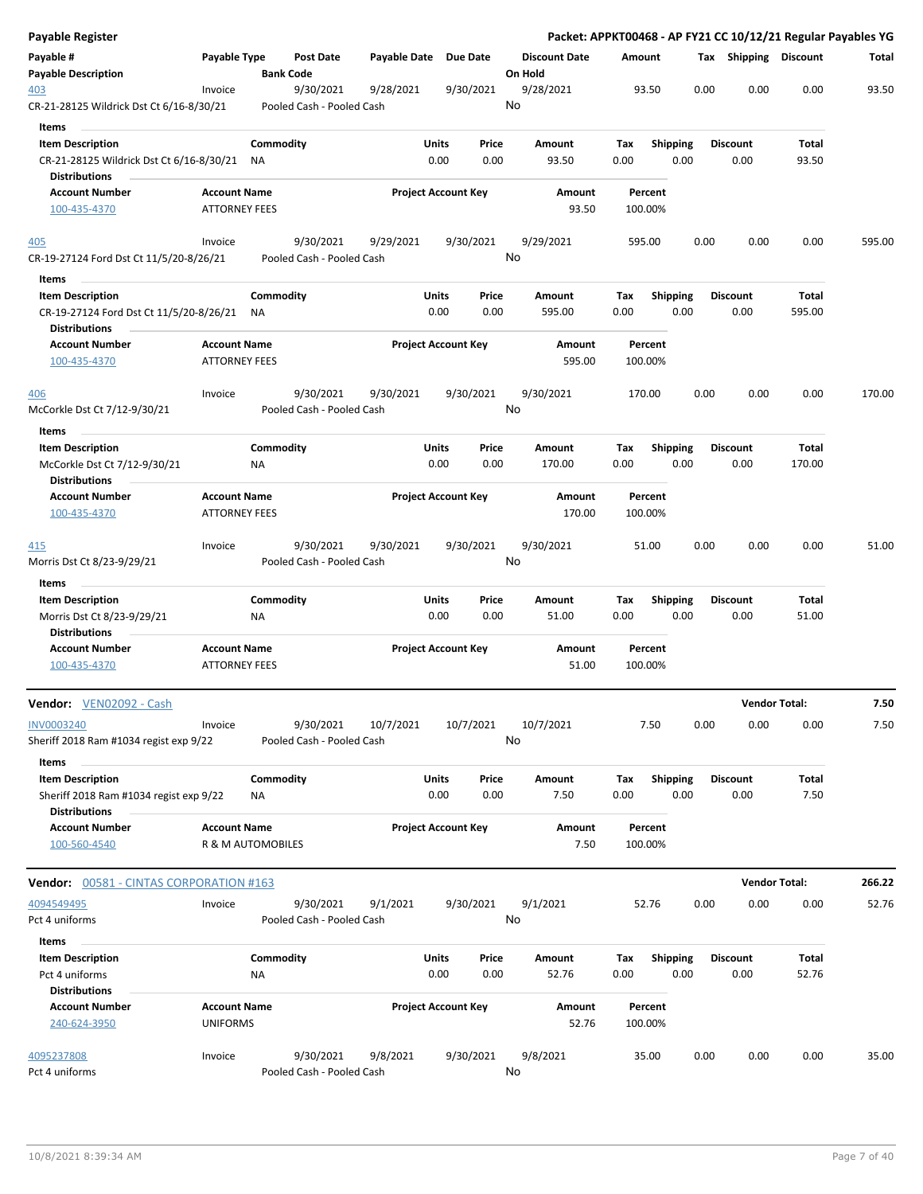| Payable Register                                                                           |                                             |                        |                                        |                       |                            |               |                                 |                    |                         |      |                         | Packet: APPKT00468 - AP FY21 CC 10/12/21 Regular Payables YG |        |
|--------------------------------------------------------------------------------------------|---------------------------------------------|------------------------|----------------------------------------|-----------------------|----------------------------|---------------|---------------------------------|--------------------|-------------------------|------|-------------------------|--------------------------------------------------------------|--------|
| Payable #<br><b>Payable Description</b>                                                    | Payable Type                                | <b>Bank Code</b>       | Post Date                              | Payable Date Due Date |                            |               | <b>Discount Date</b><br>On Hold | Amount             |                         |      | Tax Shipping Discount   |                                                              | Total  |
| 403<br>CR-21-28125 Wildrick Dst Ct 6/16-8/30/21                                            | Invoice                                     |                        | 9/30/2021<br>Pooled Cash - Pooled Cash | 9/28/2021             |                            | 9/30/2021     | 9/28/2021<br>No                 | 93.50              |                         | 0.00 | 0.00                    | 0.00                                                         | 93.50  |
| Items<br><b>Item Description</b><br>CR-21-28125 Wildrick Dst Ct 6/16-8/30/21               |                                             | Commodity<br>ΝA        |                                        |                       | Units<br>0.00              | Price<br>0.00 | Amount<br>93.50                 | Tax<br>0.00        | Shipping<br>0.00        |      | <b>Discount</b><br>0.00 | Total<br>93.50                                               |        |
| <b>Distributions</b><br><b>Account Number</b>                                              | <b>Account Name</b>                         |                        |                                        |                       | <b>Project Account Key</b> |               | Amount                          | Percent            |                         |      |                         |                                                              |        |
| 100-435-4370                                                                               | <b>ATTORNEY FEES</b>                        |                        |                                        |                       |                            |               | 93.50                           | 100.00%            |                         |      |                         |                                                              |        |
| 405<br>CR-19-27124 Ford Dst Ct 11/5/20-8/26/21                                             | Invoice                                     |                        | 9/30/2021<br>Pooled Cash - Pooled Cash | 9/29/2021             |                            | 9/30/2021     | 9/29/2021<br>No                 | 595.00             |                         | 0.00 | 0.00                    | 0.00                                                         | 595.00 |
| Items                                                                                      |                                             |                        |                                        |                       |                            |               |                                 |                    |                         |      |                         |                                                              |        |
| <b>Item Description</b><br>CR-19-27124 Ford Dst Ct 11/5/20-8/26/21<br><b>Distributions</b> |                                             | Commodity<br><b>NA</b> |                                        |                       | <b>Units</b><br>0.00       | Price<br>0.00 | Amount<br>595.00                | Tax<br>0.00        | <b>Shipping</b><br>0.00 |      | <b>Discount</b><br>0.00 | Total<br>595.00                                              |        |
| <b>Account Number</b><br>100-435-4370                                                      | <b>Account Name</b><br><b>ATTORNEY FEES</b> |                        |                                        |                       | <b>Project Account Key</b> |               | Amount<br>595.00                | Percent<br>100.00% |                         |      |                         |                                                              |        |
| <u>406</u>                                                                                 | Invoice                                     |                        | 9/30/2021<br>Pooled Cash - Pooled Cash | 9/30/2021             |                            | 9/30/2021     | 9/30/2021<br>No                 | 170.00             |                         | 0.00 | 0.00                    | 0.00                                                         | 170.00 |
| McCorkle Dst Ct 7/12-9/30/21<br>Items                                                      |                                             |                        |                                        |                       |                            |               |                                 |                    |                         |      |                         |                                                              |        |
| <b>Item Description</b><br>McCorkle Dst Ct 7/12-9/30/21<br><b>Distributions</b>            |                                             | Commodity<br>ΝA        |                                        |                       | <b>Units</b><br>0.00       | Price<br>0.00 | Amount<br>170.00                | Tax<br>0.00        | <b>Shipping</b><br>0.00 |      | <b>Discount</b><br>0.00 | <b>Total</b><br>170.00                                       |        |
| <b>Account Number</b><br>100-435-4370                                                      | <b>Account Name</b><br><b>ATTORNEY FEES</b> |                        |                                        |                       | <b>Project Account Key</b> |               | Amount<br>170.00                | Percent<br>100.00% |                         |      |                         |                                                              |        |
| <u>415</u><br>Morris Dst Ct 8/23-9/29/21                                                   | Invoice                                     |                        | 9/30/2021<br>Pooled Cash - Pooled Cash | 9/30/2021             |                            | 9/30/2021     | 9/30/2021<br>No                 | 51.00              |                         | 0.00 | 0.00                    | 0.00                                                         | 51.00  |
| Items                                                                                      |                                             |                        |                                        |                       |                            |               |                                 |                    |                         |      |                         |                                                              |        |
| <b>Item Description</b><br>Morris Dst Ct 8/23-9/29/21<br><b>Distributions</b>              |                                             | Commodity<br>NA        |                                        |                       | <b>Units</b><br>0.00       | Price<br>0.00 | Amount<br>51.00                 | Тах<br>0.00        | <b>Shipping</b><br>0.00 |      | <b>Discount</b><br>0.00 | Total<br>51.00                                               |        |
| <b>Account Number</b><br>100-435-4370                                                      | <b>Account Name</b><br><b>ATTORNEY FEES</b> |                        |                                        |                       | <b>Project Account Key</b> |               | Amount<br>51.00                 | Percent<br>100.00% |                         |      |                         |                                                              |        |
| Vendor: VEN02092 - Cash                                                                    |                                             |                        |                                        |                       |                            |               |                                 |                    |                         |      | <b>Vendor Total:</b>    |                                                              | 7.50   |
| <b>INV0003240</b><br>Sheriff 2018 Ram #1034 regist exp 9/22                                | Invoice                                     |                        | 9/30/2021<br>Pooled Cash - Pooled Cash | 10/7/2021             |                            | 10/7/2021     | 10/7/2021<br>No                 | 7.50               |                         | 0.00 | 0.00                    | 0.00                                                         | 7.50   |
| Items<br><b>Item Description</b><br>Sheriff 2018 Ram #1034 regist exp 9/22                 |                                             | Commodity<br>ΝA        |                                        |                       | Units<br>0.00              | Price<br>0.00 | Amount<br>7.50                  | Тах<br>0.00        | <b>Shipping</b><br>0.00 |      | <b>Discount</b><br>0.00 | Total<br>7.50                                                |        |
| <b>Distributions</b><br><b>Account Number</b><br>100-560-4540                              | <b>Account Name</b><br>R & M AUTOMOBILES    |                        |                                        |                       | <b>Project Account Key</b> |               | Amount<br>7.50                  | Percent<br>100.00% |                         |      |                         |                                                              |        |
|                                                                                            |                                             |                        |                                        |                       |                            |               |                                 |                    |                         |      | <b>Vendor Total:</b>    |                                                              | 266.22 |
| 4094549495<br>Pct 4 uniforms                                                               | Invoice                                     |                        | 9/30/2021<br>Pooled Cash - Pooled Cash | 9/1/2021              |                            | 9/30/2021     | 9/1/2021<br>No                  | 52.76              |                         | 0.00 | 0.00                    | 0.00                                                         | 52.76  |
| Items<br><b>Item Description</b><br>Pct 4 uniforms                                         |                                             | Commodity<br>NA        |                                        |                       | Units<br>0.00              | Price<br>0.00 | Amount<br>52.76                 | Tax<br>0.00        | Shipping<br>0.00        |      | <b>Discount</b><br>0.00 | Total<br>52.76                                               |        |
| <b>Distributions</b><br><b>Account Number</b><br>240-624-3950                              | <b>Account Name</b><br><b>UNIFORMS</b>      |                        |                                        |                       | <b>Project Account Key</b> |               | Amount<br>52.76                 | Percent<br>100.00% |                         |      |                         |                                                              |        |
| 4095237808<br>Pct 4 uniforms                                                               | Invoice                                     |                        | 9/30/2021<br>Pooled Cash - Pooled Cash | 9/8/2021              |                            | 9/30/2021     | 9/8/2021<br>No                  | 35.00              |                         | 0.00 | 0.00                    | 0.00                                                         | 35.00  |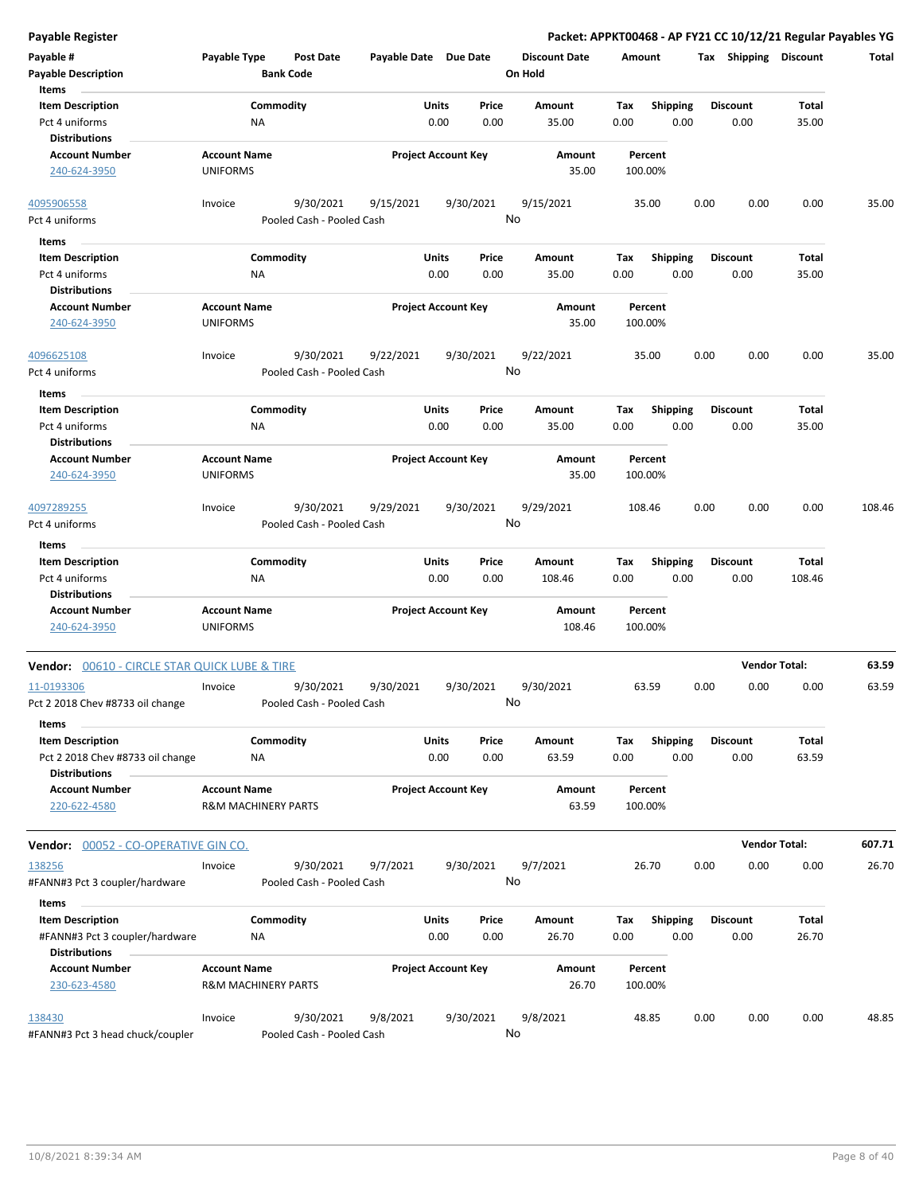| <b>Payable Register</b>                       |                                                       |                           |                       |                            |       |                      |        |                    |      |                       | Packet: APPKT00468 - AP FY21 CC 10/12/21 Regular Payables YG |        |
|-----------------------------------------------|-------------------------------------------------------|---------------------------|-----------------------|----------------------------|-------|----------------------|--------|--------------------|------|-----------------------|--------------------------------------------------------------|--------|
| Payable #                                     | Payable Type                                          | <b>Post Date</b>          | Payable Date Due Date |                            |       | <b>Discount Date</b> | Amount |                    |      | Tax Shipping Discount |                                                              | Total  |
| <b>Payable Description</b>                    |                                                       | <b>Bank Code</b>          |                       |                            |       | On Hold              |        |                    |      |                       |                                                              |        |
| Items                                         |                                                       |                           |                       |                            |       |                      |        |                    |      |                       |                                                              |        |
| <b>Item Description</b>                       |                                                       | Commodity                 |                       | Units                      | Price | Amount               | Tax    | <b>Shipping</b>    |      | <b>Discount</b>       | Total                                                        |        |
| Pct 4 uniforms<br><b>Distributions</b>        | NA                                                    |                           |                       | 0.00                       | 0.00  | 35.00                | 0.00   | 0.00               |      | 0.00                  | 35.00                                                        |        |
| <b>Account Number</b>                         | <b>Account Name</b>                                   |                           |                       | <b>Project Account Key</b> |       | Amount               |        | Percent            |      |                       |                                                              |        |
| 240-624-3950                                  | <b>UNIFORMS</b>                                       |                           |                       |                            |       | 35.00                |        | 100.00%            |      |                       |                                                              |        |
| 4095906558                                    | Invoice                                               | 9/30/2021                 | 9/15/2021             | 9/30/2021                  |       | 9/15/2021            |        | 35.00              | 0.00 | 0.00                  | 0.00                                                         | 35.00  |
| Pct 4 uniforms                                |                                                       | Pooled Cash - Pooled Cash |                       |                            | No    |                      |        |                    |      |                       |                                                              |        |
| <b>Items</b>                                  |                                                       |                           |                       |                            |       |                      |        |                    |      |                       |                                                              |        |
| <b>Item Description</b>                       |                                                       | Commodity                 |                       | Units                      | Price | Amount               | Tax    | <b>Shipping</b>    |      | Discount              | Total                                                        |        |
| Pct 4 uniforms                                | ΝA                                                    |                           |                       | 0.00                       | 0.00  | 35.00                | 0.00   | 0.00               |      | 0.00                  | 35.00                                                        |        |
| <b>Distributions</b>                          |                                                       |                           |                       |                            |       |                      |        |                    |      |                       |                                                              |        |
| <b>Account Number</b><br>240-624-3950         | <b>Account Name</b><br><b>UNIFORMS</b>                |                           |                       | <b>Project Account Key</b> |       | Amount<br>35.00      |        | Percent<br>100.00% |      |                       |                                                              |        |
| 4096625108                                    | Invoice                                               | 9/30/2021                 | 9/22/2021             | 9/30/2021                  |       | 9/22/2021            |        | 35.00              | 0.00 | 0.00                  | 0.00                                                         | 35.00  |
| Pct 4 uniforms                                |                                                       | Pooled Cash - Pooled Cash |                       |                            | No    |                      |        |                    |      |                       |                                                              |        |
| Items                                         |                                                       |                           |                       |                            |       |                      |        |                    |      |                       |                                                              |        |
| <b>Item Description</b>                       |                                                       | Commodity                 |                       | Units                      | Price | Amount               | Tax    | <b>Shipping</b>    |      | Discount              | Total                                                        |        |
| Pct 4 uniforms                                | NA                                                    |                           |                       | 0.00                       | 0.00  | 35.00                | 0.00   | 0.00               |      | 0.00                  | 35.00                                                        |        |
| <b>Distributions</b>                          |                                                       |                           |                       |                            |       |                      |        |                    |      |                       |                                                              |        |
| <b>Account Number</b>                         | <b>Account Name</b>                                   |                           |                       | <b>Project Account Key</b> |       | Amount               |        | Percent            |      |                       |                                                              |        |
| 240-624-3950                                  | <b>UNIFORMS</b>                                       |                           |                       |                            |       | 35.00                |        | 100.00%            |      |                       |                                                              |        |
| 4097289255                                    | Invoice                                               | 9/30/2021                 | 9/29/2021             | 9/30/2021                  |       | 9/29/2021            |        | 108.46             | 0.00 | 0.00                  | 0.00                                                         | 108.46 |
| Pct 4 uniforms                                |                                                       | Pooled Cash - Pooled Cash |                       |                            | No    |                      |        |                    |      |                       |                                                              |        |
| Items                                         |                                                       |                           |                       |                            |       |                      |        |                    |      |                       |                                                              |        |
| <b>Item Description</b>                       |                                                       | Commodity                 |                       | Units                      | Price | Amount               | Tax    | <b>Shipping</b>    |      | Discount              | Total                                                        |        |
| Pct 4 uniforms                                | NA                                                    |                           |                       | 0.00                       | 0.00  | 108.46               | 0.00   | 0.00               |      | 0.00                  | 108.46                                                       |        |
| <b>Distributions</b>                          |                                                       |                           |                       |                            |       |                      |        |                    |      |                       |                                                              |        |
| <b>Account Number</b><br>240-624-3950         | <b>Account Name</b><br><b>UNIFORMS</b>                |                           |                       | <b>Project Account Key</b> |       | Amount<br>108.46     |        | Percent<br>100.00% |      |                       |                                                              |        |
|                                               |                                                       |                           |                       |                            |       |                      |        |                    |      |                       |                                                              |        |
| Vendor: 00610 - CIRCLE STAR QUICK LUBE & TIRE |                                                       |                           |                       |                            |       |                      |        |                    |      |                       | <b>Vendor Total:</b>                                         | 63.59  |
| 11-0193306                                    | Invoice                                               | 9/30/2021                 | 9/30/2021             | 9/30/2021                  |       | 9/30/2021            |        | 63.59              | 0.00 | 0.00                  | 0.00                                                         | 63.59  |
| Pct 2 2018 Chev #8733 oil change              |                                                       | Pooled Cash - Pooled Cash |                       |                            | No    |                      |        |                    |      |                       |                                                              |        |
| Items                                         |                                                       |                           |                       |                            |       |                      |        |                    |      |                       |                                                              |        |
| <b>Item Description</b>                       |                                                       | Commodity                 |                       | Units                      | Price | Amount               | Tax    | <b>Shipping</b>    |      | <b>Discount</b>       | Total                                                        |        |
| Pct 2 2018 Chev #8733 oil change              | ΝA                                                    |                           |                       | 0.00                       | 0.00  | 63.59                | 0.00   | 0.00               |      | 0.00                  | 63.59                                                        |        |
| <b>Distributions</b>                          |                                                       |                           |                       |                            |       |                      |        |                    |      |                       |                                                              |        |
| <b>Account Number</b><br>220-622-4580         | <b>Account Name</b><br><b>R&amp;M MACHINERY PARTS</b> |                           |                       | <b>Project Account Key</b> |       | Amount<br>63.59      |        | Percent<br>100.00% |      |                       |                                                              |        |
| Vendor: 00052 - CO-OPERATIVE GIN CO.          |                                                       |                           |                       |                            |       |                      |        |                    |      |                       | <b>Vendor Total:</b>                                         | 607.71 |
| 138256                                        | Invoice                                               | 9/30/2021                 | 9/7/2021              | 9/30/2021                  |       | 9/7/2021             |        | 26.70              | 0.00 | 0.00                  | 0.00                                                         | 26.70  |
| #FANN#3 Pct 3 coupler/hardware                |                                                       | Pooled Cash - Pooled Cash |                       |                            | No    |                      |        |                    |      |                       |                                                              |        |
| Items                                         |                                                       |                           |                       |                            |       |                      |        |                    |      |                       |                                                              |        |
| <b>Item Description</b>                       |                                                       | Commodity                 |                       | Units                      | Price | Amount               | Тах    | Shipping           |      | <b>Discount</b>       | Total                                                        |        |
| #FANN#3 Pct 3 coupler/hardware                | ΝA                                                    |                           |                       | 0.00                       | 0.00  | 26.70                | 0.00   | 0.00               |      | 0.00                  | 26.70                                                        |        |
| <b>Distributions</b>                          |                                                       |                           |                       |                            |       |                      |        |                    |      |                       |                                                              |        |
| <b>Account Number</b>                         | <b>Account Name</b>                                   |                           |                       | <b>Project Account Key</b> |       | Amount               |        | Percent            |      |                       |                                                              |        |
| 230-623-4580                                  | <b>R&amp;M MACHINERY PARTS</b>                        |                           |                       |                            |       | 26.70                |        | 100.00%            |      |                       |                                                              |        |
| 138430                                        | Invoice                                               | 9/30/2021                 | 9/8/2021              | 9/30/2021                  |       | 9/8/2021             |        | 48.85              | 0.00 | 0.00                  | 0.00                                                         | 48.85  |
| #FANN#3 Pct 3 head chuck/coupler              |                                                       | Pooled Cash - Pooled Cash |                       |                            | No    |                      |        |                    |      |                       |                                                              |        |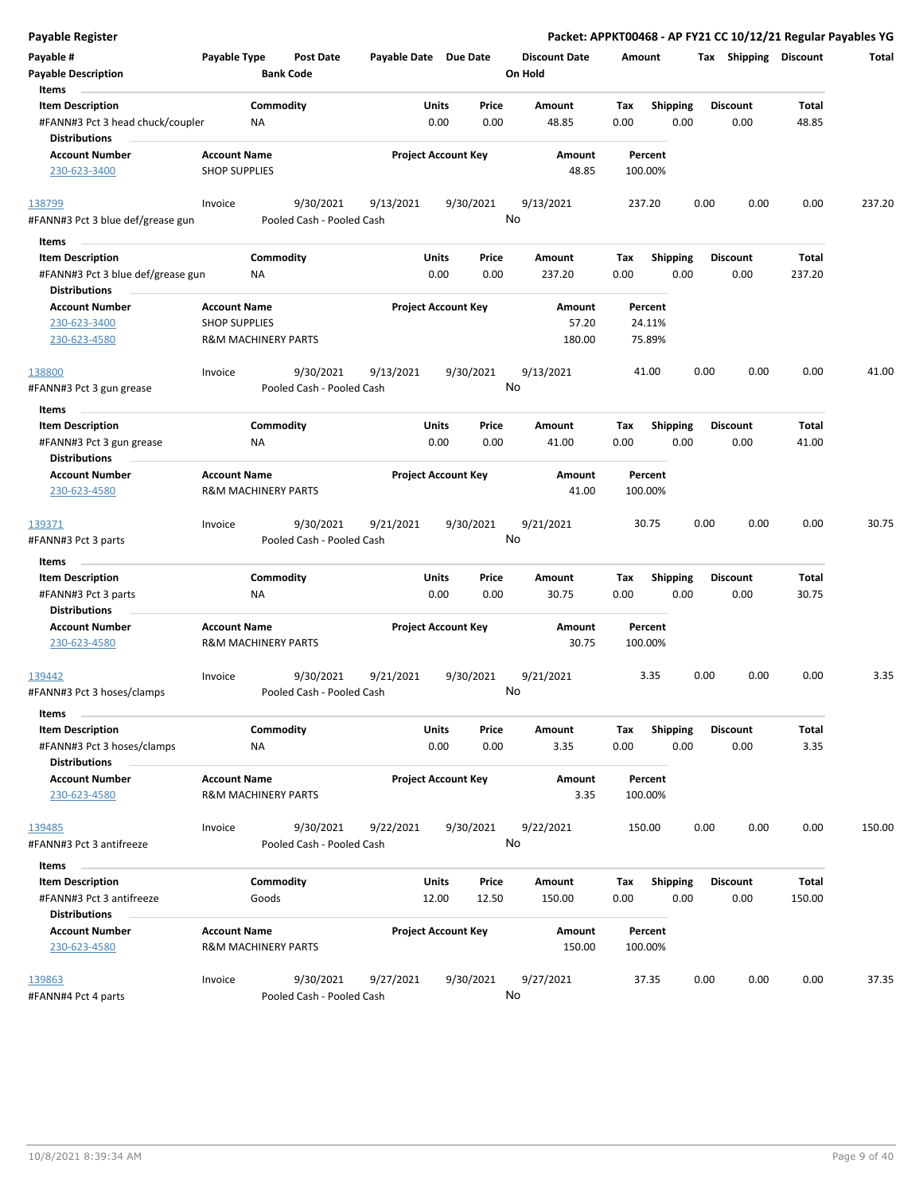| <b>Payable Register</b>                                                              |                                             |                                        |                       |                                  |                                 |                    |                         |      |                         |                 | Packet: APPKT00468 - AP FY21 CC 10/12/21 Regular Payables YG |
|--------------------------------------------------------------------------------------|---------------------------------------------|----------------------------------------|-----------------------|----------------------------------|---------------------------------|--------------------|-------------------------|------|-------------------------|-----------------|--------------------------------------------------------------|
| Payable #<br><b>Payable Description</b>                                              | Payable Type                                | <b>Post Date</b><br><b>Bank Code</b>   | Payable Date Due Date |                                  | <b>Discount Date</b><br>On Hold | Amount             |                         |      | Tax Shipping Discount   |                 | Total                                                        |
| Items<br><b>Item Description</b><br>#FANN#3 Pct 3 head chuck/coupler                 | ΝA                                          | Commodity                              |                       | Units<br>Price<br>0.00<br>0.00   | Amount<br>48.85                 | Tax<br>0.00        | <b>Shipping</b><br>0.00 |      | <b>Discount</b><br>0.00 | Total<br>48.85  |                                                              |
| <b>Distributions</b><br><b>Account Number</b><br>230-623-3400                        | <b>Account Name</b><br><b>SHOP SUPPLIES</b> |                                        |                       | <b>Project Account Key</b>       | Amount<br>48.85                 | Percent<br>100.00% |                         |      |                         |                 |                                                              |
| 138799                                                                               | Invoice                                     | 9/30/2021                              | 9/13/2021             | 9/30/2021                        | 9/13/2021<br>No                 | 237.20             |                         | 0.00 | 0.00                    | 0.00            | 237.20                                                       |
| #FANN#3 Pct 3 blue def/grease gun                                                    |                                             | Pooled Cash - Pooled Cash              |                       |                                  |                                 |                    |                         |      |                         |                 |                                                              |
| Items                                                                                |                                             |                                        |                       |                                  |                                 |                    |                         |      |                         |                 |                                                              |
| <b>Item Description</b><br>#FANN#3 Pct 3 blue def/grease gun<br><b>Distributions</b> | ΝA                                          | Commodity                              |                       | Units<br>Price<br>0.00<br>0.00   | Amount<br>237.20                | Tax<br>0.00        | Shipping<br>0.00        |      | <b>Discount</b><br>0.00 | Total<br>237.20 |                                                              |
| <b>Account Number</b>                                                                | <b>Account Name</b>                         |                                        |                       | <b>Project Account Key</b>       | Amount                          | Percent            |                         |      |                         |                 |                                                              |
| 230-623-3400                                                                         | <b>SHOP SUPPLIES</b>                        |                                        |                       |                                  | 57.20                           | 24.11%             |                         |      |                         |                 |                                                              |
| 230-623-4580                                                                         |                                             | <b>R&amp;M MACHINERY PARTS</b>         |                       |                                  | 180.00                          | 75.89%             |                         |      |                         |                 |                                                              |
| 138800<br>#FANN#3 Pct 3 gun grease                                                   | Invoice                                     | 9/30/2021<br>Pooled Cash - Pooled Cash | 9/13/2021             | 9/30/2021                        | 9/13/2021<br>No                 | 41.00              |                         | 0.00 | 0.00                    | 0.00            | 41.00                                                        |
| Items                                                                                |                                             |                                        |                       |                                  |                                 |                    |                         |      |                         |                 |                                                              |
| <b>Item Description</b><br>#FANN#3 Pct 3 gun grease                                  | NA                                          | Commodity                              |                       | Units<br>Price<br>0.00<br>0.00   | Amount<br>41.00                 | Tax<br>0.00        | <b>Shipping</b><br>0.00 |      | <b>Discount</b><br>0.00 | Total<br>41.00  |                                                              |
| <b>Distributions</b>                                                                 |                                             |                                        |                       |                                  |                                 |                    |                         |      |                         |                 |                                                              |
| <b>Account Number</b><br>230-623-4580                                                | <b>Account Name</b>                         | <b>R&amp;M MACHINERY PARTS</b>         |                       | <b>Project Account Key</b>       | Amount<br>41.00                 | Percent<br>100.00% |                         |      |                         |                 |                                                              |
| 139371<br>#FANN#3 Pct 3 parts                                                        | Invoice                                     | 9/30/2021<br>Pooled Cash - Pooled Cash | 9/21/2021             | 9/30/2021                        | 9/21/2021<br>No                 | 30.75              |                         | 0.00 | 0.00                    | 0.00            | 30.75                                                        |
| Items                                                                                |                                             |                                        |                       |                                  |                                 |                    |                         |      |                         |                 |                                                              |
| <b>Item Description</b>                                                              |                                             | Commodity                              |                       | Units<br>Price                   | Amount                          | Tax                | <b>Shipping</b>         |      | <b>Discount</b>         | Total           |                                                              |
| #FANN#3 Pct 3 parts<br><b>Distributions</b>                                          | <b>NA</b>                                   |                                        |                       | 0.00<br>0.00                     | 30.75                           | 0.00               | 0.00                    |      | 0.00                    | 30.75           |                                                              |
| <b>Account Number</b><br>230-623-4580                                                | <b>Account Name</b>                         | R&M MACHINERY PARTS                    |                       | <b>Project Account Key</b>       | Amount<br>30.75                 | Percent<br>100.00% |                         |      |                         |                 |                                                              |
| 139442<br>#FANN#3 Pct 3 hoses/clamps                                                 | Invoice                                     | 9/30/2021<br>Pooled Cash - Pooled Cash | 9/21/2021             | 9/30/2021                        | 9/21/2021<br>No                 | 3.35               |                         | 0.00 | 0.00                    | 0.00            | 3.35                                                         |
| Items                                                                                |                                             |                                        |                       |                                  |                                 |                    |                         |      |                         |                 |                                                              |
| <b>Item Description</b><br>#FANN#3 Pct 3 hoses/clamps<br><b>Distributions</b>        | <b>NA</b>                                   | Commodity                              |                       | Units<br>Price<br>0.00<br>0.00   | Amount<br>3.35                  | Tax<br>0.00        | <b>Shipping</b><br>0.00 |      | <b>Discount</b><br>0.00 | Total<br>3.35   |                                                              |
| <b>Account Number</b><br>230-623-4580                                                | <b>Account Name</b>                         | <b>R&amp;M MACHINERY PARTS</b>         |                       | <b>Project Account Key</b>       | Amount<br>3.35                  | Percent<br>100.00% |                         |      |                         |                 |                                                              |
| 139485<br>#FANN#3 Pct 3 antifreeze                                                   | Invoice                                     | 9/30/2021<br>Pooled Cash - Pooled Cash | 9/22/2021             | 9/30/2021                        | 9/22/2021<br>No                 | 150.00             |                         | 0.00 | 0.00                    | 0.00            | 150.00                                                       |
| Items                                                                                |                                             |                                        |                       |                                  |                                 |                    |                         |      |                         |                 |                                                              |
| <b>Item Description</b><br>#FANN#3 Pct 3 antifreeze<br><b>Distributions</b>          |                                             | Commodity<br>Goods                     |                       | Units<br>Price<br>12.00<br>12.50 | Amount<br>150.00                | Tax<br>0.00        | <b>Shipping</b><br>0.00 |      | <b>Discount</b><br>0.00 | Total<br>150.00 |                                                              |
| <b>Account Number</b><br>230-623-4580                                                | <b>Account Name</b>                         | R&M MACHINERY PARTS                    |                       | <b>Project Account Key</b>       | Amount<br>150.00                | Percent<br>100.00% |                         |      |                         |                 |                                                              |
| 139863<br>#FANN#4 Pct 4 parts                                                        | Invoice                                     | 9/30/2021<br>Pooled Cash - Pooled Cash | 9/27/2021             | 9/30/2021                        | 9/27/2021<br>No                 | 37.35              |                         | 0.00 | 0.00                    | 0.00            | 37.35                                                        |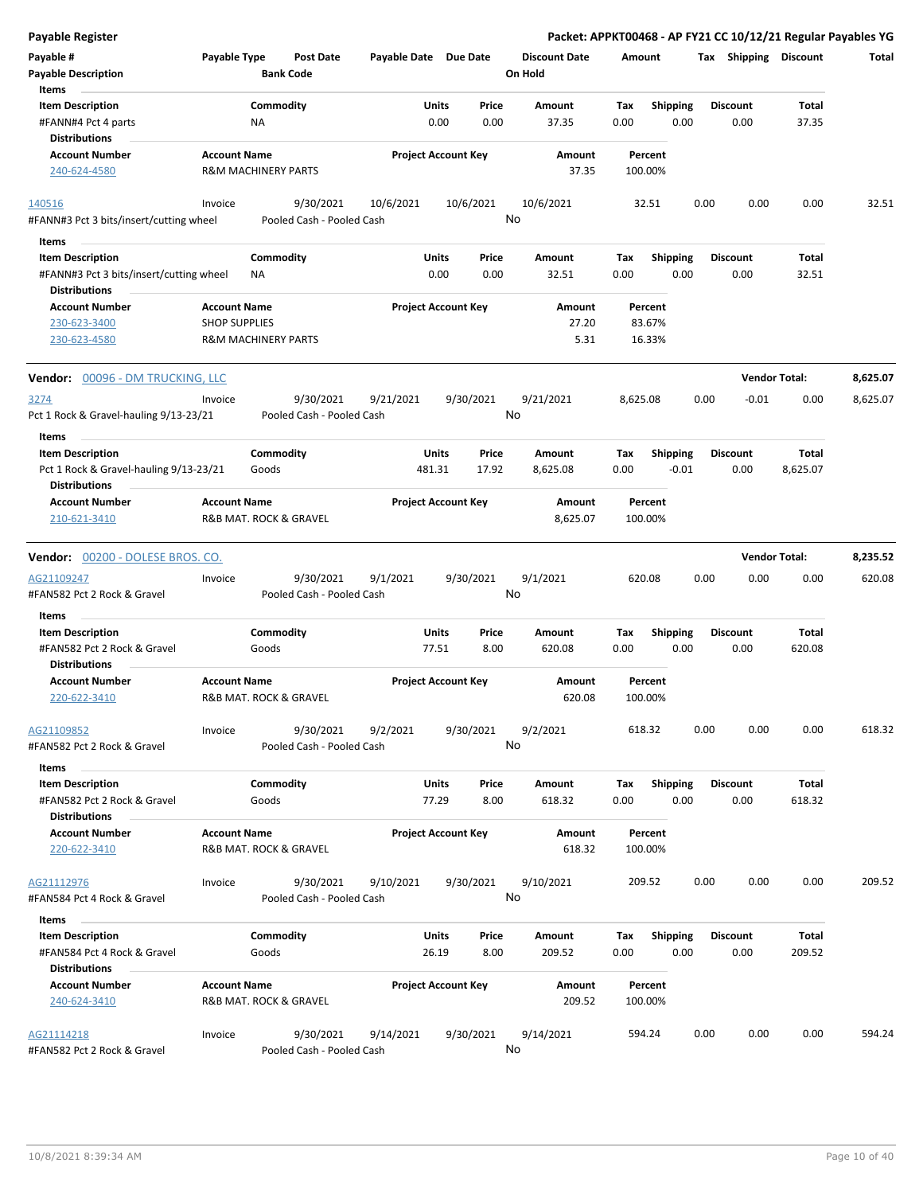| Payable Register                                               |                      |                                |                       |                                 |                      |             |                         |      |                         |                      | Packet: APPKT00468 - AP FY21 CC 10/12/21 Regular Payables YG |
|----------------------------------------------------------------|----------------------|--------------------------------|-----------------------|---------------------------------|----------------------|-------------|-------------------------|------|-------------------------|----------------------|--------------------------------------------------------------|
| Payable #                                                      | Payable Type         | <b>Post Date</b>               | Payable Date Due Date |                                 | <b>Discount Date</b> | Amount      |                         |      | Tax Shipping Discount   |                      | Total                                                        |
| <b>Payable Description</b>                                     |                      | <b>Bank Code</b>               |                       |                                 | On Hold              |             |                         |      |                         |                      |                                                              |
| Items                                                          |                      |                                |                       |                                 |                      |             |                         |      |                         |                      |                                                              |
| <b>Item Description</b>                                        |                      | Commodity                      |                       | Units<br>Price                  | Amount               | Tax         | <b>Shipping</b>         |      | <b>Discount</b>         | Total                |                                                              |
| #FANN#4 Pct 4 parts                                            |                      | NA                             |                       | 0.00<br>0.00                    | 37.35                | 0.00        | 0.00                    |      | 0.00                    | 37.35                |                                                              |
| <b>Distributions</b>                                           |                      |                                |                       |                                 |                      |             |                         |      |                         |                      |                                                              |
| <b>Account Number</b>                                          | <b>Account Name</b>  |                                |                       | <b>Project Account Key</b>      | Amount               |             | Percent                 |      |                         |                      |                                                              |
| 240-624-4580                                                   |                      | <b>R&amp;M MACHINERY PARTS</b> |                       |                                 | 37.35                | 100.00%     |                         |      |                         |                      |                                                              |
| 140516                                                         | Invoice              | 9/30/2021                      | 10/6/2021             | 10/6/2021                       | 10/6/2021            |             | 32.51                   | 0.00 | 0.00                    | 0.00                 | 32.51                                                        |
| #FANN#3 Pct 3 bits/insert/cutting wheel                        |                      | Pooled Cash - Pooled Cash      |                       |                                 | No                   |             |                         |      |                         |                      |                                                              |
| Items                                                          |                      |                                |                       |                                 |                      |             |                         |      |                         |                      |                                                              |
| <b>Item Description</b>                                        |                      | Commodity                      |                       | Units<br>Price                  | Amount               | Tax         | <b>Shipping</b>         |      | <b>Discount</b>         | Total                |                                                              |
| #FANN#3 Pct 3 bits/insert/cutting wheel                        |                      | ΝA                             |                       | 0.00<br>0.00                    | 32.51                | 0.00        | 0.00                    |      | 0.00                    | 32.51                |                                                              |
| <b>Distributions</b>                                           |                      |                                |                       |                                 |                      |             |                         |      |                         |                      |                                                              |
| Account Number                                                 | <b>Account Name</b>  |                                |                       | <b>Project Account Key</b>      | Amount               |             | Percent                 |      |                         |                      |                                                              |
| 230-623-3400                                                   | <b>SHOP SUPPLIES</b> |                                |                       |                                 | 27.20                |             | 83.67%                  |      |                         |                      |                                                              |
| 230-623-4580                                                   |                      | <b>R&amp;M MACHINERY PARTS</b> |                       |                                 | 5.31                 |             | 16.33%                  |      |                         |                      |                                                              |
| Vendor: 00096 - DM TRUCKING, LLC                               |                      |                                |                       |                                 |                      |             |                         |      |                         | <b>Vendor Total:</b> | 8,625.07                                                     |
| 3274                                                           | Invoice              | 9/30/2021                      | 9/21/2021             | 9/30/2021                       | 9/21/2021            | 8,625.08    |                         | 0.00 | $-0.01$                 | 0.00                 | 8,625.07                                                     |
| Pct 1 Rock & Gravel-hauling 9/13-23/21                         |                      | Pooled Cash - Pooled Cash      |                       |                                 | No                   |             |                         |      |                         |                      |                                                              |
| Items                                                          |                      |                                |                       |                                 |                      |             |                         |      |                         |                      |                                                              |
| <b>Item Description</b>                                        |                      | Commodity                      |                       | Price<br>Units                  | Amount               | Tax         | Shipping                |      | <b>Discount</b>         | Total                |                                                              |
| Pct 1 Rock & Gravel-hauling 9/13-23/21<br><b>Distributions</b> |                      | Goods                          | 481.31                | 17.92                           | 8,625.08             | 0.00        | $-0.01$                 |      | 0.00                    | 8,625.07             |                                                              |
| <b>Account Number</b>                                          | <b>Account Name</b>  |                                |                       | <b>Project Account Key</b>      | Amount               |             | Percent                 |      |                         |                      |                                                              |
| 210-621-3410                                                   |                      | R&B MAT. ROCK & GRAVEL         |                       |                                 | 8,625.07             | 100.00%     |                         |      |                         |                      |                                                              |
| Vendor: 00200 - DOLESE BROS. CO.                               |                      |                                |                       |                                 |                      |             |                         |      |                         | <b>Vendor Total:</b> | 8,235.52                                                     |
| AG21109247                                                     | Invoice              | 9/30/2021                      | 9/1/2021              | 9/30/2021                       | 9/1/2021             | 620.08      |                         | 0.00 | 0.00                    | 0.00                 | 620.08                                                       |
| #FAN582 Pct 2 Rock & Gravel                                    |                      | Pooled Cash - Pooled Cash      |                       |                                 | No                   |             |                         |      |                         |                      |                                                              |
| Items                                                          |                      |                                |                       |                                 |                      |             |                         |      |                         |                      |                                                              |
| <b>Item Description</b>                                        |                      | Commodity                      |                       | Price<br>Units                  | Amount               | Tax         | <b>Shipping</b>         |      | <b>Discount</b>         | Total                |                                                              |
| #FAN582 Pct 2 Rock & Gravel                                    |                      | Goods                          |                       | 77.51<br>8.00                   | 620.08               | 0.00        | 0.00                    |      | 0.00                    | 620.08               |                                                              |
| <b>Distributions</b>                                           |                      |                                |                       |                                 |                      |             |                         |      |                         |                      |                                                              |
| <b>Account Number</b>                                          | <b>Account Name</b>  |                                |                       | <b>Project Account Key</b>      | Amount               |             | Percent                 |      |                         |                      |                                                              |
| 220-622-3410                                                   |                      | R&B MAT. ROCK & GRAVEL         |                       |                                 | 620.08               | 100.00%     |                         |      |                         |                      |                                                              |
| AG21109852                                                     | Invoice              | 9/30/2021                      | 9/2/2021              | 9/30/2021                       | 9/2/2021             | 618.32      |                         | 0.00 | 0.00                    | 0.00                 | 618.32                                                       |
| #FAN582 Pct 2 Rock & Gravel                                    |                      | Pooled Cash - Pooled Cash      |                       |                                 | No                   |             |                         |      |                         |                      |                                                              |
| Items                                                          |                      |                                |                       |                                 |                      |             |                         |      |                         |                      |                                                              |
| <b>Item Description</b><br>#FAN582 Pct 2 Rock & Gravel         |                      | Commodity<br>Goods             |                       | Units<br>Price<br>8.00<br>77.29 | Amount<br>618.32     | Tax<br>0.00 | <b>Shipping</b><br>0.00 |      | <b>Discount</b><br>0.00 | Total<br>618.32      |                                                              |
| <b>Distributions</b>                                           |                      |                                |                       |                                 |                      |             |                         |      |                         |                      |                                                              |
| <b>Account Number</b>                                          | <b>Account Name</b>  |                                |                       | <b>Project Account Key</b>      | Amount               |             | Percent                 |      |                         |                      |                                                              |
| 220-622-3410                                                   |                      | R&B MAT. ROCK & GRAVEL         |                       |                                 | 618.32               | 100.00%     |                         |      |                         |                      |                                                              |
| AG21112976                                                     | Invoice              | 9/30/2021                      | 9/10/2021             | 9/30/2021                       | 9/10/2021            | 209.52      |                         | 0.00 | 0.00                    | 0.00                 | 209.52                                                       |
| #FAN584 Pct 4 Rock & Gravel                                    |                      | Pooled Cash - Pooled Cash      |                       |                                 | No                   |             |                         |      |                         |                      |                                                              |
|                                                                |                      |                                |                       |                                 |                      |             |                         |      |                         |                      |                                                              |
| Items<br><b>Item Description</b>                               |                      | Commodity                      |                       | Units<br>Price                  | Amount               | Tax         | <b>Shipping</b>         |      | <b>Discount</b>         | Total                |                                                              |
|                                                                |                      |                                |                       |                                 |                      |             |                         |      |                         |                      |                                                              |
| #FAN584 Pct 4 Rock & Gravel<br><b>Distributions</b>            |                      | Goods                          |                       | 8.00<br>26.19                   | 209.52               | 0.00        | 0.00                    |      | 0.00                    | 209.52               |                                                              |
| <b>Account Number</b>                                          | <b>Account Name</b>  |                                |                       | <b>Project Account Key</b>      |                      |             | Percent                 |      |                         |                      |                                                              |
| 240-624-3410                                                   |                      | R&B MAT. ROCK & GRAVEL         |                       |                                 | Amount<br>209.52     | 100.00%     |                         |      |                         |                      |                                                              |
| AG21114218                                                     | Invoice              | 9/30/2021                      | 9/14/2021             | 9/30/2021                       | 9/14/2021            | 594.24      |                         | 0.00 | 0.00                    | 0.00                 | 594.24                                                       |
| #FAN582 Pct 2 Rock & Gravel                                    |                      | Pooled Cash - Pooled Cash      |                       |                                 | No                   |             |                         |      |                         |                      |                                                              |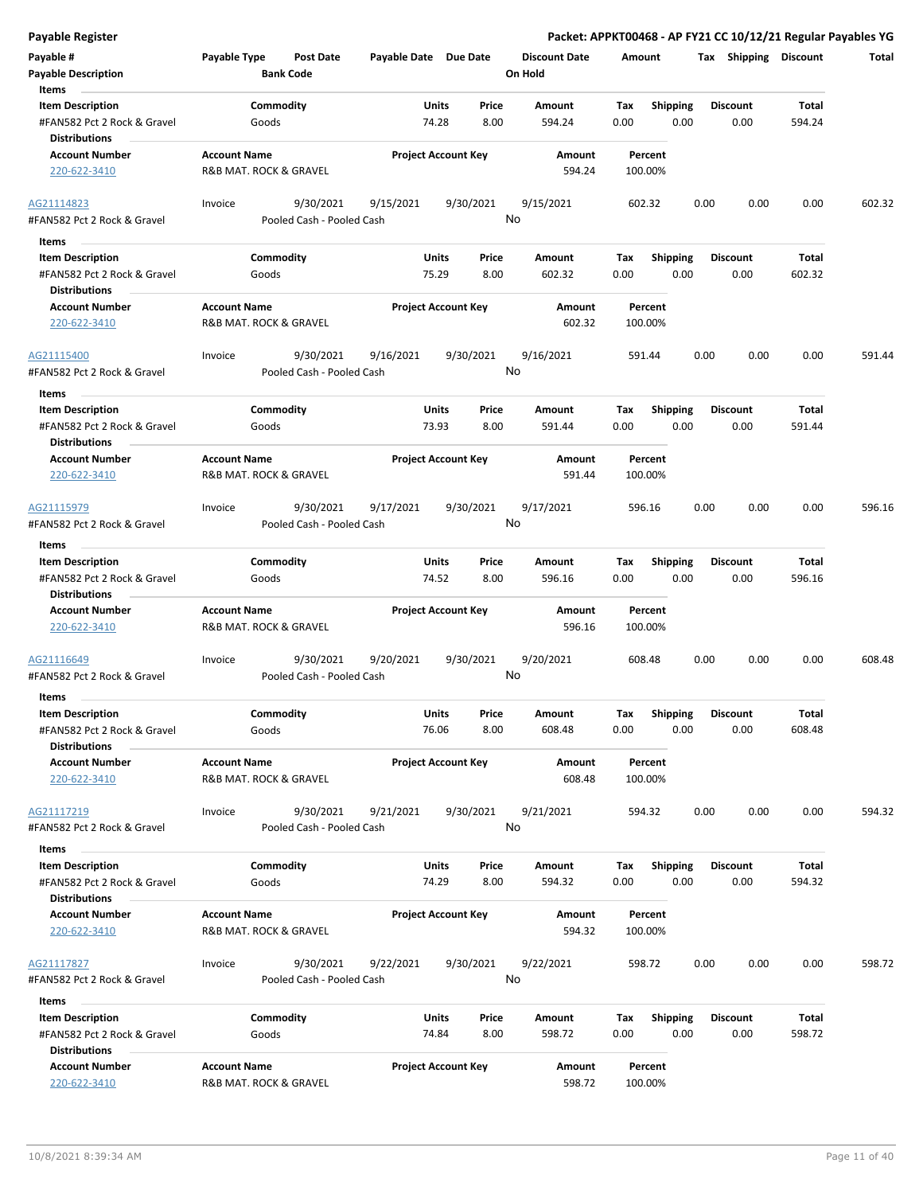| <b>Payable Register</b>                                                                 |                     |                                        |                            |                       |                 |                                 |             |                         |      |                         |                        | Packet: APPKT00468 - AP FY21 CC 10/12/21 Regular Payables YG |
|-----------------------------------------------------------------------------------------|---------------------|----------------------------------------|----------------------------|-----------------------|-----------------|---------------------------------|-------------|-------------------------|------|-------------------------|------------------------|--------------------------------------------------------------|
| Payable #<br><b>Payable Description</b>                                                 | Payable Type        | <b>Post Date</b><br><b>Bank Code</b>   | Payable Date Due Date      |                       |                 | <b>Discount Date</b><br>On Hold | Amount      |                         |      | Tax Shipping Discount   |                        | Total                                                        |
| Items<br><b>Item Description</b><br>#FAN582 Pct 2 Rock & Gravel<br><b>Distributions</b> |                     | Commodity<br>Goods                     |                            | Units<br>74.28        | Price<br>8.00   | Amount<br>594.24                | Tax<br>0.00 | <b>Shipping</b><br>0.00 |      | <b>Discount</b><br>0.00 | Total<br>594.24        |                                                              |
| <b>Account Number</b><br>220-622-3410                                                   | <b>Account Name</b> | R&B MAT. ROCK & GRAVEL                 | <b>Project Account Key</b> |                       |                 | Amount<br>594.24                |             | Percent<br>100.00%      |      |                         |                        |                                                              |
| AG21114823<br>#FAN582 Pct 2 Rock & Gravel                                               | Invoice             | 9/30/2021<br>Pooled Cash - Pooled Cash | 9/15/2021                  |                       | 9/30/2021<br>No | 9/15/2021                       |             | 602.32                  | 0.00 | 0.00                    | 0.00                   | 602.32                                                       |
| Items                                                                                   |                     |                                        |                            |                       |                 |                                 |             |                         |      |                         |                        |                                                              |
| <b>Item Description</b><br>#FAN582 Pct 2 Rock & Gravel<br><b>Distributions</b>          |                     | Commodity<br>Goods                     |                            | <b>Units</b><br>75.29 | Price<br>8.00   | Amount<br>602.32                | Tax<br>0.00 | <b>Shipping</b><br>0.00 |      | <b>Discount</b><br>0.00 | Total<br>602.32        |                                                              |
| <b>Account Number</b><br>220-622-3410                                                   | <b>Account Name</b> | R&B MAT. ROCK & GRAVEL                 | <b>Project Account Key</b> |                       |                 | Amount<br>602.32                |             | Percent<br>100.00%      |      |                         |                        |                                                              |
| AG21115400<br>#FAN582 Pct 2 Rock & Gravel                                               | Invoice             | 9/30/2021<br>Pooled Cash - Pooled Cash | 9/16/2021                  |                       | 9/30/2021<br>No | 9/16/2021                       |             | 591.44                  | 0.00 | 0.00                    | 0.00                   | 591.44                                                       |
| Items<br><b>Item Description</b><br>#FAN582 Pct 2 Rock & Gravel<br><b>Distributions</b> |                     | Commodity<br>Goods                     |                            | Units<br>73.93        | Price<br>8.00   | Amount<br>591.44                | Tax<br>0.00 | <b>Shipping</b><br>0.00 |      | <b>Discount</b><br>0.00 | Total<br>591.44        |                                                              |
| <b>Account Number</b><br>220-622-3410                                                   | <b>Account Name</b> | R&B MAT. ROCK & GRAVEL                 | <b>Project Account Key</b> |                       |                 | Amount<br>591.44                |             | Percent<br>100.00%      |      |                         |                        |                                                              |
| AG21115979                                                                              | Invoice             | 9/30/2021                              | 9/17/2021                  |                       | 9/30/2021       | 9/17/2021                       |             | 596.16                  | 0.00 | 0.00                    | 0.00                   | 596.16                                                       |
| #FAN582 Pct 2 Rock & Gravel                                                             |                     | Pooled Cash - Pooled Cash              |                            |                       | No              |                                 |             |                         |      |                         |                        |                                                              |
| Items                                                                                   |                     |                                        |                            |                       |                 |                                 |             |                         |      |                         |                        |                                                              |
| <b>Item Description</b><br>#FAN582 Pct 2 Rock & Gravel                                  |                     | Commodity<br>Goods                     |                            | <b>Units</b><br>74.52 | Price<br>8.00   | Amount<br>596.16                | Tax<br>0.00 | <b>Shipping</b><br>0.00 |      | <b>Discount</b><br>0.00 | <b>Total</b><br>596.16 |                                                              |
| <b>Distributions</b>                                                                    |                     |                                        |                            |                       |                 |                                 |             |                         |      |                         |                        |                                                              |
| <b>Account Number</b><br>220-622-3410                                                   | <b>Account Name</b> | R&B MAT. ROCK & GRAVEL                 | <b>Project Account Key</b> |                       |                 | Amount<br>596.16                |             | Percent<br>100.00%      |      |                         |                        |                                                              |
| AG21116649<br>#FAN582 Pct 2 Rock & Gravel                                               | Invoice             | 9/30/2021<br>Pooled Cash - Pooled Cash | 9/20/2021                  |                       | 9/30/2021<br>No | 9/20/2021                       |             | 608.48                  | 0.00 | 0.00                    | 0.00                   | 608.48                                                       |
| Items                                                                                   |                     |                                        |                            |                       |                 |                                 |             |                         |      | <b>Discount</b>         |                        |                                                              |
| <b>Item Description</b><br>#FAN582 Pct 2 Rock & Gravel<br><b>Distributions</b>          |                     | Commodity<br>Goods                     |                            | Units<br>76.06        | Price<br>8.00   | Amount<br>608.48                | Tax<br>0.00 | Shipping<br>0.00        |      | 0.00                    | <b>Total</b><br>608.48 |                                                              |
| <b>Account Number</b><br>220-622-3410                                                   | <b>Account Name</b> | R&B MAT. ROCK & GRAVEL                 | <b>Project Account Key</b> |                       |                 | Amount<br>608.48                |             | Percent<br>100.00%      |      |                         |                        |                                                              |
| AG21117219<br>#FAN582 Pct 2 Rock & Gravel                                               | Invoice             | 9/30/2021<br>Pooled Cash - Pooled Cash | 9/21/2021                  |                       | 9/30/2021<br>No | 9/21/2021                       |             | 594.32                  | 0.00 | 0.00                    | 0.00                   | 594.32                                                       |
| Items                                                                                   |                     |                                        |                            |                       |                 |                                 |             |                         |      |                         |                        |                                                              |
| <b>Item Description</b><br>#FAN582 Pct 2 Rock & Gravel<br><b>Distributions</b>          |                     | Commodity<br>Goods                     |                            | Units<br>74.29        | Price<br>8.00   | <b>Amount</b><br>594.32         | Тах<br>0.00 | <b>Shipping</b><br>0.00 |      | <b>Discount</b><br>0.00 | Total<br>594.32        |                                                              |
| <b>Account Number</b><br>220-622-3410                                                   | <b>Account Name</b> | R&B MAT. ROCK & GRAVEL                 | <b>Project Account Key</b> |                       |                 | Amount<br>594.32                |             | Percent<br>100.00%      |      |                         |                        |                                                              |
| AG21117827<br>#FAN582 Pct 2 Rock & Gravel                                               | Invoice             | 9/30/2021<br>Pooled Cash - Pooled Cash | 9/22/2021                  |                       | 9/30/2021<br>No | 9/22/2021                       |             | 598.72                  | 0.00 | 0.00                    | 0.00                   | 598.72                                                       |
| Items                                                                                   |                     |                                        |                            |                       |                 |                                 |             |                         |      |                         |                        |                                                              |
| <b>Item Description</b><br>#FAN582 Pct 2 Rock & Gravel<br><b>Distributions</b>          |                     | Commodity<br>Goods                     |                            | Units<br>74.84        | Price<br>8.00   | Amount<br>598.72                | Tax<br>0.00 | <b>Shipping</b><br>0.00 |      | <b>Discount</b><br>0.00 | Total<br>598.72        |                                                              |
| <b>Account Number</b><br>220-622-3410                                                   | <b>Account Name</b> | R&B MAT. ROCK & GRAVEL                 | <b>Project Account Key</b> |                       |                 | Amount<br>598.72                |             | Percent<br>100.00%      |      |                         |                        |                                                              |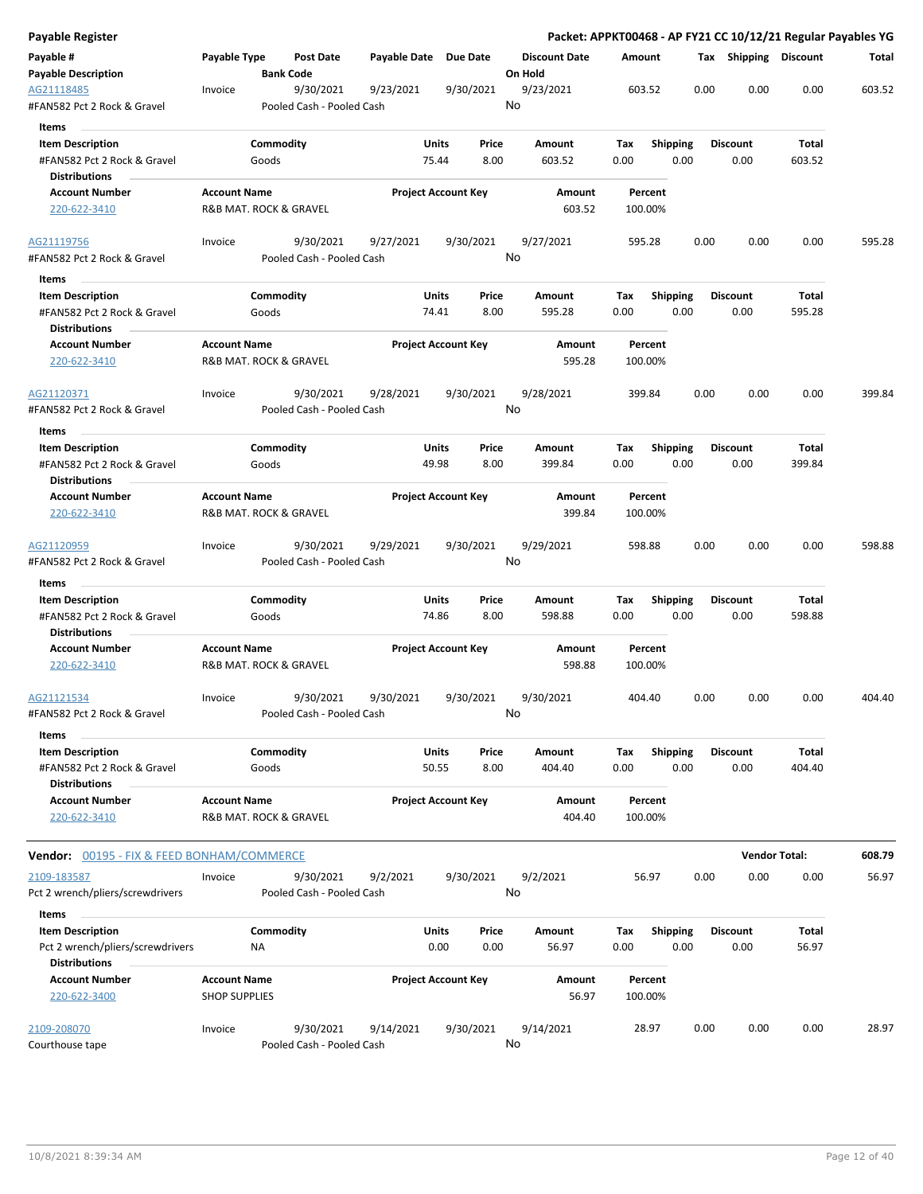| <b>Payable Register</b>                                                             |                                               |                                        |                       |                            |                                 |                    |                         |      |                         | Packet: APPKT00468 - AP FY21 CC 10/12/21 Regular Payables YG |        |
|-------------------------------------------------------------------------------------|-----------------------------------------------|----------------------------------------|-----------------------|----------------------------|---------------------------------|--------------------|-------------------------|------|-------------------------|--------------------------------------------------------------|--------|
| Payable #<br><b>Payable Description</b>                                             | Payable Type                                  | <b>Post Date</b><br><b>Bank Code</b>   | Payable Date Due Date |                            | <b>Discount Date</b><br>On Hold | Amount             |                         |      | Tax Shipping Discount   |                                                              | Total  |
| AG21118485<br>#FAN582 Pct 2 Rock & Gravel                                           | Invoice                                       | 9/30/2021<br>Pooled Cash - Pooled Cash | 9/23/2021             | 9/30/2021                  | 9/23/2021<br>No                 | 603.52             |                         | 0.00 | 0.00                    | 0.00                                                         | 603.52 |
| Items                                                                               |                                               |                                        |                       |                            |                                 |                    |                         |      |                         |                                                              |        |
| <b>Item Description</b><br>#FAN582 Pct 2 Rock & Gravel                              | Goods                                         | Commodity                              | Units<br>75.44        | Price<br>8.00              | Amount<br>603.52                | Tax<br>0.00        | <b>Shipping</b><br>0.00 |      | <b>Discount</b><br>0.00 | Total<br>603.52                                              |        |
| <b>Distributions</b>                                                                |                                               |                                        |                       |                            |                                 |                    |                         |      |                         |                                                              |        |
| <b>Account Number</b><br>220-622-3410                                               | <b>Account Name</b><br>R&B MAT. ROCK & GRAVEL |                                        |                       | <b>Project Account Key</b> | Amount<br>603.52                | Percent<br>100.00% |                         |      |                         |                                                              |        |
| AG21119756<br>#FAN582 Pct 2 Rock & Gravel                                           | Invoice                                       | 9/30/2021<br>Pooled Cash - Pooled Cash | 9/27/2021             | 9/30/2021                  | 9/27/2021<br>No                 | 595.28             |                         | 0.00 | 0.00                    | 0.00                                                         | 595.28 |
| Items                                                                               |                                               |                                        |                       |                            |                                 |                    |                         |      |                         |                                                              |        |
| <b>Item Description</b>                                                             |                                               | Commodity                              | <b>Units</b>          | Price                      | Amount                          | Tax                | <b>Shipping</b>         |      | <b>Discount</b>         | Total                                                        |        |
| #FAN582 Pct 2 Rock & Gravel<br><b>Distributions</b>                                 | Goods                                         |                                        | 74.41                 | 8.00                       | 595.28                          | 0.00               | 0.00                    |      | 0.00                    | 595.28                                                       |        |
| <b>Account Number</b><br>220-622-3410                                               | <b>Account Name</b><br>R&B MAT. ROCK & GRAVEL |                                        |                       | <b>Project Account Key</b> | Amount<br>595.28                | Percent<br>100.00% |                         |      |                         |                                                              |        |
| AG21120371<br>#FAN582 Pct 2 Rock & Gravel                                           | Invoice                                       | 9/30/2021<br>Pooled Cash - Pooled Cash | 9/28/2021             | 9/30/2021                  | 9/28/2021<br>No                 | 399.84             |                         | 0.00 | 0.00                    | 0.00                                                         | 399.84 |
| Items                                                                               |                                               |                                        |                       |                            |                                 |                    |                         |      |                         |                                                              |        |
| <b>Item Description</b>                                                             |                                               | Commodity                              | Units                 | Price                      | Amount                          | Tax                | <b>Shipping</b>         |      | <b>Discount</b>         | Total                                                        |        |
| #FAN582 Pct 2 Rock & Gravel                                                         | Goods                                         |                                        | 49.98                 | 8.00                       | 399.84                          | 0.00               | 0.00                    |      | 0.00                    | 399.84                                                       |        |
| <b>Distributions</b>                                                                |                                               |                                        |                       |                            |                                 |                    |                         |      |                         |                                                              |        |
| <b>Account Number</b><br>220-622-3410                                               | <b>Account Name</b><br>R&B MAT. ROCK & GRAVEL |                                        |                       | <b>Project Account Key</b> | Amount<br>399.84                | Percent<br>100.00% |                         |      |                         |                                                              |        |
| AG21120959<br>#FAN582 Pct 2 Rock & Gravel                                           | Invoice                                       | 9/30/2021<br>Pooled Cash - Pooled Cash | 9/29/2021             | 9/30/2021                  | 9/29/2021<br>No                 | 598.88             |                         | 0.00 | 0.00                    | 0.00                                                         | 598.88 |
|                                                                                     |                                               |                                        |                       |                            |                                 |                    |                         |      |                         |                                                              |        |
| Items<br><b>Item Description</b>                                                    |                                               | Commodity                              | <b>Units</b>          | Price                      | Amount                          | Tax                | <b>Shipping</b>         |      | <b>Discount</b>         | Total                                                        |        |
| #FAN582 Pct 2 Rock & Gravel                                                         | Goods                                         |                                        | 74.86                 | 8.00                       | 598.88                          | 0.00               | 0.00                    |      | 0.00                    | 598.88                                                       |        |
| <b>Distributions</b>                                                                |                                               |                                        |                       |                            |                                 |                    |                         |      |                         |                                                              |        |
| <b>Account Number</b><br>220-622-3410                                               | <b>Account Name</b><br>R&B MAT. ROCK & GRAVEL |                                        |                       | <b>Project Account Key</b> | Amount<br>598.88                | Percent<br>100.00% |                         |      |                         |                                                              |        |
| AG21121534<br>#FAN582 Pct 2 Rock & Gravel                                           | Invoice                                       | 9/30/2021<br>Pooled Cash - Pooled Cash | 9/30/2021             | 9/30/2021                  | 9/30/2021<br>No                 | 404.40             |                         | 0.00 | 0.00                    | 0.00                                                         | 404.40 |
| Items                                                                               |                                               |                                        |                       |                            |                                 |                    |                         |      |                         |                                                              |        |
| <b>Item Description</b><br>#FAN582 Pct 2 Rock & Gravel                              |                                               | Commodity                              | <b>Units</b><br>50.55 | Price<br>8.00              | Amount<br>404.40                | Tax<br>0.00        | <b>Shipping</b><br>0.00 |      | <b>Discount</b><br>0.00 | Total<br>404.40                                              |        |
| <b>Distributions</b>                                                                | Goods                                         |                                        |                       |                            |                                 |                    |                         |      |                         |                                                              |        |
| <b>Account Number</b><br>220-622-3410                                               | <b>Account Name</b><br>R&B MAT. ROCK & GRAVEL |                                        |                       | <b>Project Account Key</b> | Amount<br>404.40                | Percent<br>100.00% |                         |      |                         |                                                              |        |
| Vendor: 00195 - FIX & FEED BONHAM/COMMERCE                                          |                                               |                                        |                       |                            |                                 |                    |                         |      |                         | <b>Vendor Total:</b>                                         | 608.79 |
| 2109-183587                                                                         | Invoice                                       | 9/30/2021                              | 9/2/2021              | 9/30/2021                  | 9/2/2021                        | 56.97              |                         | 0.00 | 0.00                    | 0.00                                                         | 56.97  |
| Pct 2 wrench/pliers/screwdrivers                                                    |                                               | Pooled Cash - Pooled Cash              |                       |                            | No                              |                    |                         |      |                         |                                                              |        |
| Items                                                                               |                                               |                                        |                       |                            |                                 |                    |                         |      |                         |                                                              |        |
| <b>Item Description</b><br>Pct 2 wrench/pliers/screwdrivers<br><b>Distributions</b> | NA                                            | Commodity                              | Units                 | Price<br>0.00<br>0.00      | Amount<br>56.97                 | Tax<br>0.00        | <b>Shipping</b><br>0.00 |      | <b>Discount</b><br>0.00 | Total<br>56.97                                               |        |
| <b>Account Number</b><br>220-622-3400                                               | <b>Account Name</b><br><b>SHOP SUPPLIES</b>   |                                        |                       | <b>Project Account Key</b> | Amount<br>56.97                 | Percent<br>100.00% |                         |      |                         |                                                              |        |
| 2109-208070<br>Courthouse tape                                                      | Invoice                                       | 9/30/2021<br>Pooled Cash - Pooled Cash | 9/14/2021             | 9/30/2021                  | 9/14/2021<br>No                 | 28.97              |                         | 0.00 | 0.00                    | 0.00                                                         | 28.97  |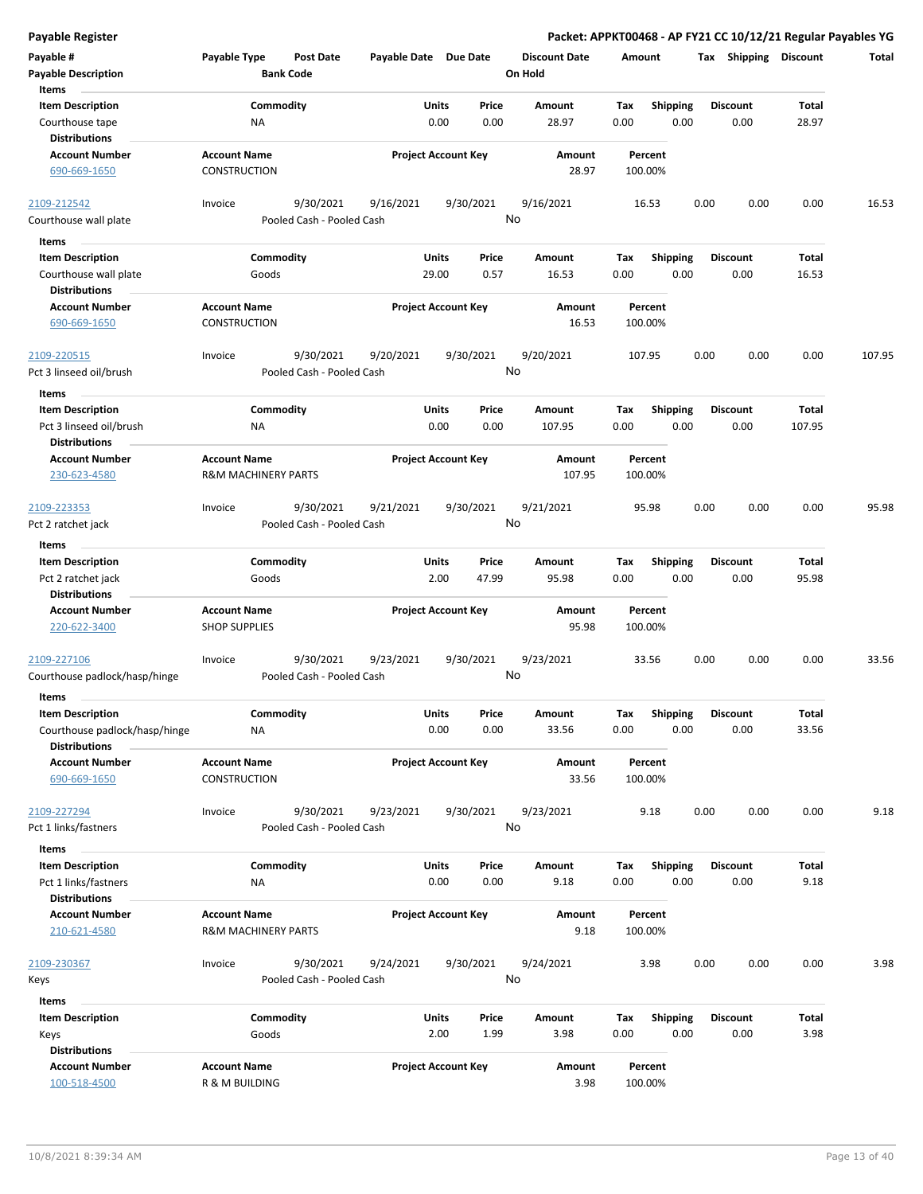**Payable # Payable Type Post Date Payable Date Due Date Payable Description Bank Code Discount Date Amount Tax Shipping Discount Total On Hold** 0.00 0.00 **Units** Courthouse tape **128 Courthouse tape 128 Courthouse tape 128.97** C.00 Courthouse tape 128.97 C.00 **Item Description** 28.97 **Price Amount Tax** 0.00 28.97 Commodity **Shipping Shipping Commodity Shipping Discount** Total NA **Items** 0.00 **Discount Account Number Account Name Project Account Key Amount Distributions Percent** 690-669-1650 CONSTRUCTION 28.97 100.00% 9/30/2021 9/16/2021 9/30/2021 Courthouse wall plate **Pooled Cash - Pooled Cash** 2109-212542 Invoice 9/16/2021 16.53 0.00 0.00 0.00 16.53 No 29.00 0.57 **Units** Courthouse wall plate https://www.com/documents/courthouse wall plate and the Goods of the courthouse wall plate of the Goods of the courthouse wall plate of the Goods of the courthouse of the courthouse of the courthouse **Item Description** 16.53 **Price Amount Tax** 0.00 16.53 Commodity **Shipping Shipping Commodity Shipping Discount** Total Goods **Items** 0.00 **Discount Account Number Account Name Project Account Key Amount Distributions Percent** 690-669-1650 CONSTRUCTION 16.53 100.00% 9/30/2021 9/20/2021 9/30/2021 Pct 3 linseed oil/brush Pooled Cash - Pooled Cash - Pooled Cash 2109-220515 Invoice 9/20/2021 107.95 0.00 0.00 0.00 107.95 No 0.00 0.00 **Units** Pct 3 linseed oil/brush 0.00 **Item Description** 107.95 **Price Amount Tax** 0.00 107.95 **Commodity Shipping Total** NA **Items** 0.00 **Discount Account Number Account Name Project Account Key Amount Distributions Percent** 230-623-4580 R&M MACHINERY PARTS 107.95 100.00% 9/30/2021 9/21/2021 9/30/2021 Pct 2 ratchet jack **Pooled Cash - Pooled Cash** 2109-223353 Invoice 9/21/2021 95.98 0.00 0.00 0.00 95.98 No 2.00 47.99 **Units** Pct 2 ratchet jack **behavior of the Cooper Cooper Cooper Cooper Cooper Cooper Cooper Cooper Cooper Cooper Cooper Cooper Cooper Cooper Cooper Cooper Cooper Cooper Cooper Cooper Cooper Cooper Cooper Cooper Cooper Cooper Coop Item Description** 95.98 **Price Amount Tax** 0.00 95.98 **Commodity Shipping Total** Goods **Items** 0.00 **Discount Account Number Account Name Project Account Key Amount Distributions Percent** 220-622-3400 SHOP SUPPLIES 95.98 100.00% 9/30/2021 9/23/2021 9/30/2021 Courthouse padlock/hasp/hinge Pooled Cash - Pooled Cash 2<u>109-227106</u> Invoice 9/30/2021 9/23/2021 9/30/2021 9/32/2021 33.56 0.00 0.00 0.00 33.56 No 0.00 0.00 **Units** Courthouse padlock/hasp/hinge  $\overline{OA}$  and  $\overline{OA}$  and  $\overline{OA}$  and  $\overline{OA}$  and  $\overline{OA}$  and  $\overline{OA}$  and  $\overline{OA}$  and  $\overline{OA}$  and  $\overline{OA}$  and  $\overline{OA}$  and  $\overline{OA}$  and  $\overline{OA}$  and  $\overline{OA}$  and  $\overline{OA}$  and  $\overline{OA}$  a **Item Description** 33.56 **Price Amount Tax** 0.00 33.56 **Commodity Shipping Total** NA **Items** 0.00 **Discount Account Number Account Name Project Account Key Amount Distributions Percent** 690-669-1650 CONSTRUCTION 33.56 100.00% 9/30/2021 9/23/2021 9/30/2021 Pct 1 links/fastners **Pooled Cash - Pooled Cash** 2109-227294 Invoice 9/23/2021 9.18 0.00 0.00 0.00 9.18 No 0.00 0.00 **Units** Pct 1 links/fastners **1.18** NA 0.00 0.00 0.18 0.00 **Item Description** 9.18 **Price Amount Tax** 0.00 9.18 Commodity **Shipping Shipping Commodity Shipping Discount** Total NA **Items** 0.00 **Discount Account Number Account Name Project Account Key Amount Distributions Percent** 210-621-4580 R&M MACHINERY PARTS 9.18 100.00% 9/30/2021 9/24/2021 9/30/2021 Keys Pooled Cash - Pooled Cash 2109-230367 Invoice 9/24/2021 3.98 0.00 0.00 0.00 3.98 No 2.00 1.99 **Units** Keys 0.00 **Item Description** 3.98 **Price Amount Tax** 0.00 3.98 0.00 Commodity **Shipping Shipping Commodity Shipping Discount** Total Goods **Items Discount Account Number Account Name Project Account Key Amount Distributions Percent**

100-518-4500 R & M BUILDING 3.98 100.00%

**Payable Register Packet: APPKT00468 - AP FY21 CC 10/12/21 Regular Payables YG**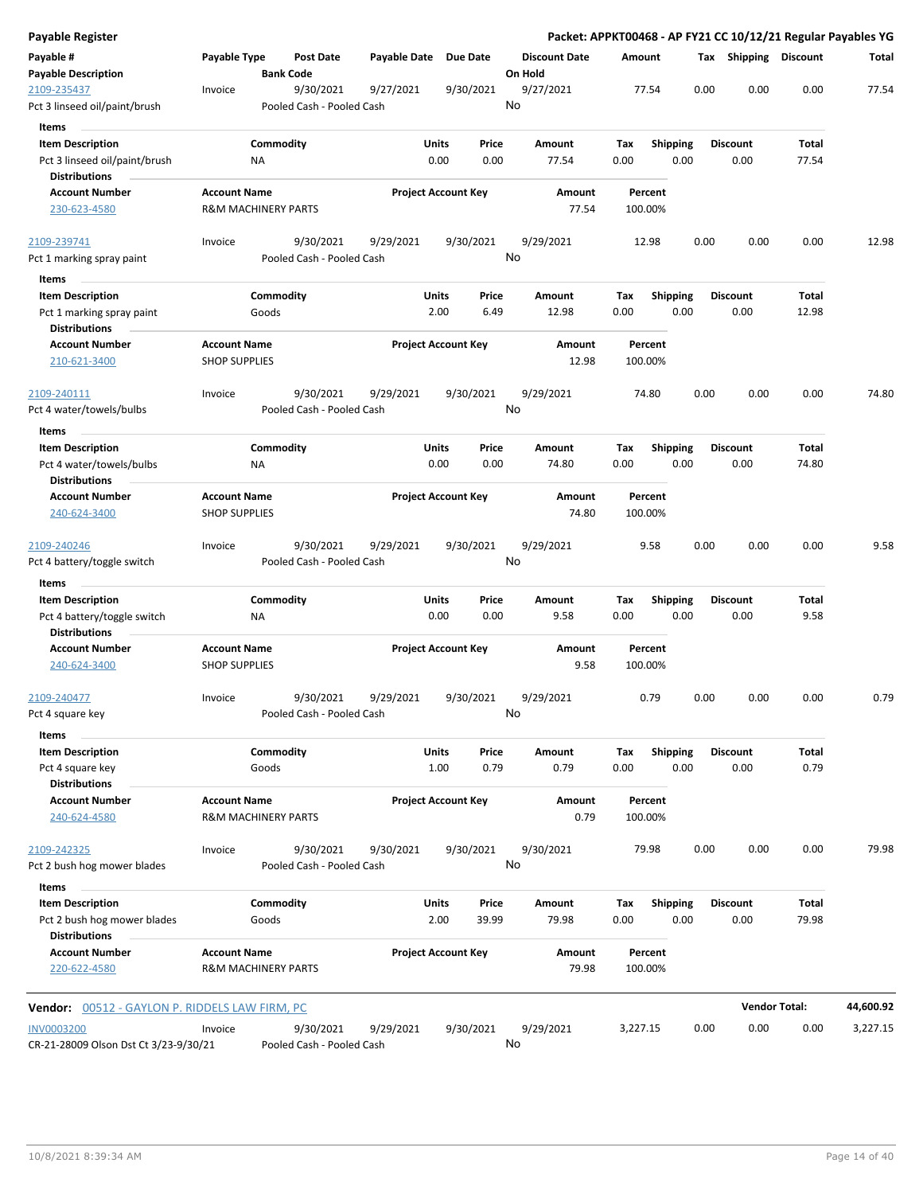| Payable #<br>Payable Type<br>Post Date<br>Payable Date Due Date<br><b>Discount Date</b><br>Tax Shipping Discount<br>Amount<br><b>Payable Description</b><br><b>Bank Code</b><br>On Hold<br>9/30/2021<br>9/27/2021<br>9/30/2021<br>9/27/2021<br>77.54<br>0.00<br>0.00<br>0.00<br>2109-235437<br>Invoice<br>No<br>Pct 3 linseed oil/paint/brush<br>Pooled Cash - Pooled Cash<br>Items<br><b>Item Description</b><br>Commodity<br>Units<br>Price<br>Amount<br><b>Shipping</b><br><b>Discount</b><br>Total<br>Tax<br>0.00<br>0.00<br>77.54<br>Pct 3 linseed oil/paint/brush<br>0.00<br>0.00<br>77.54<br>0.00<br>NA<br><b>Distributions</b><br><b>Account Number</b><br><b>Account Name</b><br><b>Project Account Key</b><br>Amount<br>Percent<br>230-623-4580<br><b>R&amp;M MACHINERY PARTS</b><br>77.54<br>100.00%<br>9/30/2021<br>2109-239741<br>9/30/2021<br>9/29/2021<br>9/29/2021<br>12.98<br>0.00<br>0.00<br>0.00<br>Invoice<br>No<br>Pooled Cash - Pooled Cash<br>Pct 1 marking spray paint<br>Items<br><b>Item Description</b><br>Commodity<br>Units<br>Price<br>Tax<br><b>Shipping</b><br><b>Discount</b><br>Total<br>Amount<br>Goods<br>2.00<br>6.49<br>12.98<br>0.00<br>0.00<br>0.00<br>12.98<br>Pct 1 marking spray paint<br><b>Distributions</b><br><b>Account Number</b><br><b>Account Name</b><br><b>Project Account Key</b><br>Amount<br>Percent<br><b>SHOP SUPPLIES</b><br>12.98<br>100.00%<br>210-621-3400<br>9/30/2021<br>9/30/2021<br>9/29/2021<br>0.00<br>0.00<br>9/29/2021<br>74.80<br>0.00<br>2109-240111<br>Invoice<br>No<br>Pct 4 water/towels/bulbs<br>Pooled Cash - Pooled Cash<br>Items<br>Commodity<br><b>Item Description</b><br>Units<br>Price<br><b>Shipping</b><br><b>Discount</b><br>Amount<br>Tax<br>Total<br>0.00<br>Pct 4 water/towels/bulbs<br>NA<br>0.00<br>0.00<br>74.80<br>0.00<br>0.00<br>74.80<br><b>Distributions</b><br><b>Project Account Key</b><br><b>Account Number</b><br><b>Account Name</b><br>Amount<br>Percent<br>240-624-3400<br><b>SHOP SUPPLIES</b><br>74.80<br>100.00%<br>9/30/2021<br>9/29/2021<br>9/30/2021<br>9/29/2021<br>9.58<br>0.00<br>0.00<br>2109-240246<br>Invoice<br>0.00<br>No<br>Pct 4 battery/toggle switch<br>Pooled Cash - Pooled Cash<br>Items<br>Commodity<br><b>Item Description</b><br>Units<br>Price<br><b>Shipping</b><br>Total<br>Amount<br>Tax<br><b>Discount</b><br>Pct 4 battery/toggle switch<br>0.00<br>0.00<br>9.58<br>0.00<br>0.00<br>0.00<br>9.58<br>NA<br><b>Distributions</b><br><b>Account Number</b><br><b>Account Name</b><br><b>Project Account Key</b><br><b>Amount</b><br>Percent<br>9.58<br>240-624-3400<br><b>SHOP SUPPLIES</b><br>100.00%<br>2109-240477<br>9/30/2021<br>9/29/2021<br>9/30/2021<br>9/29/2021<br>0.79<br>0.00<br>0.00<br>0.00<br>Invoice<br>No<br>Pooled Cash - Pooled Cash<br>Pct 4 square key<br>Items<br><b>Item Description</b><br>Commodity<br>Units<br>Price<br>Total<br>Amount<br>Tax<br><b>Shipping</b><br><b>Discount</b><br>0.00<br>0.79<br>Goods<br>1.00<br>0.79<br>0.79<br>0.00<br>0.00<br>Pct 4 square key<br><b>Distributions</b><br><b>Account Number</b><br><b>Account Name</b><br><b>Project Account Key</b><br>Amount<br>Percent<br>0.79<br><b>R&amp;M MACHINERY PARTS</b><br>240-624-4580<br>100.00%<br>79.98<br>0.00<br>0.00<br>0.00<br>2109-242325<br>9/30/2021<br>9/30/2021<br>9/30/2021<br>9/30/2021<br>Invoice<br>No<br>Pooled Cash - Pooled Cash<br>Pct 2 bush hog mower blades<br>Items<br>Commodity<br><b>Item Description</b><br>Units<br>Price<br>Amount<br><b>Shipping</b><br><b>Discount</b><br>Total<br>Tax<br>39.99<br>79.98<br>0.00<br>0.00<br>79.98<br>Pct 2 bush hog mower blades<br>Goods<br>2.00<br>0.00<br><b>Distributions</b><br><b>Account Number</b><br><b>Account Name</b><br><b>Project Account Key</b><br>Amount<br>Percent<br>220-622-4580<br><b>R&amp;M MACHINERY PARTS</b><br>79.98<br>100.00% | Payable Register |  |  |  |  |  | Packet: APPKT00468 - AP FY21 CC 10/12/21 Regular Payables YG |           |
|----------------------------------------------------------------------------------------------------------------------------------------------------------------------------------------------------------------------------------------------------------------------------------------------------------------------------------------------------------------------------------------------------------------------------------------------------------------------------------------------------------------------------------------------------------------------------------------------------------------------------------------------------------------------------------------------------------------------------------------------------------------------------------------------------------------------------------------------------------------------------------------------------------------------------------------------------------------------------------------------------------------------------------------------------------------------------------------------------------------------------------------------------------------------------------------------------------------------------------------------------------------------------------------------------------------------------------------------------------------------------------------------------------------------------------------------------------------------------------------------------------------------------------------------------------------------------------------------------------------------------------------------------------------------------------------------------------------------------------------------------------------------------------------------------------------------------------------------------------------------------------------------------------------------------------------------------------------------------------------------------------------------------------------------------------------------------------------------------------------------------------------------------------------------------------------------------------------------------------------------------------------------------------------------------------------------------------------------------------------------------------------------------------------------------------------------------------------------------------------------------------------------------------------------------------------------------------------------------------------------------------------------------------------------------------------------------------------------------------------------------------------------------------------------------------------------------------------------------------------------------------------------------------------------------------------------------------------------------------------------------------------------------------------------------------------------------------------------------------------------------------------------------------------------------------------------------------------------------------------------------------------------------------------------------------------------------------------------------------------------------------------------------------------------------------------------------------------------------------------------------------------------------------------------------------------------------------------------------------------------------------------------------------------------------------------------------------------------------------------------------------------------------------------------------------------------------------------------------------------|------------------|--|--|--|--|--|--------------------------------------------------------------|-----------|
|                                                                                                                                                                                                                                                                                                                                                                                                                                                                                                                                                                                                                                                                                                                                                                                                                                                                                                                                                                                                                                                                                                                                                                                                                                                                                                                                                                                                                                                                                                                                                                                                                                                                                                                                                                                                                                                                                                                                                                                                                                                                                                                                                                                                                                                                                                                                                                                                                                                                                                                                                                                                                                                                                                                                                                                                                                                                                                                                                                                                                                                                                                                                                                                                                                                                                                                                                                                                                                                                                                                                                                                                                                                                                                                                                                                                                                                                |                  |  |  |  |  |  |                                                              | Total     |
|                                                                                                                                                                                                                                                                                                                                                                                                                                                                                                                                                                                                                                                                                                                                                                                                                                                                                                                                                                                                                                                                                                                                                                                                                                                                                                                                                                                                                                                                                                                                                                                                                                                                                                                                                                                                                                                                                                                                                                                                                                                                                                                                                                                                                                                                                                                                                                                                                                                                                                                                                                                                                                                                                                                                                                                                                                                                                                                                                                                                                                                                                                                                                                                                                                                                                                                                                                                                                                                                                                                                                                                                                                                                                                                                                                                                                                                                |                  |  |  |  |  |  |                                                              | 77.54     |
|                                                                                                                                                                                                                                                                                                                                                                                                                                                                                                                                                                                                                                                                                                                                                                                                                                                                                                                                                                                                                                                                                                                                                                                                                                                                                                                                                                                                                                                                                                                                                                                                                                                                                                                                                                                                                                                                                                                                                                                                                                                                                                                                                                                                                                                                                                                                                                                                                                                                                                                                                                                                                                                                                                                                                                                                                                                                                                                                                                                                                                                                                                                                                                                                                                                                                                                                                                                                                                                                                                                                                                                                                                                                                                                                                                                                                                                                |                  |  |  |  |  |  |                                                              |           |
|                                                                                                                                                                                                                                                                                                                                                                                                                                                                                                                                                                                                                                                                                                                                                                                                                                                                                                                                                                                                                                                                                                                                                                                                                                                                                                                                                                                                                                                                                                                                                                                                                                                                                                                                                                                                                                                                                                                                                                                                                                                                                                                                                                                                                                                                                                                                                                                                                                                                                                                                                                                                                                                                                                                                                                                                                                                                                                                                                                                                                                                                                                                                                                                                                                                                                                                                                                                                                                                                                                                                                                                                                                                                                                                                                                                                                                                                |                  |  |  |  |  |  |                                                              |           |
|                                                                                                                                                                                                                                                                                                                                                                                                                                                                                                                                                                                                                                                                                                                                                                                                                                                                                                                                                                                                                                                                                                                                                                                                                                                                                                                                                                                                                                                                                                                                                                                                                                                                                                                                                                                                                                                                                                                                                                                                                                                                                                                                                                                                                                                                                                                                                                                                                                                                                                                                                                                                                                                                                                                                                                                                                                                                                                                                                                                                                                                                                                                                                                                                                                                                                                                                                                                                                                                                                                                                                                                                                                                                                                                                                                                                                                                                |                  |  |  |  |  |  |                                                              |           |
|                                                                                                                                                                                                                                                                                                                                                                                                                                                                                                                                                                                                                                                                                                                                                                                                                                                                                                                                                                                                                                                                                                                                                                                                                                                                                                                                                                                                                                                                                                                                                                                                                                                                                                                                                                                                                                                                                                                                                                                                                                                                                                                                                                                                                                                                                                                                                                                                                                                                                                                                                                                                                                                                                                                                                                                                                                                                                                                                                                                                                                                                                                                                                                                                                                                                                                                                                                                                                                                                                                                                                                                                                                                                                                                                                                                                                                                                |                  |  |  |  |  |  |                                                              |           |
|                                                                                                                                                                                                                                                                                                                                                                                                                                                                                                                                                                                                                                                                                                                                                                                                                                                                                                                                                                                                                                                                                                                                                                                                                                                                                                                                                                                                                                                                                                                                                                                                                                                                                                                                                                                                                                                                                                                                                                                                                                                                                                                                                                                                                                                                                                                                                                                                                                                                                                                                                                                                                                                                                                                                                                                                                                                                                                                                                                                                                                                                                                                                                                                                                                                                                                                                                                                                                                                                                                                                                                                                                                                                                                                                                                                                                                                                |                  |  |  |  |  |  |                                                              |           |
|                                                                                                                                                                                                                                                                                                                                                                                                                                                                                                                                                                                                                                                                                                                                                                                                                                                                                                                                                                                                                                                                                                                                                                                                                                                                                                                                                                                                                                                                                                                                                                                                                                                                                                                                                                                                                                                                                                                                                                                                                                                                                                                                                                                                                                                                                                                                                                                                                                                                                                                                                                                                                                                                                                                                                                                                                                                                                                                                                                                                                                                                                                                                                                                                                                                                                                                                                                                                                                                                                                                                                                                                                                                                                                                                                                                                                                                                |                  |  |  |  |  |  |                                                              |           |
|                                                                                                                                                                                                                                                                                                                                                                                                                                                                                                                                                                                                                                                                                                                                                                                                                                                                                                                                                                                                                                                                                                                                                                                                                                                                                                                                                                                                                                                                                                                                                                                                                                                                                                                                                                                                                                                                                                                                                                                                                                                                                                                                                                                                                                                                                                                                                                                                                                                                                                                                                                                                                                                                                                                                                                                                                                                                                                                                                                                                                                                                                                                                                                                                                                                                                                                                                                                                                                                                                                                                                                                                                                                                                                                                                                                                                                                                |                  |  |  |  |  |  |                                                              | 12.98     |
|                                                                                                                                                                                                                                                                                                                                                                                                                                                                                                                                                                                                                                                                                                                                                                                                                                                                                                                                                                                                                                                                                                                                                                                                                                                                                                                                                                                                                                                                                                                                                                                                                                                                                                                                                                                                                                                                                                                                                                                                                                                                                                                                                                                                                                                                                                                                                                                                                                                                                                                                                                                                                                                                                                                                                                                                                                                                                                                                                                                                                                                                                                                                                                                                                                                                                                                                                                                                                                                                                                                                                                                                                                                                                                                                                                                                                                                                |                  |  |  |  |  |  |                                                              |           |
|                                                                                                                                                                                                                                                                                                                                                                                                                                                                                                                                                                                                                                                                                                                                                                                                                                                                                                                                                                                                                                                                                                                                                                                                                                                                                                                                                                                                                                                                                                                                                                                                                                                                                                                                                                                                                                                                                                                                                                                                                                                                                                                                                                                                                                                                                                                                                                                                                                                                                                                                                                                                                                                                                                                                                                                                                                                                                                                                                                                                                                                                                                                                                                                                                                                                                                                                                                                                                                                                                                                                                                                                                                                                                                                                                                                                                                                                |                  |  |  |  |  |  |                                                              |           |
|                                                                                                                                                                                                                                                                                                                                                                                                                                                                                                                                                                                                                                                                                                                                                                                                                                                                                                                                                                                                                                                                                                                                                                                                                                                                                                                                                                                                                                                                                                                                                                                                                                                                                                                                                                                                                                                                                                                                                                                                                                                                                                                                                                                                                                                                                                                                                                                                                                                                                                                                                                                                                                                                                                                                                                                                                                                                                                                                                                                                                                                                                                                                                                                                                                                                                                                                                                                                                                                                                                                                                                                                                                                                                                                                                                                                                                                                |                  |  |  |  |  |  |                                                              |           |
|                                                                                                                                                                                                                                                                                                                                                                                                                                                                                                                                                                                                                                                                                                                                                                                                                                                                                                                                                                                                                                                                                                                                                                                                                                                                                                                                                                                                                                                                                                                                                                                                                                                                                                                                                                                                                                                                                                                                                                                                                                                                                                                                                                                                                                                                                                                                                                                                                                                                                                                                                                                                                                                                                                                                                                                                                                                                                                                                                                                                                                                                                                                                                                                                                                                                                                                                                                                                                                                                                                                                                                                                                                                                                                                                                                                                                                                                |                  |  |  |  |  |  |                                                              |           |
|                                                                                                                                                                                                                                                                                                                                                                                                                                                                                                                                                                                                                                                                                                                                                                                                                                                                                                                                                                                                                                                                                                                                                                                                                                                                                                                                                                                                                                                                                                                                                                                                                                                                                                                                                                                                                                                                                                                                                                                                                                                                                                                                                                                                                                                                                                                                                                                                                                                                                                                                                                                                                                                                                                                                                                                                                                                                                                                                                                                                                                                                                                                                                                                                                                                                                                                                                                                                                                                                                                                                                                                                                                                                                                                                                                                                                                                                |                  |  |  |  |  |  |                                                              |           |
|                                                                                                                                                                                                                                                                                                                                                                                                                                                                                                                                                                                                                                                                                                                                                                                                                                                                                                                                                                                                                                                                                                                                                                                                                                                                                                                                                                                                                                                                                                                                                                                                                                                                                                                                                                                                                                                                                                                                                                                                                                                                                                                                                                                                                                                                                                                                                                                                                                                                                                                                                                                                                                                                                                                                                                                                                                                                                                                                                                                                                                                                                                                                                                                                                                                                                                                                                                                                                                                                                                                                                                                                                                                                                                                                                                                                                                                                |                  |  |  |  |  |  |                                                              |           |
|                                                                                                                                                                                                                                                                                                                                                                                                                                                                                                                                                                                                                                                                                                                                                                                                                                                                                                                                                                                                                                                                                                                                                                                                                                                                                                                                                                                                                                                                                                                                                                                                                                                                                                                                                                                                                                                                                                                                                                                                                                                                                                                                                                                                                                                                                                                                                                                                                                                                                                                                                                                                                                                                                                                                                                                                                                                                                                                                                                                                                                                                                                                                                                                                                                                                                                                                                                                                                                                                                                                                                                                                                                                                                                                                                                                                                                                                |                  |  |  |  |  |  |                                                              |           |
|                                                                                                                                                                                                                                                                                                                                                                                                                                                                                                                                                                                                                                                                                                                                                                                                                                                                                                                                                                                                                                                                                                                                                                                                                                                                                                                                                                                                                                                                                                                                                                                                                                                                                                                                                                                                                                                                                                                                                                                                                                                                                                                                                                                                                                                                                                                                                                                                                                                                                                                                                                                                                                                                                                                                                                                                                                                                                                                                                                                                                                                                                                                                                                                                                                                                                                                                                                                                                                                                                                                                                                                                                                                                                                                                                                                                                                                                |                  |  |  |  |  |  |                                                              | 74.80     |
|                                                                                                                                                                                                                                                                                                                                                                                                                                                                                                                                                                                                                                                                                                                                                                                                                                                                                                                                                                                                                                                                                                                                                                                                                                                                                                                                                                                                                                                                                                                                                                                                                                                                                                                                                                                                                                                                                                                                                                                                                                                                                                                                                                                                                                                                                                                                                                                                                                                                                                                                                                                                                                                                                                                                                                                                                                                                                                                                                                                                                                                                                                                                                                                                                                                                                                                                                                                                                                                                                                                                                                                                                                                                                                                                                                                                                                                                |                  |  |  |  |  |  |                                                              |           |
|                                                                                                                                                                                                                                                                                                                                                                                                                                                                                                                                                                                                                                                                                                                                                                                                                                                                                                                                                                                                                                                                                                                                                                                                                                                                                                                                                                                                                                                                                                                                                                                                                                                                                                                                                                                                                                                                                                                                                                                                                                                                                                                                                                                                                                                                                                                                                                                                                                                                                                                                                                                                                                                                                                                                                                                                                                                                                                                                                                                                                                                                                                                                                                                                                                                                                                                                                                                                                                                                                                                                                                                                                                                                                                                                                                                                                                                                |                  |  |  |  |  |  |                                                              |           |
|                                                                                                                                                                                                                                                                                                                                                                                                                                                                                                                                                                                                                                                                                                                                                                                                                                                                                                                                                                                                                                                                                                                                                                                                                                                                                                                                                                                                                                                                                                                                                                                                                                                                                                                                                                                                                                                                                                                                                                                                                                                                                                                                                                                                                                                                                                                                                                                                                                                                                                                                                                                                                                                                                                                                                                                                                                                                                                                                                                                                                                                                                                                                                                                                                                                                                                                                                                                                                                                                                                                                                                                                                                                                                                                                                                                                                                                                |                  |  |  |  |  |  |                                                              |           |
|                                                                                                                                                                                                                                                                                                                                                                                                                                                                                                                                                                                                                                                                                                                                                                                                                                                                                                                                                                                                                                                                                                                                                                                                                                                                                                                                                                                                                                                                                                                                                                                                                                                                                                                                                                                                                                                                                                                                                                                                                                                                                                                                                                                                                                                                                                                                                                                                                                                                                                                                                                                                                                                                                                                                                                                                                                                                                                                                                                                                                                                                                                                                                                                                                                                                                                                                                                                                                                                                                                                                                                                                                                                                                                                                                                                                                                                                |                  |  |  |  |  |  |                                                              |           |
|                                                                                                                                                                                                                                                                                                                                                                                                                                                                                                                                                                                                                                                                                                                                                                                                                                                                                                                                                                                                                                                                                                                                                                                                                                                                                                                                                                                                                                                                                                                                                                                                                                                                                                                                                                                                                                                                                                                                                                                                                                                                                                                                                                                                                                                                                                                                                                                                                                                                                                                                                                                                                                                                                                                                                                                                                                                                                                                                                                                                                                                                                                                                                                                                                                                                                                                                                                                                                                                                                                                                                                                                                                                                                                                                                                                                                                                                |                  |  |  |  |  |  |                                                              |           |
|                                                                                                                                                                                                                                                                                                                                                                                                                                                                                                                                                                                                                                                                                                                                                                                                                                                                                                                                                                                                                                                                                                                                                                                                                                                                                                                                                                                                                                                                                                                                                                                                                                                                                                                                                                                                                                                                                                                                                                                                                                                                                                                                                                                                                                                                                                                                                                                                                                                                                                                                                                                                                                                                                                                                                                                                                                                                                                                                                                                                                                                                                                                                                                                                                                                                                                                                                                                                                                                                                                                                                                                                                                                                                                                                                                                                                                                                |                  |  |  |  |  |  |                                                              |           |
|                                                                                                                                                                                                                                                                                                                                                                                                                                                                                                                                                                                                                                                                                                                                                                                                                                                                                                                                                                                                                                                                                                                                                                                                                                                                                                                                                                                                                                                                                                                                                                                                                                                                                                                                                                                                                                                                                                                                                                                                                                                                                                                                                                                                                                                                                                                                                                                                                                                                                                                                                                                                                                                                                                                                                                                                                                                                                                                                                                                                                                                                                                                                                                                                                                                                                                                                                                                                                                                                                                                                                                                                                                                                                                                                                                                                                                                                |                  |  |  |  |  |  |                                                              |           |
|                                                                                                                                                                                                                                                                                                                                                                                                                                                                                                                                                                                                                                                                                                                                                                                                                                                                                                                                                                                                                                                                                                                                                                                                                                                                                                                                                                                                                                                                                                                                                                                                                                                                                                                                                                                                                                                                                                                                                                                                                                                                                                                                                                                                                                                                                                                                                                                                                                                                                                                                                                                                                                                                                                                                                                                                                                                                                                                                                                                                                                                                                                                                                                                                                                                                                                                                                                                                                                                                                                                                                                                                                                                                                                                                                                                                                                                                |                  |  |  |  |  |  |                                                              |           |
|                                                                                                                                                                                                                                                                                                                                                                                                                                                                                                                                                                                                                                                                                                                                                                                                                                                                                                                                                                                                                                                                                                                                                                                                                                                                                                                                                                                                                                                                                                                                                                                                                                                                                                                                                                                                                                                                                                                                                                                                                                                                                                                                                                                                                                                                                                                                                                                                                                                                                                                                                                                                                                                                                                                                                                                                                                                                                                                                                                                                                                                                                                                                                                                                                                                                                                                                                                                                                                                                                                                                                                                                                                                                                                                                                                                                                                                                |                  |  |  |  |  |  |                                                              | 9.58      |
|                                                                                                                                                                                                                                                                                                                                                                                                                                                                                                                                                                                                                                                                                                                                                                                                                                                                                                                                                                                                                                                                                                                                                                                                                                                                                                                                                                                                                                                                                                                                                                                                                                                                                                                                                                                                                                                                                                                                                                                                                                                                                                                                                                                                                                                                                                                                                                                                                                                                                                                                                                                                                                                                                                                                                                                                                                                                                                                                                                                                                                                                                                                                                                                                                                                                                                                                                                                                                                                                                                                                                                                                                                                                                                                                                                                                                                                                |                  |  |  |  |  |  |                                                              |           |
|                                                                                                                                                                                                                                                                                                                                                                                                                                                                                                                                                                                                                                                                                                                                                                                                                                                                                                                                                                                                                                                                                                                                                                                                                                                                                                                                                                                                                                                                                                                                                                                                                                                                                                                                                                                                                                                                                                                                                                                                                                                                                                                                                                                                                                                                                                                                                                                                                                                                                                                                                                                                                                                                                                                                                                                                                                                                                                                                                                                                                                                                                                                                                                                                                                                                                                                                                                                                                                                                                                                                                                                                                                                                                                                                                                                                                                                                |                  |  |  |  |  |  |                                                              |           |
|                                                                                                                                                                                                                                                                                                                                                                                                                                                                                                                                                                                                                                                                                                                                                                                                                                                                                                                                                                                                                                                                                                                                                                                                                                                                                                                                                                                                                                                                                                                                                                                                                                                                                                                                                                                                                                                                                                                                                                                                                                                                                                                                                                                                                                                                                                                                                                                                                                                                                                                                                                                                                                                                                                                                                                                                                                                                                                                                                                                                                                                                                                                                                                                                                                                                                                                                                                                                                                                                                                                                                                                                                                                                                                                                                                                                                                                                |                  |  |  |  |  |  |                                                              |           |
|                                                                                                                                                                                                                                                                                                                                                                                                                                                                                                                                                                                                                                                                                                                                                                                                                                                                                                                                                                                                                                                                                                                                                                                                                                                                                                                                                                                                                                                                                                                                                                                                                                                                                                                                                                                                                                                                                                                                                                                                                                                                                                                                                                                                                                                                                                                                                                                                                                                                                                                                                                                                                                                                                                                                                                                                                                                                                                                                                                                                                                                                                                                                                                                                                                                                                                                                                                                                                                                                                                                                                                                                                                                                                                                                                                                                                                                                |                  |  |  |  |  |  |                                                              |           |
|                                                                                                                                                                                                                                                                                                                                                                                                                                                                                                                                                                                                                                                                                                                                                                                                                                                                                                                                                                                                                                                                                                                                                                                                                                                                                                                                                                                                                                                                                                                                                                                                                                                                                                                                                                                                                                                                                                                                                                                                                                                                                                                                                                                                                                                                                                                                                                                                                                                                                                                                                                                                                                                                                                                                                                                                                                                                                                                                                                                                                                                                                                                                                                                                                                                                                                                                                                                                                                                                                                                                                                                                                                                                                                                                                                                                                                                                |                  |  |  |  |  |  |                                                              |           |
|                                                                                                                                                                                                                                                                                                                                                                                                                                                                                                                                                                                                                                                                                                                                                                                                                                                                                                                                                                                                                                                                                                                                                                                                                                                                                                                                                                                                                                                                                                                                                                                                                                                                                                                                                                                                                                                                                                                                                                                                                                                                                                                                                                                                                                                                                                                                                                                                                                                                                                                                                                                                                                                                                                                                                                                                                                                                                                                                                                                                                                                                                                                                                                                                                                                                                                                                                                                                                                                                                                                                                                                                                                                                                                                                                                                                                                                                |                  |  |  |  |  |  |                                                              |           |
|                                                                                                                                                                                                                                                                                                                                                                                                                                                                                                                                                                                                                                                                                                                                                                                                                                                                                                                                                                                                                                                                                                                                                                                                                                                                                                                                                                                                                                                                                                                                                                                                                                                                                                                                                                                                                                                                                                                                                                                                                                                                                                                                                                                                                                                                                                                                                                                                                                                                                                                                                                                                                                                                                                                                                                                                                                                                                                                                                                                                                                                                                                                                                                                                                                                                                                                                                                                                                                                                                                                                                                                                                                                                                                                                                                                                                                                                |                  |  |  |  |  |  |                                                              |           |
|                                                                                                                                                                                                                                                                                                                                                                                                                                                                                                                                                                                                                                                                                                                                                                                                                                                                                                                                                                                                                                                                                                                                                                                                                                                                                                                                                                                                                                                                                                                                                                                                                                                                                                                                                                                                                                                                                                                                                                                                                                                                                                                                                                                                                                                                                                                                                                                                                                                                                                                                                                                                                                                                                                                                                                                                                                                                                                                                                                                                                                                                                                                                                                                                                                                                                                                                                                                                                                                                                                                                                                                                                                                                                                                                                                                                                                                                |                  |  |  |  |  |  |                                                              | 0.79      |
|                                                                                                                                                                                                                                                                                                                                                                                                                                                                                                                                                                                                                                                                                                                                                                                                                                                                                                                                                                                                                                                                                                                                                                                                                                                                                                                                                                                                                                                                                                                                                                                                                                                                                                                                                                                                                                                                                                                                                                                                                                                                                                                                                                                                                                                                                                                                                                                                                                                                                                                                                                                                                                                                                                                                                                                                                                                                                                                                                                                                                                                                                                                                                                                                                                                                                                                                                                                                                                                                                                                                                                                                                                                                                                                                                                                                                                                                |                  |  |  |  |  |  |                                                              |           |
|                                                                                                                                                                                                                                                                                                                                                                                                                                                                                                                                                                                                                                                                                                                                                                                                                                                                                                                                                                                                                                                                                                                                                                                                                                                                                                                                                                                                                                                                                                                                                                                                                                                                                                                                                                                                                                                                                                                                                                                                                                                                                                                                                                                                                                                                                                                                                                                                                                                                                                                                                                                                                                                                                                                                                                                                                                                                                                                                                                                                                                                                                                                                                                                                                                                                                                                                                                                                                                                                                                                                                                                                                                                                                                                                                                                                                                                                |                  |  |  |  |  |  |                                                              |           |
|                                                                                                                                                                                                                                                                                                                                                                                                                                                                                                                                                                                                                                                                                                                                                                                                                                                                                                                                                                                                                                                                                                                                                                                                                                                                                                                                                                                                                                                                                                                                                                                                                                                                                                                                                                                                                                                                                                                                                                                                                                                                                                                                                                                                                                                                                                                                                                                                                                                                                                                                                                                                                                                                                                                                                                                                                                                                                                                                                                                                                                                                                                                                                                                                                                                                                                                                                                                                                                                                                                                                                                                                                                                                                                                                                                                                                                                                |                  |  |  |  |  |  |                                                              |           |
|                                                                                                                                                                                                                                                                                                                                                                                                                                                                                                                                                                                                                                                                                                                                                                                                                                                                                                                                                                                                                                                                                                                                                                                                                                                                                                                                                                                                                                                                                                                                                                                                                                                                                                                                                                                                                                                                                                                                                                                                                                                                                                                                                                                                                                                                                                                                                                                                                                                                                                                                                                                                                                                                                                                                                                                                                                                                                                                                                                                                                                                                                                                                                                                                                                                                                                                                                                                                                                                                                                                                                                                                                                                                                                                                                                                                                                                                |                  |  |  |  |  |  |                                                              |           |
|                                                                                                                                                                                                                                                                                                                                                                                                                                                                                                                                                                                                                                                                                                                                                                                                                                                                                                                                                                                                                                                                                                                                                                                                                                                                                                                                                                                                                                                                                                                                                                                                                                                                                                                                                                                                                                                                                                                                                                                                                                                                                                                                                                                                                                                                                                                                                                                                                                                                                                                                                                                                                                                                                                                                                                                                                                                                                                                                                                                                                                                                                                                                                                                                                                                                                                                                                                                                                                                                                                                                                                                                                                                                                                                                                                                                                                                                |                  |  |  |  |  |  |                                                              |           |
|                                                                                                                                                                                                                                                                                                                                                                                                                                                                                                                                                                                                                                                                                                                                                                                                                                                                                                                                                                                                                                                                                                                                                                                                                                                                                                                                                                                                                                                                                                                                                                                                                                                                                                                                                                                                                                                                                                                                                                                                                                                                                                                                                                                                                                                                                                                                                                                                                                                                                                                                                                                                                                                                                                                                                                                                                                                                                                                                                                                                                                                                                                                                                                                                                                                                                                                                                                                                                                                                                                                                                                                                                                                                                                                                                                                                                                                                |                  |  |  |  |  |  |                                                              |           |
|                                                                                                                                                                                                                                                                                                                                                                                                                                                                                                                                                                                                                                                                                                                                                                                                                                                                                                                                                                                                                                                                                                                                                                                                                                                                                                                                                                                                                                                                                                                                                                                                                                                                                                                                                                                                                                                                                                                                                                                                                                                                                                                                                                                                                                                                                                                                                                                                                                                                                                                                                                                                                                                                                                                                                                                                                                                                                                                                                                                                                                                                                                                                                                                                                                                                                                                                                                                                                                                                                                                                                                                                                                                                                                                                                                                                                                                                |                  |  |  |  |  |  |                                                              |           |
|                                                                                                                                                                                                                                                                                                                                                                                                                                                                                                                                                                                                                                                                                                                                                                                                                                                                                                                                                                                                                                                                                                                                                                                                                                                                                                                                                                                                                                                                                                                                                                                                                                                                                                                                                                                                                                                                                                                                                                                                                                                                                                                                                                                                                                                                                                                                                                                                                                                                                                                                                                                                                                                                                                                                                                                                                                                                                                                                                                                                                                                                                                                                                                                                                                                                                                                                                                                                                                                                                                                                                                                                                                                                                                                                                                                                                                                                |                  |  |  |  |  |  |                                                              | 79.98     |
|                                                                                                                                                                                                                                                                                                                                                                                                                                                                                                                                                                                                                                                                                                                                                                                                                                                                                                                                                                                                                                                                                                                                                                                                                                                                                                                                                                                                                                                                                                                                                                                                                                                                                                                                                                                                                                                                                                                                                                                                                                                                                                                                                                                                                                                                                                                                                                                                                                                                                                                                                                                                                                                                                                                                                                                                                                                                                                                                                                                                                                                                                                                                                                                                                                                                                                                                                                                                                                                                                                                                                                                                                                                                                                                                                                                                                                                                |                  |  |  |  |  |  |                                                              |           |
|                                                                                                                                                                                                                                                                                                                                                                                                                                                                                                                                                                                                                                                                                                                                                                                                                                                                                                                                                                                                                                                                                                                                                                                                                                                                                                                                                                                                                                                                                                                                                                                                                                                                                                                                                                                                                                                                                                                                                                                                                                                                                                                                                                                                                                                                                                                                                                                                                                                                                                                                                                                                                                                                                                                                                                                                                                                                                                                                                                                                                                                                                                                                                                                                                                                                                                                                                                                                                                                                                                                                                                                                                                                                                                                                                                                                                                                                |                  |  |  |  |  |  |                                                              |           |
|                                                                                                                                                                                                                                                                                                                                                                                                                                                                                                                                                                                                                                                                                                                                                                                                                                                                                                                                                                                                                                                                                                                                                                                                                                                                                                                                                                                                                                                                                                                                                                                                                                                                                                                                                                                                                                                                                                                                                                                                                                                                                                                                                                                                                                                                                                                                                                                                                                                                                                                                                                                                                                                                                                                                                                                                                                                                                                                                                                                                                                                                                                                                                                                                                                                                                                                                                                                                                                                                                                                                                                                                                                                                                                                                                                                                                                                                |                  |  |  |  |  |  |                                                              |           |
|                                                                                                                                                                                                                                                                                                                                                                                                                                                                                                                                                                                                                                                                                                                                                                                                                                                                                                                                                                                                                                                                                                                                                                                                                                                                                                                                                                                                                                                                                                                                                                                                                                                                                                                                                                                                                                                                                                                                                                                                                                                                                                                                                                                                                                                                                                                                                                                                                                                                                                                                                                                                                                                                                                                                                                                                                                                                                                                                                                                                                                                                                                                                                                                                                                                                                                                                                                                                                                                                                                                                                                                                                                                                                                                                                                                                                                                                |                  |  |  |  |  |  |                                                              |           |
|                                                                                                                                                                                                                                                                                                                                                                                                                                                                                                                                                                                                                                                                                                                                                                                                                                                                                                                                                                                                                                                                                                                                                                                                                                                                                                                                                                                                                                                                                                                                                                                                                                                                                                                                                                                                                                                                                                                                                                                                                                                                                                                                                                                                                                                                                                                                                                                                                                                                                                                                                                                                                                                                                                                                                                                                                                                                                                                                                                                                                                                                                                                                                                                                                                                                                                                                                                                                                                                                                                                                                                                                                                                                                                                                                                                                                                                                |                  |  |  |  |  |  |                                                              |           |
|                                                                                                                                                                                                                                                                                                                                                                                                                                                                                                                                                                                                                                                                                                                                                                                                                                                                                                                                                                                                                                                                                                                                                                                                                                                                                                                                                                                                                                                                                                                                                                                                                                                                                                                                                                                                                                                                                                                                                                                                                                                                                                                                                                                                                                                                                                                                                                                                                                                                                                                                                                                                                                                                                                                                                                                                                                                                                                                                                                                                                                                                                                                                                                                                                                                                                                                                                                                                                                                                                                                                                                                                                                                                                                                                                                                                                                                                |                  |  |  |  |  |  |                                                              |           |
|                                                                                                                                                                                                                                                                                                                                                                                                                                                                                                                                                                                                                                                                                                                                                                                                                                                                                                                                                                                                                                                                                                                                                                                                                                                                                                                                                                                                                                                                                                                                                                                                                                                                                                                                                                                                                                                                                                                                                                                                                                                                                                                                                                                                                                                                                                                                                                                                                                                                                                                                                                                                                                                                                                                                                                                                                                                                                                                                                                                                                                                                                                                                                                                                                                                                                                                                                                                                                                                                                                                                                                                                                                                                                                                                                                                                                                                                |                  |  |  |  |  |  |                                                              |           |
|                                                                                                                                                                                                                                                                                                                                                                                                                                                                                                                                                                                                                                                                                                                                                                                                                                                                                                                                                                                                                                                                                                                                                                                                                                                                                                                                                                                                                                                                                                                                                                                                                                                                                                                                                                                                                                                                                                                                                                                                                                                                                                                                                                                                                                                                                                                                                                                                                                                                                                                                                                                                                                                                                                                                                                                                                                                                                                                                                                                                                                                                                                                                                                                                                                                                                                                                                                                                                                                                                                                                                                                                                                                                                                                                                                                                                                                                |                  |  |  |  |  |  |                                                              |           |
| <b>Vendor Total:</b><br><b>Vendor:</b> 00512 - GAYLON P. RIDDELS LAW FIRM, PC                                                                                                                                                                                                                                                                                                                                                                                                                                                                                                                                                                                                                                                                                                                                                                                                                                                                                                                                                                                                                                                                                                                                                                                                                                                                                                                                                                                                                                                                                                                                                                                                                                                                                                                                                                                                                                                                                                                                                                                                                                                                                                                                                                                                                                                                                                                                                                                                                                                                                                                                                                                                                                                                                                                                                                                                                                                                                                                                                                                                                                                                                                                                                                                                                                                                                                                                                                                                                                                                                                                                                                                                                                                                                                                                                                                  |                  |  |  |  |  |  |                                                              | 44,600.92 |
| 9/30/2021<br><b>INV0003200</b><br>Invoice<br>9/29/2021<br>9/30/2021<br>9/29/2021<br>3,227.15<br>0.00<br>0.00<br>0.00                                                                                                                                                                                                                                                                                                                                                                                                                                                                                                                                                                                                                                                                                                                                                                                                                                                                                                                                                                                                                                                                                                                                                                                                                                                                                                                                                                                                                                                                                                                                                                                                                                                                                                                                                                                                                                                                                                                                                                                                                                                                                                                                                                                                                                                                                                                                                                                                                                                                                                                                                                                                                                                                                                                                                                                                                                                                                                                                                                                                                                                                                                                                                                                                                                                                                                                                                                                                                                                                                                                                                                                                                                                                                                                                           |                  |  |  |  |  |  |                                                              | 3,227.15  |
| No<br>CR-21-28009 Olson Dst Ct 3/23-9/30/21<br>Pooled Cash - Pooled Cash                                                                                                                                                                                                                                                                                                                                                                                                                                                                                                                                                                                                                                                                                                                                                                                                                                                                                                                                                                                                                                                                                                                                                                                                                                                                                                                                                                                                                                                                                                                                                                                                                                                                                                                                                                                                                                                                                                                                                                                                                                                                                                                                                                                                                                                                                                                                                                                                                                                                                                                                                                                                                                                                                                                                                                                                                                                                                                                                                                                                                                                                                                                                                                                                                                                                                                                                                                                                                                                                                                                                                                                                                                                                                                                                                                                       |                  |  |  |  |  |  |                                                              |           |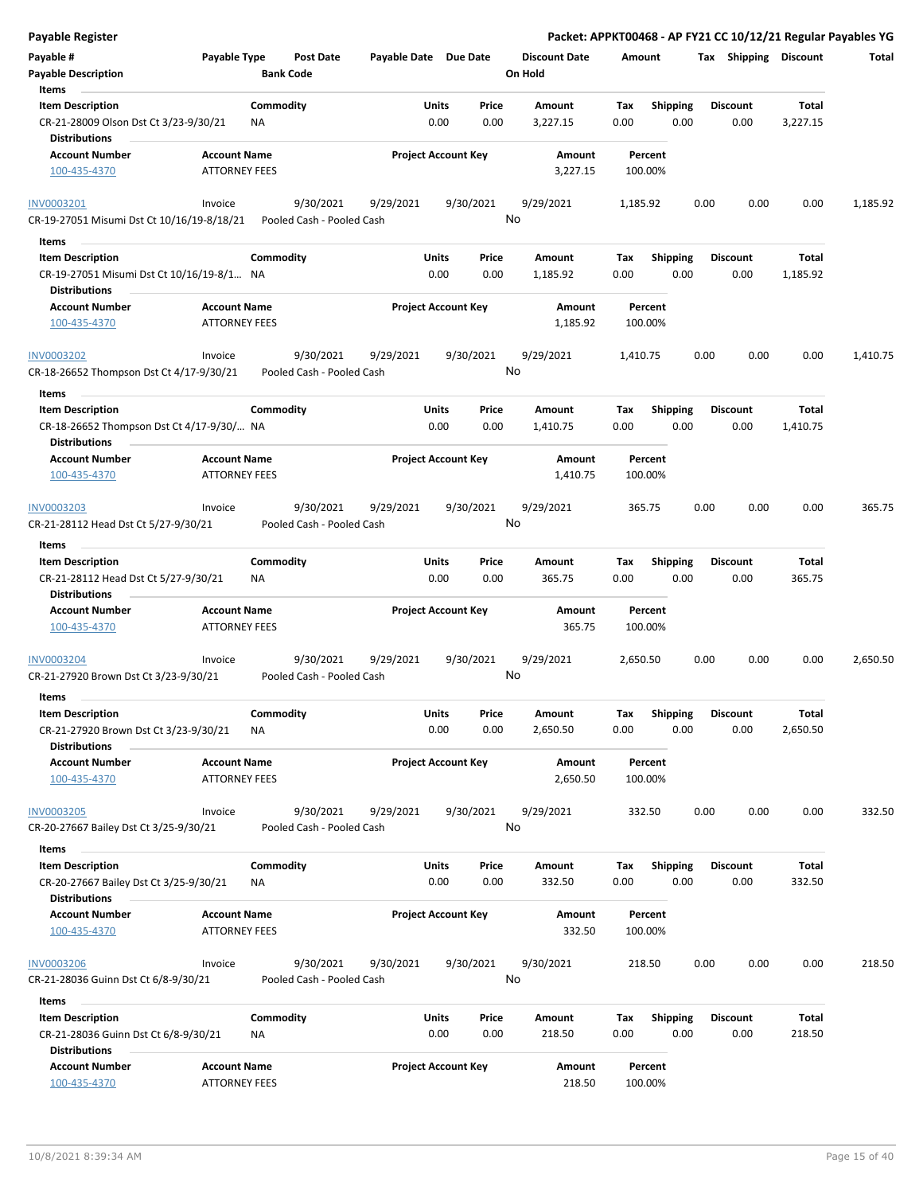| <b>Payable Register</b>                                                                      |                                             |                  |                                        |                       |               |                            |                      |                    |             |                    |      |      |                         |                   | Packet: APPKT00468 - AP FY21 CC 10/12/21 Regular Payables YG |
|----------------------------------------------------------------------------------------------|---------------------------------------------|------------------|----------------------------------------|-----------------------|---------------|----------------------------|----------------------|--------------------|-------------|--------------------|------|------|-------------------------|-------------------|--------------------------------------------------------------|
| Payable #                                                                                    | Payable Type                                |                  | Post Date                              | Payable Date Due Date |               |                            | <b>Discount Date</b> |                    | Amount      |                    |      |      | Tax Shipping Discount   |                   | Total                                                        |
| <b>Payable Description</b><br>Items                                                          |                                             | <b>Bank Code</b> |                                        |                       |               |                            | On Hold              |                    |             |                    |      |      |                         |                   |                                                              |
| <b>Item Description</b>                                                                      |                                             | Commodity        |                                        |                       | Units         | Price                      | Amount               |                    | Tax         | <b>Shipping</b>    |      |      | <b>Discount</b>         | Total             |                                                              |
| CR-21-28009 Olson Dst Ct 3/23-9/30/21<br><b>Distributions</b>                                |                                             | ΝA               |                                        |                       | 0.00          | 0.00                       | 3,227.15             |                    | 0.00        |                    | 0.00 |      | 0.00                    | 3,227.15          |                                                              |
| <b>Account Number</b>                                                                        | <b>Account Name</b>                         |                  |                                        |                       |               | <b>Project Account Key</b> |                      | Amount             |             | Percent            |      |      |                         |                   |                                                              |
| 100-435-4370                                                                                 | <b>ATTORNEY FEES</b>                        |                  |                                        |                       |               |                            |                      | 3,227.15           |             | 100.00%            |      |      |                         |                   |                                                              |
| <b>INV0003201</b><br>CR-19-27051 Misumi Dst Ct 10/16/19-8/18/21                              | Invoice                                     |                  | 9/30/2021<br>Pooled Cash - Pooled Cash | 9/29/2021             |               | 9/30/2021                  | 9/29/2021<br>No      |                    | 1,185.92    |                    |      | 0.00 | 0.00                    | 0.00              | 1,185.92                                                     |
|                                                                                              |                                             |                  |                                        |                       |               |                            |                      |                    |             |                    |      |      |                         |                   |                                                              |
| Items                                                                                        |                                             |                  |                                        |                       |               |                            |                      |                    |             |                    |      |      |                         |                   |                                                              |
| <b>Item Description</b><br>CR-19-27051 Misumi Dst Ct 10/16/19-8/1 NA<br>Distributions        |                                             | Commodity        |                                        |                       | Units<br>0.00 | Price<br>0.00              | Amount<br>1,185.92   |                    | Tax<br>0.00 | <b>Shipping</b>    | 0.00 |      | <b>Discount</b><br>0.00 | Total<br>1,185.92 |                                                              |
| <b>Account Number</b>                                                                        | <b>Account Name</b>                         |                  |                                        |                       |               | <b>Project Account Key</b> |                      | Amount             |             | Percent            |      |      |                         |                   |                                                              |
| 100-435-4370                                                                                 | ATTORNEY FEES                               |                  |                                        |                       |               |                            |                      | 1,185.92           |             | 100.00%            |      |      |                         |                   |                                                              |
| <b>INV0003202</b><br>CR-18-26652 Thompson Dst Ct 4/17-9/30/21                                | Invoice                                     |                  | 9/30/2021<br>Pooled Cash - Pooled Cash | 9/29/2021             |               | 9/30/2021                  | 9/29/2021<br>No      |                    | 1,410.75    |                    |      | 0.00 | 0.00                    | 0.00              | 1,410.75                                                     |
| Items                                                                                        |                                             |                  |                                        |                       |               |                            |                      |                    |             |                    |      |      |                         |                   |                                                              |
| <b>Item Description</b><br>CR-18-26652 Thompson Dst Ct 4/17-9/30/ NA<br><b>Distributions</b> |                                             | Commodity        |                                        |                       | Units<br>0.00 | Price<br>0.00              | Amount<br>1,410.75   |                    | Tax<br>0.00 | <b>Shipping</b>    | 0.00 |      | <b>Discount</b><br>0.00 | Total<br>1,410.75 |                                                              |
| <b>Account Number</b>                                                                        | <b>Account Name</b>                         |                  |                                        |                       |               | <b>Project Account Key</b> |                      | Amount             |             | Percent            |      |      |                         |                   |                                                              |
| 100-435-4370                                                                                 | <b>ATTORNEY FEES</b>                        |                  |                                        |                       |               |                            |                      | 1,410.75           |             | 100.00%            |      |      |                         |                   |                                                              |
| INV0003203                                                                                   | Invoice                                     |                  | 9/30/2021                              | 9/29/2021             |               | 9/30/2021                  | 9/29/2021            |                    | 365.75      |                    |      | 0.00 | 0.00                    | 0.00              | 365.75                                                       |
| CR-21-28112 Head Dst Ct 5/27-9/30/21                                                         |                                             |                  | Pooled Cash - Pooled Cash              |                       |               |                            | No                   |                    |             |                    |      |      |                         |                   |                                                              |
| Items                                                                                        |                                             |                  |                                        |                       |               |                            |                      |                    |             |                    |      |      |                         |                   |                                                              |
| <b>Item Description</b>                                                                      |                                             | Commodity        |                                        |                       | Units         | Price                      | Amount               |                    | Tax         | <b>Shipping</b>    |      |      | <b>Discount</b>         | Total             |                                                              |
| CR-21-28112 Head Dst Ct 5/27-9/30/21<br><b>Distributions</b>                                 |                                             | <b>NA</b>        |                                        |                       | 0.00          | 0.00                       | 365.75               |                    | 0.00        |                    | 0.00 |      | 0.00                    | 365.75            |                                                              |
| <b>Account Number</b>                                                                        | <b>Account Name</b>                         |                  |                                        |                       |               | <b>Project Account Key</b> |                      | Amount             |             | Percent            |      |      |                         |                   |                                                              |
| 100-435-4370                                                                                 | <b>ATTORNEY FEES</b>                        |                  |                                        |                       |               |                            |                      | 365.75             |             | 100.00%            |      |      |                         |                   |                                                              |
| INV0003204                                                                                   | Invoice                                     |                  | 9/30/2021                              | 9/29/2021             |               | 9/30/2021                  | 9/29/2021            |                    | 2,650.50    |                    |      | 0.00 | 0.00                    | 0.00              | 2,650.50                                                     |
| CR-21-27920 Brown Dst Ct 3/23-9/30/21<br>Items                                               |                                             |                  | Pooled Cash - Pooled Cash              |                       |               |                            | No                   |                    |             |                    |      |      |                         |                   |                                                              |
| <b>Item Description</b>                                                                      |                                             | Commodity        |                                        |                       | Units         | Price                      | Amount               |                    | Tax         | Shipping           |      |      | <b>Discount</b>         | Total             |                                                              |
| CR-21-27920 Brown Dst Ct 3/23-9/30/21<br><b>Distributions</b>                                |                                             | <b>NA</b>        |                                        |                       | 0.00          | 0.00                       | 2,650.50             |                    | 0.00        |                    | 0.00 |      | 0.00                    | 2,650.50          |                                                              |
| <b>Account Number</b><br>100-435-4370                                                        | <b>Account Name</b><br><b>ATTORNEY FEES</b> |                  |                                        |                       |               | <b>Project Account Key</b> |                      | Amount<br>2,650.50 |             | Percent<br>100.00% |      |      |                         |                   |                                                              |
| <b>INV0003205</b>                                                                            | Invoice                                     |                  | 9/30/2021                              | 9/29/2021             |               | 9/30/2021                  | 9/29/2021            |                    | 332.50      |                    |      | 0.00 | 0.00                    | 0.00              | 332.50                                                       |
| CR-20-27667 Bailey Dst Ct 3/25-9/30/21                                                       |                                             |                  | Pooled Cash - Pooled Cash              |                       |               |                            | No                   |                    |             |                    |      |      |                         |                   |                                                              |
| Items                                                                                        |                                             |                  |                                        |                       |               |                            |                      |                    |             |                    |      |      |                         |                   |                                                              |
| <b>Item Description</b>                                                                      |                                             | Commodity        |                                        |                       | Units         | Price                      | Amount               |                    | Tax         | <b>Shipping</b>    |      |      | <b>Discount</b>         | Total             |                                                              |
| CR-20-27667 Bailey Dst Ct 3/25-9/30/21<br><b>Distributions</b>                               |                                             | ΝA               |                                        |                       | 0.00          | 0.00                       | 332.50               |                    | 0.00        |                    | 0.00 |      | 0.00                    | 332.50            |                                                              |
| <b>Account Number</b><br>100-435-4370                                                        | <b>Account Name</b><br><b>ATTORNEY FEES</b> |                  |                                        |                       |               | <b>Project Account Key</b> |                      | Amount<br>332.50   |             | Percent<br>100.00% |      |      |                         |                   |                                                              |
| <b>INV0003206</b><br>CR-21-28036 Guinn Dst Ct 6/8-9/30/21                                    | Invoice                                     |                  | 9/30/2021<br>Pooled Cash - Pooled Cash | 9/30/2021             |               | 9/30/2021                  | 9/30/2021<br>No      |                    | 218.50      |                    |      | 0.00 | 0.00                    | 0.00              | 218.50                                                       |
| Items                                                                                        |                                             |                  |                                        |                       |               |                            |                      |                    |             |                    |      |      |                         |                   |                                                              |
| <b>Item Description</b>                                                                      |                                             | Commodity        |                                        |                       | Units         | Price                      | Amount               |                    | Tax         | Shipping           |      |      | Discount                | Total             |                                                              |
| CR-21-28036 Guinn Dst Ct 6/8-9/30/21<br><b>Distributions</b>                                 |                                             | <b>NA</b>        |                                        |                       | 0.00          | 0.00                       | 218.50               |                    | 0.00        |                    | 0.00 |      | 0.00                    | 218.50            |                                                              |
| <b>Account Number</b><br>100-435-4370                                                        | <b>Account Name</b><br>ATTORNEY FEES        |                  |                                        |                       |               | <b>Project Account Key</b> |                      | Amount<br>218.50   |             | Percent<br>100.00% |      |      |                         |                   |                                                              |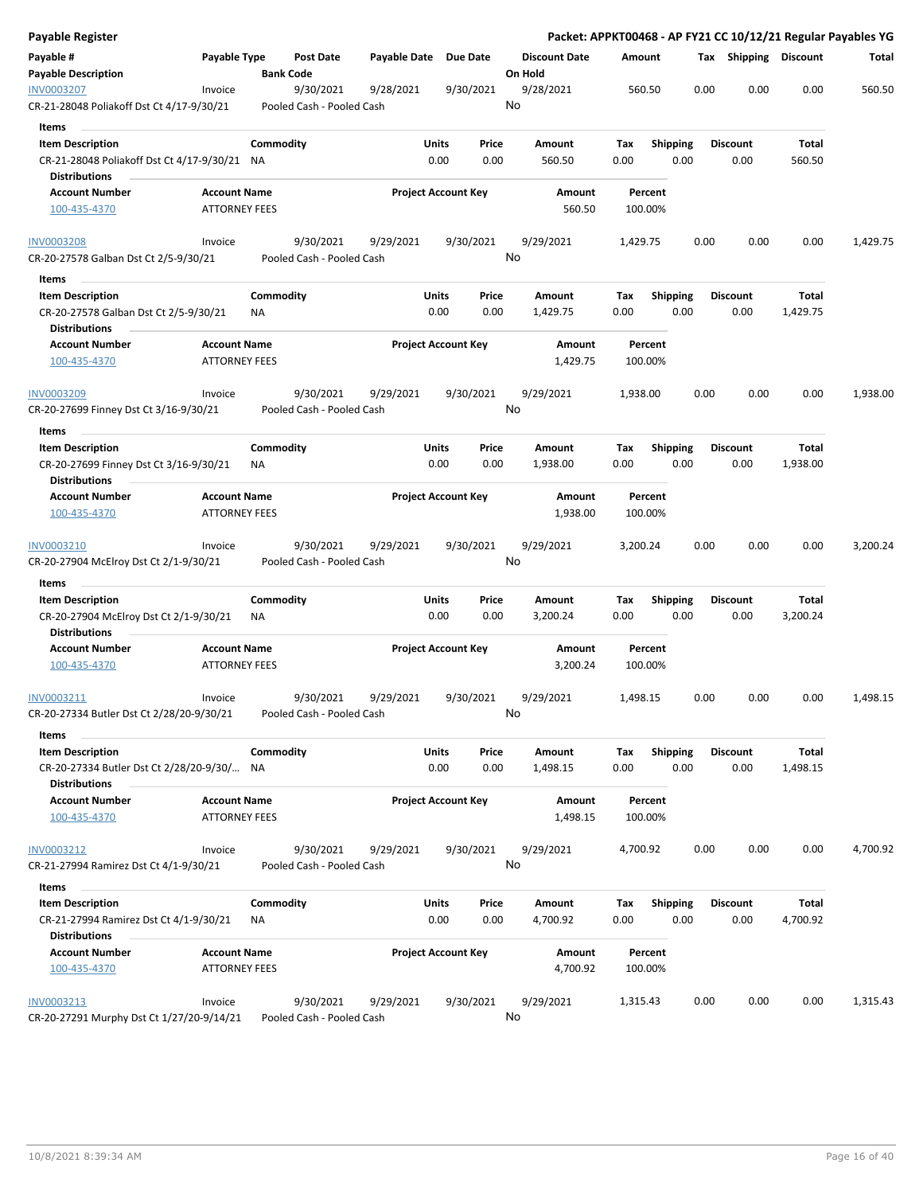| Payable Register                                                   |                      |           |                           |                       |                            |           |                      |          |                 |      |                       |          | Packet: APPKT00468 - AP FY21 CC 10/12/21 Regular Payables YG |
|--------------------------------------------------------------------|----------------------|-----------|---------------------------|-----------------------|----------------------------|-----------|----------------------|----------|-----------------|------|-----------------------|----------|--------------------------------------------------------------|
| Payable #                                                          | Payable Type         |           | <b>Post Date</b>          | Payable Date Due Date |                            |           | <b>Discount Date</b> | Amount   |                 |      | Tax Shipping Discount |          | Total                                                        |
| <b>Payable Description</b>                                         |                      |           | <b>Bank Code</b>          |                       |                            |           | On Hold              |          |                 |      |                       |          |                                                              |
| <b>INV0003207</b>                                                  | Invoice              |           | 9/30/2021                 | 9/28/2021             |                            | 9/30/2021 | 9/28/2021            | 560.50   |                 | 0.00 | 0.00                  | 0.00     | 560.50                                                       |
| CR-21-28048 Poliakoff Dst Ct 4/17-9/30/21                          |                      |           | Pooled Cash - Pooled Cash |                       |                            |           | No                   |          |                 |      |                       |          |                                                              |
| <b>Items</b>                                                       |                      |           |                           |                       |                            |           |                      |          |                 |      |                       |          |                                                              |
| <b>Item Description</b>                                            |                      | Commodity |                           |                       | Units                      | Price     | Amount               | Tax      | <b>Shipping</b> |      | <b>Discount</b>       | Total    |                                                              |
| CR-21-28048 Poliakoff Dst Ct 4/17-9/30/21 NA                       |                      |           |                           |                       | 0.00                       | 0.00      | 560.50               | 0.00     | 0.00            |      | 0.00                  | 560.50   |                                                              |
| <b>Distributions</b>                                               |                      |           |                           |                       |                            |           |                      |          |                 |      |                       |          |                                                              |
| <b>Account Number</b>                                              | <b>Account Name</b>  |           |                           |                       | <b>Project Account Key</b> |           | Amount               | Percent  |                 |      |                       |          |                                                              |
| 100-435-4370                                                       | <b>ATTORNEY FEES</b> |           |                           |                       |                            |           | 560.50               | 100.00%  |                 |      |                       |          |                                                              |
| <b>INV0003208</b>                                                  | Invoice              |           | 9/30/2021                 | 9/29/2021             |                            | 9/30/2021 | 9/29/2021            | 1,429.75 |                 | 0.00 | 0.00                  | 0.00     | 1,429.75                                                     |
| CR-20-27578 Galban Dst Ct 2/5-9/30/21                              |                      |           | Pooled Cash - Pooled Cash |                       |                            |           | No                   |          |                 |      |                       |          |                                                              |
| Items                                                              |                      |           |                           |                       |                            |           |                      |          |                 |      |                       |          |                                                              |
| <b>Item Description</b>                                            |                      | Commodity |                           |                       | Units                      | Price     | Amount               | Tax      | <b>Shipping</b> |      | <b>Discount</b>       | Total    |                                                              |
| CR-20-27578 Galban Dst Ct 2/5-9/30/21<br><b>Distributions</b>      |                      | ΝA        |                           |                       | 0.00                       | 0.00      | 1,429.75             | 0.00     | 0.00            |      | 0.00                  | 1,429.75 |                                                              |
| <b>Account Number</b>                                              | <b>Account Name</b>  |           |                           |                       | <b>Project Account Key</b> |           | Amount               | Percent  |                 |      |                       |          |                                                              |
| 100-435-4370                                                       | <b>ATTORNEY FEES</b> |           |                           |                       |                            |           | 1,429.75             | 100.00%  |                 |      |                       |          |                                                              |
| INV0003209                                                         | Invoice              |           | 9/30/2021                 | 9/29/2021             |                            | 9/30/2021 | 9/29/2021            | 1,938.00 |                 | 0.00 | 0.00                  | 0.00     | 1,938.00                                                     |
| CR-20-27699 Finney Dst Ct 3/16-9/30/21                             |                      |           | Pooled Cash - Pooled Cash |                       |                            |           | No                   |          |                 |      |                       |          |                                                              |
| Items                                                              |                      |           |                           |                       |                            |           |                      |          |                 |      |                       |          |                                                              |
| <b>Item Description</b>                                            |                      | Commodity |                           |                       | <b>Units</b>               | Price     | <b>Amount</b>        | Tax      | <b>Shipping</b> |      | <b>Discount</b>       | Total    |                                                              |
| CR-20-27699 Finney Dst Ct 3/16-9/30/21                             |                      | ΝA        |                           |                       | 0.00                       | 0.00      | 1,938.00             | 0.00     | 0.00            |      | 0.00                  | 1,938.00 |                                                              |
| <b>Distributions</b>                                               |                      |           |                           |                       |                            |           |                      |          |                 |      |                       |          |                                                              |
| <b>Account Number</b>                                              | <b>Account Name</b>  |           |                           |                       | <b>Project Account Key</b> |           | Amount               | Percent  |                 |      |                       |          |                                                              |
| 100-435-4370                                                       | <b>ATTORNEY FEES</b> |           |                           |                       |                            |           | 1,938.00             | 100.00%  |                 |      |                       |          |                                                              |
| INV0003210                                                         | Invoice              |           | 9/30/2021                 | 9/29/2021             |                            | 9/30/2021 | 9/29/2021            | 3,200.24 |                 | 0.00 | 0.00                  | 0.00     | 3,200.24                                                     |
| CR-20-27904 McElroy Dst Ct 2/1-9/30/21                             |                      |           | Pooled Cash - Pooled Cash |                       |                            |           | No                   |          |                 |      |                       |          |                                                              |
| Items                                                              |                      |           |                           |                       |                            |           |                      |          |                 |      |                       |          |                                                              |
| <b>Item Description</b>                                            |                      | Commodity |                           |                       | Units                      | Price     | Amount               | Тах      | <b>Shipping</b> |      | <b>Discount</b>       | Total    |                                                              |
| CR-20-27904 McElroy Dst Ct 2/1-9/30/21                             |                      | ΝA        |                           |                       | 0.00                       | 0.00      | 3,200.24             | 0.00     | 0.00            |      | 0.00                  | 3,200.24 |                                                              |
| <b>Distributions</b>                                               |                      |           |                           |                       |                            |           |                      |          |                 |      |                       |          |                                                              |
| <b>Account Number</b>                                              | <b>Account Name</b>  |           |                           |                       | <b>Project Account Key</b> |           | Amount               | Percent  |                 |      |                       |          |                                                              |
| 100-435-4370                                                       | <b>ATTORNEY FEES</b> |           |                           |                       |                            |           | 3,200.24             | 100.00%  |                 |      |                       |          |                                                              |
| INV0003211                                                         | Invoice              |           | 9/30/2021                 | 9/29/2021             |                            | 9/30/2021 | 9/29/2021            | 1,498.15 |                 | 0.00 | 0.00                  | 0.00     | 1,498.15                                                     |
| CR-20-27334 Butler Dst Ct 2/28/20-9/30/21                          |                      |           | Pooled Cash - Pooled Cash |                       |                            |           | No                   |          |                 |      |                       |          |                                                              |
| Items                                                              |                      |           |                           |                       |                            |           |                      |          |                 |      |                       |          |                                                              |
| <b>Item Description</b>                                            |                      | Commodity |                           |                       | Units                      | Price     | Amount               | Tax      | <b>Shipping</b> |      | <b>Discount</b>       | Total    |                                                              |
| CR-20-27334 Butler Dst Ct 2/28/20-9/30/ NA<br><b>Distributions</b> |                      |           |                           |                       | 0.00                       | 0.00      | 1,498.15             | 0.00     | 0.00            |      | 0.00                  | 1,498.15 |                                                              |
| <b>Account Number</b>                                              | <b>Account Name</b>  |           |                           |                       | <b>Project Account Key</b> |           | Amount               | Percent  |                 |      |                       |          |                                                              |
| 100-435-4370                                                       | <b>ATTORNEY FEES</b> |           |                           |                       |                            |           | 1,498.15             | 100.00%  |                 |      |                       |          |                                                              |
| INV0003212                                                         | Invoice              |           | 9/30/2021                 | 9/29/2021             |                            | 9/30/2021 | 9/29/2021            | 4,700.92 |                 | 0.00 | 0.00                  | 0.00     | 4,700.92                                                     |
| CR-21-27994 Ramirez Dst Ct 4/1-9/30/21                             |                      |           | Pooled Cash - Pooled Cash |                       |                            |           | No                   |          |                 |      |                       |          |                                                              |
| Items                                                              |                      |           |                           |                       |                            |           |                      |          |                 |      |                       |          |                                                              |
| <b>Item Description</b>                                            |                      | Commodity |                           |                       | Units                      | Price     | Amount               | Tax      | <b>Shipping</b> |      | <b>Discount</b>       | Total    |                                                              |
| CR-21-27994 Ramirez Dst Ct 4/1-9/30/21                             |                      | ΝA        |                           |                       | 0.00                       | 0.00      | 4,700.92             | 0.00     | 0.00            |      | 0.00                  | 4,700.92 |                                                              |
| <b>Distributions</b>                                               |                      |           |                           |                       |                            |           |                      |          |                 |      |                       |          |                                                              |
| <b>Account Number</b>                                              | <b>Account Name</b>  |           |                           |                       | <b>Project Account Key</b> |           | Amount               | Percent  |                 |      |                       |          |                                                              |
| 100-435-4370                                                       | <b>ATTORNEY FEES</b> |           |                           |                       |                            |           | 4,700.92             | 100.00%  |                 |      |                       |          |                                                              |
| INV0003213                                                         | Invoice              |           | 9/30/2021                 | 9/29/2021             |                            | 9/30/2021 | 9/29/2021            | 1,315.43 |                 | 0.00 | 0.00                  | 0.00     | 1,315.43                                                     |
| CR-20-27291 Murphy Dst Ct 1/27/20-9/14/21                          |                      |           | Pooled Cash - Pooled Cash |                       |                            |           | No                   |          |                 |      |                       |          |                                                              |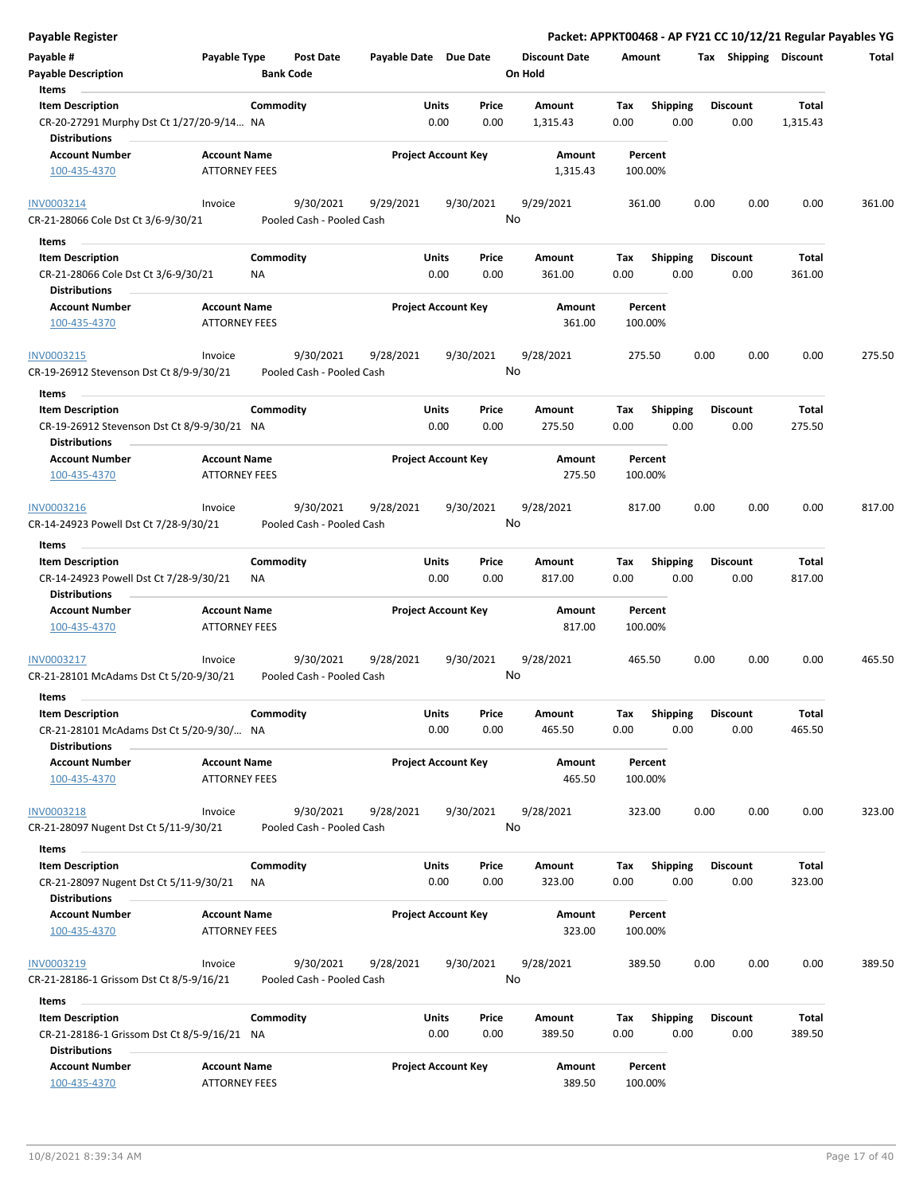| <b>Payable Register</b>                                                                        |                                             |                  |                                        |                       |               |                            |                      |             |                         |      |                         |                 | Packet: APPKT00468 - AP FY21 CC 10/12/21 Regular Payables YG |
|------------------------------------------------------------------------------------------------|---------------------------------------------|------------------|----------------------------------------|-----------------------|---------------|----------------------------|----------------------|-------------|-------------------------|------|-------------------------|-----------------|--------------------------------------------------------------|
| Payable #                                                                                      | Payable Type                                |                  | Post Date                              | Payable Date Due Date |               |                            | <b>Discount Date</b> | Amount      |                         |      | Tax Shipping Discount   |                 | Total                                                        |
| <b>Payable Description</b>                                                                     |                                             | <b>Bank Code</b> |                                        |                       |               |                            | On Hold              |             |                         |      |                         |                 |                                                              |
| Items                                                                                          |                                             |                  |                                        |                       |               |                            |                      |             |                         |      |                         |                 |                                                              |
| <b>Item Description</b>                                                                        |                                             | Commodity        |                                        |                       | Units         | Price                      | Amount               | Tax         | <b>Shipping</b>         |      | <b>Discount</b>         | Total           |                                                              |
| CR-20-27291 Murphy Dst Ct 1/27/20-9/14 NA                                                      |                                             |                  |                                        |                       | 0.00          | 0.00                       | 1,315.43             | 0.00        | 0.00                    |      | 0.00                    | 1,315.43        |                                                              |
| <b>Distributions</b>                                                                           |                                             |                  |                                        |                       |               |                            |                      |             |                         |      |                         |                 |                                                              |
| Account Number                                                                                 | <b>Account Name</b>                         |                  |                                        |                       |               | <b>Project Account Key</b> | Amount               |             | Percent                 |      |                         |                 |                                                              |
| 100-435-4370                                                                                   | <b>ATTORNEY FEES</b>                        |                  |                                        |                       |               |                            | 1,315.43             |             | 100.00%                 |      |                         |                 |                                                              |
| INV0003214<br>CR-21-28066 Cole Dst Ct 3/6-9/30/21                                              | Invoice                                     |                  | 9/30/2021<br>Pooled Cash - Pooled Cash | 9/29/2021             |               | 9/30/2021                  | 9/29/2021<br>No      |             | 361.00                  | 0.00 | 0.00                    | 0.00            | 361.00                                                       |
| Items                                                                                          |                                             |                  |                                        |                       |               |                            |                      |             |                         |      |                         |                 |                                                              |
| <b>Item Description</b>                                                                        |                                             | Commodity        |                                        |                       | Units         | Price                      | Amount               | Тах         | <b>Shipping</b>         |      | <b>Discount</b>         | Total           |                                                              |
| CR-21-28066 Cole Dst Ct 3/6-9/30/21<br><b>Distributions</b>                                    |                                             | ΝA               |                                        |                       | 0.00          | 0.00                       | 361.00               | 0.00        | 0.00                    |      | 0.00                    | 361.00          |                                                              |
| <b>Account Number</b>                                                                          | <b>Account Name</b>                         |                  |                                        |                       |               | <b>Project Account Key</b> | Amount               |             | Percent                 |      |                         |                 |                                                              |
| 100-435-4370                                                                                   | <b>ATTORNEY FEES</b>                        |                  |                                        |                       |               |                            | 361.00               |             | 100.00%                 |      |                         |                 |                                                              |
| INV0003215                                                                                     | Invoice                                     |                  | 9/30/2021                              | 9/28/2021             |               | 9/30/2021                  | 9/28/2021            |             | 275.50                  | 0.00 | 0.00                    | 0.00            | 275.50                                                       |
| CR-19-26912 Stevenson Dst Ct 8/9-9/30/21                                                       |                                             |                  | Pooled Cash - Pooled Cash              |                       |               |                            | No                   |             |                         |      |                         |                 |                                                              |
| Items                                                                                          |                                             |                  |                                        |                       |               |                            |                      |             |                         |      |                         |                 |                                                              |
| <b>Item Description</b><br>CR-19-26912 Stevenson Dst Ct 8/9-9/30/21 NA<br><b>Distributions</b> |                                             | Commodity        |                                        |                       | Units<br>0.00 | Price<br>0.00              | Amount<br>275.50     | Tax<br>0.00 | <b>Shipping</b><br>0.00 |      | <b>Discount</b><br>0.00 | Total<br>275.50 |                                                              |
| <b>Account Number</b>                                                                          | <b>Account Name</b>                         |                  |                                        |                       |               | <b>Project Account Key</b> | Amount               |             | Percent                 |      |                         |                 |                                                              |
| 100-435-4370                                                                                   | <b>ATTORNEY FEES</b>                        |                  |                                        |                       |               |                            | 275.50               |             | 100.00%                 |      |                         |                 |                                                              |
| INV0003216                                                                                     | Invoice                                     |                  | 9/30/2021                              | 9/28/2021             |               | 9/30/2021                  | 9/28/2021            |             | 817.00                  | 0.00 | 0.00                    | 0.00            | 817.00                                                       |
| CR-14-24923 Powell Dst Ct 7/28-9/30/21                                                         |                                             |                  | Pooled Cash - Pooled Cash              |                       |               |                            | No                   |             |                         |      |                         |                 |                                                              |
| Items                                                                                          |                                             |                  |                                        |                       |               |                            |                      |             |                         |      |                         |                 |                                                              |
| <b>Item Description</b>                                                                        |                                             | Commodity        |                                        |                       | Units         | Price                      | Amount               | Tax         | <b>Shipping</b>         |      | <b>Discount</b>         | Total           |                                                              |
| CR-14-24923 Powell Dst Ct 7/28-9/30/21                                                         |                                             | NA               |                                        |                       | 0.00          | 0.00                       | 817.00               | 0.00        | 0.00                    |      | 0.00                    | 817.00          |                                                              |
| <b>Distributions</b>                                                                           | <b>Account Name</b>                         |                  |                                        |                       |               |                            |                      |             |                         |      |                         |                 |                                                              |
| <b>Account Number</b><br>100-435-4370                                                          | <b>ATTORNEY FEES</b>                        |                  |                                        |                       |               | <b>Project Account Key</b> | Amount<br>817.00     |             | Percent<br>100.00%      |      |                         |                 |                                                              |
| INV0003217                                                                                     | Invoice                                     |                  | 9/30/2021                              | 9/28/2021             |               | 9/30/2021                  | 9/28/2021            |             | 465.50                  | 0.00 | 0.00                    | 0.00            | 465.50                                                       |
| CR-21-28101 McAdams Dst Ct 5/20-9/30/21                                                        |                                             |                  | Pooled Cash - Pooled Cash              |                       |               |                            | No                   |             |                         |      |                         |                 |                                                              |
|                                                                                                |                                             |                  |                                        |                       |               |                            |                      |             |                         |      |                         |                 |                                                              |
| Items                                                                                          |                                             |                  |                                        |                       |               |                            |                      |             |                         |      |                         |                 |                                                              |
| <b>Item Description</b>                                                                        |                                             | Commodity        |                                        |                       | Units         | Price                      | Amount               | Tax         | <b>Shipping</b>         |      | <b>Discount</b>         | Total           |                                                              |
| CR-21-28101 McAdams Dst Ct 5/20-9/30/ NA                                                       |                                             |                  |                                        |                       | 0.00          | 0.00                       | 465.50               | 0.00        | 0.00                    |      | 0.00                    | 465.50          |                                                              |
| <b>Distributions</b>                                                                           |                                             |                  |                                        |                       |               |                            |                      |             |                         |      |                         |                 |                                                              |
| Account Number<br>100-435-4370                                                                 | <b>Account Name</b><br><b>ATTORNEY FEES</b> |                  |                                        |                       |               | <b>Project Account Key</b> | Amount<br>465.50     |             | Percent<br>100.00%      |      |                         |                 |                                                              |
|                                                                                                |                                             |                  |                                        |                       |               |                            |                      |             |                         |      |                         |                 |                                                              |
| INV0003218                                                                                     | Invoice                                     |                  | 9/30/2021                              | 9/28/2021             |               | 9/30/2021                  | 9/28/2021            |             | 323.00                  | 0.00 | 0.00                    | 0.00            | 323.00                                                       |
| CR-21-28097 Nugent Dst Ct 5/11-9/30/21                                                         |                                             |                  | Pooled Cash - Pooled Cash              |                       |               |                            | No                   |             |                         |      |                         |                 |                                                              |
| Items                                                                                          |                                             |                  |                                        |                       |               |                            |                      |             |                         |      |                         |                 |                                                              |
| <b>Item Description</b>                                                                        |                                             | Commodity        |                                        |                       | <b>Units</b>  | Price                      | <b>Amount</b>        | Tax         | Shipping                |      | <b>Discount</b>         | Total           |                                                              |
| CR-21-28097 Nugent Dst Ct 5/11-9/30/21<br><b>Distributions</b>                                 |                                             | ΝA               |                                        |                       | 0.00          | 0.00                       | 323.00               | 0.00        | 0.00                    |      | 0.00                    | 323.00          |                                                              |
| <b>Account Number</b>                                                                          | <b>Account Name</b>                         |                  |                                        |                       |               | <b>Project Account Key</b> | Amount               |             | Percent                 |      |                         |                 |                                                              |
| 100-435-4370                                                                                   | <b>ATTORNEY FEES</b>                        |                  |                                        |                       |               |                            | 323.00               |             | 100.00%                 |      |                         |                 |                                                              |
| INV0003219                                                                                     | Invoice                                     |                  | 9/30/2021                              | 9/28/2021             |               | 9/30/2021                  | 9/28/2021            |             | 389.50                  | 0.00 | 0.00                    | 0.00            | 389.50                                                       |
| CR-21-28186-1 Grissom Dst Ct 8/5-9/16/21                                                       |                                             |                  | Pooled Cash - Pooled Cash              |                       |               |                            | No                   |             |                         |      |                         |                 |                                                              |
| Items                                                                                          |                                             |                  |                                        |                       |               |                            |                      |             |                         |      |                         |                 |                                                              |
| <b>Item Description</b>                                                                        |                                             | Commodity        |                                        |                       | Units         | Price                      | Amount               | Tax         | <b>Shipping</b>         |      | <b>Discount</b>         | Total           |                                                              |
| CR-21-28186-1 Grissom Dst Ct 8/5-9/16/21 NA<br><b>Distributions</b>                            |                                             |                  |                                        |                       | 0.00          | 0.00                       | 389.50               | 0.00        | 0.00                    |      | 0.00                    | 389.50          |                                                              |
| <b>Account Number</b>                                                                          | <b>Account Name</b>                         |                  |                                        |                       |               | <b>Project Account Key</b> | Amount               |             | Percent                 |      |                         |                 |                                                              |
| 100-435-4370                                                                                   | <b>ATTORNEY FEES</b>                        |                  |                                        |                       |               |                            | 389.50               |             | 100.00%                 |      |                         |                 |                                                              |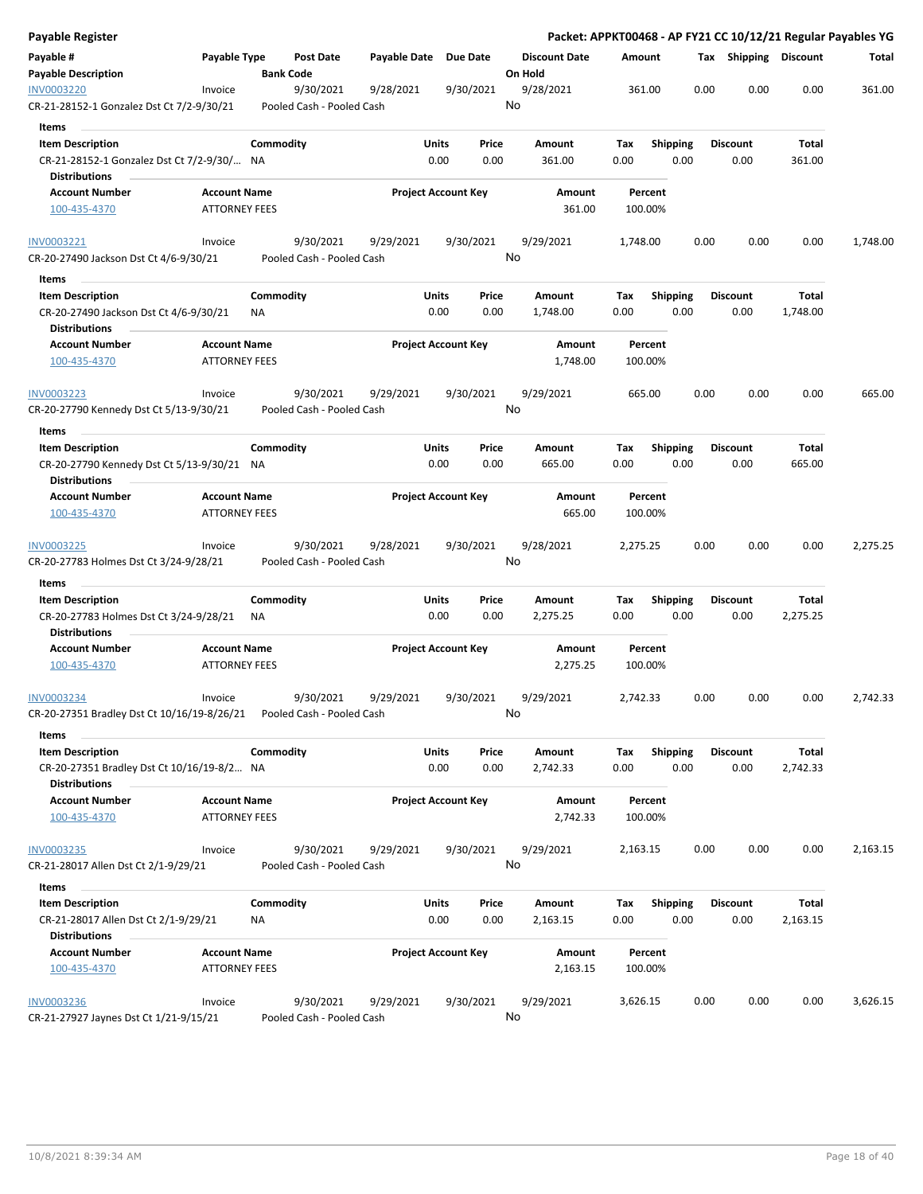| Payable Register                                                                          |                                             |                  |                                        |              |                            |               |                                 |             |                    |                         |      |                         |                   | Packet: APPKT00468 - AP FY21 CC 10/12/21 Regular Payables YG |
|-------------------------------------------------------------------------------------------|---------------------------------------------|------------------|----------------------------------------|--------------|----------------------------|---------------|---------------------------------|-------------|--------------------|-------------------------|------|-------------------------|-------------------|--------------------------------------------------------------|
| Payable #<br><b>Payable Description</b>                                                   | Payable Type                                | <b>Bank Code</b> | <b>Post Date</b>                       | Payable Date |                            | Due Date      | <b>Discount Date</b><br>On Hold | Amount      |                    |                         |      | Tax Shipping Discount   |                   | Total                                                        |
| <b>INV0003220</b><br>CR-21-28152-1 Gonzalez Dst Ct 7/2-9/30/21                            | Invoice                                     |                  | 9/30/2021<br>Pooled Cash - Pooled Cash | 9/28/2021    |                            | 9/30/2021     | 9/28/2021<br>No                 |             | 361.00             |                         | 0.00 | 0.00                    | 0.00              | 361.00                                                       |
| Items                                                                                     |                                             |                  |                                        |              |                            |               |                                 |             |                    |                         |      |                         |                   |                                                              |
| <b>Item Description</b>                                                                   |                                             | Commodity        |                                        |              | Units                      | Price         | Amount                          | Tax         |                    | <b>Shipping</b>         |      | <b>Discount</b>         | Total             |                                                              |
| CR-21-28152-1 Gonzalez Dst Ct 7/2-9/30/ NA                                                |                                             |                  |                                        |              | 0.00                       | 0.00          | 361.00                          | 0.00        |                    | 0.00                    |      | 0.00                    | 361.00            |                                                              |
| <b>Distributions</b>                                                                      |                                             |                  |                                        |              |                            |               |                                 |             |                    |                         |      |                         |                   |                                                              |
| <b>Account Number</b>                                                                     | <b>Account Name</b>                         |                  |                                        |              | <b>Project Account Key</b> |               | Amount                          |             | Percent            |                         |      |                         |                   |                                                              |
| 100-435-4370                                                                              | <b>ATTORNEY FEES</b>                        |                  |                                        |              |                            |               | 361.00                          |             | 100.00%            |                         |      |                         |                   |                                                              |
| INV0003221                                                                                | Invoice                                     |                  | 9/30/2021                              | 9/29/2021    |                            | 9/30/2021     | 9/29/2021                       | 1,748.00    |                    |                         | 0.00 | 0.00                    | 0.00              | 1,748.00                                                     |
| CR-20-27490 Jackson Dst Ct 4/6-9/30/21                                                    |                                             |                  | Pooled Cash - Pooled Cash              |              |                            |               | No                              |             |                    |                         |      |                         |                   |                                                              |
| Items                                                                                     |                                             |                  |                                        |              |                            |               |                                 |             |                    |                         |      |                         |                   |                                                              |
| <b>Item Description</b><br>CR-20-27490 Jackson Dst Ct 4/6-9/30/21<br><b>Distributions</b> |                                             | Commodity<br>ΝA  |                                        |              | Units<br>0.00              | Price<br>0.00 | Amount<br>1,748.00              | Tax<br>0.00 |                    | <b>Shipping</b><br>0.00 |      | <b>Discount</b><br>0.00 | Total<br>1,748.00 |                                                              |
| <b>Account Number</b><br>100-435-4370                                                     | <b>Account Name</b><br><b>ATTORNEY FEES</b> |                  |                                        |              | <b>Project Account Key</b> |               | Amount<br>1,748.00              |             | Percent<br>100.00% |                         |      |                         |                   |                                                              |
| INV0003223                                                                                | Invoice                                     |                  | 9/30/2021                              | 9/29/2021    |                            | 9/30/2021     | 9/29/2021                       |             | 665.00             |                         | 0.00 | 0.00                    | 0.00              | 665.00                                                       |
| CR-20-27790 Kennedy Dst Ct 5/13-9/30/21                                                   |                                             |                  | Pooled Cash - Pooled Cash              |              |                            |               | No                              |             |                    |                         |      |                         |                   |                                                              |
| Items                                                                                     |                                             |                  |                                        |              |                            |               |                                 |             |                    |                         |      |                         |                   |                                                              |
| <b>Item Description</b>                                                                   |                                             | Commodity        |                                        |              | <b>Units</b>               | Price         | Amount                          | Tax         |                    | <b>Shipping</b>         |      | <b>Discount</b>         | Total             |                                                              |
| CR-20-27790 Kennedy Dst Ct 5/13-9/30/21 NA<br><b>Distributions</b>                        |                                             |                  |                                        |              | 0.00                       | 0.00          | 665.00                          | 0.00        |                    | 0.00                    |      | 0.00                    | 665.00            |                                                              |
| <b>Account Number</b>                                                                     | <b>Account Name</b>                         |                  |                                        |              | <b>Project Account Key</b> |               | Amount                          |             | Percent            |                         |      |                         |                   |                                                              |
| 100-435-4370                                                                              | <b>ATTORNEY FEES</b>                        |                  |                                        |              |                            |               | 665.00                          |             | 100.00%            |                         |      |                         |                   |                                                              |
| INV0003225<br>CR-20-27783 Holmes Dst Ct 3/24-9/28/21                                      | Invoice                                     |                  | 9/30/2021<br>Pooled Cash - Pooled Cash | 9/28/2021    |                            | 9/30/2021     | 9/28/2021<br>No                 | 2,275.25    |                    |                         | 0.00 | 0.00                    | 0.00              | 2,275.25                                                     |
| Items                                                                                     |                                             |                  |                                        |              |                            |               |                                 |             |                    |                         |      |                         |                   |                                                              |
| <b>Item Description</b><br>CR-20-27783 Holmes Dst Ct 3/24-9/28/21                         |                                             | Commodity<br>ΝA  |                                        |              | <b>Units</b><br>0.00       | Price<br>0.00 | Amount<br>2,275.25              | Тах<br>0.00 |                    | <b>Shipping</b><br>0.00 |      | <b>Discount</b><br>0.00 | Total<br>2,275.25 |                                                              |
| <b>Distributions</b>                                                                      |                                             |                  |                                        |              |                            |               |                                 |             |                    |                         |      |                         |                   |                                                              |
| <b>Account Number</b><br>100-435-4370                                                     | <b>Account Name</b><br><b>ATTORNEY FEES</b> |                  |                                        |              | <b>Project Account Key</b> |               | Amount<br>2,275.25              |             | Percent<br>100.00% |                         |      |                         |                   |                                                              |
| INV0003234<br>CR-20-27351 Bradley Dst Ct 10/16/19-8/26/21    Pooled Cash - Pooled Cash    | Invoice                                     |                  | 9/30/2021                              | 9/29/2021    |                            | 9/30/2021     | 9/29/2021<br>No                 | 2,742.33    |                    |                         | 0.00 | 0.00                    | 0.00              | 2,742.33                                                     |
| Items                                                                                     |                                             |                  |                                        |              |                            |               |                                 |             |                    |                         |      |                         |                   |                                                              |
| <b>Item Description</b>                                                                   |                                             | Commodity        |                                        |              | Units                      | Price         | Amount                          | Tax         |                    | Shipping                |      | <b>Discount</b>         | Total             |                                                              |
| CR-20-27351 Bradley Dst Ct 10/16/19-8/2 NA<br><b>Distributions</b>                        |                                             |                  |                                        |              | 0.00                       | 0.00          | 2,742.33                        | 0.00        |                    | 0.00                    |      | 0.00                    | 2,742.33          |                                                              |
| <b>Account Number</b><br>100-435-4370                                                     | <b>Account Name</b><br><b>ATTORNEY FEES</b> |                  |                                        |              | <b>Project Account Key</b> |               | Amount<br>2,742.33              |             | Percent<br>100.00% |                         |      |                         |                   |                                                              |
| INV0003235                                                                                | Invoice                                     |                  | 9/30/2021                              | 9/29/2021    |                            | 9/30/2021     | 9/29/2021                       | 2,163.15    |                    |                         | 0.00 | 0.00                    | 0.00              | 2,163.15                                                     |
| CR-21-28017 Allen Dst Ct 2/1-9/29/21                                                      |                                             |                  | Pooled Cash - Pooled Cash              |              |                            |               | No                              |             |                    |                         |      |                         |                   |                                                              |
| Items                                                                                     |                                             |                  |                                        |              |                            |               |                                 |             |                    |                         |      |                         |                   |                                                              |
| <b>Item Description</b>                                                                   |                                             | Commodity        |                                        |              | Units                      | Price         | Amount                          | Tax         |                    | <b>Shipping</b>         |      | <b>Discount</b>         | Total             |                                                              |
| CR-21-28017 Allen Dst Ct 2/1-9/29/21                                                      |                                             | ΝA               |                                        |              | 0.00                       | 0.00          | 2,163.15                        | 0.00        |                    | 0.00                    |      | 0.00                    | 2,163.15          |                                                              |
| <b>Distributions</b>                                                                      |                                             |                  |                                        |              |                            |               |                                 |             |                    |                         |      |                         |                   |                                                              |
| <b>Account Number</b><br>100-435-4370                                                     | <b>Account Name</b><br><b>ATTORNEY FEES</b> |                  |                                        |              | <b>Project Account Key</b> |               | Amount<br>2,163.15              |             | Percent<br>100.00% |                         |      |                         |                   |                                                              |
| <b>INV0003236</b>                                                                         | Invoice                                     |                  | 9/30/2021                              | 9/29/2021    |                            | 9/30/2021     | 9/29/2021                       | 3,626.15    |                    |                         | 0.00 | 0.00                    | 0.00              | 3,626.15                                                     |
| CR-21-27927 Jaynes Dst Ct 1/21-9/15/21                                                    |                                             |                  | Pooled Cash - Pooled Cash              |              |                            |               | No                              |             |                    |                         |      |                         |                   |                                                              |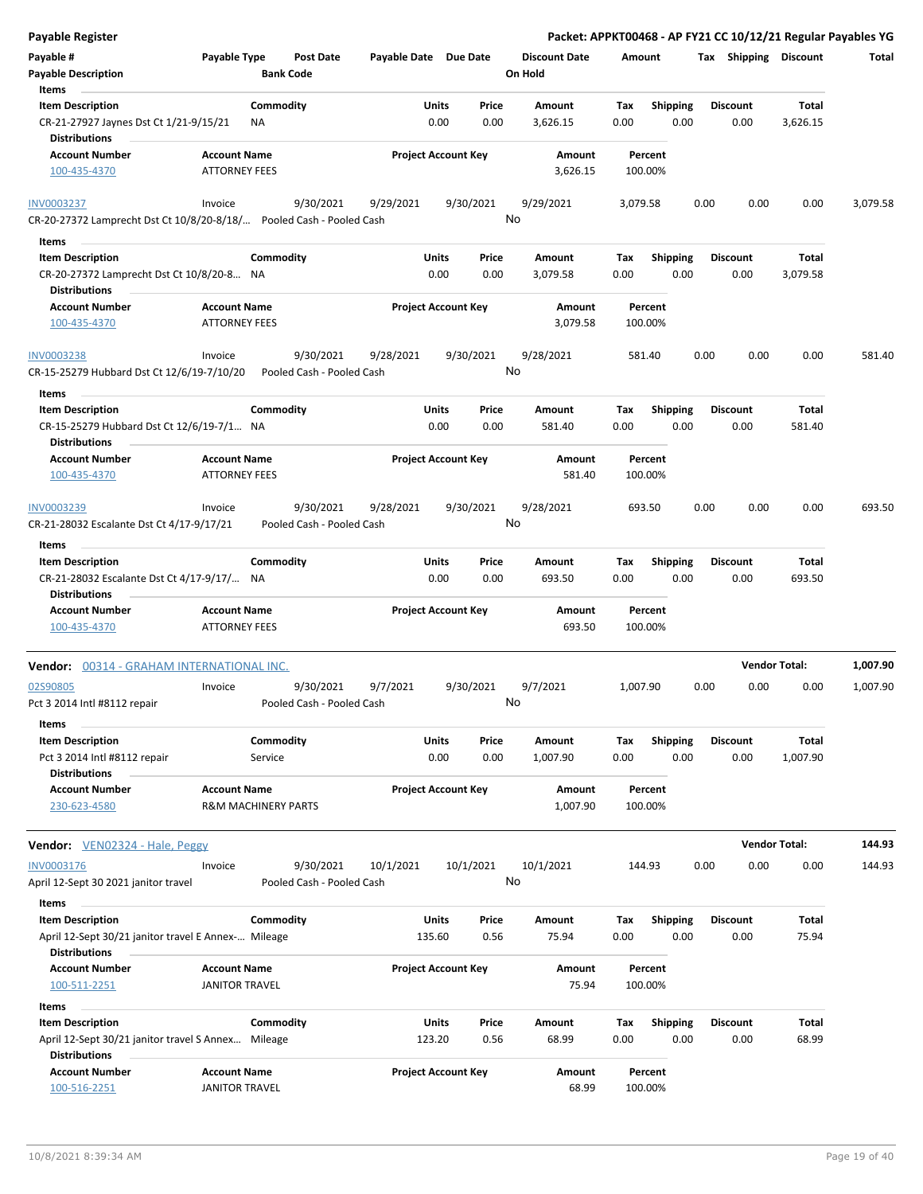| <b>Payable Register</b>                                                                              |                                        |                            |                 |                                 |                    |                         | Packet: APPKT00468 - AP FY21 CC 10/12/21 Regular Payables YG |                   |          |
|------------------------------------------------------------------------------------------------------|----------------------------------------|----------------------------|-----------------|---------------------------------|--------------------|-------------------------|--------------------------------------------------------------|-------------------|----------|
| Payable #<br>Payable Type<br><b>Payable Description</b>                                              | <b>Post Date</b><br><b>Bank Code</b>   | Payable Date Due Date      |                 | <b>Discount Date</b><br>On Hold | Amount             |                         | Tax Shipping Discount                                        |                   | Total    |
| Items                                                                                                |                                        |                            |                 |                                 |                    |                         |                                                              |                   |          |
| <b>Item Description</b><br>CR-21-27927 Jaynes Dst Ct 1/21-9/15/21<br><b>Distributions</b>            | Commodity<br>NA                        | Units<br>0.00              | Price<br>0.00   | Amount<br>3,626.15              | Tax<br>0.00        | <b>Shipping</b><br>0.00 | <b>Discount</b><br>0.00                                      | Total<br>3,626.15 |          |
| <b>Account Number</b><br><b>Account Name</b><br><b>ATTORNEY FEES</b><br>100-435-4370                 |                                        | <b>Project Account Key</b> |                 | Amount<br>3,626.15              | Percent<br>100.00% |                         |                                                              |                   |          |
| <b>INV0003237</b><br>Invoice<br>CR-20-27372 Lamprecht Dst Ct 10/8/20-8/18/ Pooled Cash - Pooled Cash | 9/30/2021                              | 9/29/2021                  | 9/30/2021<br>No | 9/29/2021                       | 3,079.58           |                         | 0.00<br>0.00                                                 | 0.00              | 3,079.58 |
| Items                                                                                                |                                        |                            |                 |                                 |                    |                         |                                                              |                   |          |
| <b>Item Description</b><br>CR-20-27372 Lamprecht Dst Ct 10/8/20-8 NA                                 | Commodity                              | Units<br>0.00              | Price<br>0.00   | Amount<br>3,079.58              | Tax<br>0.00        | <b>Shipping</b><br>0.00 | <b>Discount</b><br>0.00                                      | Total<br>3,079.58 |          |
| <b>Distributions</b><br><b>Account Number</b><br><b>Account Name</b>                                 |                                        | <b>Project Account Key</b> |                 | Amount                          | Percent            |                         |                                                              |                   |          |
| <b>ATTORNEY FEES</b><br>100-435-4370                                                                 |                                        |                            |                 | 3,079.58                        | 100.00%            |                         |                                                              |                   |          |
| <b>INV0003238</b><br>Invoice<br>CR-15-25279 Hubbard Dst Ct 12/6/19-7/10/20                           | 9/30/2021<br>Pooled Cash - Pooled Cash | 9/28/2021                  | 9/30/2021<br>No | 9/28/2021                       | 581.40             |                         | 0.00<br>0.00                                                 | 0.00              | 581.40   |
| Items                                                                                                |                                        |                            |                 |                                 |                    |                         |                                                              |                   |          |
| <b>Item Description</b><br>CR-15-25279 Hubbard Dst Ct 12/6/19-7/1 NA<br><b>Distributions</b>         | Commodity                              | Units<br>0.00              | Price<br>0.00   | Amount<br>581.40                | Tax<br>0.00        | <b>Shipping</b><br>0.00 | <b>Discount</b><br>0.00                                      | Total<br>581.40   |          |
| <b>Account Name</b><br><b>Account Number</b><br>100-435-4370<br><b>ATTORNEY FEES</b>                 |                                        | <b>Project Account Key</b> |                 | Amount<br>581.40                | Percent<br>100.00% |                         |                                                              |                   |          |
| INV0003239<br>Invoice                                                                                | 9/30/2021                              | 9/28/2021                  | 9/30/2021       | 9/28/2021                       | 693.50             |                         | 0.00<br>0.00                                                 | 0.00              | 693.50   |
| CR-21-28032 Escalante Dst Ct 4/17-9/17/21                                                            | Pooled Cash - Pooled Cash              |                            | No              |                                 |                    |                         |                                                              |                   |          |
| Items                                                                                                |                                        |                            |                 |                                 |                    |                         |                                                              |                   |          |
| <b>Item Description</b>                                                                              | Commodity                              | <b>Units</b>               | Price           | Amount                          | Tax                | Shipping                | <b>Discount</b>                                              | Total             |          |
| CR-21-28032 Escalante Dst Ct 4/17-9/17/ NA<br><b>Distributions</b>                                   |                                        | 0.00                       | 0.00            | 693.50                          | 0.00               | 0.00                    | 0.00                                                         | 693.50            |          |
| <b>Account Name</b><br><b>Account Number</b><br><b>ATTORNEY FEES</b><br>100-435-4370                 |                                        | <b>Project Account Key</b> |                 | <b>Amount</b><br>693.50         | Percent<br>100.00% |                         |                                                              |                   |          |
| Vendor: 00314 - GRAHAM INTERNATIONAL INC.                                                            |                                        |                            |                 |                                 |                    |                         | <b>Vendor Total:</b>                                         |                   | 1,007.90 |
| 02S90805<br>Invoice<br>Pct 3 2014 Intl #8112 repair                                                  | 9/30/2021<br>Pooled Cash - Pooled Cash | 9/7/2021                   | 9/30/2021<br>No | 9/7/2021                        | 1,007.90           |                         | 0.00<br>0.00                                                 | 0.00              | 1,007.90 |
| Items                                                                                                |                                        |                            |                 |                                 |                    |                         |                                                              |                   |          |
| <b>Item Description</b><br>Pct 3 2014 Intl #8112 repair                                              | Commodity<br>Service                   | Units<br>0.00              | Price<br>0.00   | Amount<br>1,007.90              | Tax<br>0.00        | <b>Shipping</b><br>0.00 | <b>Discount</b><br>0.00                                      | Total<br>1,007.90 |          |
| <b>Distributions</b><br><b>Account Name</b><br><b>Account Number</b><br>230-623-4580                 | <b>R&amp;M MACHINERY PARTS</b>         | <b>Project Account Key</b> |                 | <b>Amount</b><br>1,007.90       | Percent<br>100.00% |                         |                                                              |                   |          |
| <b>Vendor:</b> VEN02324 - Hale, Peggy                                                                |                                        |                            |                 |                                 |                    |                         | <b>Vendor Total:</b>                                         |                   | 144.93   |
| INV0003176<br>Invoice                                                                                | 9/30/2021                              | 10/1/2021                  | 10/1/2021       | 10/1/2021                       | 144.93             |                         | 0.00<br>0.00                                                 | 0.00              | 144.93   |
| April 12-Sept 30 2021 janitor travel<br>Items                                                        | Pooled Cash - Pooled Cash              |                            | No              |                                 |                    |                         |                                                              |                   |          |
| <b>Item Description</b>                                                                              | Commodity                              | Units                      | Price           | Amount                          | Tax                | <b>Shipping</b>         | <b>Discount</b>                                              | Total             |          |
| April 12-Sept 30/21 janitor travel E Annex- Mileage<br><b>Distributions</b>                          |                                        | 135.60                     | 0.56            | 75.94                           | 0.00               | 0.00                    | 0.00                                                         | 75.94             |          |
| <b>Account Number</b><br><b>Account Name</b><br>100-511-2251<br><b>JANITOR TRAVEL</b>                |                                        | <b>Project Account Key</b> |                 | Amount<br>75.94                 | Percent<br>100.00% |                         |                                                              |                   |          |
| Items                                                                                                |                                        |                            |                 |                                 |                    |                         |                                                              |                   |          |
| <b>Item Description</b>                                                                              | Commodity                              | Units                      | Price           | Amount                          | Тах                | <b>Shipping</b>         | <b>Discount</b>                                              | Total             |          |
| April 12-Sept 30/21 janitor travel S Annex Mileage<br><b>Distributions</b>                           |                                        | 123.20                     | 0.56            | 68.99                           | 0.00               | 0.00                    | 0.00                                                         | 68.99             |          |
| <b>Account Number</b><br><b>Account Name</b>                                                         |                                        |                            |                 |                                 |                    |                         |                                                              |                   |          |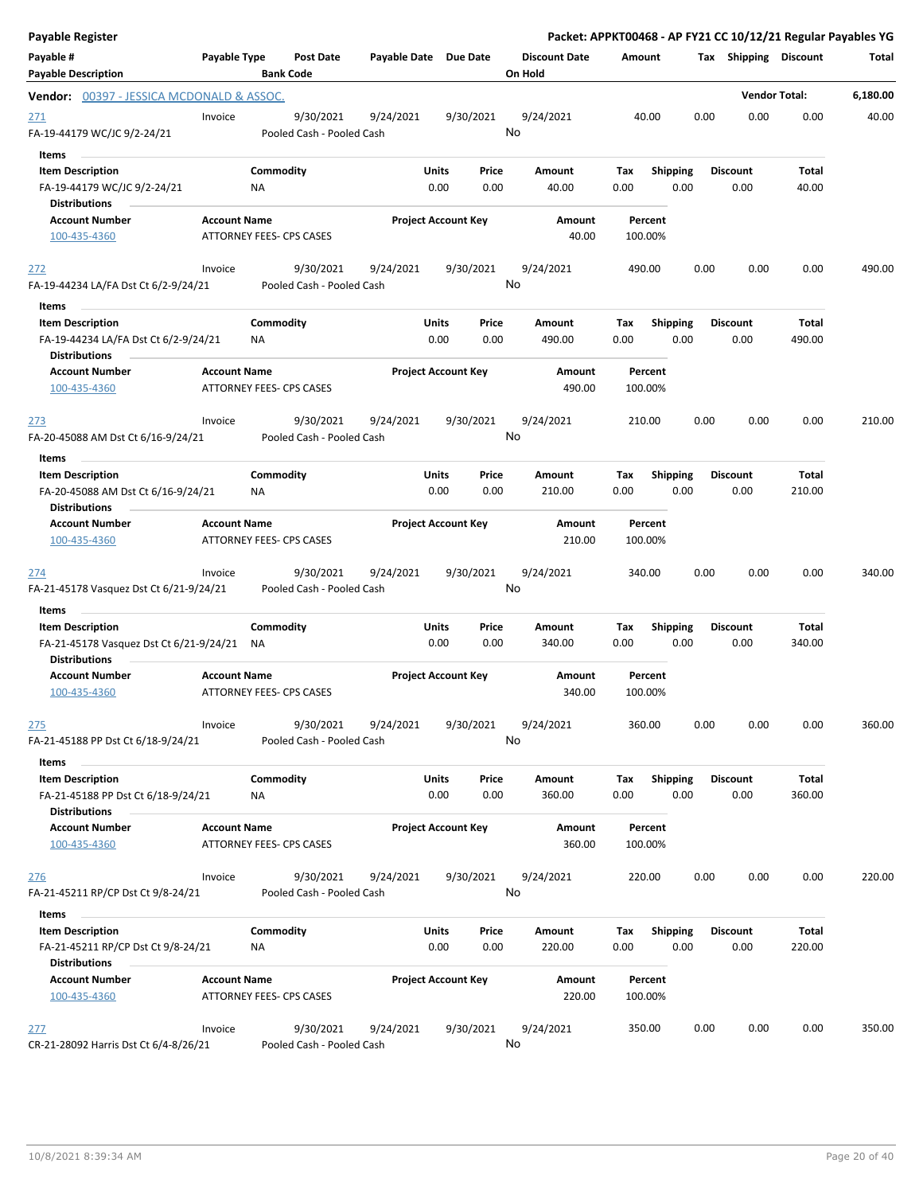| <b>Payable Register</b>                                                                 |                     |                                        |                       |                            |               |                                 |             |                         |      |                         | Packet: APPKT00468 - AP FY21 CC 10/12/21 Regular Payables YG |          |
|-----------------------------------------------------------------------------------------|---------------------|----------------------------------------|-----------------------|----------------------------|---------------|---------------------------------|-------------|-------------------------|------|-------------------------|--------------------------------------------------------------|----------|
| Payable #<br><b>Payable Description</b>                                                 | Payable Type        | <b>Post Date</b><br><b>Bank Code</b>   | Payable Date Due Date |                            |               | <b>Discount Date</b><br>On Hold | Amount      |                         |      | Tax Shipping Discount   |                                                              | Total    |
| <b>Vendor: 00397 - JESSICA MCDONALD &amp; ASSOC.</b>                                    |                     |                                        |                       |                            |               |                                 |             |                         |      |                         | <b>Vendor Total:</b>                                         | 6,180.00 |
| 271<br>FA-19-44179 WC/JC 9/2-24/21                                                      | Invoice             | 9/30/2021<br>Pooled Cash - Pooled Cash | 9/24/2021             | 9/30/2021                  |               | 9/24/2021<br>No                 |             | 40.00                   | 0.00 | 0.00                    | 0.00                                                         | 40.00    |
| Items<br><b>Item Description</b><br>FA-19-44179 WC/JC 9/2-24/21<br><b>Distributions</b> |                     | Commodity<br>NA                        |                       | Units<br>0.00              | Price<br>0.00 | Amount<br>40.00                 | Tax<br>0.00 | <b>Shipping</b><br>0.00 |      | <b>Discount</b><br>0.00 | Total<br>40.00                                               |          |
| <b>Account Number</b><br>100-435-4360                                                   | <b>Account Name</b> | ATTORNEY FEES- CPS CASES               |                       | <b>Project Account Key</b> |               | Amount<br>40.00                 |             | Percent<br>100.00%      |      |                         |                                                              |          |
| 272<br>FA-19-44234 LA/FA Dst Ct 6/2-9/24/21                                             | Invoice             | 9/30/2021<br>Pooled Cash - Pooled Cash | 9/24/2021             | 9/30/2021                  |               | 9/24/2021<br>No                 | 490.00      |                         | 0.00 | 0.00                    | 0.00                                                         | 490.00   |
| Items<br><b>Item Description</b>                                                        |                     | Commodity                              |                       | Units                      | Price         | Amount                          | Tax         | <b>Shipping</b>         |      | <b>Discount</b>         | Total                                                        |          |
| FA-19-44234 LA/FA Dst Ct 6/2-9/24/21<br><b>Distributions</b>                            |                     | NA                                     |                       | 0.00                       | 0.00          | 490.00                          | 0.00        | 0.00                    |      | 0.00                    | 490.00                                                       |          |
| <b>Account Number</b><br>100-435-4360                                                   | <b>Account Name</b> | ATTORNEY FEES- CPS CASES               |                       | <b>Project Account Key</b> |               | <b>Amount</b><br>490.00         |             | Percent<br>100.00%      |      |                         |                                                              |          |
| 273<br>FA-20-45088 AM Dst Ct 6/16-9/24/21                                               | Invoice             | 9/30/2021<br>Pooled Cash - Pooled Cash | 9/24/2021             | 9/30/2021                  |               | 9/24/2021<br>No                 | 210.00      |                         | 0.00 | 0.00                    | 0.00                                                         | 210.00   |
| Items                                                                                   |                     |                                        |                       |                            |               |                                 |             |                         |      |                         |                                                              |          |
| <b>Item Description</b><br>FA-20-45088 AM Dst Ct 6/16-9/24/21<br><b>Distributions</b>   |                     | Commodity<br><b>NA</b>                 |                       | Units<br>0.00              | Price<br>0.00 | Amount<br>210.00                | Tax<br>0.00 | <b>Shipping</b><br>0.00 |      | <b>Discount</b><br>0.00 | Total<br>210.00                                              |          |
| <b>Account Number</b><br>100-435-4360                                                   | <b>Account Name</b> | ATTORNEY FEES- CPS CASES               |                       | <b>Project Account Key</b> |               | Amount<br>210.00                |             | Percent<br>100.00%      |      |                         |                                                              |          |
| <u> 274</u><br>FA-21-45178 Vasquez Dst Ct 6/21-9/24/21                                  | Invoice             | 9/30/2021<br>Pooled Cash - Pooled Cash | 9/24/2021             | 9/30/2021                  |               | 9/24/2021<br>No                 | 340.00      |                         | 0.00 | 0.00                    | 0.00                                                         | 340.00   |
| Items                                                                                   |                     |                                        |                       |                            |               |                                 |             |                         |      |                         |                                                              |          |
| <b>Item Description</b>                                                                 |                     | Commodity                              |                       | Units                      | Price         | Amount                          | Tax         | Shipping                |      | <b>Discount</b>         | Total                                                        |          |
| FA-21-45178 Vasquez Dst Ct 6/21-9/24/21<br><b>Distributions</b>                         |                     | NA                                     |                       | 0.00                       | 0.00          | 340.00                          | 0.00        | 0.00                    |      | 0.00                    | 340.00                                                       |          |
| <b>Account Number</b><br>100-435-4360                                                   | <b>Account Name</b> | <b>ATTORNEY FEES- CPS CASES</b>        |                       | <b>Project Account Key</b> |               | Amount<br>340.00                |             | Percent<br>100.00%      |      |                         |                                                              |          |
| <u>275</u><br>FA-21-45188 PP Dst Ct 6/18-9/24/21                                        | Invoice             | 9/30/2021<br>Pooled Cash - Pooled Cash | 9/24/2021             | 9/30/2021                  |               | 9/24/2021<br>No                 | 360.00      |                         | 0.00 | 0.00                    | 0.00                                                         | 360.00   |
| Items                                                                                   |                     |                                        |                       |                            |               |                                 |             |                         |      |                         |                                                              |          |
| <b>Item Description</b><br>FA-21-45188 PP Dst Ct 6/18-9/24/21                           |                     | Commodity<br>NA                        |                       | Units<br>0.00              | Price<br>0.00 | Amount<br>360.00                | Тах<br>0.00 | Shipping<br>0.00        |      | <b>Discount</b><br>0.00 | Total<br>360.00                                              |          |
| <b>Distributions</b>                                                                    |                     |                                        |                       |                            |               |                                 |             |                         |      |                         |                                                              |          |
| <b>Account Number</b><br>100-435-4360                                                   | <b>Account Name</b> | ATTORNEY FEES- CPS CASES               |                       | <b>Project Account Key</b> |               | Amount<br>360.00                |             | Percent<br>100.00%      |      |                         |                                                              |          |
| 276<br>FA-21-45211 RP/CP Dst Ct 9/8-24/21                                               | Invoice             | 9/30/2021<br>Pooled Cash - Pooled Cash | 9/24/2021             | 9/30/2021                  |               | 9/24/2021<br>No                 | 220.00      |                         | 0.00 | 0.00                    | 0.00                                                         | 220.00   |
| Items                                                                                   |                     |                                        |                       |                            |               |                                 |             |                         |      |                         |                                                              |          |
| <b>Item Description</b><br>FA-21-45211 RP/CP Dst Ct 9/8-24/21                           |                     | Commodity<br>NA                        |                       | Units<br>0.00              | Price<br>0.00 | Amount<br>220.00                | Tax<br>0.00 | <b>Shipping</b><br>0.00 |      | Discount<br>0.00        | Total<br>220.00                                              |          |
| <b>Distributions</b><br><b>Account Number</b><br>100-435-4360                           | <b>Account Name</b> | ATTORNEY FEES- CPS CASES               |                       | <b>Project Account Key</b> |               | Amount<br>220.00                |             | Percent<br>100.00%      |      |                         |                                                              |          |
| 277<br>CR-21-28092 Harris Dst Ct 6/4-8/26/21                                            | Invoice             | 9/30/2021<br>Pooled Cash - Pooled Cash | 9/24/2021             | 9/30/2021                  |               | 9/24/2021<br>No                 | 350.00      |                         | 0.00 | 0.00                    | 0.00                                                         | 350.00   |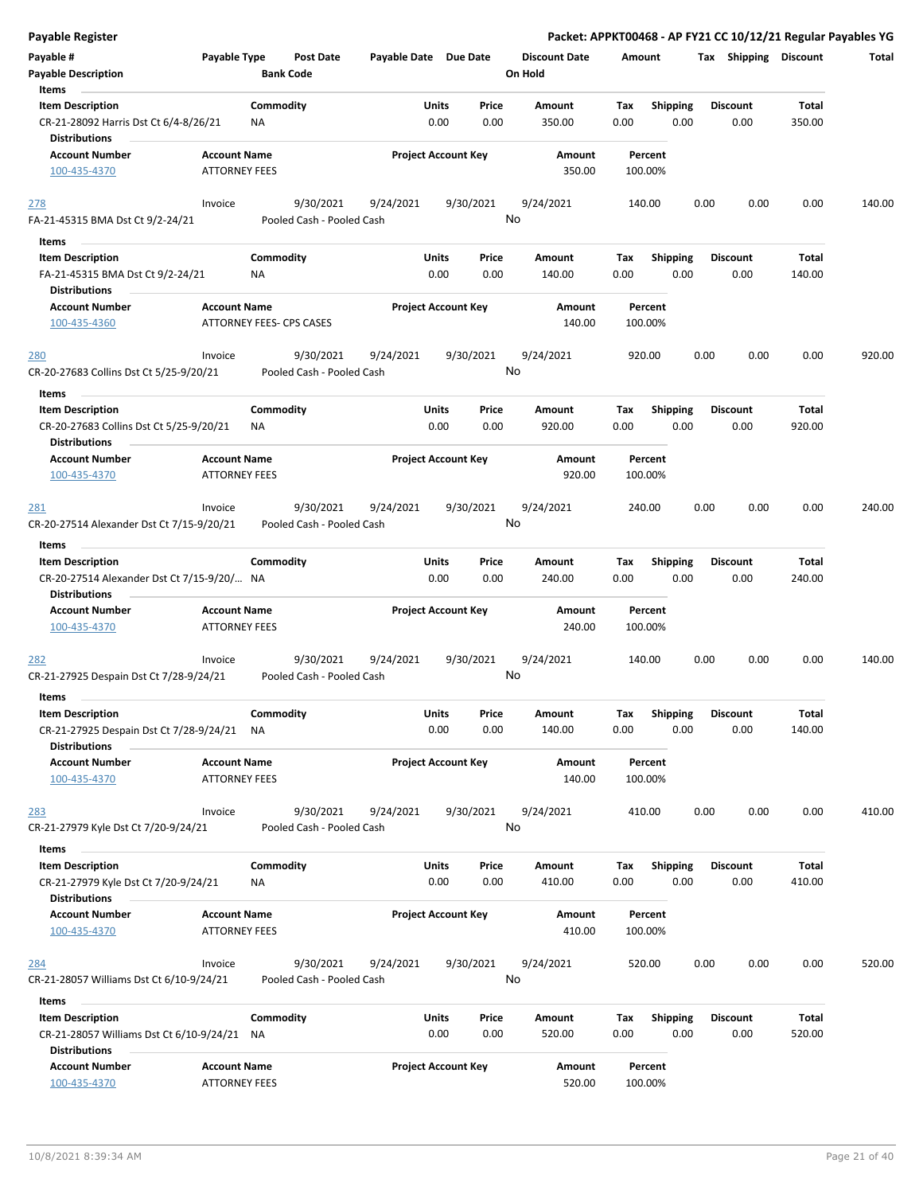| Payable Register                                                   |                                 |                  |                           |                       |       |                            |                      |        |                 |      | Packet: APPKT00468 - AP FY21 CC 10/12/21 Regular Payables YG |        |        |
|--------------------------------------------------------------------|---------------------------------|------------------|---------------------------|-----------------------|-------|----------------------------|----------------------|--------|-----------------|------|--------------------------------------------------------------|--------|--------|
| Payable #                                                          | Payable Type                    |                  | Post Date                 | Payable Date Due Date |       |                            | <b>Discount Date</b> | Amount |                 |      | Tax Shipping Discount                                        |        | Total  |
| <b>Payable Description</b><br>Items                                |                                 | <b>Bank Code</b> |                           |                       |       |                            | On Hold              |        |                 |      |                                                              |        |        |
| <b>Item Description</b>                                            |                                 | Commodity        |                           |                       | Units | Price                      | Amount               | Tax    | <b>Shipping</b> |      | <b>Discount</b>                                              | Total  |        |
| CR-21-28092 Harris Dst Ct 6/4-8/26/21<br><b>Distributions</b>      |                                 | ΝA               |                           |                       | 0.00  | 0.00                       | 350.00               | 0.00   |                 | 0.00 | 0.00                                                         | 350.00 |        |
| <b>Account Number</b>                                              | <b>Account Name</b>             |                  |                           |                       |       | <b>Project Account Key</b> | Amount               |        | Percent         |      |                                                              |        |        |
| 100-435-4370                                                       | <b>ATTORNEY FEES</b>            |                  |                           |                       |       |                            | 350.00               |        | 100.00%         |      |                                                              |        |        |
| 278                                                                | Invoice                         |                  | 9/30/2021                 | 9/24/2021             |       | 9/30/2021                  | 9/24/2021            |        | 140.00          | 0.00 | 0.00                                                         | 0.00   | 140.00 |
| FA-21-45315 BMA Dst Ct 9/2-24/21                                   |                                 |                  | Pooled Cash - Pooled Cash |                       |       |                            | No                   |        |                 |      |                                                              |        |        |
| Items<br>$\sim$                                                    |                                 |                  |                           |                       |       |                            |                      |        |                 |      |                                                              |        |        |
| <b>Item Description</b>                                            |                                 | Commodity        |                           |                       | Units | Price                      | Amount               | Tax    | <b>Shipping</b> |      | <b>Discount</b>                                              | Total  |        |
| FA-21-45315 BMA Dst Ct 9/2-24/21                                   |                                 | ΝA               |                           |                       | 0.00  | 0.00                       | 140.00               | 0.00   |                 | 0.00 | 0.00                                                         | 140.00 |        |
| Distributions                                                      |                                 |                  |                           |                       |       |                            |                      |        |                 |      |                                                              |        |        |
| <b>Account Number</b>                                              | <b>Account Name</b>             |                  |                           |                       |       | <b>Project Account Key</b> | Amount               |        | Percent         |      |                                                              |        |        |
| 100-435-4360                                                       | <b>ATTORNEY FEES- CPS CASES</b> |                  |                           |                       |       |                            | 140.00               |        | 100.00%         |      |                                                              |        |        |
| 280                                                                | Invoice                         |                  | 9/30/2021                 | 9/24/2021             |       | 9/30/2021                  | 9/24/2021            |        | 920.00          | 0.00 | 0.00                                                         | 0.00   | 920.00 |
| CR-20-27683 Collins Dst Ct 5/25-9/20/21                            |                                 |                  | Pooled Cash - Pooled Cash |                       |       |                            | No                   |        |                 |      |                                                              |        |        |
| Items<br><b>Item Description</b>                                   |                                 | Commodity        |                           |                       | Units | Price                      | Amount               | Tax    |                 |      | <b>Discount</b>                                              | Total  |        |
| CR-20-27683 Collins Dst Ct 5/25-9/20/21<br><b>Distributions</b>    |                                 | ΝA               |                           |                       | 0.00  | 0.00                       | 920.00               | 0.00   | <b>Shipping</b> | 0.00 | 0.00                                                         | 920.00 |        |
| <b>Account Number</b>                                              | <b>Account Name</b>             |                  |                           |                       |       | <b>Project Account Key</b> | Amount               |        | Percent         |      |                                                              |        |        |
| 100-435-4370                                                       | <b>ATTORNEY FEES</b>            |                  |                           |                       |       |                            | 920.00               |        | 100.00%         |      |                                                              |        |        |
| 281                                                                | Invoice                         |                  | 9/30/2021                 | 9/24/2021             |       | 9/30/2021                  | 9/24/2021            |        | 240.00          | 0.00 | 0.00                                                         | 0.00   | 240.00 |
| CR-20-27514 Alexander Dst Ct 7/15-9/20/21                          |                                 |                  | Pooled Cash - Pooled Cash |                       |       |                            | No                   |        |                 |      |                                                              |        |        |
| Items                                                              |                                 |                  |                           |                       |       |                            |                      |        |                 |      |                                                              |        |        |
| <b>Item Description</b>                                            |                                 | Commodity        |                           |                       | Units | Price                      | Amount               | Tax    | <b>Shipping</b> |      | <b>Discount</b>                                              | Total  |        |
| CR-20-27514 Alexander Dst Ct 7/15-9/20/ NA<br><b>Distributions</b> |                                 |                  |                           |                       | 0.00  | 0.00                       | 240.00               | 0.00   |                 | 0.00 | 0.00                                                         | 240.00 |        |
| <b>Account Number</b>                                              | <b>Account Name</b>             |                  |                           |                       |       | <b>Project Account Key</b> | Amount               |        | Percent         |      |                                                              |        |        |
| 100-435-4370                                                       | <b>ATTORNEY FEES</b>            |                  |                           |                       |       |                            | 240.00               |        | 100.00%         |      |                                                              |        |        |
| <u>282</u>                                                         | Invoice                         |                  | 9/30/2021                 | 9/24/2021             |       | 9/30/2021                  | 9/24/2021            |        | 140.00          | 0.00 | 0.00                                                         | 0.00   | 140.00 |
| CR-21-27925 Despain Dst Ct 7/28-9/24/21                            |                                 |                  | Pooled Cash - Pooled Cash |                       |       |                            | No                   |        |                 |      |                                                              |        |        |
|                                                                    |                                 |                  |                           |                       |       |                            |                      |        |                 |      |                                                              |        |        |
| Items<br><b>Item Description</b>                                   |                                 | Commodity        |                           |                       | Units | Price                      | Amount               | Tax    | Shipping        |      | <b>Discount</b>                                              | Total  |        |
| CR-21-27925 Despain Dst Ct 7/28-9/24/21<br><b>Distributions</b>    |                                 | <b>NA</b>        |                           |                       | 0.00  | 0.00                       | 140.00               | 0.00   |                 | 0.00 | 0.00                                                         | 140.00 |        |
| <b>Account Number</b>                                              | <b>Account Name</b>             |                  |                           |                       |       | <b>Project Account Key</b> | Amount               |        | Percent         |      |                                                              |        |        |
| 100-435-4370                                                       | <b>ATTORNEY FEES</b>            |                  |                           |                       |       |                            | 140.00               |        | 100.00%         |      |                                                              |        |        |
| <u>283</u>                                                         | Invoice                         |                  | 9/30/2021                 | 9/24/2021             |       | 9/30/2021                  | 9/24/2021            |        | 410.00          | 0.00 | 0.00                                                         | 0.00   | 410.00 |
| CR-21-27979 Kyle Dst Ct 7/20-9/24/21                               |                                 |                  | Pooled Cash - Pooled Cash |                       |       |                            | No                   |        |                 |      |                                                              |        |        |
| Items                                                              |                                 |                  |                           |                       |       |                            |                      |        |                 |      |                                                              |        |        |
| <b>Item Description</b>                                            |                                 | Commodity        |                           |                       | Units | Price                      | Amount               | Tax    | Shipping        |      | <b>Discount</b>                                              | Total  |        |
| CR-21-27979 Kyle Dst Ct 7/20-9/24/21                               |                                 | NA               |                           |                       | 0.00  | 0.00                       | 410.00               | 0.00   |                 | 0.00 | 0.00                                                         | 410.00 |        |
| <b>Distributions</b>                                               |                                 |                  |                           |                       |       |                            |                      |        |                 |      |                                                              |        |        |
| <b>Account Number</b>                                              | <b>Account Name</b>             |                  |                           |                       |       | <b>Project Account Key</b> | Amount               |        | Percent         |      |                                                              |        |        |
| 100-435-4370                                                       | <b>ATTORNEY FEES</b>            |                  |                           |                       |       |                            | 410.00               |        | 100.00%         |      |                                                              |        |        |
| 284                                                                | Invoice                         |                  | 9/30/2021                 | 9/24/2021             |       | 9/30/2021                  | 9/24/2021            |        | 520.00          | 0.00 | 0.00                                                         | 0.00   | 520.00 |
| CR-21-28057 Williams Dst Ct 6/10-9/24/21                           |                                 |                  | Pooled Cash - Pooled Cash |                       |       |                            | No                   |        |                 |      |                                                              |        |        |
| Items                                                              |                                 |                  |                           |                       |       |                            |                      |        |                 |      |                                                              |        |        |
| <b>Item Description</b>                                            |                                 | Commodity        |                           |                       | Units | Price                      | Amount               | Tax    | Shipping        |      | <b>Discount</b>                                              | Total  |        |
| CR-21-28057 Williams Dst Ct 6/10-9/24/21<br><b>Distributions</b>   |                                 | ΝA               |                           |                       | 0.00  | 0.00                       | 520.00               | 0.00   |                 | 0.00 | 0.00                                                         | 520.00 |        |
| <b>Account Number</b>                                              | <b>Account Name</b>             |                  |                           |                       |       | <b>Project Account Key</b> | Amount               |        | Percent         |      |                                                              |        |        |
| 100-435-4370                                                       | ATTORNEY FEES                   |                  |                           |                       |       |                            | 520.00               |        | 100.00%         |      |                                                              |        |        |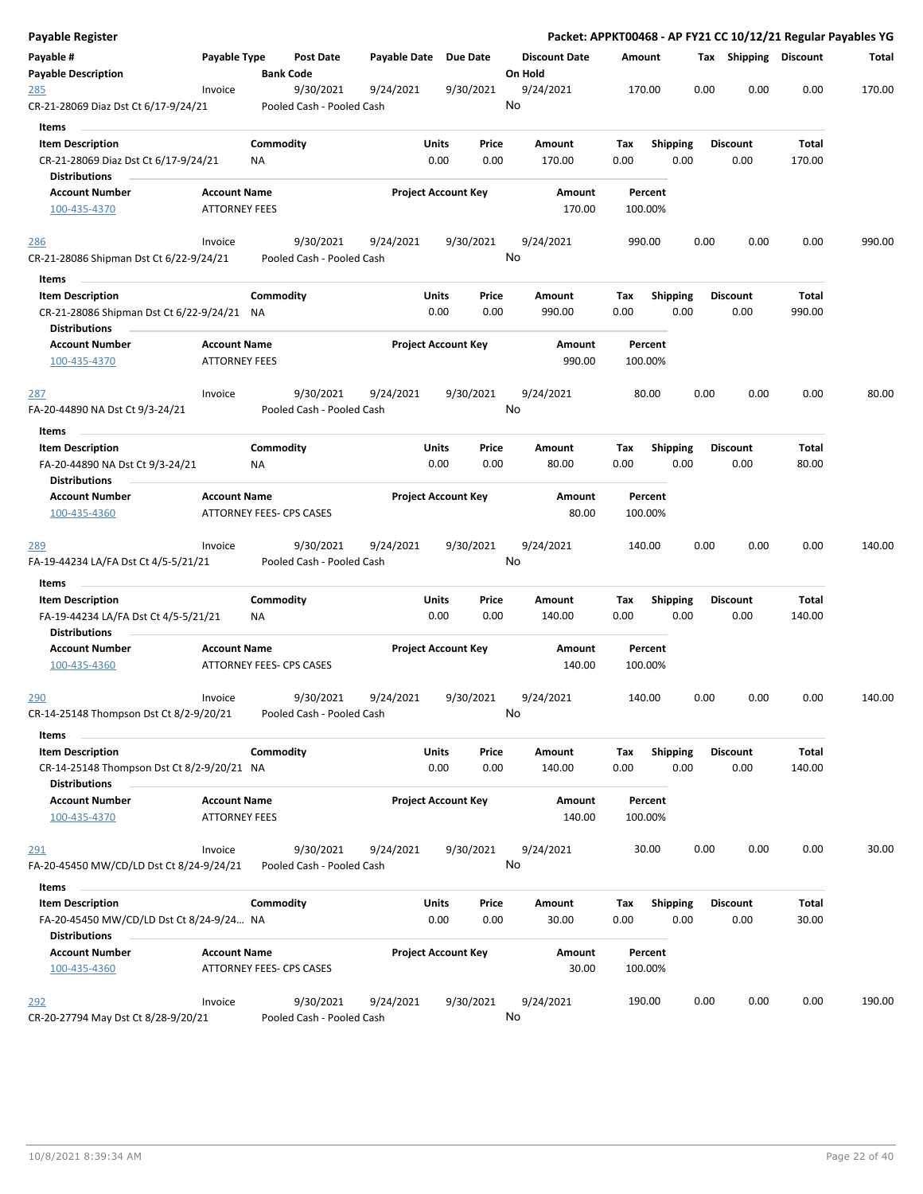| Payable Register                                                                              |                          |                  |                                        |              |                            |               |                      |        |             |                 |      |      |                         |                 | Packet: APPKT00468 - AP FY21 CC 10/12/21 Regular Payables YG |
|-----------------------------------------------------------------------------------------------|--------------------------|------------------|----------------------------------------|--------------|----------------------------|---------------|----------------------|--------|-------------|-----------------|------|------|-------------------------|-----------------|--------------------------------------------------------------|
| Payable #                                                                                     | Payable Type             |                  | Post Date                              | Payable Date |                            | Due Date      | <b>Discount Date</b> |        | Amount      |                 |      |      | Tax Shipping Discount   |                 | Total                                                        |
| <b>Payable Description</b>                                                                    |                          | <b>Bank Code</b> |                                        |              |                            |               | On Hold              |        |             |                 |      |      |                         |                 |                                                              |
| 285<br>CR-21-28069 Diaz Dst Ct 6/17-9/24/21                                                   | Invoice                  |                  | 9/30/2021<br>Pooled Cash - Pooled Cash | 9/24/2021    |                            | 9/30/2021     | 9/24/2021<br>No      |        |             | 170.00          |      | 0.00 | 0.00                    | 0.00            | 170.00                                                       |
| Items                                                                                         |                          |                  |                                        |              |                            |               |                      |        |             |                 |      |      |                         |                 |                                                              |
| <b>Item Description</b>                                                                       |                          | Commodity        |                                        |              | Units                      | Price         | Amount               |        | Tax         | <b>Shipping</b> |      |      | <b>Discount</b>         | Total           |                                                              |
| CR-21-28069 Diaz Dst Ct 6/17-9/24/21                                                          |                          | ΝA               |                                        |              | 0.00                       | 0.00          | 170.00               |        | 0.00        |                 | 0.00 |      | 0.00                    | 170.00          |                                                              |
| <b>Distributions</b>                                                                          |                          |                  |                                        |              |                            |               |                      |        |             |                 |      |      |                         |                 |                                                              |
| <b>Account Number</b>                                                                         | <b>Account Name</b>      |                  |                                        |              | <b>Project Account Key</b> |               |                      | Amount |             | Percent         |      |      |                         |                 |                                                              |
| 100-435-4370                                                                                  | <b>ATTORNEY FEES</b>     |                  |                                        |              |                            |               |                      | 170.00 |             | 100.00%         |      |      |                         |                 |                                                              |
| 286                                                                                           | Invoice                  |                  | 9/30/2021                              | 9/24/2021    |                            | 9/30/2021     | 9/24/2021            |        |             | 990.00          |      | 0.00 | 0.00                    | 0.00            | 990.00                                                       |
| CR-21-28086 Shipman Dst Ct 6/22-9/24/21                                                       |                          |                  | Pooled Cash - Pooled Cash              |              |                            |               | No                   |        |             |                 |      |      |                         |                 |                                                              |
| Items                                                                                         |                          | Commodity        |                                        |              | Units                      | Price         |                      |        |             |                 |      |      |                         | Total           |                                                              |
| <b>Item Description</b><br>CR-21-28086 Shipman Dst Ct 6/22-9/24/21 NA<br><b>Distributions</b> |                          |                  |                                        |              | 0.00                       | 0.00          | Amount<br>990.00     |        | Tax<br>0.00 | <b>Shipping</b> | 0.00 |      | <b>Discount</b><br>0.00 | 990.00          |                                                              |
| <b>Account Number</b>                                                                         | <b>Account Name</b>      |                  |                                        |              | <b>Project Account Key</b> |               |                      | Amount |             | Percent         |      |      |                         |                 |                                                              |
| 100-435-4370                                                                                  | <b>ATTORNEY FEES</b>     |                  |                                        |              |                            |               |                      | 990.00 |             | 100.00%         |      |      |                         |                 |                                                              |
| <u>287</u>                                                                                    | Invoice                  |                  | 9/30/2021                              | 9/24/2021    |                            | 9/30/2021     | 9/24/2021            |        |             | 80.00           |      | 0.00 | 0.00                    | 0.00            | 80.00                                                        |
| FA-20-44890 NA Dst Ct 9/3-24/21                                                               |                          |                  | Pooled Cash - Pooled Cash              |              |                            |               | No                   |        |             |                 |      |      |                         |                 |                                                              |
| Items                                                                                         |                          |                  |                                        |              |                            |               |                      |        |             |                 |      |      |                         |                 |                                                              |
| <b>Item Description</b>                                                                       |                          | Commodity        |                                        |              | Units                      | Price         | Amount               |        | Tax         | <b>Shipping</b> |      |      | <b>Discount</b>         | Total           |                                                              |
| FA-20-44890 NA Dst Ct 9/3-24/21<br><b>Distributions</b>                                       |                          | ΝA               |                                        |              | 0.00                       | 0.00          | 80.00                |        | 0.00        |                 | 0.00 |      | 0.00                    | 80.00           |                                                              |
| <b>Account Number</b>                                                                         | <b>Account Name</b>      |                  |                                        |              | <b>Project Account Key</b> |               |                      | Amount |             | Percent         |      |      |                         |                 |                                                              |
| 100-435-4360                                                                                  | ATTORNEY FEES- CPS CASES |                  |                                        |              |                            |               |                      | 80.00  |             | 100.00%         |      |      |                         |                 |                                                              |
| 289<br>FA-19-44234 LA/FA Dst Ct 4/5-5/21/21                                                   | Invoice                  |                  | 9/30/2021<br>Pooled Cash - Pooled Cash | 9/24/2021    |                            | 9/30/2021     | 9/24/2021<br>No      |        |             | 140.00          |      | 0.00 | 0.00                    | 0.00            | 140.00                                                       |
| Items                                                                                         |                          |                  |                                        |              |                            |               |                      |        |             |                 |      |      |                         |                 |                                                              |
| <b>Item Description</b>                                                                       |                          | Commodity        |                                        |              | Units                      | Price         | Amount               |        | Tax         | <b>Shipping</b> |      |      | <b>Discount</b>         | Total           |                                                              |
| FA-19-44234 LA/FA Dst Ct 4/5-5/21/21                                                          |                          | ΝA               |                                        |              | 0.00                       | 0.00          | 140.00               |        | 0.00        |                 | 0.00 |      | 0.00                    | 140.00          |                                                              |
| <b>Distributions</b>                                                                          |                          |                  |                                        |              |                            |               |                      |        |             |                 |      |      |                         |                 |                                                              |
| <b>Account Number</b>                                                                         | <b>Account Name</b>      |                  |                                        |              | <b>Project Account Key</b> |               |                      | Amount |             | Percent         |      |      |                         |                 |                                                              |
| 100-435-4360                                                                                  | ATTORNEY FEES- CPS CASES |                  |                                        |              |                            |               |                      | 140.00 |             | 100.00%         |      |      |                         |                 |                                                              |
| <u> 290</u>                                                                                   | Invoice                  |                  | 9/30/2021                              | 9/24/2021    |                            | 9/30/2021     | 9/24/2021            |        |             | 140.00          |      | 0.00 | 0.00                    | 0.00            | 140.00                                                       |
| CR-14-25148 Thompson Dst Ct 8/2-9/20/21                                                       |                          |                  | Pooled Cash - Pooled Cash              |              |                            |               | No                   |        |             |                 |      |      |                         |                 |                                                              |
| Items                                                                                         |                          |                  |                                        |              |                            |               | Amount               |        |             |                 |      |      |                         |                 |                                                              |
| <b>Item Description</b><br>CR-14-25148 Thompson Dst Ct 8/2-9/20/21 NA<br><b>Distributions</b> |                          | Commodity        |                                        |              | <b>Units</b><br>0.00       | Price<br>0.00 | 140.00               |        | Tax<br>0.00 | <b>Shipping</b> | 0.00 |      | <b>Discount</b><br>0.00 | Total<br>140.00 |                                                              |
| <b>Account Number</b>                                                                         | <b>Account Name</b>      |                  |                                        |              | <b>Project Account Key</b> |               |                      | Amount |             | Percent         |      |      |                         |                 |                                                              |
| 100-435-4370                                                                                  | <b>ATTORNEY FEES</b>     |                  |                                        |              |                            |               |                      | 140.00 |             | 100.00%         |      |      |                         |                 |                                                              |
| 291                                                                                           | Invoice                  |                  | 9/30/2021                              | 9/24/2021    |                            | 9/30/2021     | 9/24/2021            |        |             | 30.00           |      | 0.00 | 0.00                    | 0.00            | 30.00                                                        |
| FA-20-45450 MW/CD/LD Dst Ct 8/24-9/24/21                                                      |                          |                  | Pooled Cash - Pooled Cash              |              |                            |               | No                   |        |             |                 |      |      |                         |                 |                                                              |
| Items                                                                                         |                          |                  |                                        |              |                            |               |                      |        |             |                 |      |      |                         |                 |                                                              |
| <b>Item Description</b>                                                                       |                          | Commodity        |                                        |              | <b>Units</b>               | Price         | Amount               |        | Tax         | <b>Shipping</b> |      |      | <b>Discount</b>         | Total           |                                                              |
| FA-20-45450 MW/CD/LD Dst Ct 8/24-9/24 NA                                                      |                          |                  |                                        |              | 0.00                       | 0.00          | 30.00                |        | 0.00        |                 | 0.00 |      | 0.00                    | 30.00           |                                                              |
| <b>Distributions</b>                                                                          |                          |                  |                                        |              |                            |               |                      |        |             |                 |      |      |                         |                 |                                                              |
| <b>Account Number</b>                                                                         | <b>Account Name</b>      |                  |                                        |              | <b>Project Account Key</b> |               |                      | Amount |             | Percent         |      |      |                         |                 |                                                              |
| 100-435-4360                                                                                  | ATTORNEY FEES- CPS CASES |                  |                                        |              |                            |               |                      | 30.00  |             | 100.00%         |      |      |                         |                 |                                                              |
| 292                                                                                           | Invoice                  |                  | 9/30/2021                              | 9/24/2021    |                            | 9/30/2021     | 9/24/2021            |        |             | 190.00          |      | 0.00 | 0.00                    | 0.00            | 190.00                                                       |
| CR-20-27794 May Dst Ct 8/28-9/20/21                                                           |                          |                  | Pooled Cash - Pooled Cash              |              |                            |               | No                   |        |             |                 |      |      |                         |                 |                                                              |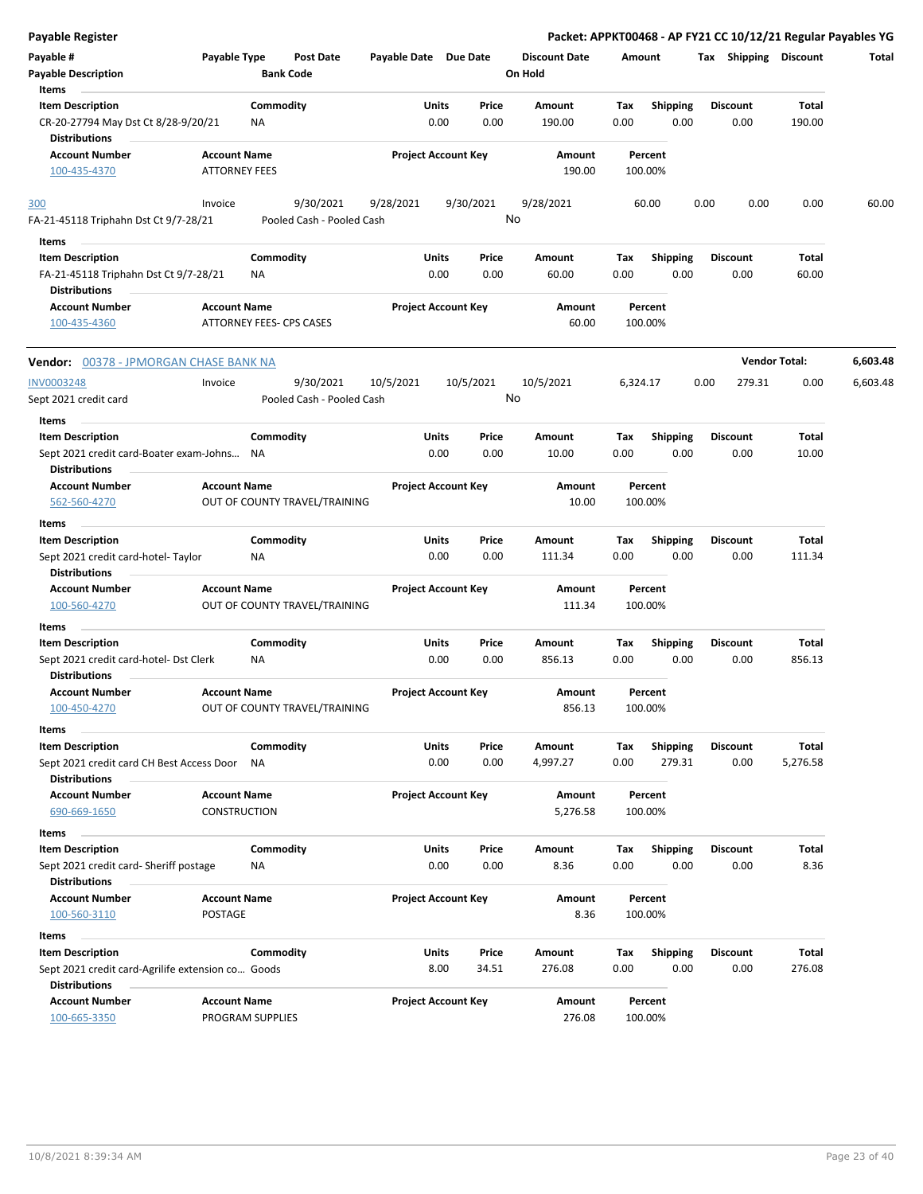| Payable #<br>Payable Type<br><b>Post Date</b><br><b>Discount Date</b><br>Tax Shipping Discount<br>Payable Date Due Date<br>Amount<br><b>Bank Code</b><br>On Hold<br><b>Payable Description</b><br>Items<br><b>Item Description</b><br>Commodity<br>Units<br>Amount<br><b>Shipping</b><br>Price<br>Tax<br><b>Discount</b><br>Total<br>CR-20-27794 May Dst Ct 8/28-9/20/21<br>0.00<br>0.00<br>190.00<br>0.00<br>0.00<br>0.00<br>190.00<br>NA<br><b>Distributions</b><br><b>Account Number</b><br><b>Project Account Key</b><br><b>Account Name</b><br>Amount<br>Percent<br><b>ATTORNEY FEES</b><br>100-435-4370<br>190.00<br>100.00%<br>9/30/2021<br>9/28/2021<br>9/30/2021<br>9/28/2021<br>60.00<br>0.00<br>0.00<br>Invoice<br>0.00<br>300<br>No<br>Pooled Cash - Pooled Cash<br>FA-21-45118 Triphahn Dst Ct 9/7-28/21<br>Items<br>Commodity<br>Units<br><b>Item Description</b><br>Price<br>Amount<br>Tax<br><b>Shipping</b><br><b>Discount</b><br>Total<br>0.00<br>0.00<br>0.00<br>60.00<br>0.00<br>0.00<br>60.00<br>FA-21-45118 Triphahn Dst Ct 9/7-28/21<br>ΝA |  |  |  |  | Packet: APPKT00468 - AP FY21 CC 10/12/21 Regular Payables YG |
|-------------------------------------------------------------------------------------------------------------------------------------------------------------------------------------------------------------------------------------------------------------------------------------------------------------------------------------------------------------------------------------------------------------------------------------------------------------------------------------------------------------------------------------------------------------------------------------------------------------------------------------------------------------------------------------------------------------------------------------------------------------------------------------------------------------------------------------------------------------------------------------------------------------------------------------------------------------------------------------------------------------------------------------------------------------------|--|--|--|--|--------------------------------------------------------------|
|                                                                                                                                                                                                                                                                                                                                                                                                                                                                                                                                                                                                                                                                                                                                                                                                                                                                                                                                                                                                                                                                   |  |  |  |  | Total                                                        |
|                                                                                                                                                                                                                                                                                                                                                                                                                                                                                                                                                                                                                                                                                                                                                                                                                                                                                                                                                                                                                                                                   |  |  |  |  |                                                              |
|                                                                                                                                                                                                                                                                                                                                                                                                                                                                                                                                                                                                                                                                                                                                                                                                                                                                                                                                                                                                                                                                   |  |  |  |  |                                                              |
|                                                                                                                                                                                                                                                                                                                                                                                                                                                                                                                                                                                                                                                                                                                                                                                                                                                                                                                                                                                                                                                                   |  |  |  |  |                                                              |
|                                                                                                                                                                                                                                                                                                                                                                                                                                                                                                                                                                                                                                                                                                                                                                                                                                                                                                                                                                                                                                                                   |  |  |  |  |                                                              |
|                                                                                                                                                                                                                                                                                                                                                                                                                                                                                                                                                                                                                                                                                                                                                                                                                                                                                                                                                                                                                                                                   |  |  |  |  | 60.00                                                        |
|                                                                                                                                                                                                                                                                                                                                                                                                                                                                                                                                                                                                                                                                                                                                                                                                                                                                                                                                                                                                                                                                   |  |  |  |  |                                                              |
|                                                                                                                                                                                                                                                                                                                                                                                                                                                                                                                                                                                                                                                                                                                                                                                                                                                                                                                                                                                                                                                                   |  |  |  |  |                                                              |
| <b>Distributions</b>                                                                                                                                                                                                                                                                                                                                                                                                                                                                                                                                                                                                                                                                                                                                                                                                                                                                                                                                                                                                                                              |  |  |  |  |                                                              |
| <b>Account Number</b><br><b>Account Name</b><br><b>Project Account Key</b><br>Amount<br>Percent<br>ATTORNEY FEES- CPS CASES<br>60.00<br>100.00%<br>100-435-4360                                                                                                                                                                                                                                                                                                                                                                                                                                                                                                                                                                                                                                                                                                                                                                                                                                                                                                   |  |  |  |  |                                                              |
| <b>Vendor Total:</b><br><b>Vendor: 00378 - JPMORGAN CHASE BANK NA</b>                                                                                                                                                                                                                                                                                                                                                                                                                                                                                                                                                                                                                                                                                                                                                                                                                                                                                                                                                                                             |  |  |  |  | 6,603.48                                                     |
| 10/5/2021<br><b>INV0003248</b><br>9/30/2021<br>10/5/2021<br>10/5/2021<br>0.00<br>279.31<br>0.00<br>Invoice<br>6,324.17<br>No<br>Sept 2021 credit card<br>Pooled Cash - Pooled Cash                                                                                                                                                                                                                                                                                                                                                                                                                                                                                                                                                                                                                                                                                                                                                                                                                                                                                |  |  |  |  | 6,603.48                                                     |
| Items                                                                                                                                                                                                                                                                                                                                                                                                                                                                                                                                                                                                                                                                                                                                                                                                                                                                                                                                                                                                                                                             |  |  |  |  |                                                              |
| Commodity<br>Units<br><b>Item Description</b><br>Price<br>Amount<br><b>Shipping</b><br><b>Discount</b><br>Total<br>Tax                                                                                                                                                                                                                                                                                                                                                                                                                                                                                                                                                                                                                                                                                                                                                                                                                                                                                                                                            |  |  |  |  |                                                              |
| 0.00<br>0.00<br>10.00<br>0.00<br>0.00<br>0.00<br>10.00<br>Sept 2021 credit card-Boater exam-Johns NA<br>Distributions                                                                                                                                                                                                                                                                                                                                                                                                                                                                                                                                                                                                                                                                                                                                                                                                                                                                                                                                             |  |  |  |  |                                                              |
| <b>Account Name</b><br><b>Project Account Key</b><br><b>Account Number</b><br>Amount<br>Percent                                                                                                                                                                                                                                                                                                                                                                                                                                                                                                                                                                                                                                                                                                                                                                                                                                                                                                                                                                   |  |  |  |  |                                                              |
| 562-560-4270<br>OUT OF COUNTY TRAVEL/TRAINING<br>10.00<br>100.00%                                                                                                                                                                                                                                                                                                                                                                                                                                                                                                                                                                                                                                                                                                                                                                                                                                                                                                                                                                                                 |  |  |  |  |                                                              |
| Items                                                                                                                                                                                                                                                                                                                                                                                                                                                                                                                                                                                                                                                                                                                                                                                                                                                                                                                                                                                                                                                             |  |  |  |  |                                                              |
| <b>Item Description</b><br>Commodity<br>Units<br>Total<br>Price<br>Amount<br>Tax<br><b>Shipping</b><br><b>Discount</b><br>0.00<br>0.00<br>111.34<br>0.00<br>0.00<br>0.00<br>111.34<br>NA                                                                                                                                                                                                                                                                                                                                                                                                                                                                                                                                                                                                                                                                                                                                                                                                                                                                          |  |  |  |  |                                                              |
| Sept 2021 credit card-hotel-Taylor<br><b>Distributions</b>                                                                                                                                                                                                                                                                                                                                                                                                                                                                                                                                                                                                                                                                                                                                                                                                                                                                                                                                                                                                        |  |  |  |  |                                                              |
| <b>Account Name</b><br><b>Project Account Key</b><br><b>Account Number</b><br>Amount<br>Percent<br>100-560-4270<br>OUT OF COUNTY TRAVEL/TRAINING<br>100.00%<br>111.34                                                                                                                                                                                                                                                                                                                                                                                                                                                                                                                                                                                                                                                                                                                                                                                                                                                                                             |  |  |  |  |                                                              |
| Items                                                                                                                                                                                                                                                                                                                                                                                                                                                                                                                                                                                                                                                                                                                                                                                                                                                                                                                                                                                                                                                             |  |  |  |  |                                                              |
| Commodity<br>Total<br><b>Item Description</b><br>Units<br>Price<br>Amount<br>Tax<br><b>Shipping</b><br><b>Discount</b>                                                                                                                                                                                                                                                                                                                                                                                                                                                                                                                                                                                                                                                                                                                                                                                                                                                                                                                                            |  |  |  |  |                                                              |
| 0.00<br>0.00<br>856.13<br>0.00<br>0.00<br>856.13<br>Sept 2021 credit card-hotel- Dst Clerk<br>0.00<br>NA<br><b>Distributions</b>                                                                                                                                                                                                                                                                                                                                                                                                                                                                                                                                                                                                                                                                                                                                                                                                                                                                                                                                  |  |  |  |  |                                                              |
| <b>Project Account Key</b><br><b>Account Number</b><br><b>Account Name</b><br>Percent<br>Amount                                                                                                                                                                                                                                                                                                                                                                                                                                                                                                                                                                                                                                                                                                                                                                                                                                                                                                                                                                   |  |  |  |  |                                                              |
| 100-450-4270<br>OUT OF COUNTY TRAVEL/TRAINING<br>856.13<br>100.00%                                                                                                                                                                                                                                                                                                                                                                                                                                                                                                                                                                                                                                                                                                                                                                                                                                                                                                                                                                                                |  |  |  |  |                                                              |
| Items                                                                                                                                                                                                                                                                                                                                                                                                                                                                                                                                                                                                                                                                                                                                                                                                                                                                                                                                                                                                                                                             |  |  |  |  |                                                              |
| Total<br><b>Item Description</b><br>Commodity<br>Units<br>Price<br><b>Shipping</b><br>Amount<br>Tax<br><b>Discount</b>                                                                                                                                                                                                                                                                                                                                                                                                                                                                                                                                                                                                                                                                                                                                                                                                                                                                                                                                            |  |  |  |  |                                                              |
| 0.00<br>0.00<br>0.00<br>279.31<br>0.00<br>5,276.58<br>Sept 2021 credit card CH Best Access Door<br><b>NA</b><br>4,997.27<br><b>Distributions</b>                                                                                                                                                                                                                                                                                                                                                                                                                                                                                                                                                                                                                                                                                                                                                                                                                                                                                                                  |  |  |  |  |                                                              |
| <b>Account Name</b><br><b>Project Account Key</b><br><b>Account Number</b><br>Amount<br>Percent                                                                                                                                                                                                                                                                                                                                                                                                                                                                                                                                                                                                                                                                                                                                                                                                                                                                                                                                                                   |  |  |  |  |                                                              |
| 690-669-1650<br><b>CONSTRUCTION</b><br>5,276.58<br>100.00%                                                                                                                                                                                                                                                                                                                                                                                                                                                                                                                                                                                                                                                                                                                                                                                                                                                                                                                                                                                                        |  |  |  |  |                                                              |
| Items                                                                                                                                                                                                                                                                                                                                                                                                                                                                                                                                                                                                                                                                                                                                                                                                                                                                                                                                                                                                                                                             |  |  |  |  |                                                              |
| Commodity<br>Units<br><b>Item Description</b><br>Price<br>Amount<br>Tax<br><b>Shipping</b><br><b>Discount</b><br>Total                                                                                                                                                                                                                                                                                                                                                                                                                                                                                                                                                                                                                                                                                                                                                                                                                                                                                                                                            |  |  |  |  |                                                              |
| 8.36<br>0.00<br>8.36<br>Sept 2021 credit card-Sheriff postage<br>NA<br>0.00<br>0.00<br>0.00<br>0.00                                                                                                                                                                                                                                                                                                                                                                                                                                                                                                                                                                                                                                                                                                                                                                                                                                                                                                                                                               |  |  |  |  |                                                              |
| <b>Distributions</b><br><b>Account Number</b><br><b>Account Name</b><br><b>Project Account Key</b><br>Amount<br>Percent                                                                                                                                                                                                                                                                                                                                                                                                                                                                                                                                                                                                                                                                                                                                                                                                                                                                                                                                           |  |  |  |  |                                                              |
| POSTAGE<br>8.36<br>100.00%<br>100-560-3110                                                                                                                                                                                                                                                                                                                                                                                                                                                                                                                                                                                                                                                                                                                                                                                                                                                                                                                                                                                                                        |  |  |  |  |                                                              |
|                                                                                                                                                                                                                                                                                                                                                                                                                                                                                                                                                                                                                                                                                                                                                                                                                                                                                                                                                                                                                                                                   |  |  |  |  |                                                              |
| Items<br>Commodity<br>Units<br>Price<br>Total<br><b>Item Description</b><br>Amount<br><b>Shipping</b><br><b>Discount</b><br>Тах                                                                                                                                                                                                                                                                                                                                                                                                                                                                                                                                                                                                                                                                                                                                                                                                                                                                                                                                   |  |  |  |  |                                                              |
| 276.08<br>Sept 2021 credit card-Agrilife extension co Goods<br>8.00<br>34.51<br>276.08<br>0.00<br>0.00<br>0.00                                                                                                                                                                                                                                                                                                                                                                                                                                                                                                                                                                                                                                                                                                                                                                                                                                                                                                                                                    |  |  |  |  |                                                              |
| <b>Distributions</b>                                                                                                                                                                                                                                                                                                                                                                                                                                                                                                                                                                                                                                                                                                                                                                                                                                                                                                                                                                                                                                              |  |  |  |  |                                                              |
| <b>Account Number</b><br><b>Account Name</b><br><b>Project Account Key</b><br>Amount<br>Percent<br>100-665-3350<br>PROGRAM SUPPLIES<br>276.08<br>100.00%                                                                                                                                                                                                                                                                                                                                                                                                                                                                                                                                                                                                                                                                                                                                                                                                                                                                                                          |  |  |  |  |                                                              |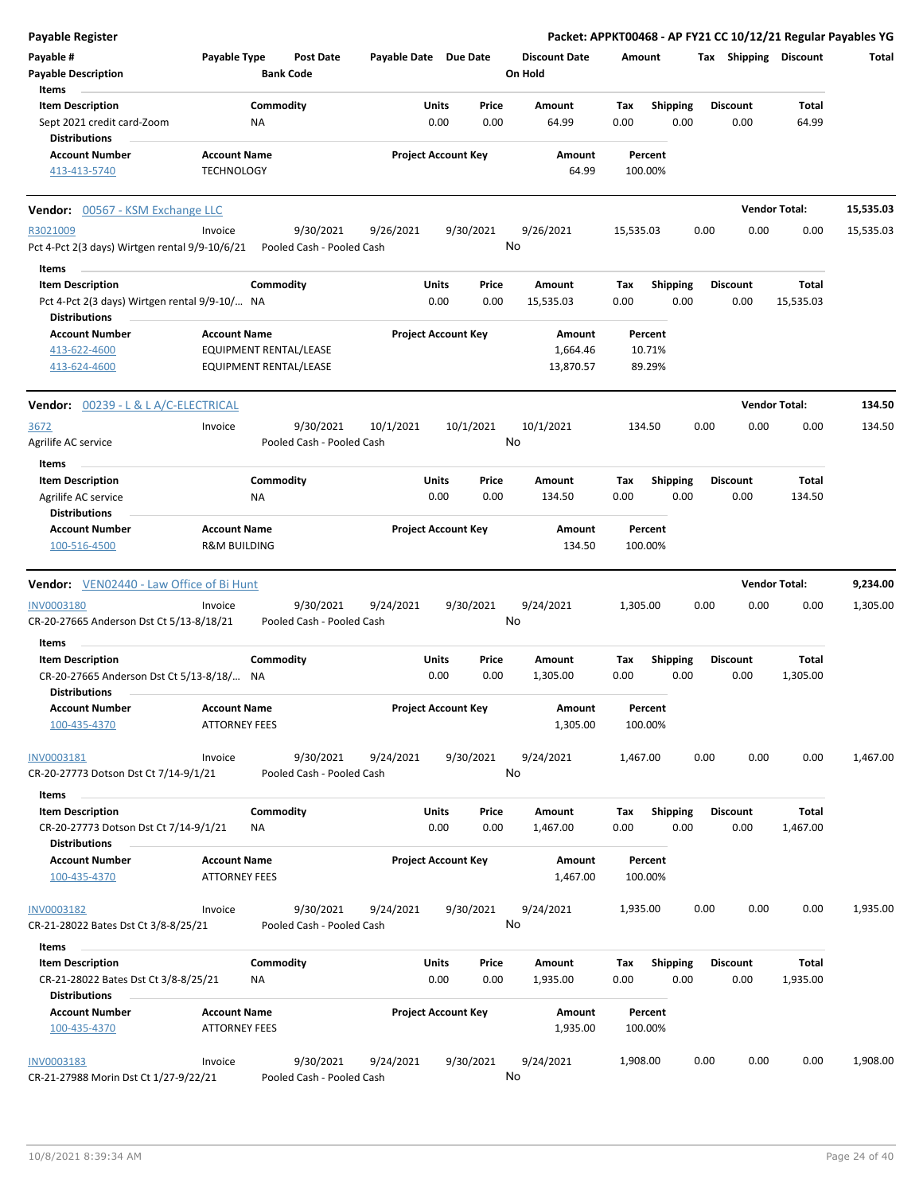| Payable Register                                                      |                                                |                                        |                       |                            |       |                      |             |                 |      |                       |                      | Packet: APPKT00468 - AP FY21 CC 10/12/21 Regular Payables YG |
|-----------------------------------------------------------------------|------------------------------------------------|----------------------------------------|-----------------------|----------------------------|-------|----------------------|-------------|-----------------|------|-----------------------|----------------------|--------------------------------------------------------------|
| Payable #                                                             | Payable Type                                   | <b>Post Date</b>                       | Payable Date Due Date |                            |       | <b>Discount Date</b> | Amount      |                 |      | Tax Shipping Discount |                      | Total                                                        |
| <b>Payable Description</b>                                            |                                                | <b>Bank Code</b>                       |                       |                            |       | On Hold              |             |                 |      |                       |                      |                                                              |
| Items                                                                 |                                                |                                        |                       |                            |       |                      |             |                 |      |                       |                      |                                                              |
| <b>Item Description</b>                                               |                                                | Commodity                              |                       | Units                      | Price | Amount               | Tax         | <b>Shipping</b> |      | <b>Discount</b>       | <b>Total</b>         |                                                              |
| Sept 2021 credit card-Zoom                                            |                                                | ΝA                                     |                       | 0.00                       | 0.00  | 64.99                | 0.00        | 0.00            |      | 0.00                  | 64.99                |                                                              |
| <b>Distributions</b>                                                  |                                                |                                        |                       |                            |       |                      |             |                 |      |                       |                      |                                                              |
| <b>Account Number</b>                                                 | <b>Account Name</b>                            |                                        |                       | <b>Project Account Key</b> |       | Amount               |             | Percent         |      |                       |                      |                                                              |
| 413-413-5740                                                          | <b>TECHNOLOGY</b>                              |                                        |                       |                            |       | 64.99                | 100.00%     |                 |      |                       |                      |                                                              |
| Vendor: 00567 - KSM Exchange LLC                                      |                                                |                                        |                       |                            |       |                      |             |                 |      |                       | <b>Vendor Total:</b> | 15,535.03                                                    |
| R3021009                                                              | Invoice                                        | 9/30/2021                              | 9/26/2021             | 9/30/2021                  |       | 9/26/2021            | 15,535.03   |                 | 0.00 | 0.00                  | 0.00                 | 15,535.03                                                    |
| Pct 4-Pct 2(3 days) Wirtgen rental 9/9-10/6/21                        |                                                | Pooled Cash - Pooled Cash              |                       |                            | No    |                      |             |                 |      |                       |                      |                                                              |
| Items                                                                 |                                                |                                        |                       |                            |       |                      |             |                 |      |                       |                      |                                                              |
| <b>Item Description</b>                                               |                                                | Commodity                              |                       | Units                      | Price | Amount               | Tax         | <b>Shipping</b> |      | <b>Discount</b>       | Total                |                                                              |
| Pct 4-Pct 2(3 days) Wirtgen rental 9/9-10/ NA<br><b>Distributions</b> |                                                |                                        |                       | 0.00                       | 0.00  | 15,535.03            | 0.00        | 0.00            |      | 0.00                  | 15,535.03            |                                                              |
| <b>Account Number</b>                                                 | <b>Account Name</b>                            |                                        |                       | <b>Project Account Key</b> |       | Amount               |             | Percent         |      |                       |                      |                                                              |
| 413-622-4600                                                          |                                                | EQUIPMENT RENTAL/LEASE                 |                       |                            |       | 1,664.46             |             | 10.71%          |      |                       |                      |                                                              |
| 413-624-4600                                                          |                                                | EQUIPMENT RENTAL/LEASE                 |                       |                            |       | 13,870.57            |             | 89.29%          |      |                       |                      |                                                              |
| <b>Vendor: 00239 - L &amp; L A/C-ELECTRICAL</b>                       |                                                |                                        |                       |                            |       |                      |             |                 |      |                       | <b>Vendor Total:</b> | 134.50                                                       |
|                                                                       |                                                |                                        |                       |                            |       |                      |             |                 |      |                       |                      |                                                              |
| 3672                                                                  | Invoice                                        | 9/30/2021                              | 10/1/2021             | 10/1/2021                  |       | 10/1/2021            | 134.50      |                 | 0.00 | 0.00                  | 0.00                 | 134.50                                                       |
| Agrilife AC service<br>Items                                          |                                                | Pooled Cash - Pooled Cash              |                       |                            | No    |                      |             |                 |      |                       |                      |                                                              |
|                                                                       |                                                |                                        |                       |                            | Price |                      |             |                 |      |                       | Total                |                                                              |
| <b>Item Description</b>                                               |                                                | Commodity                              |                       | <b>Units</b><br>0.00       |       | Amount               | Tax<br>0.00 | <b>Shipping</b> |      | <b>Discount</b>       |                      |                                                              |
| Agrilife AC service                                                   |                                                | ΝA                                     |                       |                            | 0.00  | 134.50               |             | 0.00            |      | 0.00                  | 134.50               |                                                              |
| <b>Distributions</b>                                                  |                                                |                                        |                       |                            |       |                      |             |                 |      |                       |                      |                                                              |
| <b>Account Number</b><br>100-516-4500                                 | <b>Account Name</b><br><b>R&amp;M BUILDING</b> |                                        |                       | <b>Project Account Key</b> |       | Amount<br>134.50     | 100.00%     | Percent         |      |                       |                      |                                                              |
| <b>Vendor:</b> VEN02440 - Law Office of Bi Hunt                       |                                                |                                        |                       |                            |       |                      |             |                 |      |                       | <b>Vendor Total:</b> | 9,234.00                                                     |
|                                                                       |                                                |                                        |                       |                            |       |                      |             |                 |      |                       |                      |                                                              |
| <b>INV0003180</b><br>CR-20-27665 Anderson Dst Ct 5/13-8/18/21         | Invoice                                        | 9/30/2021<br>Pooled Cash - Pooled Cash | 9/24/2021             | 9/30/2021                  | No    | 9/24/2021            | 1,305.00    |                 | 0.00 | 0.00                  | 0.00                 | 1,305.00                                                     |
| Items                                                                 |                                                |                                        |                       |                            |       |                      |             |                 |      |                       |                      |                                                              |
| <b>Item Description</b>                                               |                                                | Commodity                              |                       | Units                      | Price | Amount               | Tax         | <b>Shipping</b> |      | <b>Discount</b>       | Total                |                                                              |
| CR-20-27665 Anderson Dst Ct 5/13-8/18/ NA<br><b>Distributions</b>     |                                                |                                        |                       | 0.00                       | 0.00  | 1,305.00             | 0.00        | 0.00            |      | 0.00                  | 1,305.00             |                                                              |
| <b>Account Number</b>                                                 | <b>Account Name</b>                            |                                        |                       | <b>Project Account Key</b> |       | Amount               |             | Percent         |      |                       |                      |                                                              |
| 100-435-4370                                                          | <b>ATTORNEY FEES</b>                           |                                        |                       |                            |       | 1,305.00             | 100.00%     |                 |      |                       |                      |                                                              |
| INV0003181                                                            | Invoice                                        | 9/30/2021                              | 9/24/2021             | 9/30/2021                  |       | 9/24/2021            | 1,467.00    |                 | 0.00 | 0.00                  | 0.00                 | 1,467.00                                                     |
| CR-20-27773 Dotson Dst Ct 7/14-9/1/21                                 |                                                | Pooled Cash - Pooled Cash              |                       |                            | No    |                      |             |                 |      |                       |                      |                                                              |
| Items                                                                 |                                                |                                        |                       |                            |       |                      |             |                 |      |                       |                      |                                                              |
| <b>Item Description</b>                                               |                                                | Commodity                              |                       | Units                      | Price | Amount               | Tax         | Shipping        |      | <b>Discount</b>       | Total                |                                                              |
| CR-20-27773 Dotson Dst Ct 7/14-9/1/21                                 |                                                | ΝA                                     |                       | 0.00                       | 0.00  | 1,467.00             | 0.00        | 0.00            |      | 0.00                  | 1,467.00             |                                                              |
| <b>Distributions</b>                                                  |                                                |                                        |                       |                            |       |                      |             |                 |      |                       |                      |                                                              |
| <b>Account Number</b>                                                 | <b>Account Name</b>                            |                                        |                       | <b>Project Account Key</b> |       | Amount               |             | Percent         |      |                       |                      |                                                              |
| 100-435-4370                                                          | <b>ATTORNEY FEES</b>                           |                                        |                       |                            |       | 1,467.00             | 100.00%     |                 |      |                       |                      |                                                              |
| <b>INV0003182</b>                                                     | Invoice                                        | 9/30/2021                              | 9/24/2021             | 9/30/2021                  |       | 9/24/2021            | 1,935.00    |                 | 0.00 | 0.00                  | 0.00                 | 1,935.00                                                     |
| CR-21-28022 Bates Dst Ct 3/8-8/25/21                                  |                                                | Pooled Cash - Pooled Cash              |                       |                            | No    |                      |             |                 |      |                       |                      |                                                              |
| Items                                                                 |                                                |                                        |                       |                            |       |                      |             |                 |      |                       |                      |                                                              |
| <b>Item Description</b>                                               |                                                | Commodity                              |                       | <b>Units</b>               | Price | Amount               | Tax         | Shipping        |      | <b>Discount</b>       | Total                |                                                              |
| CR-21-28022 Bates Dst Ct 3/8-8/25/21<br><b>Distributions</b>          |                                                | NA                                     |                       | 0.00                       | 0.00  | 1,935.00             | 0.00        | 0.00            |      | 0.00                  | 1,935.00             |                                                              |
| <b>Account Number</b>                                                 | <b>Account Name</b>                            |                                        |                       | <b>Project Account Key</b> |       | Amount               |             | Percent         |      |                       |                      |                                                              |
| 100-435-4370                                                          | <b>ATTORNEY FEES</b>                           |                                        |                       |                            |       | 1,935.00             | 100.00%     |                 |      |                       |                      |                                                              |
| INV0003183                                                            | Invoice                                        | 9/30/2021                              | 9/24/2021             | 9/30/2021                  |       | 9/24/2021            | 1,908.00    |                 | 0.00 | 0.00                  | 0.00                 | 1,908.00                                                     |
| CR-21-27988 Morin Dst Ct 1/27-9/22/21                                 |                                                | Pooled Cash - Pooled Cash              |                       |                            | No    |                      |             |                 |      |                       |                      |                                                              |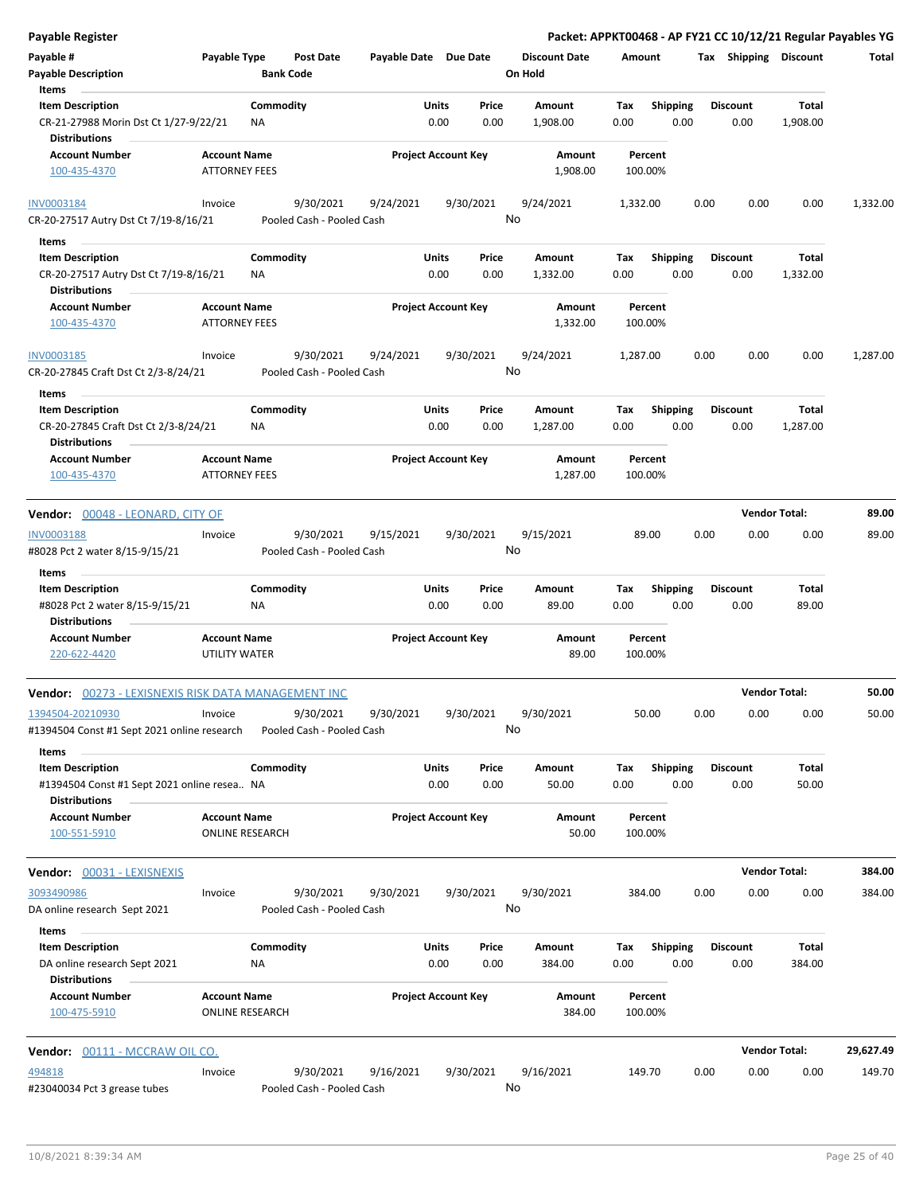| Payable Register                                                                               |                                               |                  |                                        |                       |               |                            |                                 |             |                         |      |                         |                          | Packet: APPKT00468 - AP FY21 CC 10/12/21 Regular Payables YG |
|------------------------------------------------------------------------------------------------|-----------------------------------------------|------------------|----------------------------------------|-----------------------|---------------|----------------------------|---------------------------------|-------------|-------------------------|------|-------------------------|--------------------------|--------------------------------------------------------------|
| Payable #<br><b>Payable Description</b>                                                        | Payable Type                                  | <b>Bank Code</b> | <b>Post Date</b>                       | Payable Date Due Date |               |                            | <b>Discount Date</b><br>On Hold | Amount      |                         |      | Tax Shipping Discount   |                          | Total                                                        |
| Items                                                                                          |                                               |                  |                                        |                       |               |                            |                                 |             |                         |      |                         |                          |                                                              |
| <b>Item Description</b><br>CR-21-27988 Morin Dst Ct 1/27-9/22/21                               |                                               | Commodity<br>ΝA  |                                        |                       | Units<br>0.00 | Price<br>0.00              | Amount<br>1,908.00              | Tax<br>0.00 | <b>Shipping</b><br>0.00 |      | <b>Discount</b><br>0.00 | <b>Total</b><br>1,908.00 |                                                              |
| <b>Distributions</b>                                                                           |                                               |                  |                                        |                       |               |                            |                                 |             |                         |      |                         |                          |                                                              |
| <b>Account Number</b><br>100-435-4370                                                          | <b>Account Name</b><br><b>ATTORNEY FEES</b>   |                  |                                        |                       |               | <b>Project Account Key</b> | Amount<br>1,908.00              | 100.00%     | Percent                 |      |                         |                          |                                                              |
| <b>INV0003184</b>                                                                              | Invoice                                       |                  | 9/30/2021                              | 9/24/2021             |               | 9/30/2021                  | 9/24/2021                       | 1,332.00    |                         | 0.00 | 0.00                    | 0.00                     | 1,332.00                                                     |
| CR-20-27517 Autry Dst Ct 7/19-8/16/21                                                          |                                               |                  | Pooled Cash - Pooled Cash              |                       |               |                            | No                              |             |                         |      |                         |                          |                                                              |
| Items                                                                                          |                                               |                  |                                        |                       |               |                            |                                 |             |                         |      |                         |                          |                                                              |
| <b>Item Description</b><br>CR-20-27517 Autry Dst Ct 7/19-8/16/21<br><b>Distributions</b>       |                                               | Commodity<br>ΝA  |                                        |                       | Units<br>0.00 | Price<br>0.00              | Amount<br>1,332.00              | Тах<br>0.00 | <b>Shipping</b><br>0.00 |      | <b>Discount</b><br>0.00 | Total<br>1,332.00        |                                                              |
| <b>Account Number</b>                                                                          | <b>Account Name</b>                           |                  |                                        |                       |               | <b>Project Account Key</b> | Amount                          |             | Percent                 |      |                         |                          |                                                              |
| 100-435-4370                                                                                   | <b>ATTORNEY FEES</b>                          |                  |                                        |                       |               |                            | 1,332.00                        | 100.00%     |                         |      |                         |                          |                                                              |
| INV0003185<br>CR-20-27845 Craft Dst Ct 2/3-8/24/21                                             | Invoice                                       |                  | 9/30/2021<br>Pooled Cash - Pooled Cash | 9/24/2021             |               | 9/30/2021                  | 9/24/2021<br>No                 | 1,287.00    |                         | 0.00 | 0.00                    | 0.00                     | 1,287.00                                                     |
|                                                                                                |                                               |                  |                                        |                       |               |                            |                                 |             |                         |      |                         |                          |                                                              |
| Items<br><b>Item Description</b>                                                               |                                               | Commodity        |                                        |                       | Units         | Price                      | Amount                          | Tax         | <b>Shipping</b>         |      | <b>Discount</b>         | <b>Total</b>             |                                                              |
| CR-20-27845 Craft Dst Ct 2/3-8/24/21<br><b>Distributions</b>                                   |                                               | ΝA               |                                        |                       | 0.00          | 0.00                       | 1,287.00                        | 0.00        | 0.00                    |      | 0.00                    | 1,287.00                 |                                                              |
| <b>Account Number</b><br>100-435-4370                                                          | <b>Account Name</b><br><b>ATTORNEY FEES</b>   |                  |                                        |                       |               | <b>Project Account Key</b> | Amount<br>1,287.00              | 100.00%     | Percent                 |      |                         |                          |                                                              |
| Vendor: 00048 - LEONARD, CITY OF                                                               |                                               |                  |                                        |                       |               |                            |                                 |             |                         |      | <b>Vendor Total:</b>    |                          | 89.00                                                        |
| INV0003188                                                                                     | Invoice                                       |                  | 9/30/2021                              | 9/15/2021             |               | 9/30/2021                  | 9/15/2021                       | 89.00       |                         | 0.00 | 0.00                    | 0.00                     | 89.00                                                        |
| #8028 Pct 2 water 8/15-9/15/21<br>Items                                                        |                                               |                  | Pooled Cash - Pooled Cash              |                       |               |                            | No                              |             |                         |      |                         |                          |                                                              |
| <b>Item Description</b>                                                                        |                                               | Commodity        |                                        |                       | Units         | Price                      | Amount                          | Tax         | <b>Shipping</b>         |      | <b>Discount</b>         | <b>Total</b>             |                                                              |
| #8028 Pct 2 water 8/15-9/15/21<br><b>Distributions</b>                                         |                                               | ΝA               |                                        |                       | 0.00          | 0.00                       | 89.00                           | 0.00        | 0.00                    |      | 0.00                    | 89.00                    |                                                              |
| <b>Account Number</b><br>220-622-4420                                                          | <b>Account Name</b><br>UTILITY WATER          |                  |                                        |                       |               | <b>Project Account Key</b> | Amount<br>89.00                 | 100.00%     | Percent                 |      |                         |                          |                                                              |
| Vendor: 00273 - LEXISNEXIS RISK DATA MANAGEMENT INC                                            |                                               |                  |                                        |                       |               |                            |                                 |             |                         |      | <b>Vendor Total:</b>    |                          | 50.00                                                        |
| 1394504-20210930<br>#1394504 Const #1 Sept 2021 online research                                | Invoice                                       |                  | 9/30/2021<br>Pooled Cash - Pooled Cash | 9/30/2021             |               | 9/30/2021                  | 9/30/2021<br>No                 | 50.00       |                         | 0.00 | 0.00                    | 0.00                     | 50.00                                                        |
| Items                                                                                          |                                               |                  |                                        |                       |               |                            |                                 |             |                         |      |                         |                          |                                                              |
| <b>Item Description</b><br>#1394504 Const #1 Sept 2021 online resea NA<br><b>Distributions</b> |                                               | Commodity        |                                        |                       | Units<br>0.00 | Price<br>0.00              | Amount<br>50.00                 | Tax<br>0.00 | Shipping<br>0.00        |      | <b>Discount</b><br>0.00 | Total<br>50.00           |                                                              |
| <b>Account Number</b><br>100-551-5910                                                          | <b>Account Name</b><br><b>ONLINE RESEARCH</b> |                  |                                        |                       |               | <b>Project Account Key</b> | Amount<br>50.00                 | 100.00%     | Percent                 |      |                         |                          |                                                              |
| Vendor: 00031 - LEXISNEXIS                                                                     |                                               |                  |                                        |                       |               |                            |                                 |             |                         |      | <b>Vendor Total:</b>    |                          | 384.00                                                       |
| 3093490986<br>DA online research Sept 2021                                                     | Invoice                                       |                  | 9/30/2021<br>Pooled Cash - Pooled Cash | 9/30/2021             |               | 9/30/2021                  | 9/30/2021<br>No                 | 384.00      |                         | 0.00 | 0.00                    | 0.00                     | 384.00                                                       |
| Items                                                                                          |                                               |                  |                                        |                       |               |                            |                                 |             |                         |      |                         |                          |                                                              |
| <b>Item Description</b>                                                                        |                                               | Commodity        |                                        |                       | Units         | Price                      | Amount                          | Тах         | <b>Shipping</b>         |      | <b>Discount</b>         | Total                    |                                                              |
| DA online research Sept 2021<br><b>Distributions</b>                                           |                                               | ΝA               |                                        |                       | 0.00          | 0.00                       | 384.00                          | 0.00        | 0.00                    |      | 0.00                    | 384.00                   |                                                              |
| <b>Account Number</b><br>100-475-5910                                                          | <b>Account Name</b><br><b>ONLINE RESEARCH</b> |                  |                                        |                       |               | <b>Project Account Key</b> | Amount<br>384.00                | 100.00%     | Percent                 |      |                         |                          |                                                              |
| Vendor: 00111 - MCCRAW OIL CO.                                                                 |                                               |                  |                                        |                       |               |                            |                                 |             |                         |      | <b>Vendor Total:</b>    |                          | 29,627.49                                                    |
| 494818                                                                                         | Invoice                                       |                  | 9/30/2021                              | 9/16/2021             |               | 9/30/2021                  | 9/16/2021                       | 149.70      |                         | 0.00 | 0.00                    | 0.00                     | 149.70                                                       |
| #23040034 Pct 3 grease tubes                                                                   |                                               |                  | Pooled Cash - Pooled Cash              |                       |               |                            | No                              |             |                         |      |                         |                          |                                                              |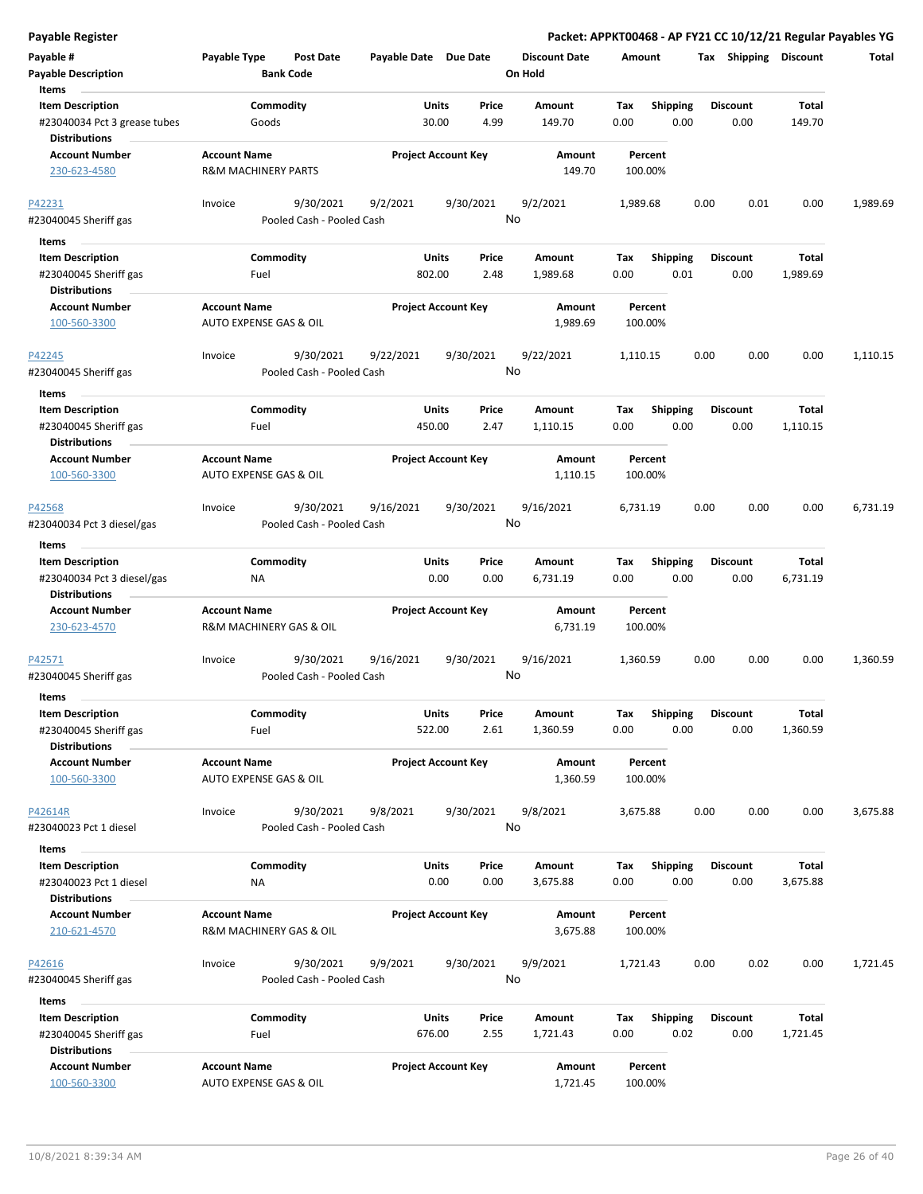| <b>Payable Register</b>                                                            |                                                          |                                        |                       |                            |               |                                 |             |                         |      |                         |                          | Packet: APPKT00468 - AP FY21 CC 10/12/21 Regular Payables YG |
|------------------------------------------------------------------------------------|----------------------------------------------------------|----------------------------------------|-----------------------|----------------------------|---------------|---------------------------------|-------------|-------------------------|------|-------------------------|--------------------------|--------------------------------------------------------------|
| Payable #<br><b>Payable Description</b>                                            | Payable Type                                             | <b>Post Date</b><br><b>Bank Code</b>   | Payable Date Due Date |                            |               | <b>Discount Date</b><br>On Hold | Amount      |                         |      | Tax Shipping Discount   |                          | Total                                                        |
| Items<br><b>Item Description</b><br>#23040034 Pct 3 grease tubes                   | Commodity<br>Goods                                       |                                        |                       | Units<br>30.00             | Price<br>4.99 | Amount<br>149.70                | Tax<br>0.00 | <b>Shipping</b><br>0.00 |      | <b>Discount</b><br>0.00 | <b>Total</b><br>149.70   |                                                              |
| <b>Distributions</b><br><b>Account Number</b><br>230-623-4580                      | <b>Account Name</b><br><b>R&amp;M MACHINERY PARTS</b>    |                                        |                       | <b>Project Account Key</b> |               | Amount<br>149.70                |             | Percent<br>100.00%      |      |                         |                          |                                                              |
| P42231<br>#23040045 Sheriff gas                                                    | Invoice                                                  | 9/30/2021<br>Pooled Cash - Pooled Cash | 9/2/2021              | 9/30/2021                  | No            | 9/2/2021                        | 1,989.68    |                         | 0.00 | 0.01                    | 0.00                     | 1,989.69                                                     |
| Items<br><b>Item Description</b><br>#23040045 Sheriff gas<br><b>Distributions</b>  | Commodity<br>Fuel                                        |                                        | 802.00                | Units                      | Price<br>2.48 | Amount<br>1,989.68              | Tax<br>0.00 | <b>Shipping</b><br>0.01 |      | <b>Discount</b><br>0.00 | <b>Total</b><br>1,989.69 |                                                              |
| <b>Account Number</b><br>100-560-3300                                              | <b>Account Name</b><br><b>AUTO EXPENSE GAS &amp; OIL</b> |                                        |                       | <b>Project Account Key</b> |               | Amount<br>1,989.69              |             | Percent<br>100.00%      |      |                         |                          |                                                              |
| P42245<br>#23040045 Sheriff gas                                                    | Invoice                                                  | 9/30/2021<br>Pooled Cash - Pooled Cash | 9/22/2021             | 9/30/2021                  | No            | 9/22/2021                       | 1,110.15    |                         | 0.00 | 0.00                    | 0.00                     | 1,110.15                                                     |
| Items<br><b>Item Description</b><br>#23040045 Sheriff gas<br><b>Distributions</b>  | Commodity<br>Fuel                                        |                                        | 450.00                | Units                      | Price<br>2.47 | Amount<br>1,110.15              | Tax<br>0.00 | <b>Shipping</b><br>0.00 |      | <b>Discount</b><br>0.00 | Total<br>1,110.15        |                                                              |
| <b>Account Number</b><br>100-560-3300                                              | <b>Account Name</b><br>AUTO EXPENSE GAS & OIL            |                                        |                       | <b>Project Account Key</b> |               | Amount<br>1,110.15              |             | Percent<br>100.00%      |      |                         |                          |                                                              |
| P42568<br>#23040034 Pct 3 diesel/gas                                               | Invoice                                                  | 9/30/2021<br>Pooled Cash - Pooled Cash | 9/16/2021             | 9/30/2021                  | No            | 9/16/2021                       | 6,731.19    |                         | 0.00 | 0.00                    | 0.00                     | 6,731.19                                                     |
| Items                                                                              |                                                          |                                        |                       |                            |               |                                 |             |                         |      |                         |                          |                                                              |
| <b>Item Description</b><br>#23040034 Pct 3 diesel/gas<br><b>Distributions</b>      | Commodity<br>ΝA                                          |                                        |                       | Units<br>0.00              | Price<br>0.00 | Amount<br>6,731.19              | Tax<br>0.00 | <b>Shipping</b><br>0.00 |      | <b>Discount</b><br>0.00 | Total<br>6,731.19        |                                                              |
| <b>Account Number</b><br>230-623-4570                                              | <b>Account Name</b><br>R&M MACHINERY GAS & OIL           |                                        |                       | <b>Project Account Key</b> |               | Amount<br>6,731.19              |             | Percent<br>100.00%      |      |                         |                          |                                                              |
| P42571<br>#23040045 Sheriff gas                                                    | Invoice                                                  | 9/30/2021<br>Pooled Cash - Pooled Cash | 9/16/2021             | 9/30/2021                  | No            | 9/16/2021                       | 1,360.59    |                         | 0.00 | 0.00                    | 0.00                     | 1,360.59                                                     |
| Items<br><b>Item Description</b><br>#23040045 Sheriff gas<br><b>Distributions</b>  | Commodity<br>Fuel                                        |                                        | 522.00                | Units                      | Price<br>2.61 | Amount<br>1,360.59              | Tax<br>0.00 | Shipping<br>0.00        |      | <b>Discount</b><br>0.00 | <b>Total</b><br>1,360.59 |                                                              |
| <b>Account Number</b><br>100-560-3300                                              | <b>Account Name</b><br>AUTO EXPENSE GAS & OIL            |                                        |                       | <b>Project Account Key</b> |               | Amount<br>1,360.59              |             | Percent<br>100.00%      |      |                         |                          |                                                              |
| P42614R<br>#23040023 Pct 1 diesel                                                  | Invoice                                                  | 9/30/2021<br>Pooled Cash - Pooled Cash | 9/8/2021              | 9/30/2021                  | No            | 9/8/2021                        | 3,675.88    |                         | 0.00 | 0.00                    | 0.00                     | 3,675.88                                                     |
| Items<br><b>Item Description</b><br>#23040023 Pct 1 diesel<br><b>Distributions</b> | Commodity<br>ΝA                                          |                                        |                       | Units<br>0.00              | Price<br>0.00 | Amount<br>3,675.88              | Tax<br>0.00 | Shipping<br>0.00        |      | <b>Discount</b><br>0.00 | <b>Total</b><br>3,675.88 |                                                              |
| <b>Account Number</b><br>210-621-4570                                              | <b>Account Name</b><br>R&M MACHINERY GAS & OIL           |                                        |                       | <b>Project Account Key</b> |               | Amount<br>3,675.88              |             | Percent<br>100.00%      |      |                         |                          |                                                              |
| P42616<br>#23040045 Sheriff gas                                                    | Invoice                                                  | 9/30/2021<br>Pooled Cash - Pooled Cash | 9/9/2021              | 9/30/2021                  | No            | 9/9/2021                        | 1,721.43    |                         | 0.00 | 0.02                    | 0.00                     | 1,721.45                                                     |
| Items                                                                              |                                                          |                                        |                       |                            |               |                                 |             |                         |      |                         |                          |                                                              |
| <b>Item Description</b><br>#23040045 Sheriff gas<br><b>Distributions</b>           | Commodity<br>Fuel                                        |                                        | 676.00                | Units                      | Price<br>2.55 | Amount<br>1,721.43              | Tax<br>0.00 | <b>Shipping</b><br>0.02 |      | <b>Discount</b><br>0.00 | Total<br>1,721.45        |                                                              |
| <b>Account Number</b><br>100-560-3300                                              | <b>Account Name</b><br>AUTO EXPENSE GAS & OIL            |                                        |                       | <b>Project Account Key</b> |               | Amount<br>1,721.45              |             | Percent<br>100.00%      |      |                         |                          |                                                              |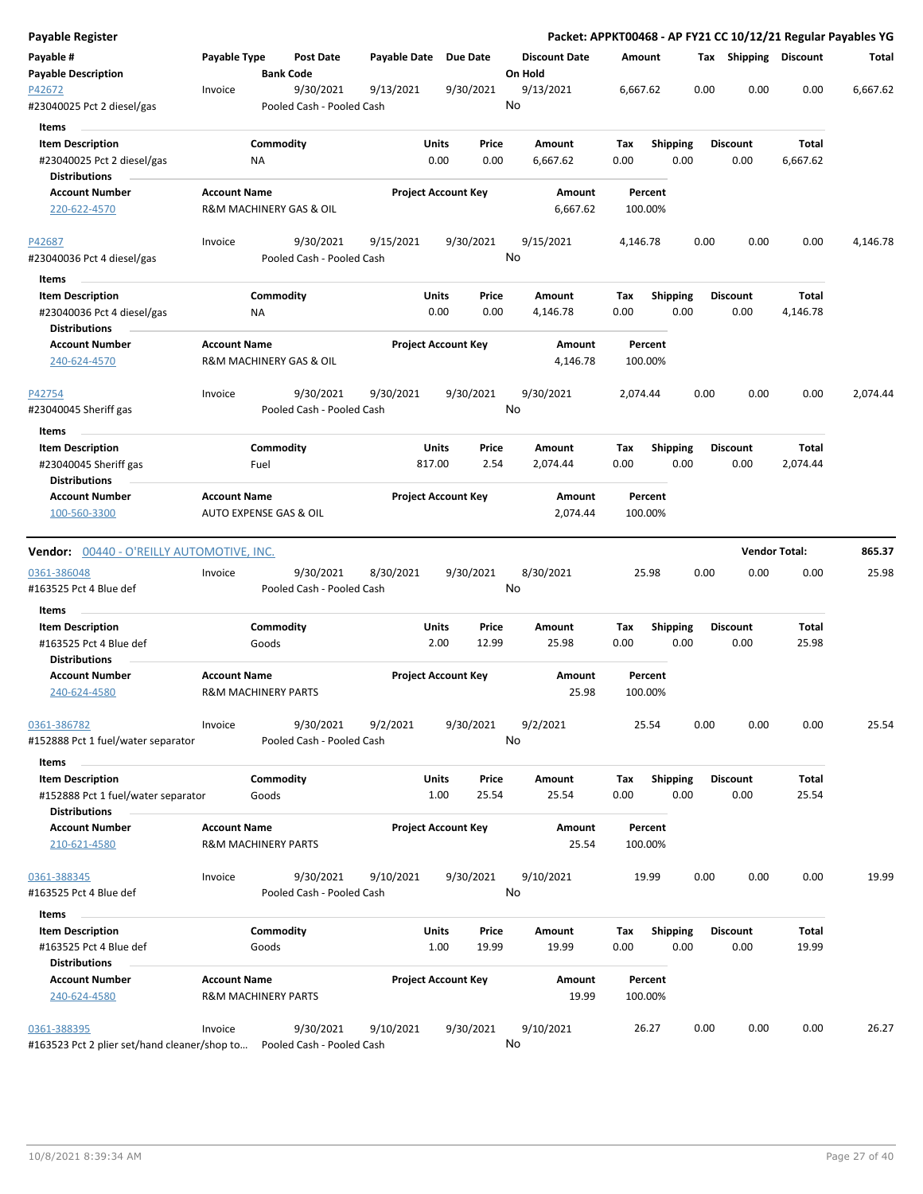| <b>Payable Register</b>                                       |                     |                                        |               |                            |                                 |                    |                         | Packet: APPKT00468 - AP FY21 CC 10/12/21 Regular Payables YG |                |          |
|---------------------------------------------------------------|---------------------|----------------------------------------|---------------|----------------------------|---------------------------------|--------------------|-------------------------|--------------------------------------------------------------|----------------|----------|
| Payable #<br><b>Payable Description</b>                       | <b>Payable Type</b> | <b>Post Date</b><br><b>Bank Code</b>   | Payable Date  | <b>Due Date</b>            | <b>Discount Date</b><br>On Hold | Amount             |                         | Tax Shipping Discount                                        |                | Total    |
| P42672<br>#23040025 Pct 2 diesel/gas                          | Invoice             | 9/30/2021<br>Pooled Cash - Pooled Cash | 9/13/2021     | 9/30/2021                  | 9/13/2021<br>No                 | 6,667.62           |                         | 0.00<br>0.00                                                 | 0.00           | 6,667.62 |
| Items                                                         |                     |                                        |               |                            |                                 |                    |                         |                                                              |                |          |
| <b>Item Description</b>                                       |                     | Commodity                              | Units         | Price                      | Amount                          | Tax                | <b>Shipping</b>         | <b>Discount</b>                                              | Total          |          |
| #23040025 Pct 2 diesel/gas                                    |                     | ΝA                                     | 0.00          | 0.00                       | 6,667.62                        | 0.00               | 0.00                    | 0.00                                                         | 6,667.62       |          |
| Distributions                                                 |                     |                                        |               |                            |                                 |                    |                         |                                                              |                |          |
| <b>Account Number</b>                                         | <b>Account Name</b> |                                        |               | <b>Project Account Key</b> | Amount                          | Percent            |                         |                                                              |                |          |
| 220-622-4570                                                  |                     | R&M MACHINERY GAS & OIL                |               |                            | 6,667.62                        | 100.00%            |                         |                                                              |                |          |
| P42687                                                        | Invoice             | 9/30/2021                              | 9/15/2021     | 9/30/2021                  | 9/15/2021                       | 4,146.78           |                         | 0.00<br>0.00                                                 | 0.00           | 4,146.78 |
| #23040036 Pct 4 diesel/gas                                    |                     | Pooled Cash - Pooled Cash              |               |                            | No                              |                    |                         |                                                              |                |          |
| Items                                                         |                     |                                        |               |                            |                                 |                    |                         |                                                              |                |          |
| <b>Item Description</b>                                       |                     | Commodity                              | Units         | Price                      | Amount                          | Tax                | <b>Shipping</b>         | <b>Discount</b>                                              | Total          |          |
| #23040036 Pct 4 diesel/gas                                    |                     | ΝA                                     | 0.00          | 0.00                       | 4,146.78                        | 0.00               | 0.00                    | 0.00                                                         | 4,146.78       |          |
| <b>Distributions</b>                                          |                     |                                        |               |                            |                                 |                    |                         |                                                              |                |          |
| <b>Account Number</b>                                         | <b>Account Name</b> |                                        |               | <b>Project Account Key</b> | Amount                          | Percent            |                         |                                                              |                |          |
| 240-624-4570                                                  |                     | R&M MACHINERY GAS & OIL                |               |                            | 4,146.78                        | 100.00%            |                         |                                                              |                |          |
| P42754                                                        | Invoice             | 9/30/2021                              | 9/30/2021     | 9/30/2021                  | 9/30/2021                       | 2,074.44           |                         | 0.00<br>0.00                                                 | 0.00           | 2,074.44 |
| #23040045 Sheriff gas                                         |                     | Pooled Cash - Pooled Cash              |               |                            | No                              |                    |                         |                                                              |                |          |
| Items                                                         |                     |                                        |               |                            |                                 |                    |                         |                                                              |                |          |
| <b>Item Description</b>                                       |                     | Commodity                              | Units         | Price                      | Amount                          | Tax                | <b>Shipping</b>         | <b>Discount</b>                                              | Total          |          |
| #23040045 Sheriff gas                                         |                     | Fuel                                   | 817.00        | 2.54                       | 2,074.44                        | 0.00               | 0.00                    | 0.00                                                         | 2,074.44       |          |
| <b>Distributions</b>                                          |                     |                                        |               |                            |                                 |                    |                         |                                                              |                |          |
| <b>Account Number</b>                                         | <b>Account Name</b> |                                        |               | <b>Project Account Key</b> | Amount                          | Percent            |                         |                                                              |                |          |
| 100-560-3300                                                  |                     | AUTO EXPENSE GAS & OIL                 |               |                            | 2,074.44                        | 100.00%            |                         |                                                              |                |          |
| <b>Vendor: 00440 - O'REILLY AUTOMOTIVE, INC.</b>              |                     |                                        |               |                            |                                 |                    |                         | <b>Vendor Total:</b>                                         |                | 865.37   |
| 0361-386048                                                   | Invoice             | 9/30/2021                              | 8/30/2021     | 9/30/2021                  | 8/30/2021                       | 25.98              |                         | 0.00<br>0.00                                                 | 0.00           | 25.98    |
| #163525 Pct 4 Blue def                                        |                     | Pooled Cash - Pooled Cash              |               |                            | No                              |                    |                         |                                                              |                |          |
| Items                                                         |                     |                                        |               |                            |                                 |                    |                         |                                                              |                |          |
| <b>Item Description</b>                                       |                     | Commodity                              | Units         | Price                      | Amount                          | Tax                | <b>Shipping</b>         | <b>Discount</b>                                              | Total          |          |
| #163525 Pct 4 Blue def<br><b>Distributions</b>                |                     | Goods                                  | 2.00          | 12.99                      | 25.98                           | 0.00               | 0.00                    | 0.00                                                         | 25.98          |          |
| <b>Account Number</b>                                         | <b>Account Name</b> |                                        |               | <b>Project Account Key</b> | Amount                          | Percent            |                         |                                                              |                |          |
| 240-624-4580                                                  |                     | <b>R&amp;M MACHINERY PARTS</b>         |               |                            | 25.98                           | 100.00%            |                         |                                                              |                |          |
| 0361-386782                                                   | Invoice             | 9/30/2021                              | 9/2/2021      | 9/30/2021                  | 9/2/2021<br>No                  | 25.54              |                         | 0.00<br>0.00                                                 | 0.00           | 25.54    |
| #152888 Pct 1 fuel/water separator                            |                     | Pooled Cash - Pooled Cash              |               |                            |                                 |                    |                         |                                                              |                |          |
| Items                                                         |                     |                                        |               |                            |                                 |                    |                         |                                                              |                |          |
| <b>Item Description</b><br>#152888 Pct 1 fuel/water separator |                     | Commodity<br>Goods                     | Units<br>1.00 | Price<br>25.54             | Amount<br>25.54                 | Tax<br>0.00        | Shipping<br>0.00        | <b>Discount</b><br>0.00                                      | Total<br>25.54 |          |
| <b>Distributions</b>                                          |                     |                                        |               |                            |                                 |                    |                         |                                                              |                |          |
| <b>Account Number</b><br>210-621-4580                         | <b>Account Name</b> | <b>R&amp;M MACHINERY PARTS</b>         |               | <b>Project Account Key</b> | Amount<br>25.54                 | Percent<br>100.00% |                         |                                                              |                |          |
|                                                               |                     |                                        |               |                            |                                 |                    |                         |                                                              |                |          |
| 0361-388345<br>#163525 Pct 4 Blue def                         | Invoice             | 9/30/2021<br>Pooled Cash - Pooled Cash | 9/10/2021     | 9/30/2021                  | 9/10/2021<br>No                 | 19.99              |                         | 0.00<br>0.00                                                 | 0.00           | 19.99    |
| Items                                                         |                     |                                        |               |                            |                                 |                    |                         |                                                              |                |          |
| <b>Item Description</b><br>#163525 Pct 4 Blue def             |                     | Commodity<br>Goods                     | Units<br>1.00 | Price<br>19.99             | Amount<br>19.99                 | Tax<br>0.00        | <b>Shipping</b><br>0.00 | <b>Discount</b><br>0.00                                      | Total<br>19.99 |          |
| Distributions                                                 |                     |                                        |               |                            |                                 |                    |                         |                                                              |                |          |
| <b>Account Number</b><br>240-624-4580                         | <b>Account Name</b> | <b>R&amp;M MACHINERY PARTS</b>         |               | <b>Project Account Key</b> | Amount<br>19.99                 | Percent<br>100.00% |                         |                                                              |                |          |
| 0361-388395                                                   | Invoice             | 9/30/2021                              | 9/10/2021     | 9/30/2021                  | 9/10/2021                       | 26.27              |                         | 0.00<br>0.00                                                 | 0.00           | 26.27    |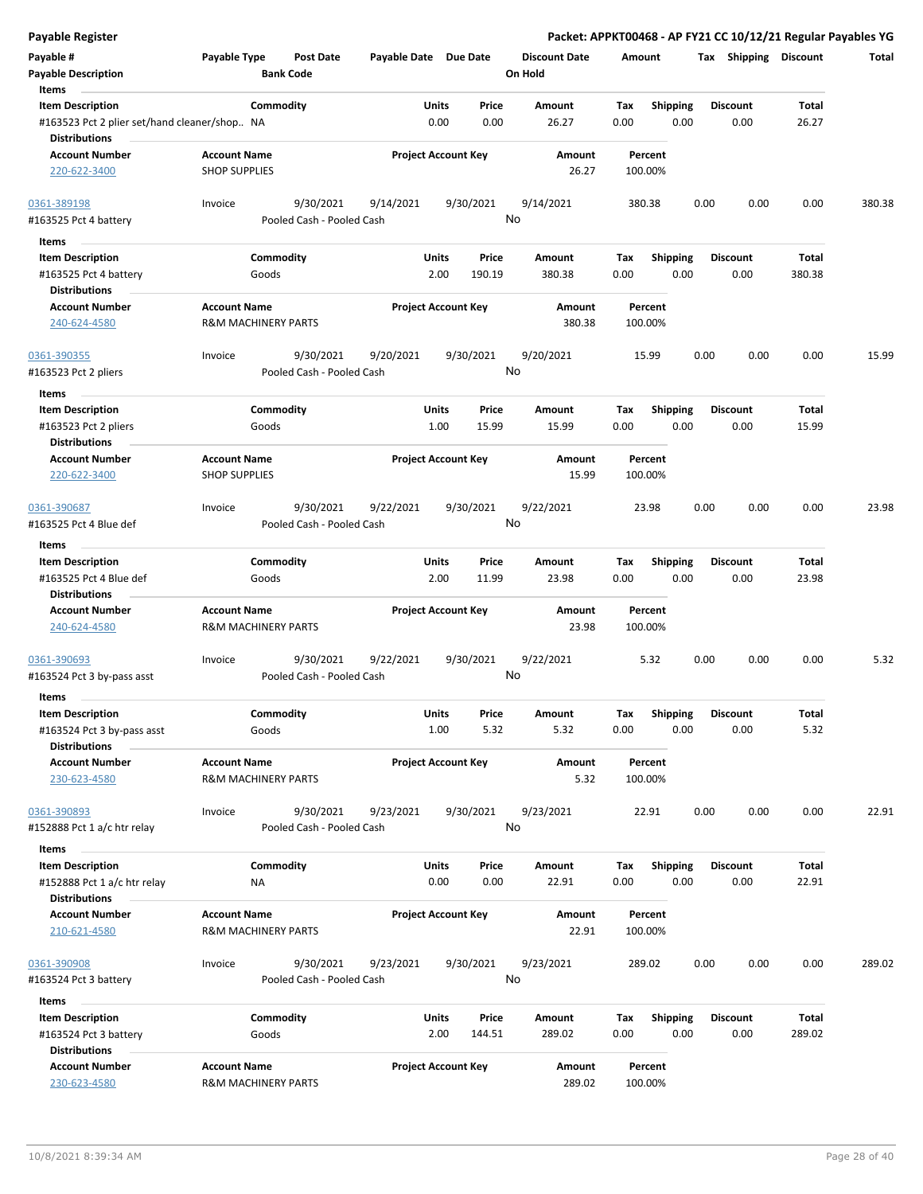| <b>Payable Register</b>                                                 |                                                      |                                        |                                        |                                 | Packet: APPKT00468 - AP FY21 CC 10/12/21 Regular Payables YG |                         |                |        |
|-------------------------------------------------------------------------|------------------------------------------------------|----------------------------------------|----------------------------------------|---------------------------------|--------------------------------------------------------------|-------------------------|----------------|--------|
| Payable #<br><b>Payable Description</b>                                 | Payable Type<br><b>Post Date</b><br><b>Bank Code</b> |                                        | Payable Date Due Date                  | <b>Discount Date</b><br>On Hold | Amount                                                       | Tax Shipping Discount   |                | Total  |
| Items                                                                   |                                                      |                                        |                                        |                                 |                                                              |                         |                |        |
| <b>Item Description</b>                                                 | Commodity                                            |                                        | Units<br>Price                         | Amount                          | Shipping<br>Tax                                              | <b>Discount</b>         | Total          |        |
| #163523 Pct 2 plier set/hand cleaner/shop NA<br><b>Distributions</b>    |                                                      |                                        | 0.00<br>0.00                           | 26.27                           | 0.00<br>0.00                                                 | 0.00                    | 26.27          |        |
| Account Number                                                          | <b>Account Name</b>                                  |                                        | <b>Project Account Key</b>             | Amount                          | Percent                                                      |                         |                |        |
| 220-622-3400                                                            | <b>SHOP SUPPLIES</b>                                 |                                        |                                        | 26.27                           | 100.00%                                                      |                         |                |        |
| 0361-389198<br>#163525 Pct 4 battery                                    | 9/30/2021<br>Invoice                                 | 9/14/2021<br>Pooled Cash - Pooled Cash | 9/30/2021                              | 9/14/2021<br>No                 | 380.38                                                       | 0.00<br>0.00            | 0.00           | 380.38 |
| Items                                                                   |                                                      |                                        |                                        |                                 |                                                              |                         |                |        |
| <b>Item Description</b>                                                 | Commodity                                            |                                        | <b>Units</b><br>Price                  | Amount                          | Tax<br><b>Shipping</b>                                       | <b>Discount</b>         | Total          |        |
| #163525 Pct 4 battery<br>Distributions                                  | Goods                                                |                                        | 2.00<br>190.19                         | 380.38                          | 0.00<br>0.00                                                 | 0.00                    | 380.38         |        |
| <b>Account Number</b>                                                   | <b>Account Name</b>                                  |                                        | <b>Project Account Key</b>             | Amount                          | Percent                                                      |                         |                |        |
| 240-624-4580                                                            | <b>R&amp;M MACHINERY PARTS</b>                       |                                        |                                        | 380.38                          | 100.00%                                                      |                         |                |        |
| 0361-390355<br>#163523 Pct 2 pliers                                     | 9/30/2021<br>Invoice                                 | 9/20/2021<br>Pooled Cash - Pooled Cash | 9/30/2021                              | 9/20/2021<br>No                 | 15.99                                                        | 0.00<br>0.00            | 0.00           | 15.99  |
| Items                                                                   |                                                      |                                        |                                        |                                 |                                                              |                         |                |        |
| <b>Item Description</b><br>#163523 Pct 2 pliers<br><b>Distributions</b> | Commodity<br>Goods                                   |                                        | <b>Units</b><br>Price<br>15.99<br>1.00 | Amount<br>15.99                 | <b>Shipping</b><br>Tax<br>0.00<br>0.00                       | <b>Discount</b><br>0.00 | Total<br>15.99 |        |
| <b>Account Number</b>                                                   | <b>Account Name</b>                                  |                                        | <b>Project Account Key</b>             | Amount                          | Percent                                                      |                         |                |        |
| 220-622-3400                                                            | <b>SHOP SUPPLIES</b>                                 |                                        |                                        | 15.99                           | 100.00%                                                      |                         |                |        |
| 0361-390687                                                             | 9/30/2021<br>Invoice                                 | 9/22/2021                              | 9/30/2021                              | 9/22/2021                       | 23.98                                                        | 0.00<br>0.00            | 0.00           | 23.98  |
| #163525 Pct 4 Blue def                                                  |                                                      | Pooled Cash - Pooled Cash              |                                        | No                              |                                                              |                         |                |        |
| Items                                                                   |                                                      |                                        |                                        |                                 |                                                              |                         |                |        |
| <b>Item Description</b>                                                 | Commodity                                            |                                        | Units<br>Price                         | Amount                          | <b>Shipping</b><br>Tax                                       | <b>Discount</b>         | Total          |        |
| #163525 Pct 4 Blue def<br><b>Distributions</b>                          | Goods                                                |                                        | 2.00<br>11.99                          | 23.98                           | 0.00<br>0.00                                                 | 0.00                    | 23.98          |        |
| <b>Account Number</b>                                                   | <b>Account Name</b>                                  |                                        | <b>Project Account Key</b>             | Amount                          | Percent                                                      |                         |                |        |
| 240-624-4580                                                            | <b>R&amp;M MACHINERY PARTS</b>                       |                                        |                                        | 23.98                           | 100.00%                                                      |                         |                |        |
| 0361-390693                                                             | 9/30/2021<br>Invoice                                 | 9/22/2021                              | 9/30/2021                              | 9/22/2021                       | 5.32                                                         | 0.00<br>0.00            | 0.00           | 5.32   |
| #163524 Pct 3 by-pass asst                                              |                                                      | Pooled Cash - Pooled Cash              |                                        | No                              |                                                              |                         |                |        |
| Items                                                                   |                                                      |                                        |                                        |                                 |                                                              |                         |                |        |
| <b>Item Description</b>                                                 | Commodity                                            |                                        | Units<br>Price                         | Amount                          | <b>Shipping</b><br>Tax                                       | <b>Discount</b>         | Total          |        |
| #163524 Pct 3 by-pass asst<br><b>Distributions</b>                      | Goods                                                |                                        | 5.32<br>1.00                           | 5.32                            | 0.00<br>0.00                                                 | 0.00                    | 5.32           |        |
| <b>Account Number</b>                                                   | <b>Account Name</b>                                  |                                        | <b>Project Account Key</b>             | <b>Amount</b>                   | Percent                                                      |                         |                |        |
| 230-623-4580                                                            | <b>R&amp;M MACHINERY PARTS</b>                       |                                        |                                        | 5.32                            | 100.00%                                                      |                         |                |        |
| 0361-390893                                                             | 9/30/2021<br>Invoice                                 | 9/23/2021                              | 9/30/2021                              | 9/23/2021                       | 22.91                                                        | 0.00<br>0.00            | 0.00           | 22.91  |
| #152888 Pct 1 a/c htr relay                                             |                                                      | Pooled Cash - Pooled Cash              |                                        | No                              |                                                              |                         |                |        |
| Items                                                                   |                                                      |                                        |                                        |                                 |                                                              |                         |                |        |
| <b>Item Description</b>                                                 | Commodity                                            |                                        | Units<br>Price                         | Amount                          | Shipping<br>Tax                                              | <b>Discount</b>         | Total          |        |
| #152888 Pct 1 a/c htr relay                                             | NA                                                   |                                        | 0.00<br>0.00                           | 22.91                           | 0.00<br>0.00                                                 | 0.00                    | 22.91          |        |
| <b>Distributions</b><br><b>Account Number</b>                           | <b>Account Name</b>                                  |                                        | <b>Project Account Key</b>             | Amount                          | Percent                                                      |                         |                |        |
| 210-621-4580                                                            | <b>R&amp;M MACHINERY PARTS</b>                       |                                        |                                        | 22.91                           | 100.00%                                                      |                         |                |        |
| 0361-390908<br>#163524 Pct 3 battery                                    | 9/30/2021<br>Invoice                                 | 9/23/2021<br>Pooled Cash - Pooled Cash | 9/30/2021                              | 9/23/2021<br>No                 | 289.02                                                       | 0.00<br>0.00            | 0.00           | 289.02 |
| Items                                                                   |                                                      |                                        |                                        |                                 |                                                              |                         |                |        |
| <b>Item Description</b>                                                 | Commodity                                            |                                        | <b>Units</b><br>Price                  | Amount                          | Tax<br><b>Shipping</b>                                       | Discount                | Total          |        |
| #163524 Pct 3 battery<br><b>Distributions</b>                           | Goods                                                |                                        | 2.00<br>144.51                         | 289.02                          | 0.00<br>0.00                                                 | 0.00                    | 289.02         |        |
| <b>Account Number</b>                                                   | <b>Account Name</b>                                  |                                        | <b>Project Account Key</b>             | Amount                          | Percent                                                      |                         |                |        |
| 230-623-4580                                                            | <b>R&amp;M MACHINERY PARTS</b>                       |                                        |                                        | 289.02                          | 100.00%                                                      |                         |                |        |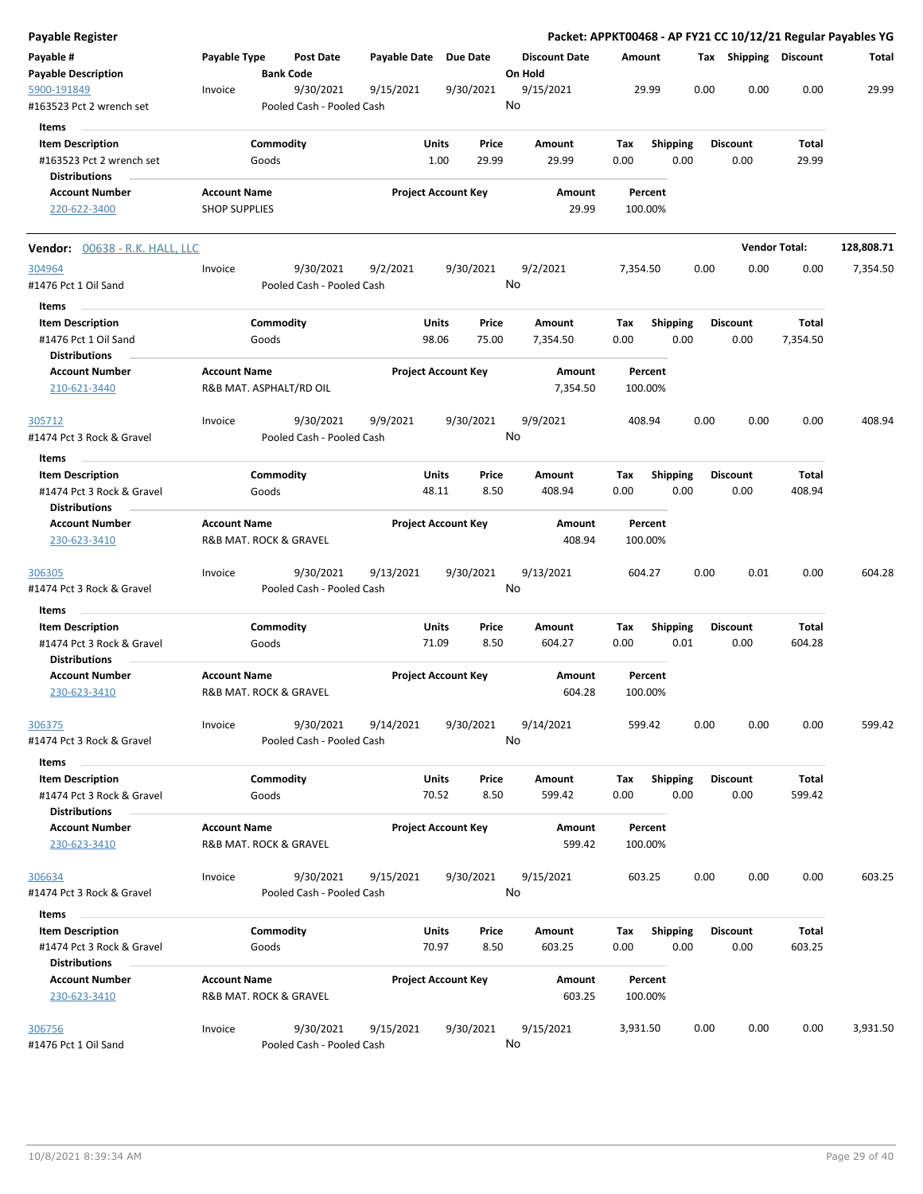| <b>Payable Register</b>                                       |                      |                                       |                                        |                       |                            |               |         |                           |             |                    |                         |      |                         |                      | Packet: APPKT00468 - AP FY21 CC 10/12/21 Regular Payables YG |
|---------------------------------------------------------------|----------------------|---------------------------------------|----------------------------------------|-----------------------|----------------------------|---------------|---------|---------------------------|-------------|--------------------|-------------------------|------|-------------------------|----------------------|--------------------------------------------------------------|
| Payable #<br><b>Payable Description</b>                       | Payable Type         | <b>Bank Code</b>                      | <b>Post Date</b>                       | Payable Date Due Date |                            |               | On Hold | <b>Discount Date</b>      | Amount      |                    |                         |      | Tax Shipping Discount   |                      | Total                                                        |
| 5900-191849<br>#163523 Pct 2 wrench set                       | Invoice              |                                       | 9/30/2021<br>Pooled Cash - Pooled Cash | 9/15/2021             |                            | 9/30/2021     | No      | 9/15/2021                 |             | 29.99              |                         | 0.00 | 0.00                    | 0.00                 | 29.99                                                        |
| Items                                                         |                      |                                       |                                        |                       |                            |               |         |                           |             |                    |                         |      |                         |                      |                                                              |
| <b>Item Description</b>                                       |                      | Commodity                             |                                        |                       | Units                      | Price         |         | Amount                    | Tax         |                    | <b>Shipping</b>         |      | <b>Discount</b>         | Total                |                                                              |
| #163523 Pct 2 wrench set                                      |                      | Goods                                 |                                        |                       | 1.00                       | 29.99         |         | 29.99                     | 0.00        |                    | 0.00                    |      | 0.00                    | 29.99                |                                                              |
| <b>Distributions</b>                                          |                      |                                       |                                        |                       |                            |               |         |                           |             |                    |                         |      |                         |                      |                                                              |
| <b>Account Number</b>                                         | <b>Account Name</b>  |                                       |                                        |                       | <b>Project Account Key</b> |               |         | Amount                    |             | Percent            |                         |      |                         |                      |                                                              |
| 220-622-3400                                                  | <b>SHOP SUPPLIES</b> |                                       |                                        |                       |                            |               |         | 29.99                     |             | 100.00%            |                         |      |                         |                      |                                                              |
| <b>Vendor:</b> 00638 - R.K. HALL, LLC                         |                      |                                       |                                        |                       |                            |               |         |                           |             |                    |                         |      |                         | <b>Vendor Total:</b> | 128,808.71                                                   |
| 304964                                                        | Invoice              |                                       | 9/30/2021                              | 9/2/2021              |                            | 9/30/2021     |         | 9/2/2021                  | 7,354.50    |                    |                         | 0.00 | 0.00                    | 0.00                 | 7,354.50                                                     |
| #1476 Pct 1 Oil Sand                                          |                      |                                       | Pooled Cash - Pooled Cash              |                       |                            |               | No      |                           |             |                    |                         |      |                         |                      |                                                              |
| Items<br><b>Item Description</b>                              |                      | Commodity                             |                                        |                       | Units                      | Price         |         | Amount                    | Tax         |                    | <b>Shipping</b>         |      | <b>Discount</b>         | Total                |                                                              |
| #1476 Pct 1 Oil Sand                                          |                      | Goods                                 |                                        |                       | 98.06                      | 75.00         |         | 7,354.50                  | 0.00        |                    | 0.00                    |      | 0.00                    | 7,354.50             |                                                              |
| <b>Distributions</b><br><b>Account Number</b><br>210-621-3440 | <b>Account Name</b>  | R&B MAT. ASPHALT/RD OIL               |                                        |                       | <b>Project Account Key</b> |               |         | <b>Amount</b><br>7,354.50 |             | Percent<br>100.00% |                         |      |                         |                      |                                                              |
| 305712                                                        | Invoice              |                                       | 9/30/2021                              | 9/9/2021              |                            | 9/30/2021     |         | 9/9/2021                  |             | 408.94             |                         | 0.00 | 0.00                    | 0.00                 | 408.94                                                       |
| #1474 Pct 3 Rock & Gravel                                     |                      |                                       | Pooled Cash - Pooled Cash              |                       |                            |               | No      |                           |             |                    |                         |      |                         |                      |                                                              |
|                                                               |                      |                                       |                                        |                       |                            |               |         |                           |             |                    |                         |      |                         |                      |                                                              |
| Items                                                         |                      |                                       |                                        |                       |                            |               |         |                           |             |                    |                         |      |                         |                      |                                                              |
| <b>Item Description</b>                                       |                      | Commodity                             |                                        |                       | Units                      | Price         |         | Amount                    | Tax         |                    | <b>Shipping</b>         |      | <b>Discount</b>         | Total                |                                                              |
| #1474 Pct 3 Rock & Gravel<br><b>Distributions</b>             |                      | Goods                                 |                                        |                       | 48.11                      | 8.50          |         | 408.94                    | 0.00        |                    | 0.00                    |      | 0.00                    | 408.94               |                                                              |
| <b>Account Number</b><br>230-623-3410                         | <b>Account Name</b>  | R&B MAT. ROCK & GRAVEL                |                                        |                       | <b>Project Account Key</b> |               |         | Amount<br>408.94          |             | Percent<br>100.00% |                         |      |                         |                      |                                                              |
| 306305<br>#1474 Pct 3 Rock & Gravel                           | Invoice              |                                       | 9/30/2021<br>Pooled Cash - Pooled Cash | 9/13/2021             |                            | 9/30/2021     | No      | 9/13/2021                 |             | 604.27             |                         | 0.00 | 0.01                    | 0.00                 | 604.28                                                       |
|                                                               |                      |                                       |                                        |                       |                            |               |         |                           |             |                    |                         |      |                         |                      |                                                              |
| <b>Items</b>                                                  |                      |                                       |                                        |                       |                            |               |         |                           |             |                    |                         |      |                         |                      |                                                              |
| <b>Item Description</b>                                       |                      | Commodity                             |                                        |                       | Units                      | Price         |         | Amount                    | Tax         |                    | <b>Shipping</b>         |      | <b>Discount</b>         | Total                |                                                              |
| #1474 Pct 3 Rock & Gravel<br><b>Distributions</b>             |                      | Goods                                 |                                        |                       | 71.09                      | 8.50          |         | 604.27                    | 0.00        |                    | 0.01                    |      | 0.00                    | 604.28               |                                                              |
| <b>Account Number</b>                                         | <b>Account Name</b>  |                                       |                                        |                       | <b>Project Account Key</b> |               |         | Amount                    |             | Percent            |                         |      |                         |                      |                                                              |
| 230-623-3410                                                  |                      | <b>R&amp;B MAT. ROCK &amp; GRAVEL</b> |                                        |                       |                            |               |         | 604.28                    |             | 100.00%            |                         |      |                         |                      |                                                              |
| 306375<br>#1474 Pct 3 Rock & Gravel                           | Invoice              |                                       | 9/30/2021<br>Pooled Cash - Pooled Cash | 9/14/2021             |                            | 9/30/2021     | No      | 9/14/2021                 |             | 599.42             |                         | 0.00 | 0.00                    | 0.00                 | 599.42                                                       |
|                                                               |                      |                                       |                                        |                       |                            |               |         |                           |             |                    |                         |      |                         |                      |                                                              |
| Items                                                         |                      |                                       |                                        |                       |                            |               |         |                           |             |                    |                         |      |                         |                      |                                                              |
| <b>Item Description</b><br>#1474 Pct 3 Rock & Gravel          |                      | Commodity<br>Goods                    |                                        |                       | <b>Units</b><br>70.52      | Price<br>8.50 |         | Amount<br>599.42          | Tax<br>0.00 |                    | <b>Shipping</b><br>0.00 |      | <b>Discount</b><br>0.00 | Total<br>599.42      |                                                              |
| <b>Distributions</b>                                          |                      |                                       |                                        |                       |                            |               |         |                           |             |                    |                         |      |                         |                      |                                                              |
| <b>Account Number</b><br>230-623-3410                         | <b>Account Name</b>  | R&B MAT. ROCK & GRAVEL                |                                        |                       | <b>Project Account Key</b> |               |         | Amount<br>599.42          |             | Percent<br>100.00% |                         |      |                         |                      |                                                              |
|                                                               |                      |                                       |                                        |                       |                            |               |         |                           |             |                    |                         |      |                         |                      |                                                              |
| 306634<br>#1474 Pct 3 Rock & Gravel                           | Invoice              |                                       | 9/30/2021<br>Pooled Cash - Pooled Cash | 9/15/2021             |                            | 9/30/2021     | No      | 9/15/2021                 |             | 603.25             |                         | 0.00 | 0.00                    | 0.00                 | 603.25                                                       |
| Items                                                         |                      |                                       |                                        |                       |                            |               |         |                           |             |                    |                         |      |                         |                      |                                                              |
| <b>Item Description</b>                                       |                      | Commodity                             |                                        |                       | <b>Units</b>               | Price         |         | Amount                    | Tax         |                    | Shipping                |      | <b>Discount</b>         | Total                |                                                              |
| #1474 Pct 3 Rock & Gravel<br><b>Distributions</b>             |                      | Goods                                 |                                        |                       | 70.97                      | 8.50          |         | 603.25                    | 0.00        |                    | 0.00                    |      | 0.00                    | 603.25               |                                                              |
| <b>Account Number</b>                                         | <b>Account Name</b>  |                                       |                                        |                       | <b>Project Account Key</b> |               |         | Amount                    |             | Percent            |                         |      |                         |                      |                                                              |
| 230-623-3410                                                  |                      | R&B MAT. ROCK & GRAVEL                |                                        |                       |                            |               |         | 603.25                    |             | 100.00%            |                         |      |                         |                      |                                                              |
| 306756                                                        | Invoice              |                                       | 9/30/2021                              | 9/15/2021             |                            | 9/30/2021     |         | 9/15/2021                 | 3,931.50    |                    |                         | 0.00 | 0.00                    | 0.00                 | 3,931.50                                                     |
| #1476 Pct 1 Oil Sand                                          |                      |                                       | Pooled Cash - Pooled Cash              |                       |                            |               | No      |                           |             |                    |                         |      |                         |                      |                                                              |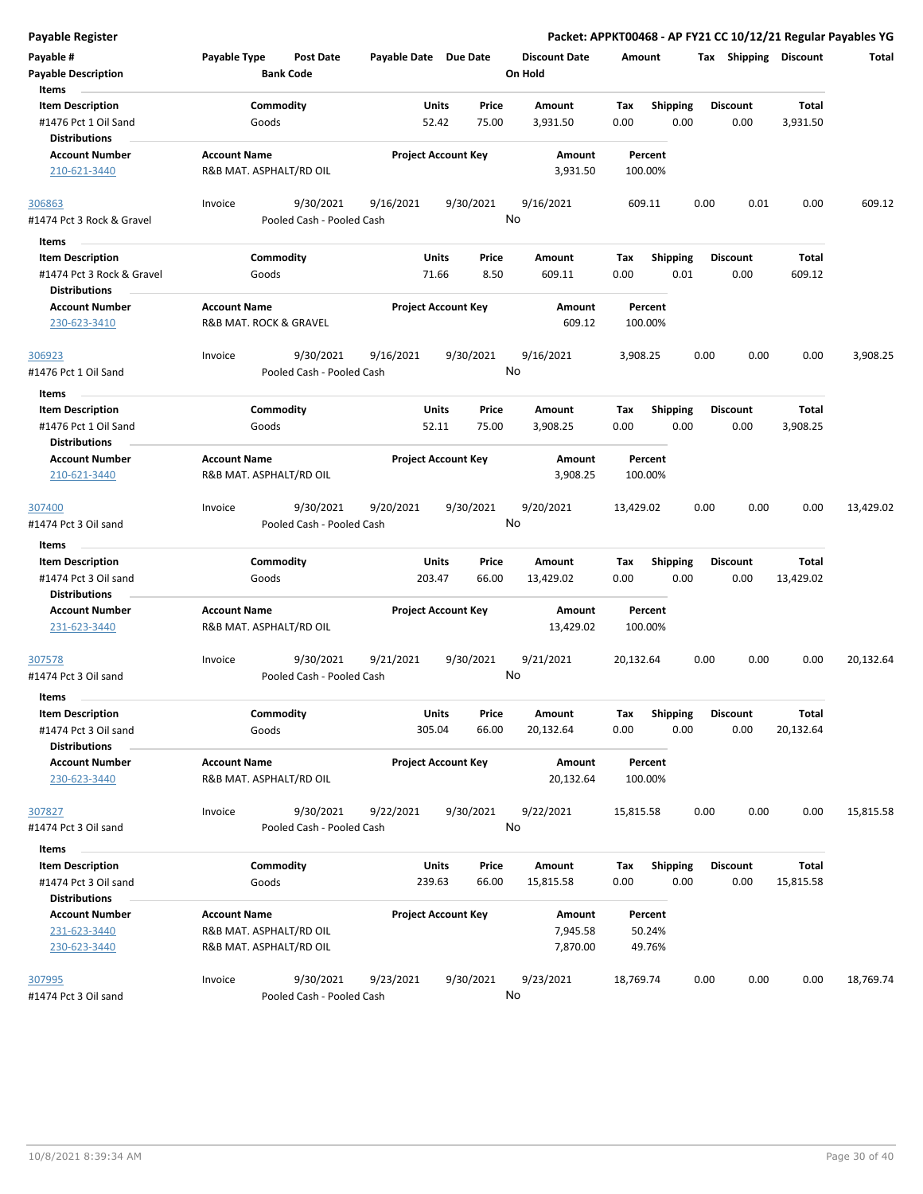| <b>Payable Register</b>                         |                     |                                        |                        |                            |                                 |                    |                         | Packet: APPKT00468 - AP FY21 CC 10/12/21 Regular Payables YG |                           |           |
|-------------------------------------------------|---------------------|----------------------------------------|------------------------|----------------------------|---------------------------------|--------------------|-------------------------|--------------------------------------------------------------|---------------------------|-----------|
| Payable #<br><b>Payable Description</b>         | Payable Type        | <b>Post Date</b><br><b>Bank Code</b>   | Payable Date Due Date  |                            | <b>Discount Date</b><br>On Hold | Amount             |                         | Tax Shipping Discount                                        |                           | Total     |
| Items<br><b>Item Description</b>                |                     | Commodity                              | Units                  | Price                      | Amount                          | Tax                | <b>Shipping</b>         | <b>Discount</b>                                              | <b>Total</b>              |           |
| #1476 Pct 1 Oil Sand                            |                     | Goods                                  | 52.42                  | 75.00                      | 3,931.50                        | 0.00               | 0.00                    | 0.00                                                         | 3,931.50                  |           |
| <b>Distributions</b>                            |                     |                                        |                        |                            |                                 |                    |                         |                                                              |                           |           |
| <b>Account Number</b>                           | <b>Account Name</b> |                                        |                        | <b>Project Account Key</b> | Amount                          | Percent            |                         |                                                              |                           |           |
| 210-621-3440                                    |                     | R&B MAT. ASPHALT/RD OIL                |                        |                            | 3,931.50                        | 100.00%            |                         |                                                              |                           |           |
| 306863                                          | Invoice             | 9/30/2021                              | 9/16/2021              | 9/30/2021                  | 9/16/2021                       | 609.11             |                         | 0.00<br>0.01                                                 | 0.00                      | 609.12    |
| #1474 Pct 3 Rock & Gravel                       |                     | Pooled Cash - Pooled Cash              |                        |                            | No                              |                    |                         |                                                              |                           |           |
| Items                                           |                     |                                        |                        |                            |                                 |                    |                         |                                                              |                           |           |
| <b>Item Description</b>                         |                     | Commodity                              | <b>Units</b>           | Price                      | Amount                          | Tax                | <b>Shipping</b>         | <b>Discount</b>                                              | Total                     |           |
| #1474 Pct 3 Rock & Gravel                       |                     | Goods                                  | 71.66                  | 8.50                       | 609.11                          | 0.00               | 0.01                    | 0.00                                                         | 609.12                    |           |
| <b>Distributions</b><br><b>Account Number</b>   | <b>Account Name</b> |                                        |                        | <b>Project Account Key</b> | Amount                          | Percent            |                         |                                                              |                           |           |
| 230-623-3410                                    |                     | R&B MAT. ROCK & GRAVEL                 |                        |                            | 609.12                          | 100.00%            |                         |                                                              |                           |           |
| 306923                                          | Invoice             | 9/30/2021                              | 9/16/2021              | 9/30/2021                  | 9/16/2021                       | 3,908.25           |                         | 0.00<br>0.00                                                 | 0.00                      | 3,908.25  |
| #1476 Pct 1 Oil Sand                            |                     | Pooled Cash - Pooled Cash              |                        |                            | No                              |                    |                         |                                                              |                           |           |
| Items                                           |                     |                                        |                        |                            |                                 |                    |                         |                                                              |                           |           |
| <b>Item Description</b>                         |                     | Commodity                              | <b>Units</b>           | Price                      | Amount                          | Tax                | <b>Shipping</b>         | <b>Discount</b>                                              | <b>Total</b>              |           |
| #1476 Pct 1 Oil Sand                            |                     | Goods                                  | 52.11                  | 75.00                      | 3,908.25                        | 0.00               | 0.00                    | 0.00                                                         | 3,908.25                  |           |
| <b>Distributions</b>                            |                     |                                        |                        |                            |                                 |                    |                         |                                                              |                           |           |
| <b>Account Number</b><br>210-621-3440           | <b>Account Name</b> | R&B MAT. ASPHALT/RD OIL                |                        | <b>Project Account Key</b> | Amount<br>3,908.25              | Percent<br>100.00% |                         |                                                              |                           |           |
| 307400                                          | Invoice             | 9/30/2021                              | 9/20/2021              | 9/30/2021                  | 9/20/2021                       | 13,429.02          |                         | 0.00<br>0.00                                                 | 0.00                      | 13,429.02 |
| #1474 Pct 3 Oil sand                            |                     | Pooled Cash - Pooled Cash              |                        |                            | No                              |                    |                         |                                                              |                           |           |
| Items                                           |                     |                                        |                        |                            |                                 |                    |                         |                                                              |                           |           |
| <b>Item Description</b><br>#1474 Pct 3 Oil sand |                     | Commodity<br>Goods                     | Units<br>203.47        | Price<br>66.00             | Amount<br>13,429.02             | Tax<br>0.00        | <b>Shipping</b><br>0.00 | <b>Discount</b><br>0.00                                      | Total<br>13,429.02        |           |
| <b>Distributions</b><br><b>Account Number</b>   | <b>Account Name</b> |                                        |                        | <b>Project Account Key</b> | Amount                          | Percent            |                         |                                                              |                           |           |
| 231-623-3440                                    |                     | R&B MAT. ASPHALT/RD OIL                |                        |                            | 13,429.02                       | 100.00%            |                         |                                                              |                           |           |
| 307578<br>#1474 Pct 3 Oil sand                  | Invoice             | 9/30/2021<br>Pooled Cash - Pooled Cash | 9/21/2021              | 9/30/2021                  | 9/21/2021<br>No                 | 20,132.64          |                         | 0.00<br>0.00                                                 | 0.00                      | 20,132.64 |
| Items                                           |                     |                                        |                        |                            |                                 |                    |                         |                                                              |                           |           |
| <b>Item Description</b><br>#1474 Pct 3 Oil sand |                     | Commodity<br>Goods                     | Units<br>305.04        | Price<br>66.00             | Amount<br>20,132.64             | Tax<br>0.00        | Shipping<br>0.00        | <b>Discount</b><br>0.00                                      | Total<br>20,132.64        |           |
| <b>Distributions</b>                            |                     |                                        |                        |                            |                                 |                    |                         |                                                              |                           |           |
| <b>Account Number</b><br>230-623-3440           | <b>Account Name</b> | R&B MAT. ASPHALT/RD OIL                |                        | <b>Project Account Key</b> | Amount<br>20,132.64             | Percent<br>100.00% |                         |                                                              |                           |           |
| 307827                                          | Invoice             | 9/30/2021                              | 9/22/2021              | 9/30/2021                  | 9/22/2021                       | 15,815.58          |                         | 0.00<br>0.00                                                 | 0.00                      | 15,815.58 |
| #1474 Pct 3 Oil sand                            |                     | Pooled Cash - Pooled Cash              |                        |                            | No                              |                    |                         |                                                              |                           |           |
| Items                                           |                     |                                        |                        |                            |                                 |                    |                         |                                                              |                           |           |
| <b>Item Description</b><br>#1474 Pct 3 Oil sand |                     | Commodity<br>Goods                     | <b>Units</b><br>239.63 | Price<br>66.00             | Amount<br>15,815.58             | Tax<br>0.00        | <b>Shipping</b><br>0.00 | <b>Discount</b><br>0.00                                      | <b>Total</b><br>15,815.58 |           |
| <b>Distributions</b>                            |                     |                                        |                        |                            |                                 |                    |                         |                                                              |                           |           |
| <b>Account Number</b><br>231-623-3440           | <b>Account Name</b> | R&B MAT. ASPHALT/RD OIL                |                        | <b>Project Account Key</b> | Amount<br>7,945.58              | Percent<br>50.24%  |                         |                                                              |                           |           |
| 230-623-3440                                    |                     | R&B MAT. ASPHALT/RD OIL                |                        |                            | 7,870.00                        | 49.76%             |                         |                                                              |                           |           |
| 307995                                          | Invoice             | 9/30/2021                              | 9/23/2021              | 9/30/2021                  | 9/23/2021                       | 18,769.74          |                         | 0.00<br>0.00                                                 | 0.00                      | 18,769.74 |
| #1474 Pct 3 Oil sand                            |                     | Pooled Cash - Pooled Cash              |                        |                            | No                              |                    |                         |                                                              |                           |           |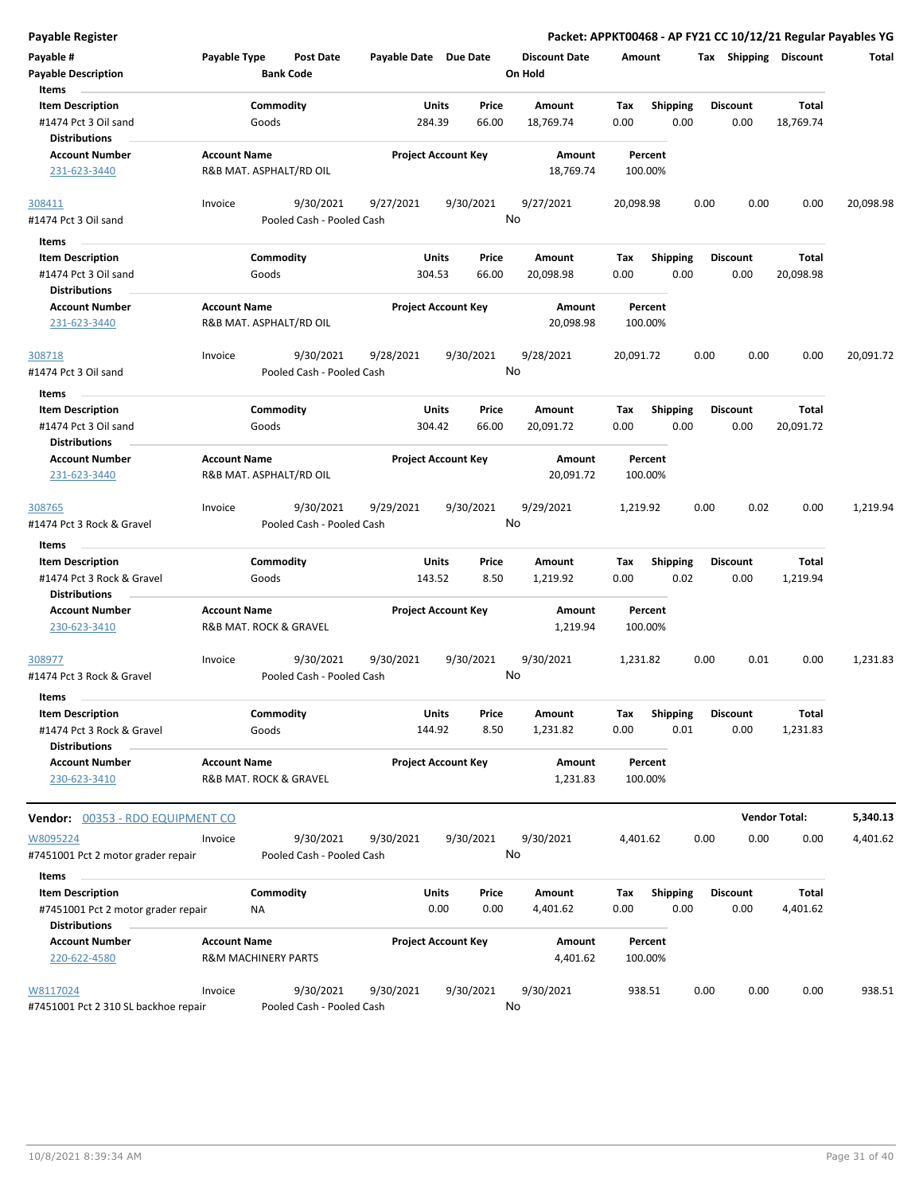| <b>Payable Register</b>                                                 |                                                       |                    |                                        |                            |                      |                |                                 |                    |                         |      |                         |                       | Packet: APPKT00468 - AP FY21 CC 10/12/21 Regular Payables YG |
|-------------------------------------------------------------------------|-------------------------------------------------------|--------------------|----------------------------------------|----------------------------|----------------------|----------------|---------------------------------|--------------------|-------------------------|------|-------------------------|-----------------------|--------------------------------------------------------------|
| Payable #<br><b>Payable Description</b>                                 | Payable Type                                          |                    | Post Date<br><b>Bank Code</b>          | Payable Date Due Date      |                      |                | <b>Discount Date</b><br>On Hold | Amount             |                         |      |                         | Tax Shipping Discount | Total                                                        |
| Items                                                                   |                                                       |                    |                                        |                            |                      |                |                                 |                    |                         |      |                         |                       |                                                              |
| <b>Item Description</b>                                                 |                                                       | Commodity          |                                        |                            | Units                | Price          | Amount                          | Tax                | <b>Shipping</b>         |      | <b>Discount</b>         | Total                 |                                                              |
| #1474 Pct 3 Oil sand<br><b>Distributions</b>                            |                                                       | Goods              |                                        | 284.39                     |                      | 66.00          | 18,769.74                       | 0.00               | 0.00                    |      | 0.00                    | 18,769.74             |                                                              |
| <b>Account Number</b>                                                   | <b>Account Name</b>                                   |                    |                                        | <b>Project Account Key</b> |                      |                | Amount                          | Percent            |                         |      |                         |                       |                                                              |
| 231-623-3440                                                            |                                                       |                    | R&B MAT. ASPHALT/RD OIL                |                            |                      |                | 18,769.74                       | 100.00%            |                         |      |                         |                       |                                                              |
| 308411                                                                  | Invoice                                               |                    | 9/30/2021                              | 9/27/2021                  | 9/30/2021            |                | 9/27/2021                       | 20,098.98          |                         | 0.00 | 0.00                    | 0.00                  | 20,098.98                                                    |
| #1474 Pct 3 Oil sand                                                    |                                                       |                    | Pooled Cash - Pooled Cash              |                            |                      |                | No                              |                    |                         |      |                         |                       |                                                              |
| Items                                                                   |                                                       |                    |                                        |                            |                      |                |                                 |                    |                         |      |                         |                       |                                                              |
| <b>Item Description</b><br>#1474 Pct 3 Oil sand<br><b>Distributions</b> |                                                       | Commodity<br>Goods |                                        | 304.53                     | Units                | Price<br>66.00 | Amount<br>20,098.98             | Tax<br>0.00        | <b>Shipping</b><br>0.00 |      | <b>Discount</b><br>0.00 | Total<br>20,098.98    |                                                              |
| <b>Account Number</b><br>231-623-3440                                   | <b>Account Name</b>                                   |                    | R&B MAT. ASPHALT/RD OIL                | <b>Project Account Key</b> |                      |                | Amount<br>20,098.98             | Percent<br>100.00% |                         |      |                         |                       |                                                              |
|                                                                         |                                                       |                    |                                        |                            |                      |                |                                 |                    |                         |      |                         |                       |                                                              |
| 308718<br>#1474 Pct 3 Oil sand                                          | Invoice                                               |                    | 9/30/2021<br>Pooled Cash - Pooled Cash | 9/28/2021                  | 9/30/2021            |                | 9/28/2021<br>No                 | 20,091.72          |                         | 0.00 | 0.00                    | 0.00                  | 20,091.72                                                    |
| Items                                                                   |                                                       |                    |                                        |                            |                      |                |                                 |                    |                         |      |                         |                       |                                                              |
| <b>Item Description</b>                                                 |                                                       | Commodity          |                                        |                            | Units                | Price          | Amount                          | Tax                | <b>Shipping</b>         |      | Discount                | Total                 |                                                              |
| #1474 Pct 3 Oil sand<br><b>Distributions</b>                            |                                                       | Goods              |                                        | 304.42                     |                      | 66.00          | 20,091.72                       | 0.00               | 0.00                    |      | 0.00                    | 20,091.72             |                                                              |
| <b>Account Number</b>                                                   | <b>Account Name</b>                                   |                    |                                        | <b>Project Account Key</b> |                      |                | Amount                          | Percent            |                         |      |                         |                       |                                                              |
| 231-623-3440                                                            |                                                       |                    | R&B MAT. ASPHALT/RD OIL                |                            |                      |                | 20,091.72                       | 100.00%            |                         |      |                         |                       |                                                              |
| 308765                                                                  | Invoice                                               |                    | 9/30/2021                              | 9/29/2021                  | 9/30/2021            |                | 9/29/2021                       | 1,219.92           |                         | 0.00 | 0.02                    | 0.00                  | 1,219.94                                                     |
| #1474 Pct 3 Rock & Gravel                                               |                                                       |                    | Pooled Cash - Pooled Cash              |                            |                      |                | No                              |                    |                         |      |                         |                       |                                                              |
| Items                                                                   |                                                       |                    |                                        |                            |                      |                |                                 |                    |                         |      |                         |                       |                                                              |
| <b>Item Description</b>                                                 |                                                       | Commodity          |                                        |                            | Units                | Price          | Amount                          | Tax                | <b>Shipping</b>         |      | Discount                | Total                 |                                                              |
| #1474 Pct 3 Rock & Gravel<br><b>Distributions</b>                       |                                                       | Goods              |                                        | 143.52                     |                      | 8.50           | 1,219.92                        | 0.00               | 0.02                    |      | 0.00                    | 1,219.94              |                                                              |
| <b>Account Number</b>                                                   | <b>Account Name</b>                                   |                    |                                        | <b>Project Account Key</b> |                      |                | Amount                          | Percent            |                         |      |                         |                       |                                                              |
| 230-623-3410                                                            | R&B MAT. ROCK & GRAVEL                                |                    |                                        |                            |                      |                | 1,219.94                        | 100.00%            |                         |      |                         |                       |                                                              |
| 308977<br>#1474 Pct 3 Rock & Gravel                                     | Invoice                                               |                    | 9/30/2021<br>Pooled Cash - Pooled Cash | 9/30/2021                  | 9/30/2021            |                | 9/30/2021<br>No                 | 1,231.82           |                         | 0.00 | 0.01                    | 0.00                  | 1,231.83                                                     |
| Items                                                                   |                                                       |                    |                                        |                            |                      |                |                                 |                    |                         |      |                         |                       |                                                              |
| <b>Item Description</b>                                                 |                                                       | Commodity          |                                        |                            | <b>Units</b>         | Price          | Amount                          | Tax                | Shipping                |      | Discount                | Total                 |                                                              |
| #1474 Pct 3 Rock & Gravel                                               |                                                       | Goods              |                                        | 144.92                     |                      | 8.50           | 1,231.82                        | 0.00               | 0.01                    |      | 0.00                    | 1,231.83              |                                                              |
| <b>Distributions</b>                                                    |                                                       |                    |                                        |                            |                      |                |                                 |                    |                         |      |                         |                       |                                                              |
| <b>Account Number</b><br>230-623-3410                                   | <b>Account Name</b><br>R&B MAT. ROCK & GRAVEL         |                    |                                        | <b>Project Account Key</b> |                      |                | Amount<br>1,231.83              | Percent<br>100.00% |                         |      |                         |                       |                                                              |
| <b>Vendor: 00353 - RDO EQUIPMENT CO</b>                                 |                                                       |                    |                                        |                            |                      |                |                                 |                    |                         |      |                         | <b>Vendor Total:</b>  | 5,340.13                                                     |
| W8095224                                                                | Invoice                                               |                    | 9/30/2021                              | 9/30/2021                  | 9/30/2021            |                | 9/30/2021                       | 4,401.62           |                         | 0.00 | 0.00                    | 0.00                  | 4,401.62                                                     |
| #7451001 Pct 2 motor grader repair                                      |                                                       |                    | Pooled Cash - Pooled Cash              |                            |                      |                | No                              |                    |                         |      |                         |                       |                                                              |
| Items                                                                   |                                                       |                    |                                        |                            |                      |                |                                 |                    |                         |      |                         |                       |                                                              |
| <b>Item Description</b><br>#7451001 Pct 2 motor grader repair           |                                                       | Commodity<br>NA    |                                        |                            | <b>Units</b><br>0.00 | Price<br>0.00  | Amount<br>4,401.62              | Tax<br>0.00        | <b>Shipping</b><br>0.00 |      | <b>Discount</b><br>0.00 | Total<br>4,401.62     |                                                              |
| <b>Distributions</b>                                                    |                                                       |                    |                                        |                            |                      |                |                                 |                    |                         |      |                         |                       |                                                              |
| <b>Account Number</b><br>220-622-4580                                   | <b>Account Name</b><br><b>R&amp;M MACHINERY PARTS</b> |                    |                                        | <b>Project Account Key</b> |                      |                | Amount<br>4,401.62              | Percent<br>100.00% |                         |      |                         |                       |                                                              |
| W8117024                                                                | Invoice                                               |                    | 9/30/2021                              | 9/30/2021                  | 9/30/2021            |                | 9/30/2021                       | 938.51             |                         | 0.00 | 0.00                    | 0.00                  | 938.51                                                       |
| #7451001 Pct 2 310 SL backhoe repair                                    |                                                       |                    | Pooled Cash - Pooled Cash              |                            |                      |                | No                              |                    |                         |      |                         |                       |                                                              |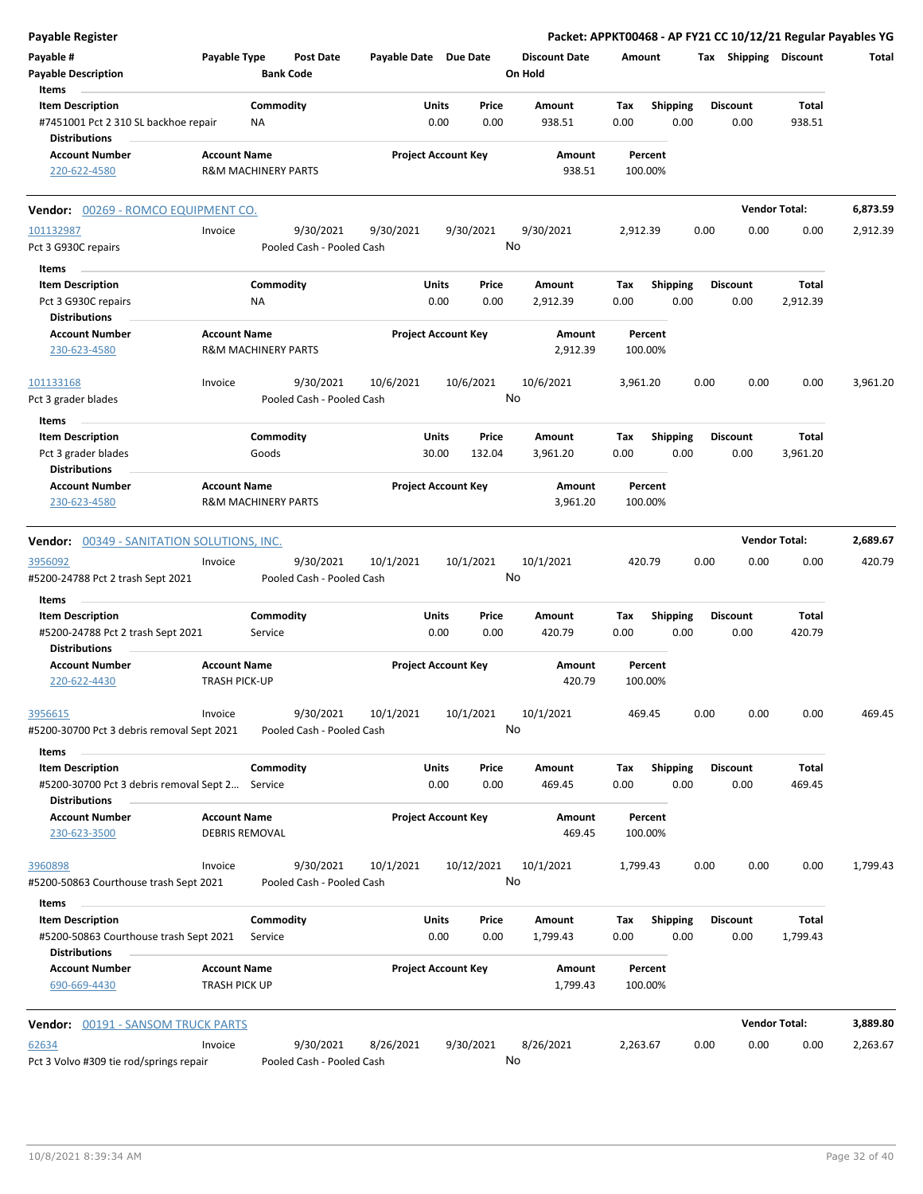| <b>Payable Register</b>                                                                   |                                              |                                        |                       |               |                            |                                 |             |                         |      |                         | Packet: APPKT00468 - AP FY21 CC 10/12/21 Regular Payables YG |          |
|-------------------------------------------------------------------------------------------|----------------------------------------------|----------------------------------------|-----------------------|---------------|----------------------------|---------------------------------|-------------|-------------------------|------|-------------------------|--------------------------------------------------------------|----------|
| Payable #<br><b>Payable Description</b>                                                   | Payable Type                                 | <b>Post Date</b><br><b>Bank Code</b>   | Payable Date Due Date |               |                            | <b>Discount Date</b><br>On Hold | Amount      |                         |      | Tax Shipping Discount   |                                                              | Total    |
| Items                                                                                     |                                              |                                        |                       |               |                            |                                 |             |                         |      |                         |                                                              |          |
| <b>Item Description</b>                                                                   |                                              | Commodity                              |                       | Units         | Price                      | Amount                          | Tax         | Shipping                |      | <b>Discount</b>         | Total                                                        |          |
| #7451001 Pct 2 310 SL backhoe repair<br><b>Distributions</b>                              |                                              | ΝA                                     |                       | 0.00          | 0.00                       | 938.51                          | 0.00        | 0.00                    |      | 0.00                    | 938.51                                                       |          |
| <b>Account Number</b><br>220-622-4580                                                     | <b>Account Name</b>                          | <b>R&amp;M MACHINERY PARTS</b>         |                       |               | <b>Project Account Key</b> | Amount<br>938.51                |             | Percent<br>100.00%      |      |                         |                                                              |          |
| Vendor: 00269 - ROMCO EQUIPMENT CO.                                                       |                                              |                                        |                       |               |                            |                                 |             |                         |      |                         | <b>Vendor Total:</b>                                         | 6,873.59 |
| 101132987                                                                                 | Invoice                                      | 9/30/2021                              | 9/30/2021             |               | 9/30/2021                  | 9/30/2021                       | 2,912.39    |                         | 0.00 | 0.00                    | 0.00                                                         | 2,912.39 |
| Pct 3 G930C repairs                                                                       |                                              | Pooled Cash - Pooled Cash              |                       |               |                            | No                              |             |                         |      |                         |                                                              |          |
| Items                                                                                     |                                              |                                        |                       |               |                            |                                 |             |                         |      |                         |                                                              |          |
| <b>Item Description</b>                                                                   |                                              | Commodity                              |                       | Units         | Price                      | Amount                          | Tax         | <b>Shipping</b>         |      | <b>Discount</b>         | Total                                                        |          |
| Pct 3 G930C repairs                                                                       |                                              | ΝA                                     |                       | 0.00          | 0.00                       | 2,912.39                        | 0.00        | 0.00                    |      | 0.00                    | 2,912.39                                                     |          |
| <b>Distributions</b>                                                                      |                                              |                                        |                       |               |                            |                                 |             |                         |      |                         |                                                              |          |
| <b>Account Number</b><br>230-623-4580                                                     | <b>Account Name</b>                          | <b>R&amp;M MACHINERY PARTS</b>         |                       |               | <b>Project Account Key</b> | Amount<br>2,912.39              |             | Percent<br>100.00%      |      |                         |                                                              |          |
| 101133168                                                                                 | Invoice                                      | 9/30/2021                              | 10/6/2021             |               | 10/6/2021                  | 10/6/2021                       | 3,961.20    |                         | 0.00 | 0.00                    | 0.00                                                         | 3,961.20 |
| Pct 3 grader blades<br>Items                                                              |                                              | Pooled Cash - Pooled Cash              |                       |               |                            | No                              |             |                         |      |                         |                                                              |          |
| <b>Item Description</b>                                                                   |                                              | Commodity                              |                       | Units         | Price                      | Amount                          | Tax         | Shipping                |      | <b>Discount</b>         | Total                                                        |          |
| Pct 3 grader blades                                                                       |                                              | Goods                                  |                       | 30.00         | 132.04                     | 3,961.20                        | 0.00        | 0.00                    |      | 0.00                    | 3,961.20                                                     |          |
| <b>Distributions</b>                                                                      |                                              |                                        |                       |               |                            |                                 |             |                         |      |                         |                                                              |          |
| <b>Account Number</b><br>230-623-4580                                                     | <b>Account Name</b>                          | <b>R&amp;M MACHINERY PARTS</b>         |                       |               | <b>Project Account Key</b> | Amount<br>3,961.20              |             | Percent<br>100.00%      |      |                         |                                                              |          |
| <b>Vendor: 00349 - SANITATION SOLUTIONS, INC.</b>                                         |                                              |                                        |                       |               |                            |                                 |             |                         |      |                         | <b>Vendor Total:</b>                                         | 2,689.67 |
|                                                                                           | Invoice                                      | 9/30/2021                              | 10/1/2021             |               | 10/1/2021                  | 10/1/2021                       |             | 420.79                  | 0.00 | 0.00                    | 0.00                                                         | 420.79   |
| 3956092<br>#5200-24788 Pct 2 trash Sept 2021                                              |                                              | Pooled Cash - Pooled Cash              |                       |               |                            | No                              |             |                         |      |                         |                                                              |          |
|                                                                                           |                                              |                                        |                       |               |                            |                                 |             |                         |      |                         |                                                              |          |
| Items                                                                                     |                                              |                                        |                       |               | Price                      |                                 |             |                         |      | <b>Discount</b>         |                                                              |          |
| <b>Item Description</b><br>#5200-24788 Pct 2 trash Sept 2021                              |                                              | Commodity<br>Service                   |                       | Units<br>0.00 | 0.00                       | Amount<br>420.79                | Tax<br>0.00 | <b>Shipping</b><br>0.00 |      | 0.00                    | Total<br>420.79                                              |          |
| <b>Distributions</b><br><b>Account Number</b>                                             | <b>Account Name</b>                          |                                        |                       |               | <b>Project Account Key</b> |                                 |             | Percent                 |      |                         |                                                              |          |
| 220-622-4430                                                                              | <b>TRASH PICK-UP</b>                         |                                        |                       |               |                            | Amount<br>420.79                |             | 100.00%                 |      |                         |                                                              |          |
| 3956615                                                                                   | Invoice                                      | 9/30/2021                              | 10/1/2021             |               | 10/1/2021                  | 10/1/2021                       |             | 469.45                  | 0.00 | 0.00                    | 0.00                                                         | 469.45   |
| #5200-30700 Pct 3 debris removal Sept 2021                                                |                                              | Pooled Cash - Pooled Cash              |                       |               |                            | No                              |             |                         |      |                         |                                                              |          |
| Items                                                                                     |                                              |                                        |                       |               |                            |                                 |             |                         |      |                         |                                                              |          |
| <b>Item Description</b>                                                                   |                                              | Commodity                              |                       | Units         | Price                      | Amount                          | Tax         | <b>Shipping</b>         |      | <b>Discount</b>         | Total                                                        |          |
| #5200-30700 Pct 3 debris removal Sept 2<br><b>Distributions</b>                           |                                              | Service                                |                       | 0.00          | 0.00                       | 469.45                          | 0.00        | 0.00                    |      | 0.00                    | 469.45                                                       |          |
| <b>Account Number</b><br>230-623-3500                                                     | <b>Account Name</b><br><b>DEBRIS REMOVAL</b> |                                        |                       |               | <b>Project Account Key</b> | Amount<br>469.45                |             | Percent<br>100.00%      |      |                         |                                                              |          |
| 3960898                                                                                   | Invoice                                      | 9/30/2021                              | 10/1/2021             |               | 10/12/2021                 | 10/1/2021                       | 1,799.43    |                         | 0.00 | 0.00                    | 0.00                                                         | 1,799.43 |
| #5200-50863 Courthouse trash Sept 2021                                                    |                                              | Pooled Cash - Pooled Cash              |                       |               |                            | No                              |             |                         |      |                         |                                                              |          |
| Items                                                                                     |                                              |                                        |                       |               |                            |                                 |             |                         |      |                         |                                                              |          |
| <b>Item Description</b><br>#5200-50863 Courthouse trash Sept 2021<br><b>Distributions</b> |                                              | Commodity<br>Service                   |                       | Units<br>0.00 | Price<br>0.00              | Amount<br>1,799.43              | Тах<br>0.00 | <b>Shipping</b><br>0.00 |      | <b>Discount</b><br>0.00 | Total<br>1,799.43                                            |          |
| <b>Account Number</b><br>690-669-4430                                                     | <b>Account Name</b><br>TRASH PICK UP         |                                        |                       |               | <b>Project Account Key</b> | Amount<br>1,799.43              |             | Percent<br>100.00%      |      |                         |                                                              |          |
| Vendor: 00191 - SANSOM TRUCK PARTS                                                        |                                              |                                        |                       |               |                            |                                 |             |                         |      |                         | <b>Vendor Total:</b>                                         | 3,889.80 |
|                                                                                           |                                              |                                        |                       |               |                            |                                 |             |                         |      |                         |                                                              |          |
| 62634<br>Pct 3 Volvo #309 tie rod/springs repair                                          | Invoice                                      | 9/30/2021<br>Pooled Cash - Pooled Cash | 8/26/2021             |               | 9/30/2021                  | 8/26/2021<br>No                 | 2,263.67    |                         | 0.00 | 0.00                    | 0.00                                                         | 2,263.67 |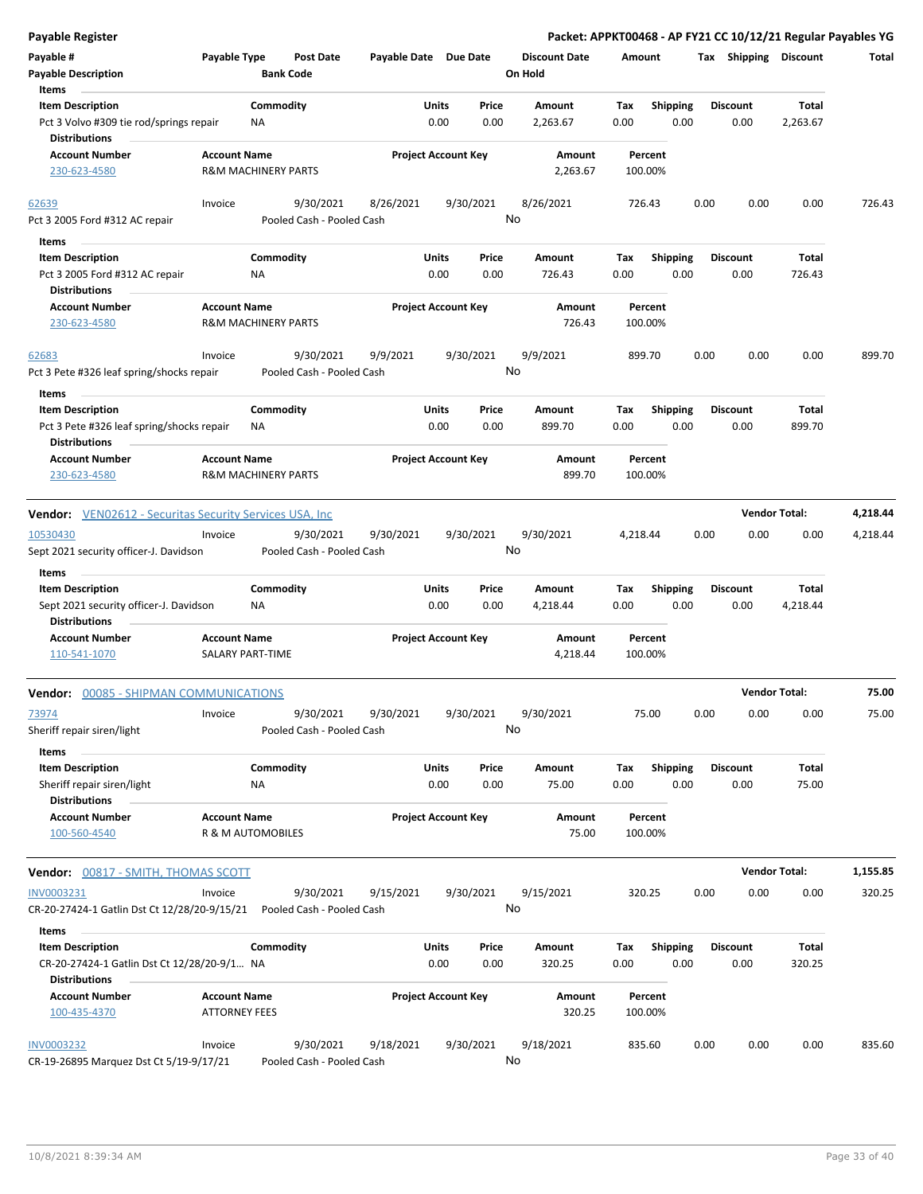| <b>Payable Register</b>                                                                    |                                                       |                                        |                       |                            |               |                                 |                    |                         |      |                         | Packet: APPKT00468 - AP FY21 CC 10/12/21 Regular Payables YG |          |
|--------------------------------------------------------------------------------------------|-------------------------------------------------------|----------------------------------------|-----------------------|----------------------------|---------------|---------------------------------|--------------------|-------------------------|------|-------------------------|--------------------------------------------------------------|----------|
| Payable #<br><b>Payable Description</b>                                                    | Payable Type                                          | <b>Post Date</b><br><b>Bank Code</b>   | Payable Date Due Date |                            |               | <b>Discount Date</b><br>On Hold | Amount             |                         |      | Tax Shipping Discount   |                                                              | Total    |
| Items                                                                                      |                                                       |                                        |                       |                            |               |                                 |                    |                         |      |                         |                                                              |          |
| <b>Item Description</b><br>Pct 3 Volvo #309 tie rod/springs repair<br><b>Distributions</b> | Commodity<br>NA                                       |                                        |                       | Units<br>0.00              | Price<br>0.00 | Amount<br>2,263.67              | Tax<br>0.00        | <b>Shipping</b><br>0.00 |      | <b>Discount</b><br>0.00 | Total<br>2,263.67                                            |          |
| <b>Account Number</b><br>230-623-4580                                                      | <b>Account Name</b><br><b>R&amp;M MACHINERY PARTS</b> |                                        |                       | <b>Project Account Key</b> |               | Amount<br>2,263.67              | Percent<br>100.00% |                         |      |                         |                                                              |          |
|                                                                                            |                                                       |                                        |                       |                            |               |                                 |                    |                         |      |                         |                                                              |          |
| 62639<br>Pct 3 2005 Ford #312 AC repair                                                    | Invoice                                               | 9/30/2021<br>Pooled Cash - Pooled Cash | 8/26/2021             | 9/30/2021                  |               | 8/26/2021<br>No                 | 726.43             |                         | 0.00 | 0.00                    | 0.00                                                         | 726.43   |
| Items                                                                                      |                                                       |                                        |                       |                            |               |                                 |                    |                         |      |                         |                                                              |          |
| <b>Item Description</b>                                                                    | Commodity                                             |                                        |                       | Units                      | Price         | Amount                          | Tax                | <b>Shipping</b>         |      | <b>Discount</b>         | <b>Total</b>                                                 |          |
| Pct 3 2005 Ford #312 AC repair<br><b>Distributions</b>                                     | ΝA                                                    |                                        |                       | 0.00                       | 0.00          | 726.43                          | 0.00               | 0.00                    |      | 0.00                    | 726.43                                                       |          |
| <b>Account Number</b>                                                                      | <b>Account Name</b>                                   |                                        |                       | <b>Project Account Key</b> |               | Amount                          | Percent            |                         |      |                         |                                                              |          |
| 230-623-4580                                                                               | <b>R&amp;M MACHINERY PARTS</b>                        |                                        |                       |                            |               | 726.43                          | 100.00%            |                         |      |                         |                                                              |          |
| 62683<br>Pct 3 Pete #326 leaf spring/shocks repair                                         | Invoice                                               | 9/30/2021<br>Pooled Cash - Pooled Cash | 9/9/2021              | 9/30/2021                  |               | 9/9/2021<br>No                  | 899.70             |                         | 0.00 | 0.00                    | 0.00                                                         | 899.70   |
| Items                                                                                      |                                                       |                                        |                       |                            |               |                                 |                    |                         |      |                         |                                                              |          |
| <b>Item Description</b><br>Pct 3 Pete #326 leaf spring/shocks repair                       | Commodity<br>ΝA                                       |                                        |                       | Units<br>0.00              | Price<br>0.00 | Amount<br>899.70                | Tax<br>0.00        | <b>Shipping</b><br>0.00 |      | <b>Discount</b><br>0.00 | Total<br>899.70                                              |          |
| <b>Distributions</b><br><b>Account Number</b><br>230-623-4580                              | <b>Account Name</b><br><b>R&amp;M MACHINERY PARTS</b> |                                        |                       | <b>Project Account Key</b> |               | Amount<br>899.70                | Percent<br>100.00% |                         |      |                         |                                                              |          |
| <b>Vendor:</b> VEN02612 - Securitas Security Services USA, Inc.                            |                                                       |                                        |                       |                            |               |                                 |                    |                         |      |                         | <b>Vendor Total:</b>                                         | 4,218.44 |
| 10530430                                                                                   | Invoice                                               | 9/30/2021                              | 9/30/2021             | 9/30/2021                  |               | 9/30/2021                       | 4,218.44           |                         | 0.00 | 0.00                    | 0.00                                                         | 4,218.44 |
| Sept 2021 security officer-J. Davidson                                                     |                                                       | Pooled Cash - Pooled Cash              |                       |                            |               | No                              |                    |                         |      |                         |                                                              |          |
| Items                                                                                      |                                                       |                                        |                       |                            |               |                                 |                    |                         |      |                         |                                                              |          |
| <b>Item Description</b><br>Sept 2021 security officer-J. Davidson<br><b>Distributions</b>  | Commodity<br>ΝA                                       |                                        |                       | <b>Units</b><br>0.00       | Price<br>0.00 | Amount<br>4,218.44              | Tax<br>0.00        | <b>Shipping</b><br>0.00 |      | <b>Discount</b><br>0.00 | Total<br>4,218.44                                            |          |
| <b>Account Number</b><br>110-541-1070                                                      | <b>Account Name</b><br>SALARY PART-TIME               |                                        |                       | <b>Project Account Key</b> |               | Amount<br>4,218.44              | Percent<br>100.00% |                         |      |                         |                                                              |          |
| <b>Vendor: 00085 - SHIPMAN COMMUNICATIONS</b>                                              |                                                       |                                        |                       |                            |               |                                 |                    |                         |      |                         | <b>Vendor Total:</b>                                         | 75.00    |
| 73974                                                                                      | Invoice                                               | 9/30/2021                              | 9/30/2021             | 9/30/2021                  |               | 9/30/2021                       | 75.00              |                         | 0.00 | 0.00                    | 0.00                                                         | 75.00    |
| Sheriff repair siren/light<br>Items                                                        |                                                       | Pooled Cash - Pooled Cash              |                       |                            |               | No                              |                    |                         |      |                         |                                                              |          |
| <b>Item Description</b><br>Sheriff repair siren/light                                      | Commodity<br>ΝA                                       |                                        |                       | Units<br>0.00              | Price<br>0.00 | Amount<br>75.00                 | Tax<br>0.00        | <b>Shipping</b><br>0.00 |      | <b>Discount</b><br>0.00 | Total<br>75.00                                               |          |
| <b>Distributions</b><br><b>Account Number</b><br>100-560-4540                              | <b>Account Name</b><br>R & M AUTOMOBILES              |                                        |                       | <b>Project Account Key</b> |               | Amount<br>75.00                 | Percent<br>100.00% |                         |      |                         |                                                              |          |
|                                                                                            |                                                       |                                        |                       |                            |               |                                 |                    |                         |      |                         |                                                              |          |
| Vendor: 00817 - SMITH, THOMAS SCOTT                                                        |                                                       |                                        |                       |                            |               |                                 |                    |                         |      |                         | <b>Vendor Total:</b>                                         | 1,155.85 |
| INV0003231<br>CR-20-27424-1 Gatlin Dst Ct 12/28/20-9/15/21                                 | Invoice                                               | 9/30/2021<br>Pooled Cash - Pooled Cash | 9/15/2021             | 9/30/2021                  |               | 9/15/2021<br>No                 | 320.25             |                         | 0.00 | 0.00                    | 0.00                                                         | 320.25   |
| Items                                                                                      |                                                       |                                        |                       |                            |               |                                 |                    |                         |      |                         |                                                              |          |
| <b>Item Description</b><br>CR-20-27424-1 Gatlin Dst Ct 12/28/20-9/1 NA                     | Commodity                                             |                                        |                       | Units<br>0.00              | Price<br>0.00 | Amount<br>320.25                | Tax<br>0.00        | <b>Shipping</b><br>0.00 |      | <b>Discount</b><br>0.00 | Total<br>320.25                                              |          |
| <b>Distributions</b><br><b>Account Number</b><br>100-435-4370                              | <b>Account Name</b><br><b>ATTORNEY FEES</b>           |                                        |                       | <b>Project Account Key</b> |               | Amount<br>320.25                | Percent<br>100.00% |                         |      |                         |                                                              |          |
| <b>INV0003232</b><br>CR-19-26895 Marquez Dst Ct 5/19-9/17/21                               | Invoice                                               | 9/30/2021<br>Pooled Cash - Pooled Cash | 9/18/2021             | 9/30/2021                  |               | 9/18/2021<br>No                 | 835.60             |                         | 0.00 | 0.00                    | 0.00                                                         | 835.60   |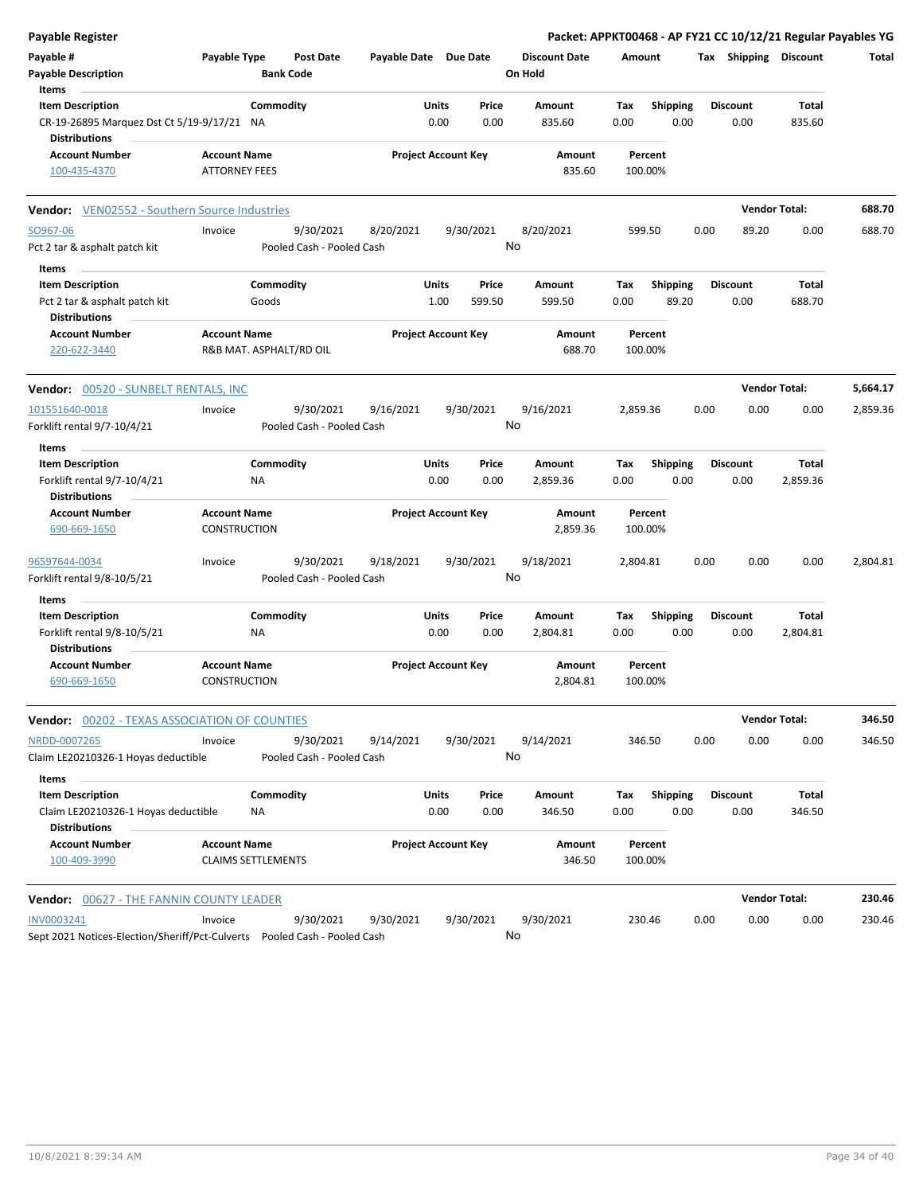| <b>Payable Register</b>                                                      |                                            |                           |                                        |                       |                            |               |                      |                    |                         |      |                         | Packet: APPKT00468 - AP FY21 CC 10/12/21 Regular Payables YG |          |
|------------------------------------------------------------------------------|--------------------------------------------|---------------------------|----------------------------------------|-----------------------|----------------------------|---------------|----------------------|--------------------|-------------------------|------|-------------------------|--------------------------------------------------------------|----------|
| Payable #                                                                    | Payable Type                               |                           | <b>Post Date</b>                       | Payable Date Due Date |                            |               | <b>Discount Date</b> | Amount             |                         |      |                         | Tax Shipping Discount                                        | Total    |
| <b>Payable Description</b>                                                   |                                            | <b>Bank Code</b>          |                                        |                       |                            |               | On Hold              |                    |                         |      |                         |                                                              |          |
| Items<br><b>Item Description</b>                                             |                                            | Commodity                 |                                        |                       | Units                      | Price         | Amount               | Tax                | <b>Shipping</b>         |      | <b>Discount</b>         | <b>Total</b>                                                 |          |
| CR-19-26895 Marquez Dst Ct 5/19-9/17/21 NA                                   |                                            |                           |                                        |                       | 0.00                       | 0.00          | 835.60               | 0.00               | 0.00                    |      | 0.00                    | 835.60                                                       |          |
| <b>Distributions</b>                                                         |                                            |                           |                                        |                       |                            |               |                      |                    |                         |      |                         |                                                              |          |
| <b>Account Number</b>                                                        | <b>Account Name</b>                        |                           |                                        |                       | <b>Project Account Key</b> |               | Amount               | Percent            |                         |      |                         |                                                              |          |
| 100-435-4370                                                                 | <b>ATTORNEY FEES</b>                       |                           |                                        |                       |                            |               | 835.60               | 100.00%            |                         |      |                         |                                                              |          |
| Vendor: VEN02552 - Southern Source Industries                                |                                            |                           |                                        |                       |                            |               |                      |                    |                         |      | <b>Vendor Total:</b>    |                                                              | 688.70   |
| SO967-06                                                                     | Invoice                                    |                           | 9/30/2021                              | 8/20/2021             |                            | 9/30/2021     | 8/20/2021            | 599.50             |                         | 0.00 | 89.20                   | 0.00                                                         | 688.70   |
| Pct 2 tar & asphalt patch kit                                                |                                            |                           | Pooled Cash - Pooled Cash              |                       |                            |               | No                   |                    |                         |      |                         |                                                              |          |
| Items                                                                        |                                            |                           |                                        |                       |                            |               |                      |                    |                         |      |                         |                                                              |          |
| <b>Item Description</b>                                                      |                                            | Commodity                 |                                        |                       | Units                      | Price         | Amount               | Tax                | <b>Shipping</b>         |      | <b>Discount</b>         | Total                                                        |          |
| Pct 2 tar & asphalt patch kit                                                |                                            | Goods                     |                                        |                       | 1.00                       | 599.50        | 599.50               | 0.00               | 89.20                   |      | 0.00                    | 688.70                                                       |          |
| <b>Distributions</b>                                                         |                                            |                           |                                        |                       |                            |               |                      |                    |                         |      |                         |                                                              |          |
| <b>Account Number</b>                                                        | <b>Account Name</b>                        |                           |                                        |                       | <b>Project Account Key</b> |               | Amount               | Percent            |                         |      |                         |                                                              |          |
| 220-622-3440                                                                 |                                            | R&B MAT. ASPHALT/RD OIL   |                                        |                       |                            |               | 688.70               | 100.00%            |                         |      |                         |                                                              |          |
| Vendor: 00520 - SUNBELT RENTALS, INC                                         |                                            |                           |                                        |                       |                            |               |                      |                    |                         |      | <b>Vendor Total:</b>    |                                                              | 5,664.17 |
| 101551640-0018                                                               | Invoice                                    |                           | 9/30/2021                              | 9/16/2021             |                            | 9/30/2021     | 9/16/2021            | 2,859.36           |                         | 0.00 | 0.00                    | 0.00                                                         | 2,859.36 |
| Forklift rental 9/7-10/4/21                                                  |                                            |                           | Pooled Cash - Pooled Cash              |                       |                            |               | No                   |                    |                         |      |                         |                                                              |          |
| Items                                                                        |                                            |                           |                                        |                       |                            |               |                      |                    |                         |      |                         |                                                              |          |
| <b>Item Description</b>                                                      |                                            | Commodity                 |                                        |                       | Units                      | Price         | <b>Amount</b>        | Tax                | <b>Shipping</b>         |      | <b>Discount</b>         | Total                                                        |          |
| Forklift rental 9/7-10/4/21                                                  |                                            | ΝA                        |                                        |                       | 0.00                       | 0.00          | 2,859.36             | 0.00               | 0.00                    |      | 0.00                    | 2,859.36                                                     |          |
| <b>Distributions</b>                                                         |                                            |                           |                                        |                       |                            |               |                      |                    |                         |      |                         |                                                              |          |
| <b>Account Number</b>                                                        | <b>Account Name</b>                        |                           |                                        |                       | <b>Project Account Key</b> |               | Amount               | Percent            |                         |      |                         |                                                              |          |
| 690-669-1650                                                                 | <b>CONSTRUCTION</b>                        |                           |                                        |                       |                            |               | 2,859.36             | 100.00%            |                         |      |                         |                                                              |          |
| 96597644-0034                                                                | Invoice                                    |                           | 9/30/2021                              | 9/18/2021             |                            | 9/30/2021     | 9/18/2021            | 2,804.81           |                         | 0.00 | 0.00                    | 0.00                                                         | 2,804.81 |
| Forklift rental 9/8-10/5/21                                                  |                                            |                           | Pooled Cash - Pooled Cash              |                       |                            |               | No                   |                    |                         |      |                         |                                                              |          |
| Items                                                                        |                                            |                           |                                        |                       |                            |               |                      |                    |                         |      |                         |                                                              |          |
| <b>Item Description</b>                                                      |                                            | Commodity                 |                                        |                       | Units                      | Price         | Amount               | Tax                | <b>Shipping</b>         |      | <b>Discount</b>         | <b>Total</b>                                                 |          |
| Forklift rental 9/8-10/5/21<br><b>Distributions</b>                          |                                            | <b>NA</b>                 |                                        |                       | 0.00                       | 0.00          | 2,804.81             | 0.00               | 0.00                    |      | 0.00                    | 2,804.81                                                     |          |
| <b>Account Number</b><br>690-669-1650                                        | <b>Account Name</b><br><b>CONSTRUCTION</b> |                           |                                        |                       | <b>Project Account Key</b> |               | Amount<br>2,804.81   | Percent<br>100.00% |                         |      |                         |                                                              |          |
| <b>Vendor: 00202 - TEXAS ASSOCIATION OF COUNTIES</b>                         |                                            |                           |                                        |                       |                            |               |                      |                    |                         |      | <b>Vendor Total:</b>    |                                                              | 346.50   |
| NRDD-0007265<br>Claim LE20210326-1 Hoyas deductible                          | Invoice                                    |                           | 9/30/2021<br>Pooled Cash - Pooled Cash | 9/14/2021             |                            | 9/30/2021     | 9/14/2021<br>No      | 346.50             |                         | 0.00 | 0.00                    | 0.00                                                         | 346.50   |
|                                                                              |                                            |                           |                                        |                       |                            |               |                      |                    |                         |      |                         |                                                              |          |
| Items                                                                        |                                            |                           |                                        |                       |                            |               |                      |                    |                         |      |                         |                                                              |          |
| <b>Item Description</b><br>Claim LE20210326-1 Hoyas deductible               |                                            | Commodity                 |                                        |                       | Units<br>0.00              | Price<br>0.00 | Amount<br>346.50     | Tax<br>0.00        | <b>Shipping</b><br>0.00 |      | <b>Discount</b><br>0.00 | Total<br>346.50                                              |          |
| <b>Distributions</b>                                                         |                                            | ΝA                        |                                        |                       |                            |               |                      |                    |                         |      |                         |                                                              |          |
| <b>Account Number</b>                                                        | <b>Account Name</b>                        |                           |                                        |                       | <b>Project Account Key</b> |               | Amount               | Percent            |                         |      |                         |                                                              |          |
| 100-409-3990                                                                 |                                            | <b>CLAIMS SETTLEMENTS</b> |                                        |                       |                            |               | 346.50               | 100.00%            |                         |      |                         |                                                              |          |
| Vendor: 00627 - THE FANNIN COUNTY LEADER                                     |                                            |                           |                                        |                       |                            |               |                      |                    |                         |      | <b>Vendor Total:</b>    |                                                              | 230.46   |
| INV0003241                                                                   | Invoice                                    |                           | 9/30/2021                              | 9/30/2021             |                            | 9/30/2021     | 9/30/2021            | 230.46             |                         | 0.00 | 0.00                    | 0.00                                                         | 230.46   |
| Sept 2021 Notices-Election/Sheriff/Pct-Culverts    Pooled Cash - Pooled Cash |                                            |                           |                                        |                       |                            |               | No                   |                    |                         |      |                         |                                                              |          |
|                                                                              |                                            |                           |                                        |                       |                            |               |                      |                    |                         |      |                         |                                                              |          |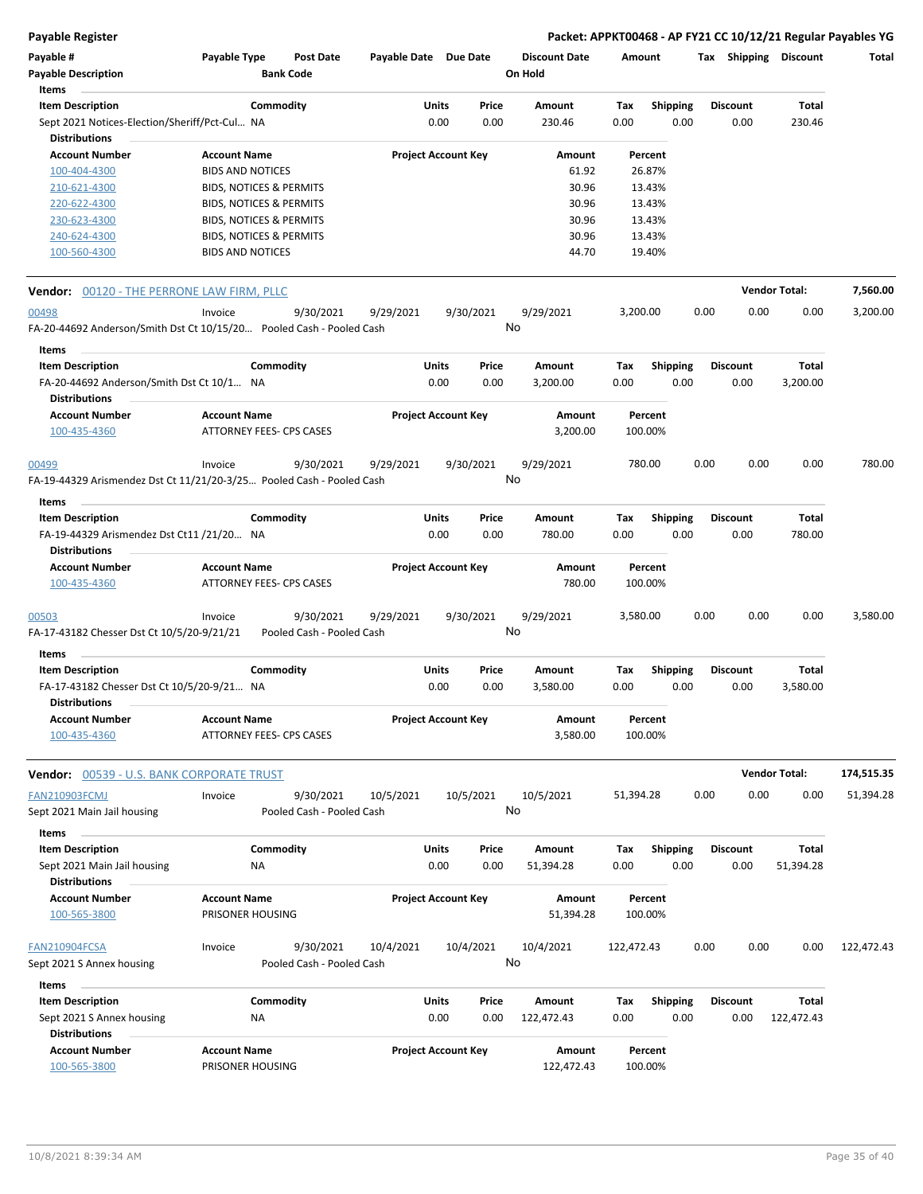**Payable Register Packet: APPKT00468 - AP FY21 CC 10/12/21 Regular Payables YG**

| Payable #<br><b>Payable Description</b>                               | <b>Payable Type</b>                     | <b>Post Date</b><br><b>Bank Code</b> | Payable Date Due Date |                            |       | <b>Discount Date</b><br>On Hold | Amount     |                 | Tax  | Shipping        | <b>Discount</b>      | Total      |
|-----------------------------------------------------------------------|-----------------------------------------|--------------------------------------|-----------------------|----------------------------|-------|---------------------------------|------------|-----------------|------|-----------------|----------------------|------------|
| Items                                                                 |                                         |                                      |                       |                            |       |                                 |            |                 |      |                 |                      |            |
| <b>Item Description</b>                                               |                                         | Commodity                            |                       | Units                      | Price | Amount                          | Tax        | <b>Shipping</b> |      | <b>Discount</b> | Total                |            |
| Sept 2021 Notices-Election/Sheriff/Pct-Cul NA                         |                                         |                                      |                       | 0.00                       | 0.00  | 230.46                          | 0.00       | 0.00            |      | 0.00            | 230.46               |            |
| <b>Distributions</b><br><b>Account Number</b>                         | <b>Account Name</b>                     |                                      |                       | <b>Project Account Key</b> |       | Amount                          |            | Percent         |      |                 |                      |            |
| 100-404-4300                                                          | <b>BIDS AND NOTICES</b>                 |                                      |                       |                            |       | 61.92                           |            | 26.87%          |      |                 |                      |            |
| 210-621-4300                                                          | BIDS, NOTICES & PERMITS                 |                                      |                       |                            |       | 30.96                           |            | 13.43%          |      |                 |                      |            |
| 220-622-4300                                                          | <b>BIDS, NOTICES &amp; PERMITS</b>      |                                      |                       |                            |       | 30.96                           |            | 13.43%          |      |                 |                      |            |
| 230-623-4300                                                          | BIDS, NOTICES & PERMITS                 |                                      |                       |                            |       | 30.96                           |            | 13.43%          |      |                 |                      |            |
| 240-624-4300                                                          | <b>BIDS, NOTICES &amp; PERMITS</b>      |                                      |                       |                            |       | 30.96                           |            | 13.43%          |      |                 |                      |            |
| 100-560-4300                                                          | <b>BIDS AND NOTICES</b>                 |                                      |                       |                            |       | 44.70                           |            | 19.40%          |      |                 |                      |            |
| <b>Vendor:</b> 00120 - THE PERRONE LAW FIRM, PLLC                     |                                         |                                      |                       |                            |       |                                 |            |                 |      |                 | <b>Vendor Total:</b> | 7,560.00   |
| 00498                                                                 | Invoice                                 | 9/30/2021                            | 9/29/2021             | 9/30/2021                  |       | 9/29/2021                       | 3,200.00   |                 | 0.00 | 0.00            | 0.00                 | 3,200.00   |
| FA-20-44692 Anderson/Smith Dst Ct 10/15/20 Pooled Cash - Pooled Cash  |                                         |                                      |                       |                            |       | No                              |            |                 |      |                 |                      |            |
| Items                                                                 |                                         |                                      |                       |                            |       |                                 |            |                 |      |                 |                      |            |
| <b>Item Description</b>                                               |                                         | Commodity                            |                       | Units                      | Price | <b>Amount</b>                   | Tax        | <b>Shipping</b> |      | <b>Discount</b> | Total                |            |
| FA-20-44692 Anderson/Smith Dst Ct 10/1 NA                             |                                         |                                      |                       | 0.00                       | 0.00  | 3,200.00                        | 0.00       | 0.00            |      | 0.00            | 3,200.00             |            |
| <b>Distributions</b>                                                  |                                         |                                      |                       |                            |       |                                 |            |                 |      |                 |                      |            |
| <b>Account Number</b>                                                 | <b>Account Name</b>                     |                                      |                       | <b>Project Account Key</b> |       | Amount                          |            | Percent         |      |                 |                      |            |
| 100-435-4360                                                          | <b>ATTORNEY FEES- CPS CASES</b>         |                                      |                       |                            |       | 3,200.00                        | 100.00%    |                 |      |                 |                      |            |
| 00499                                                                 | Invoice                                 | 9/30/2021                            | 9/29/2021             | 9/30/2021                  |       | 9/29/2021                       | 780.00     |                 | 0.00 | 0.00            | 0.00                 | 780.00     |
| FA-19-44329 Arismendez Dst Ct 11/21/20-3/25 Pooled Cash - Pooled Cash |                                         |                                      |                       |                            |       | No                              |            |                 |      |                 |                      |            |
| Items                                                                 |                                         |                                      |                       |                            |       |                                 |            |                 |      |                 |                      |            |
| <b>Item Description</b>                                               |                                         | Commodity                            |                       | Units                      | Price | Amount                          | Tax        | <b>Shipping</b> |      | <b>Discount</b> | Total                |            |
| FA-19-44329 Arismendez Dst Ct11 /21/20 NA<br><b>Distributions</b>     |                                         |                                      |                       | 0.00                       | 0.00  | 780.00                          | 0.00       | 0.00            |      | 0.00            | 780.00               |            |
| <b>Account Number</b>                                                 | <b>Account Name</b>                     |                                      |                       | <b>Project Account Key</b> |       | Amount                          |            | Percent         |      |                 |                      |            |
| 100-435-4360                                                          | ATTORNEY FEES- CPS CASES                |                                      |                       |                            |       | 780.00                          | 100.00%    |                 |      |                 |                      |            |
| 00503                                                                 | Invoice                                 | 9/30/2021                            | 9/29/2021             | 9/30/2021                  |       | 9/29/2021                       | 3,580.00   |                 | 0.00 | 0.00            | 0.00                 | 3,580.00   |
| FA-17-43182 Chesser Dst Ct 10/5/20-9/21/21<br>Items                   |                                         | Pooled Cash - Pooled Cash            |                       |                            |       | No                              |            |                 |      |                 |                      |            |
| <b>Item Description</b>                                               |                                         | Commodity                            |                       | Units                      | Price | Amount                          | Tax        | <b>Shipping</b> |      | <b>Discount</b> | Total                |            |
| FA-17-43182 Chesser Dst Ct 10/5/20-9/21 NA                            |                                         |                                      |                       | 0.00                       | 0.00  | 3,580.00                        | 0.00       | 0.00            |      | 0.00            | 3,580.00             |            |
| <b>Distributions</b><br><b>Account Number</b>                         | <b>Account Name</b>                     |                                      |                       | <b>Project Account Key</b> |       | Amount                          |            | Percent         |      |                 |                      |            |
| 100-435-4360                                                          | <b>ATTORNEY FEES- CPS CASES</b>         |                                      |                       |                            |       | 3,580.00                        | 100.00%    |                 |      |                 |                      |            |
| <b>Vendor:</b> 00539 - U.S. BANK CORPORATE TRUST                      |                                         |                                      |                       |                            |       |                                 |            |                 |      |                 | <b>Vendor Total:</b> | 174,515.35 |
| <b>FAN210903FCMJ</b>                                                  | Invoice                                 | 9/30/2021                            | 10/5/2021             | 10/5/2021                  |       | 10/5/2021                       | 51,394.28  |                 | 0.00 | 0.00            | 0.00                 | 51,394.28  |
| Sept 2021 Main Jail housing                                           |                                         | Pooled Cash - Pooled Cash            |                       |                            |       | No                              |            |                 |      |                 |                      |            |
| Items                                                                 |                                         |                                      |                       |                            |       |                                 |            |                 |      |                 |                      |            |
| <b>Item Description</b>                                               |                                         | Commodity                            |                       | Units                      | Price | Amount                          | Tax        | <b>Shipping</b> |      | <b>Discount</b> | Total                |            |
| Sept 2021 Main Jail housing                                           | ΝA                                      |                                      |                       | 0.00                       | 0.00  | 51,394.28                       | 0.00       | 0.00            |      | 0.00            | 51,394.28            |            |
| <b>Distributions</b>                                                  |                                         |                                      |                       |                            |       |                                 |            |                 |      |                 |                      |            |
| <b>Account Number</b>                                                 | <b>Account Name</b>                     |                                      |                       | <b>Project Account Key</b> |       | Amount                          |            | Percent         |      |                 |                      |            |
| 100-565-3800                                                          | PRISONER HOUSING                        |                                      |                       |                            |       | 51,394.28                       | 100.00%    |                 |      |                 |                      |            |
| FAN210904FCSA                                                         | Invoice                                 | 9/30/2021                            | 10/4/2021             | 10/4/2021                  |       | 10/4/2021                       | 122,472.43 |                 | 0.00 | 0.00            | 0.00                 | 122,472.43 |
| Sept 2021 S Annex housing                                             |                                         | Pooled Cash - Pooled Cash            |                       |                            |       | No                              |            |                 |      |                 |                      |            |
| <b>Items</b>                                                          |                                         |                                      |                       |                            |       |                                 |            |                 |      |                 |                      |            |
| <b>Item Description</b>                                               |                                         | Commodity                            |                       | Units                      | Price | Amount                          | Tax        | <b>Shipping</b> |      | <b>Discount</b> | Total                |            |
| Sept 2021 S Annex housing                                             | NA                                      |                                      |                       | 0.00                       | 0.00  | 122,472.43                      | 0.00       | 0.00            |      | 0.00            | 122,472.43           |            |
| <b>Distributions</b>                                                  |                                         |                                      |                       |                            |       |                                 |            |                 |      |                 |                      |            |
| <b>Account Number</b><br>100-565-3800                                 | <b>Account Name</b><br>PRISONER HOUSING |                                      |                       | <b>Project Account Key</b> |       | Amount<br>122,472.43            | 100.00%    | Percent         |      |                 |                      |            |
|                                                                       |                                         |                                      |                       |                            |       |                                 |            |                 |      |                 |                      |            |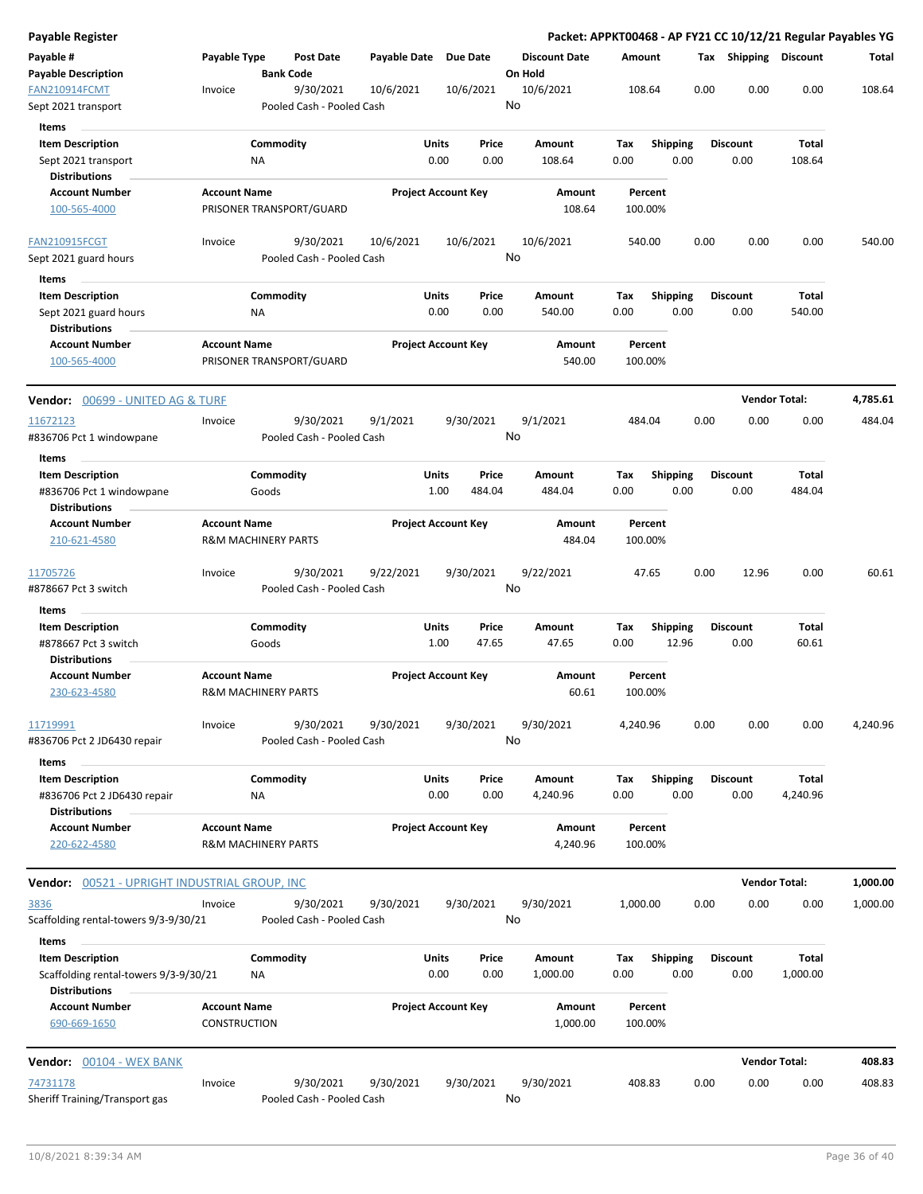| Payable Register                                                            |                                     |                                        |              |                            |                                 | Packet: APPKT00468 - AP FY21 CC 10/12/21 Regular Payables YG |      |                         |                      |          |
|-----------------------------------------------------------------------------|-------------------------------------|----------------------------------------|--------------|----------------------------|---------------------------------|--------------------------------------------------------------|------|-------------------------|----------------------|----------|
| Payable #<br><b>Payable Description</b>                                     | Payable Type                        | <b>Post Date</b><br><b>Bank Code</b>   | Payable Date | Due Date                   | <b>Discount Date</b><br>On Hold | Amount                                                       |      | Tax Shipping Discount   |                      | Total    |
| FAN210914FCMT<br>Sept 2021 transport                                        | Invoice                             | 9/30/2021<br>Pooled Cash - Pooled Cash | 10/6/2021    | 10/6/2021                  | 10/6/2021<br>No                 | 108.64                                                       | 0.00 | 0.00                    | 0.00                 | 108.64   |
| Items<br><b>Item Description</b><br>Sept 2021 transport                     |                                     | Commodity<br>NA                        | <b>Units</b> | Price<br>0.00<br>0.00      | Amount<br>108.64                | <b>Shipping</b><br>Tax<br>0.00<br>0.00                       |      | <b>Discount</b><br>0.00 | Total<br>108.64      |          |
| <b>Distributions</b><br><b>Account Number</b><br>100-565-4000               | <b>Account Name</b>                 | PRISONER TRANSPORT/GUARD               |              | <b>Project Account Key</b> | Amount<br>108.64                | Percent<br>100.00%                                           |      |                         |                      |          |
| <b>FAN210915FCGT</b>                                                        | Invoice                             | 9/30/2021                              | 10/6/2021    | 10/6/2021                  | 10/6/2021                       | 540.00                                                       | 0.00 | 0.00                    | 0.00                 | 540.00   |
| Sept 2021 guard hours                                                       |                                     | Pooled Cash - Pooled Cash              |              |                            | No                              |                                                              |      |                         |                      |          |
| Items                                                                       |                                     |                                        |              |                            |                                 |                                                              |      |                         |                      |          |
| <b>Item Description</b>                                                     |                                     | Commodity                              | Units        | Price                      | Amount                          | <b>Shipping</b><br>Tax                                       |      | <b>Discount</b>         | <b>Total</b>         |          |
| Sept 2021 guard hours<br><b>Distributions</b>                               |                                     | ΝA                                     |              | 0.00<br>0.00               | 540.00                          | 0.00<br>0.00                                                 |      | 0.00                    | 540.00               |          |
| <b>Account Number</b><br>100-565-4000                                       | <b>Account Name</b>                 | PRISONER TRANSPORT/GUARD               |              | <b>Project Account Key</b> | Amount<br>540.00                | Percent<br>100.00%                                           |      |                         |                      |          |
| <b>Vendor:</b> 00699 - UNITED AG & TURF                                     |                                     |                                        |              |                            |                                 |                                                              |      |                         | <b>Vendor Total:</b> | 4,785.61 |
| 11672123<br>#836706 Pct 1 windowpane                                        | Invoice                             | 9/30/2021<br>Pooled Cash - Pooled Cash | 9/1/2021     | 9/30/2021                  | 9/1/2021<br>No                  | 484.04                                                       | 0.00 | 0.00                    | 0.00                 | 484.04   |
| Items                                                                       |                                     | Commodity                              | Units        | Price                      |                                 |                                                              |      | <b>Discount</b>         | <b>Total</b>         |          |
| <b>Item Description</b><br>#836706 Pct 1 windowpane<br><b>Distributions</b> |                                     | Goods                                  |              | 1.00<br>484.04             | Amount<br>484.04                | <b>Shipping</b><br>Tax<br>0.00<br>0.00                       |      | 0.00                    | 484.04               |          |
| <b>Account Number</b><br>210-621-4580                                       | <b>Account Name</b>                 | <b>R&amp;M MACHINERY PARTS</b>         |              | <b>Project Account Key</b> | Amount<br>484.04                | Percent<br>100.00%                                           |      |                         |                      |          |
| 11705726<br>#878667 Pct 3 switch                                            | Invoice                             | 9/30/2021<br>Pooled Cash - Pooled Cash | 9/22/2021    | 9/30/2021                  | 9/22/2021<br>No                 | 47.65                                                        | 0.00 | 12.96                   | 0.00                 | 60.61    |
| Items                                                                       |                                     |                                        |              |                            |                                 |                                                              |      |                         |                      |          |
| <b>Item Description</b><br>#878667 Pct 3 switch                             |                                     | Commodity<br>Goods                     | Units        | Price<br>1.00<br>47.65     | Amount<br>47.65                 | Tax<br><b>Shipping</b><br>12.96<br>0.00                      |      | <b>Discount</b><br>0.00 | Total<br>60.61       |          |
| <b>Distributions</b><br><b>Account Number</b>                               | <b>Account Name</b>                 |                                        |              | <b>Project Account Key</b> | Amount                          | Percent                                                      |      |                         |                      |          |
| 230-623-4580                                                                |                                     | <b>R&amp;M MACHINERY PARTS</b>         |              |                            | 60.61                           | 100.00%                                                      |      |                         |                      |          |
| 11719991<br>#836706 Pct 2 JD6430 repair                                     | Invoice                             | 9/30/2021<br>Pooled Cash - Pooled Cash | 9/30/2021    | 9/30/2021                  | 9/30/2021<br>No                 | 4,240.96                                                     | 0.00 | 0.00                    | 0.00                 | 4,240.96 |
| Items<br><b>Item Description</b><br>#836706 Pct 2 JD6430 repair             |                                     | Commodity<br>ΝA                        | Units        | Price<br>0.00<br>0.00      | Amount<br>4,240.96              | Tax<br><b>Shipping</b><br>0.00<br>0.00                       |      | <b>Discount</b><br>0.00 | Total<br>4,240.96    |          |
| <b>Distributions</b><br><b>Account Number</b><br>220-622-4580               | <b>Account Name</b>                 | <b>R&amp;M MACHINERY PARTS</b>         |              | <b>Project Account Key</b> | Amount<br>4,240.96              | Percent<br>100.00%                                           |      |                         |                      |          |
| Vendor: 00521 - UPRIGHT INDUSTRIAL GROUP, INC                               |                                     |                                        |              |                            |                                 |                                                              |      |                         | <b>Vendor Total:</b> | 1,000.00 |
| <u>3836</u><br>Scaffolding rental-towers 9/3-9/30/21                        | Invoice                             | 9/30/2021<br>Pooled Cash - Pooled Cash | 9/30/2021    | 9/30/2021                  | 9/30/2021<br>No                 | 1,000.00                                                     | 0.00 | 0.00                    | 0.00                 | 1,000.00 |
| Items<br><b>Item Description</b><br>Scaffolding rental-towers 9/3-9/30/21   |                                     | Commodity<br>ΝA                        | <b>Units</b> | Price<br>0.00<br>0.00      | Amount<br>1,000.00              | Tax<br><b>Shipping</b><br>0.00<br>0.00                       |      | <b>Discount</b><br>0.00 | Total<br>1,000.00    |          |
| <b>Distributions</b><br><b>Account Number</b><br>690-669-1650               | <b>Account Name</b><br>CONSTRUCTION |                                        |              | <b>Project Account Key</b> | Amount<br>1,000.00              | Percent<br>100.00%                                           |      |                         |                      |          |
|                                                                             |                                     |                                        |              |                            |                                 |                                                              |      |                         |                      |          |
| <b>Vendor:</b> 00104 - WEX BANK                                             |                                     |                                        |              |                            |                                 |                                                              |      |                         | <b>Vendor Total:</b> | 408.83   |
| 74731178<br>Sheriff Training/Transport gas                                  | Invoice                             | 9/30/2021<br>Pooled Cash - Pooled Cash | 9/30/2021    | 9/30/2021                  | 9/30/2021<br>No                 | 408.83                                                       | 0.00 | 0.00                    | 0.00                 | 408.83   |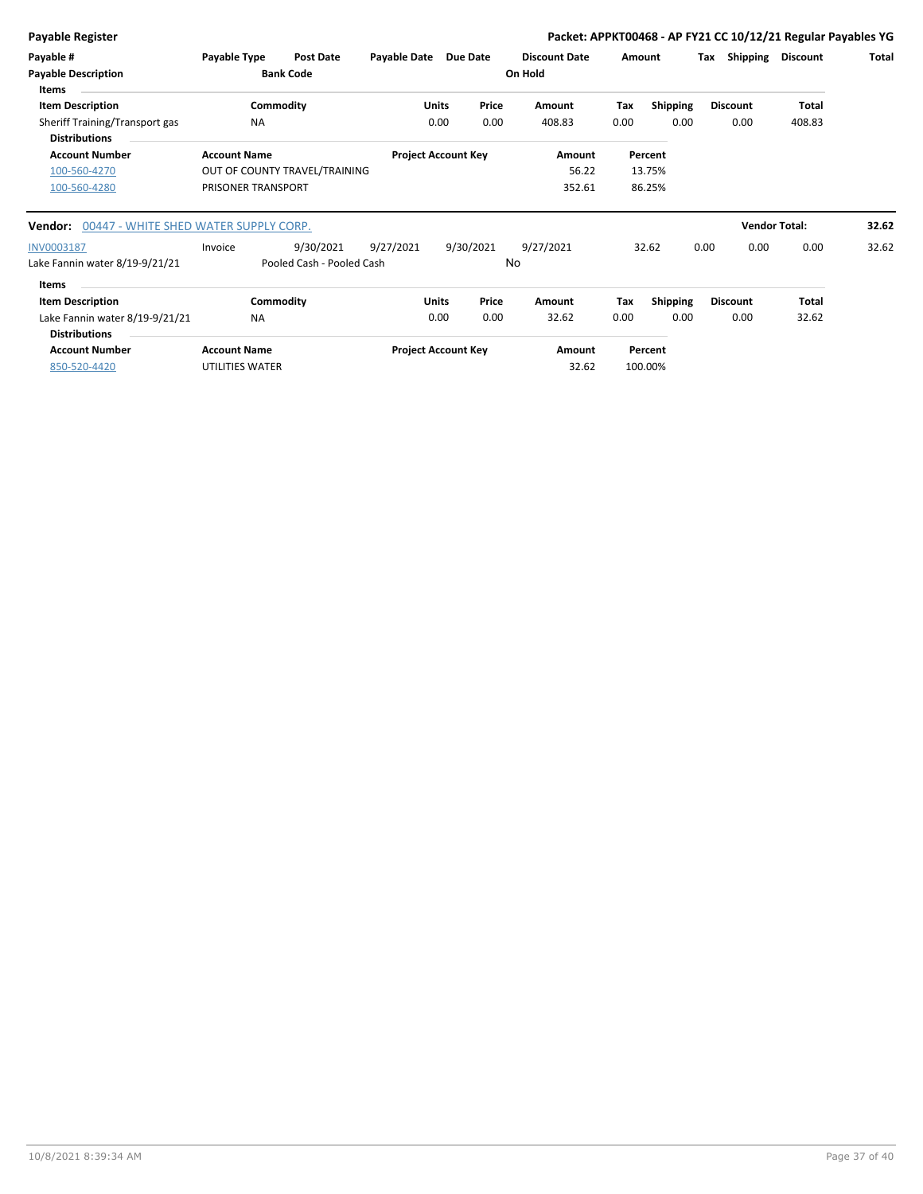**Payable Register Packet: APPKT00468 - AP FY21 CC 10/12/21 Regular Payables YG**

| Payable #<br><b>Payable Description</b><br><b>Items</b> | Payable Type        | <b>Post Date</b><br><b>Bank Code</b> | Payable Date |              | Due Date                   | <b>Discount Date</b><br>On Hold | Amount |                 | Тах  | Shipping        | <b>Discount</b>      | Total |
|---------------------------------------------------------|---------------------|--------------------------------------|--------------|--------------|----------------------------|---------------------------------|--------|-----------------|------|-----------------|----------------------|-------|
| <b>Item Description</b>                                 |                     | Commodity                            |              | <b>Units</b> | Price                      | Amount                          | Tax    | <b>Shipping</b> |      | <b>Discount</b> | Total                |       |
| Sheriff Training/Transport gas<br><b>Distributions</b>  |                     | <b>NA</b>                            |              | 0.00         | 0.00                       | 408.83                          | 0.00   | 0.00            |      | 0.00            | 408.83               |       |
| <b>Account Number</b>                                   | <b>Account Name</b> |                                      |              |              | <b>Project Account Key</b> | Amount                          |        | Percent         |      |                 |                      |       |
| 100-560-4270                                            |                     | OUT OF COUNTY TRAVEL/TRAINING        |              |              |                            | 56.22                           |        | 13.75%          |      |                 |                      |       |
| 100-560-4280                                            | PRISONER TRANSPORT  |                                      |              |              |                            | 352.61                          |        | 86.25%          |      |                 |                      |       |
| Vendor: 00447 - WHITE SHED WATER SUPPLY CORP.           |                     |                                      |              |              |                            |                                 |        |                 |      |                 | <b>Vendor Total:</b> | 32.62 |
| INV0003187                                              | Invoice             | 9/30/2021                            | 9/27/2021    |              | 9/30/2021                  | 9/27/2021                       |        | 32.62           | 0.00 | 0.00            | 0.00                 | 32.62 |
| Lake Fannin water 8/19-9/21/21                          |                     | Pooled Cash - Pooled Cash            |              |              |                            | No                              |        |                 |      |                 |                      |       |
| <b>Items</b>                                            |                     |                                      |              |              |                            |                                 |        |                 |      |                 |                      |       |
| <b>Item Description</b>                                 |                     | Commodity                            |              | <b>Units</b> | Price                      | Amount                          | Tax    | <b>Shipping</b> |      | <b>Discount</b> | Total                |       |
| Lake Fannin water 8/19-9/21/21                          |                     | <b>NA</b>                            |              | 0.00         | 0.00                       | 32.62                           | 0.00   | 0.00            |      | 0.00            | 32.62                |       |
| <b>Distributions</b>                                    |                     |                                      |              |              |                            |                                 |        |                 |      |                 |                      |       |
| <b>Account Number</b>                                   | <b>Account Name</b> |                                      |              |              | <b>Project Account Key</b> | Amount                          |        | Percent         |      |                 |                      |       |
| 850-520-4420                                            | UTILITIES WATER     |                                      |              |              |                            | 32.62                           |        | 100.00%         |      |                 |                      |       |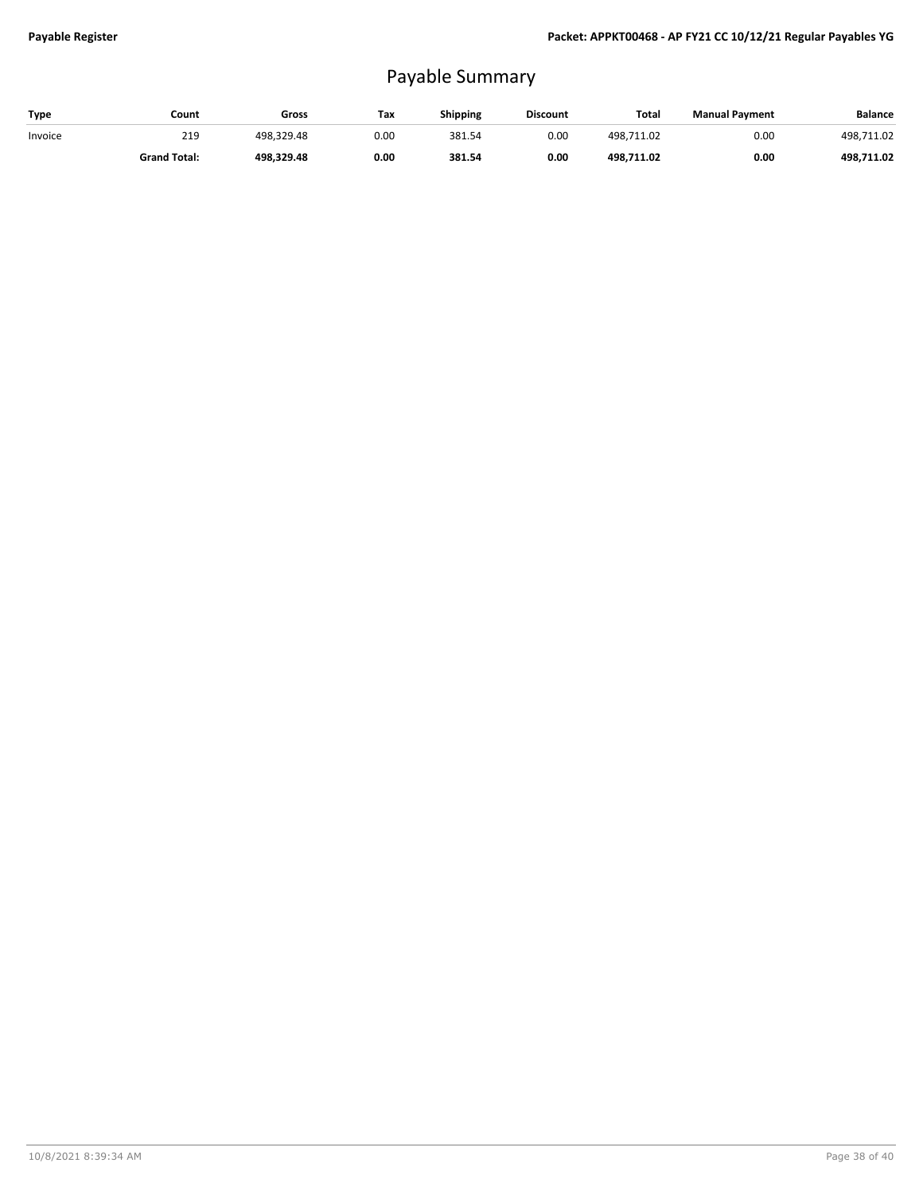## Payable Summary

| Type    | Count               | Gross      | Tax  | Shipping | <b>Discount</b> | Total      | <b>Manual Payment</b> | <b>Balance</b> |
|---------|---------------------|------------|------|----------|-----------------|------------|-----------------------|----------------|
| Invoice | 219                 | 498.329.48 | 0.00 | 381.54   | 0.00            | 498.711.02 | 0.00                  | 498.711.02     |
|         | <b>Grand Total:</b> | 498.329.48 | 0.00 | 381.54   | 0.00            | 498.711.02 | 0.00                  | 498.711.02     |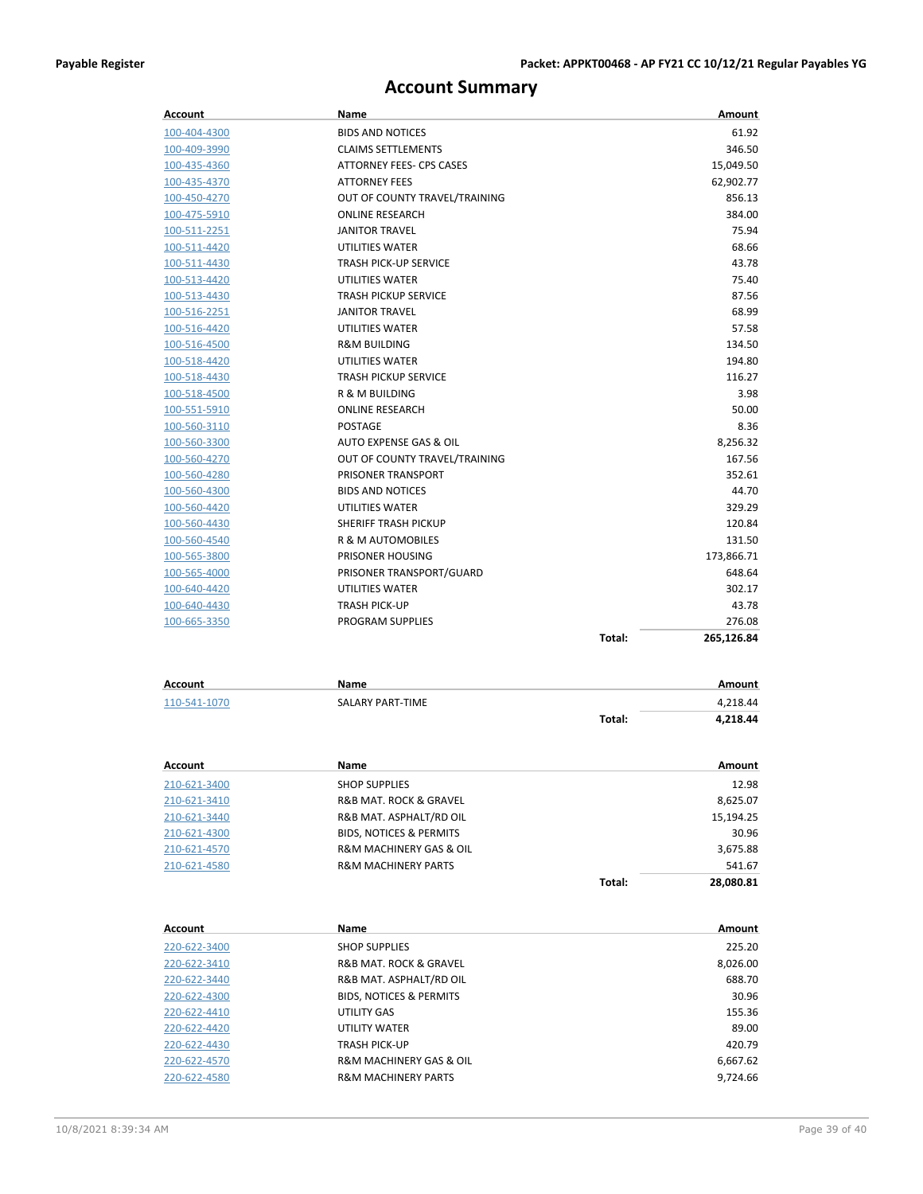### **Account Summary**

| Account                             | Name                                                      |        | Amount            |
|-------------------------------------|-----------------------------------------------------------|--------|-------------------|
| 100-404-4300                        | <b>BIDS AND NOTICES</b>                                   |        | 61.92             |
| 100-409-3990                        | <b>CLAIMS SETTLEMENTS</b>                                 |        | 346.50            |
| 100-435-4360                        | ATTORNEY FEES- CPS CASES                                  |        | 15,049.50         |
| 100-435-4370                        | <b>ATTORNEY FEES</b>                                      |        | 62,902.77         |
| 100-450-4270                        | OUT OF COUNTY TRAVEL/TRAINING                             |        | 856.13            |
| 100-475-5910                        | <b>ONLINE RESEARCH</b>                                    |        | 384.00            |
| 100-511-2251                        | <b>JANITOR TRAVEL</b>                                     |        | 75.94             |
| 100-511-4420                        | UTILITIES WATER                                           |        | 68.66             |
| 100-511-4430                        | <b>TRASH PICK-UP SERVICE</b>                              |        | 43.78             |
| 100-513-4420                        | UTILITIES WATER                                           |        | 75.40             |
| 100-513-4430                        | <b>TRASH PICKUP SERVICE</b>                               |        | 87.56             |
| 100-516-2251                        | <b>JANITOR TRAVEL</b>                                     |        | 68.99             |
| 100-516-4420                        | UTILITIES WATER                                           |        | 57.58             |
| 100-516-4500                        | <b>R&amp;M BUILDING</b>                                   |        | 134.50            |
| 100-518-4420                        | UTILITIES WATER                                           |        | 194.80            |
| 100-518-4430                        | <b>TRASH PICKUP SERVICE</b>                               |        | 116.27            |
| 100-518-4500                        | R & M BUILDING                                            |        | 3.98              |
| 100-551-5910                        | <b>ONLINE RESEARCH</b>                                    |        | 50.00             |
| 100-560-3110                        | <b>POSTAGE</b>                                            |        | 8.36              |
| 100-560-3300                        | AUTO EXPENSE GAS & OIL                                    |        | 8,256.32          |
| 100-560-4270                        | OUT OF COUNTY TRAVEL/TRAINING                             |        | 167.56            |
| 100-560-4280                        | PRISONER TRANSPORT                                        |        | 352.61            |
| 100-560-4300                        | <b>BIDS AND NOTICES</b>                                   |        | 44.70             |
| 100-560-4420                        | UTILITIES WATER                                           |        | 329.29            |
| 100-560-4430                        | SHERIFF TRASH PICKUP                                      |        | 120.84            |
| 100-560-4540                        | R & M AUTOMOBILES                                         |        | 131.50            |
| 100-565-3800                        | PRISONER HOUSING                                          |        | 173,866.71        |
| 100-565-4000                        | PRISONER TRANSPORT/GUARD                                  |        | 648.64            |
| 100-640-4420                        | UTILITIES WATER                                           |        | 302.17            |
| 100-640-4430                        | <b>TRASH PICK-UP</b>                                      |        | 43.78             |
| 100-665-3350                        | PROGRAM SUPPLIES                                          |        | 276.08            |
|                                     |                                                           | Total: | 265,126.84        |
|                                     |                                                           |        |                   |
| Account                             | Name                                                      |        | Amount            |
| 110-541-1070                        | SALARY PART-TIME                                          |        | 4,218.44          |
|                                     |                                                           | Total: | 4,218.44          |
|                                     |                                                           |        |                   |
| <b>Account</b>                      | Name                                                      |        | Amount            |
| 210-621-3400                        | <b>SHOP SUPPLIES</b>                                      |        | 12.98             |
|                                     | R&B MAT. ROCK & GRAVEL                                    |        |                   |
| <u>210-621-3410</u><br>210-621-3440 | R&B MAT. ASPHALT/RD OIL                                   |        | 8,625.07          |
|                                     | <b>BIDS, NOTICES &amp; PERMITS</b>                        |        | 15,194.25         |
| 210-621-4300                        |                                                           |        | 30.96<br>3,675.88 |
| 210-621-4570                        | R&M MACHINERY GAS & OIL<br><b>R&amp;M MACHINERY PARTS</b> |        |                   |
| 210-621-4580                        |                                                           | Total: | 541.67            |
|                                     |                                                           |        | 28,080.81         |
| <b>Account</b>                      | Name                                                      |        | Amount            |
|                                     |                                                           |        |                   |
| 220-622-3400                        | <b>SHOP SUPPLIES</b>                                      |        | 225.20            |
| <u>220-622-3410</u>                 | R&B MAT. ROCK & GRAVEL                                    |        | 8,026.00          |
| 220-622-3440                        | R&B MAT. ASPHALT/RD OIL                                   |        | 688.70            |
| 220-622-4300                        | <b>BIDS, NOTICES &amp; PERMITS</b>                        |        | 30.96             |
| 220-622-4410                        | UTILITY GAS                                               |        | 155.36            |
| 220-622-4420                        | UTILITY WATER                                             |        | 89.00             |
| 220-622-4430                        | TRASH PICK-UP                                             |        | 420.79            |

220-622-4570 **R&M MACHINERY GAS & OIL** 6,667.62<br>220-622-4580 **R&M MACHINERY PARTS** 9,724.66

220-622-4580 R&M MACHINERY PARTS